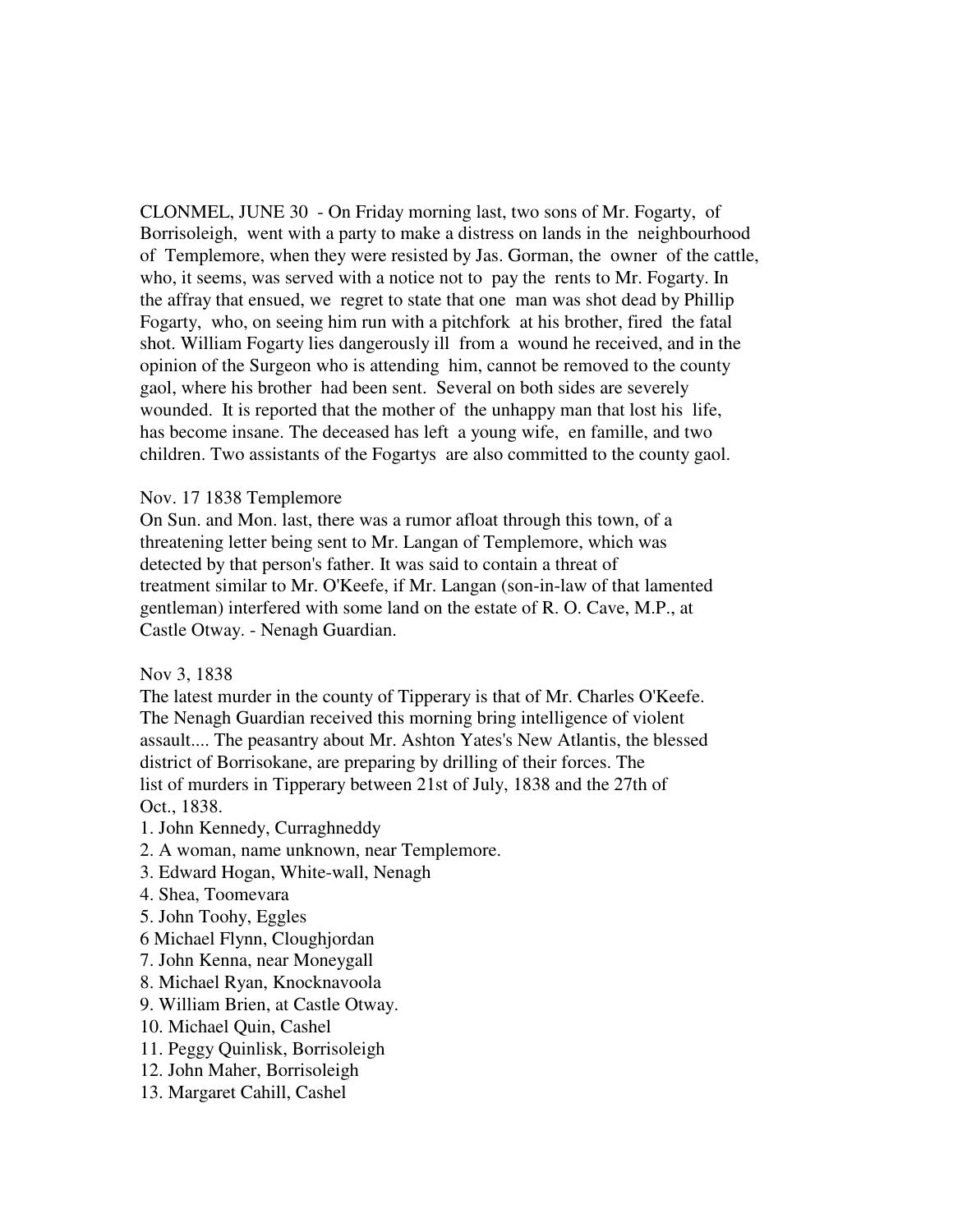CLONMEL, JUNE 30 - On Friday morning last, two sons of Mr. Fogarty, of Borrisoleigh, went with a party to make a distress on lands in the neighbourhood of Templemore, when they were resisted by Jas. Gorman, the owner of the cattle, who, it seems, was served with a notice not to pay the rents to Mr. Fogarty. In the affray that ensued, we regret to state that one man was shot dead by Phillip Fogarty, who, on seeing him run with a pitchfork at his brother, fired the fatal shot. William Fogarty lies dangerously ill from a wound he received, and in the opinion of the Surgeon who is attending him, cannot be removed to the county gaol, where his brother had been sent. Several on both sides are severely wounded. It is reported that the mother of the unhappy man that lost his life, has become insane. The deceased has left a young wife, en famille, and two children. Two assistants of the Fogartys are also committed to the county gaol.

### Nov. 17 1838 Templemore

On Sun. and Mon. last, there was a rumor afloat through this town, of a threatening letter being sent to Mr. Langan of Templemore, which was detected by that person's father. It was said to contain a threat of treatment similar to Mr. O'Keefe, if Mr. Langan (son-in-law of that lamented gentleman) interfered with some land on the estate of R. O. Cave, M.P., at Castle Otway. - Nenagh Guardian.

# Nov 3, 1838

The latest murder in the county of Tipperary is that of Mr. Charles O'Keefe. The Nenagh Guardian received this morning bring intelligence of violent assault.... The peasantry about Mr. Ashton Yates's New Atlantis, the blessed district of Borrisokane, are preparing by drilling of their forces. The list of murders in Tipperary between 21st of July, 1838 and the 27th of Oct., 1838.

- 1. John Kennedy, Curraghneddy
- 2. A woman, name unknown, near Templemore.
- 3. Edward Hogan, White-wall, Nenagh
- 4. Shea, Toomevara
- 5. John Toohy, Eggles
- 6 Michael Flynn, Cloughjordan
- 7. John Kenna, near Moneygall
- 8. Michael Ryan, Knocknavoola
- 9. William Brien, at Castle Otway.
- 10. Michael Quin, Cashel
- 11. Peggy Quinlisk, Borrisoleigh
- 12. John Maher, Borrisoleigh
- 13. Margaret Cahill, Cashel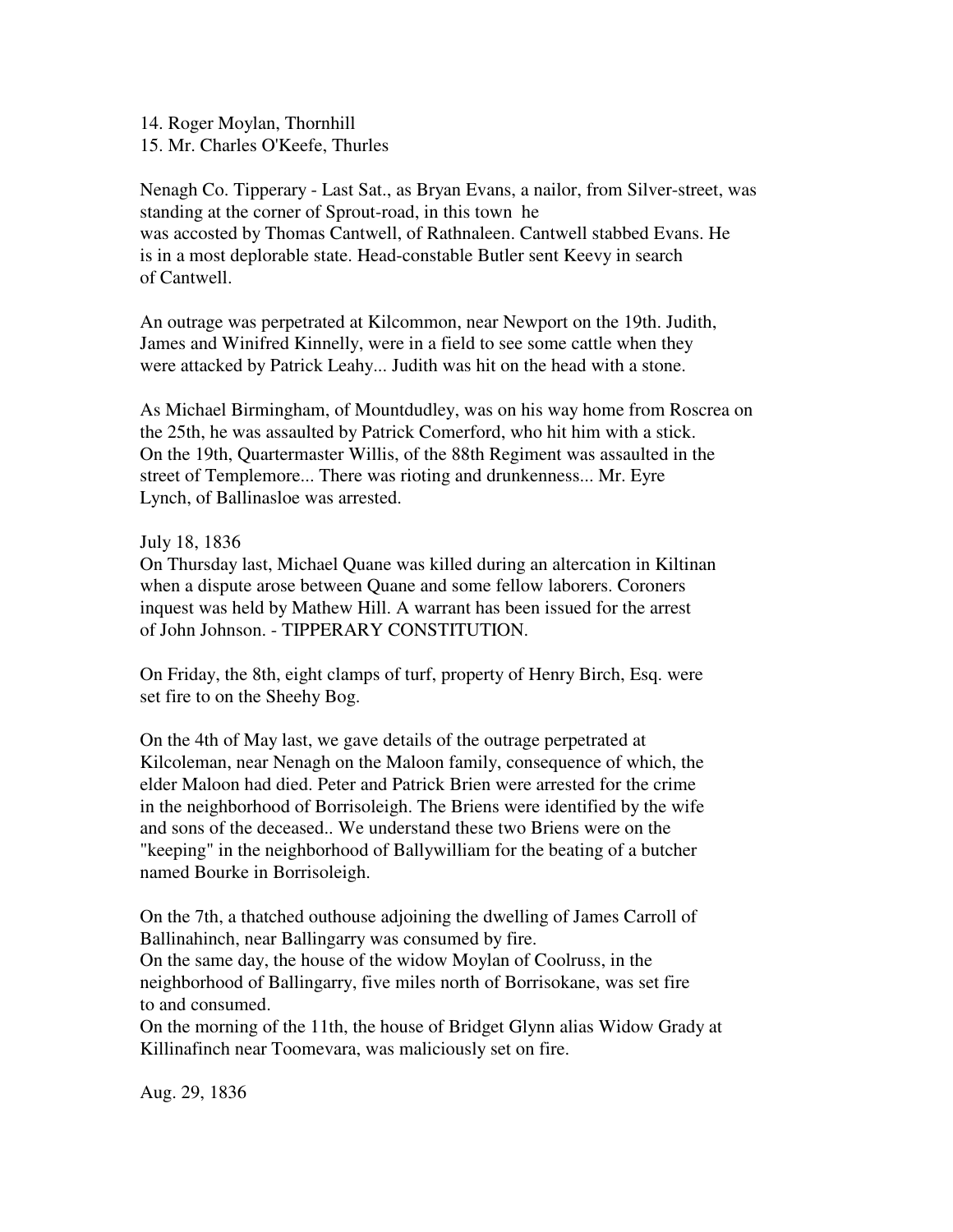14. Roger Moylan, Thornhill 15. Mr. Charles O'Keefe, Thurles

Nenagh Co. Tipperary - Last Sat., as Bryan Evans, a nailor, from Silver-street, was standing at the corner of Sprout-road, in this town he was accosted by Thomas Cantwell, of Rathnaleen. Cantwell stabbed Evans. He is in a most deplorable state. Head-constable Butler sent Keevy in search of Cantwell.

An outrage was perpetrated at Kilcommon, near Newport on the 19th. Judith, James and Winifred Kinnelly, were in a field to see some cattle when they were attacked by Patrick Leahy... Judith was hit on the head with a stone.

As Michael Birmingham, of Mountdudley, was on his way home from Roscrea on the 25th, he was assaulted by Patrick Comerford, who hit him with a stick. On the 19th, Quartermaster Willis, of the 88th Regiment was assaulted in the street of Templemore... There was rioting and drunkenness... Mr. Eyre Lynch, of Ballinasloe was arrested.

# July 18, 1836

On Thursday last, Michael Quane was killed during an altercation in Kiltinan when a dispute arose between Quane and some fellow laborers. Coroners inquest was held by Mathew Hill. A warrant has been issued for the arrest of John Johnson. - TIPPERARY CONSTITUTION.

On Friday, the 8th, eight clamps of turf, property of Henry Birch, Esq. were set fire to on the Sheehy Bog.

On the 4th of May last, we gave details of the outrage perpetrated at Kilcoleman, near Nenagh on the Maloon family, consequence of which, the elder Maloon had died. Peter and Patrick Brien were arrested for the crime in the neighborhood of Borrisoleigh. The Briens were identified by the wife and sons of the deceased.. We understand these two Briens were on the "keeping" in the neighborhood of Ballywilliam for the beating of a butcher named Bourke in Borrisoleigh.

On the 7th, a thatched outhouse adjoining the dwelling of James Carroll of Ballinahinch, near Ballingarry was consumed by fire.

On the same day, the house of the widow Moylan of Coolruss, in the neighborhood of Ballingarry, five miles north of Borrisokane, was set fire to and consumed.

On the morning of the 11th, the house of Bridget Glynn alias Widow Grady at Killinafinch near Toomevara, was maliciously set on fire.

Aug. 29, 1836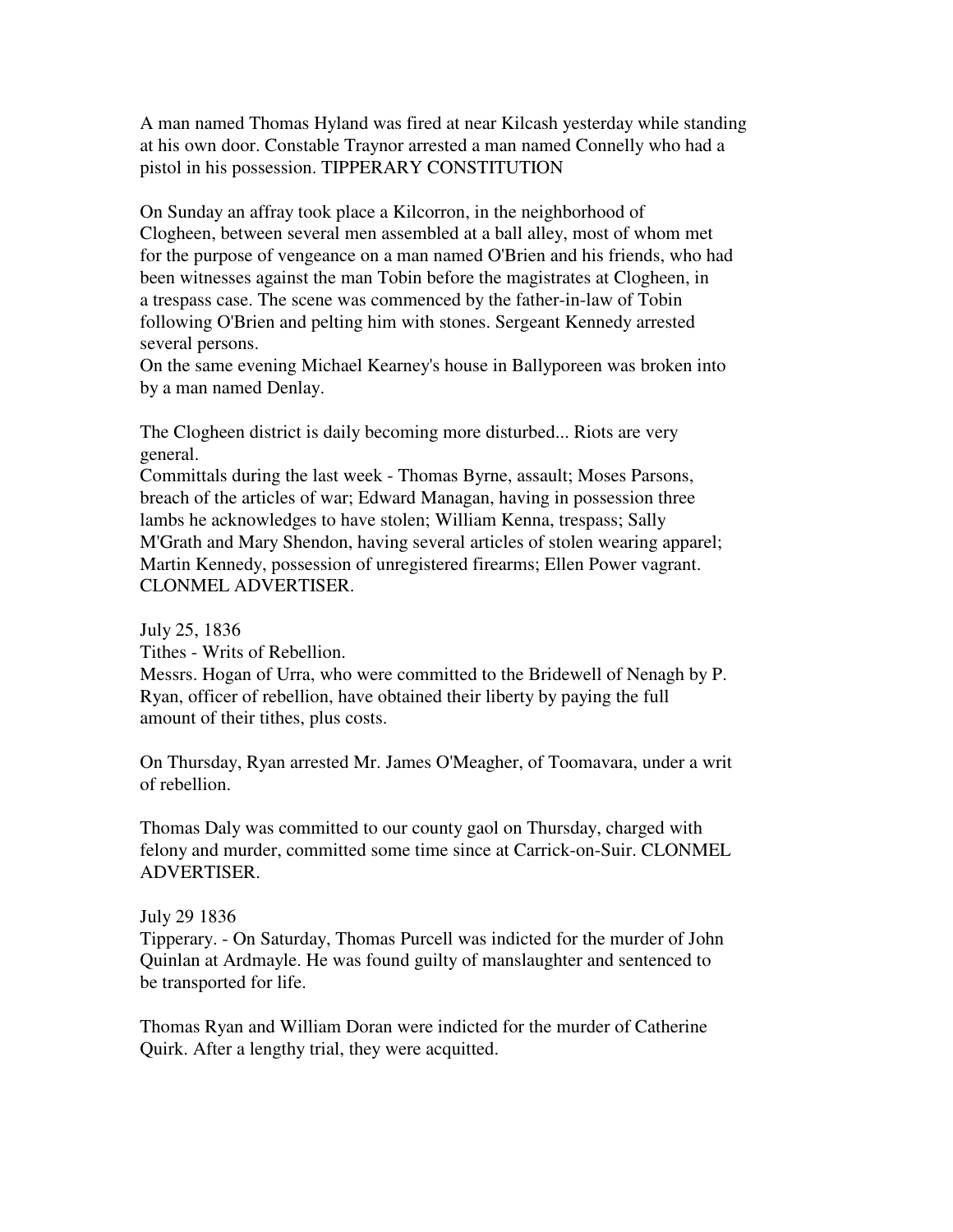A man named Thomas Hyland was fired at near Kilcash yesterday while standing at his own door. Constable Traynor arrested a man named Connelly who had a pistol in his possession. TIPPERARY CONSTITUTION

On Sunday an affray took place a Kilcorron, in the neighborhood of Clogheen, between several men assembled at a ball alley, most of whom met for the purpose of vengeance on a man named O'Brien and his friends, who had been witnesses against the man Tobin before the magistrates at Clogheen, in a trespass case. The scene was commenced by the father-in-law of Tobin following O'Brien and pelting him with stones. Sergeant Kennedy arrested several persons.

On the same evening Michael Kearney's house in Ballyporeen was broken into by a man named Denlay.

The Clogheen district is daily becoming more disturbed... Riots are very general.

Committals during the last week - Thomas Byrne, assault; Moses Parsons, breach of the articles of war; Edward Managan, having in possession three lambs he acknowledges to have stolen; William Kenna, trespass; Sally M'Grath and Mary Shendon, having several articles of stolen wearing apparel; Martin Kennedy, possession of unregistered firearms; Ellen Power vagrant. CLONMEL ADVERTISER.

July 25, 1836

Tithes - Writs of Rebellion.

Messrs. Hogan of Urra, who were committed to the Bridewell of Nenagh by P. Ryan, officer of rebellion, have obtained their liberty by paying the full amount of their tithes, plus costs.

On Thursday, Ryan arrested Mr. James O'Meagher, of Toomavara, under a writ of rebellion.

Thomas Daly was committed to our county gaol on Thursday, charged with felony and murder, committed some time since at Carrick-on-Suir. CLONMEL ADVERTISER.

July 29 1836

Tipperary. - On Saturday, Thomas Purcell was indicted for the murder of John Quinlan at Ardmayle. He was found guilty of manslaughter and sentenced to be transported for life.

Thomas Ryan and William Doran were indicted for the murder of Catherine Quirk. After a lengthy trial, they were acquitted.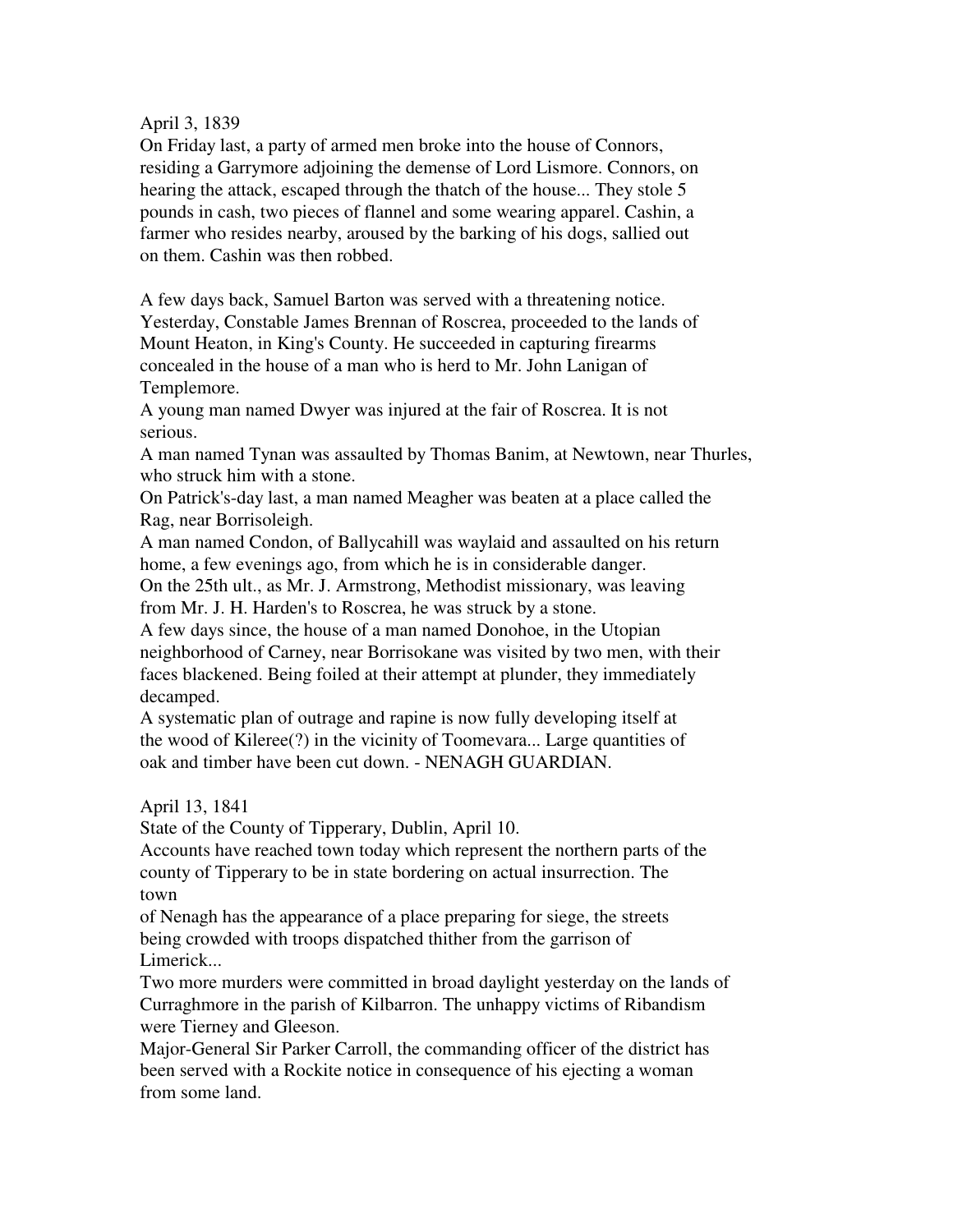April 3, 1839

On Friday last, a party of armed men broke into the house of Connors, residing a Garrymore adjoining the demense of Lord Lismore. Connors, on hearing the attack, escaped through the thatch of the house... They stole 5 pounds in cash, two pieces of flannel and some wearing apparel. Cashin, a farmer who resides nearby, aroused by the barking of his dogs, sallied out on them. Cashin was then robbed.

A few days back, Samuel Barton was served with a threatening notice. Yesterday, Constable James Brennan of Roscrea, proceeded to the lands of Mount Heaton, in King's County. He succeeded in capturing firearms concealed in the house of a man who is herd to Mr. John Lanigan of Templemore.

A young man named Dwyer was injured at the fair of Roscrea. It is not serious.

A man named Tynan was assaulted by Thomas Banim, at Newtown, near Thurles, who struck him with a stone.

On Patrick's-day last, a man named Meagher was beaten at a place called the Rag, near Borrisoleigh.

A man named Condon, of Ballycahill was waylaid and assaulted on his return home, a few evenings ago, from which he is in considerable danger.

On the 25th ult., as Mr. J. Armstrong, Methodist missionary, was leaving from Mr. J. H. Harden's to Roscrea, he was struck by a stone.

A few days since, the house of a man named Donohoe, in the Utopian neighborhood of Carney, near Borrisokane was visited by two men, with their faces blackened. Being foiled at their attempt at plunder, they immediately decamped.

A systematic plan of outrage and rapine is now fully developing itself at the wood of Kileree(?) in the vicinity of Toomevara... Large quantities of oak and timber have been cut down. - NENAGH GUARDIAN.

April 13, 1841

State of the County of Tipperary, Dublin, April 10.

Accounts have reached town today which represent the northern parts of the county of Tipperary to be in state bordering on actual insurrection. The town

of Nenagh has the appearance of a place preparing for siege, the streets being crowded with troops dispatched thither from the garrison of Limerick...

Two more murders were committed in broad daylight yesterday on the lands of Curraghmore in the parish of Kilbarron. The unhappy victims of Ribandism were Tierney and Gleeson.

Major-General Sir Parker Carroll, the commanding officer of the district has been served with a Rockite notice in consequence of his ejecting a woman from some land.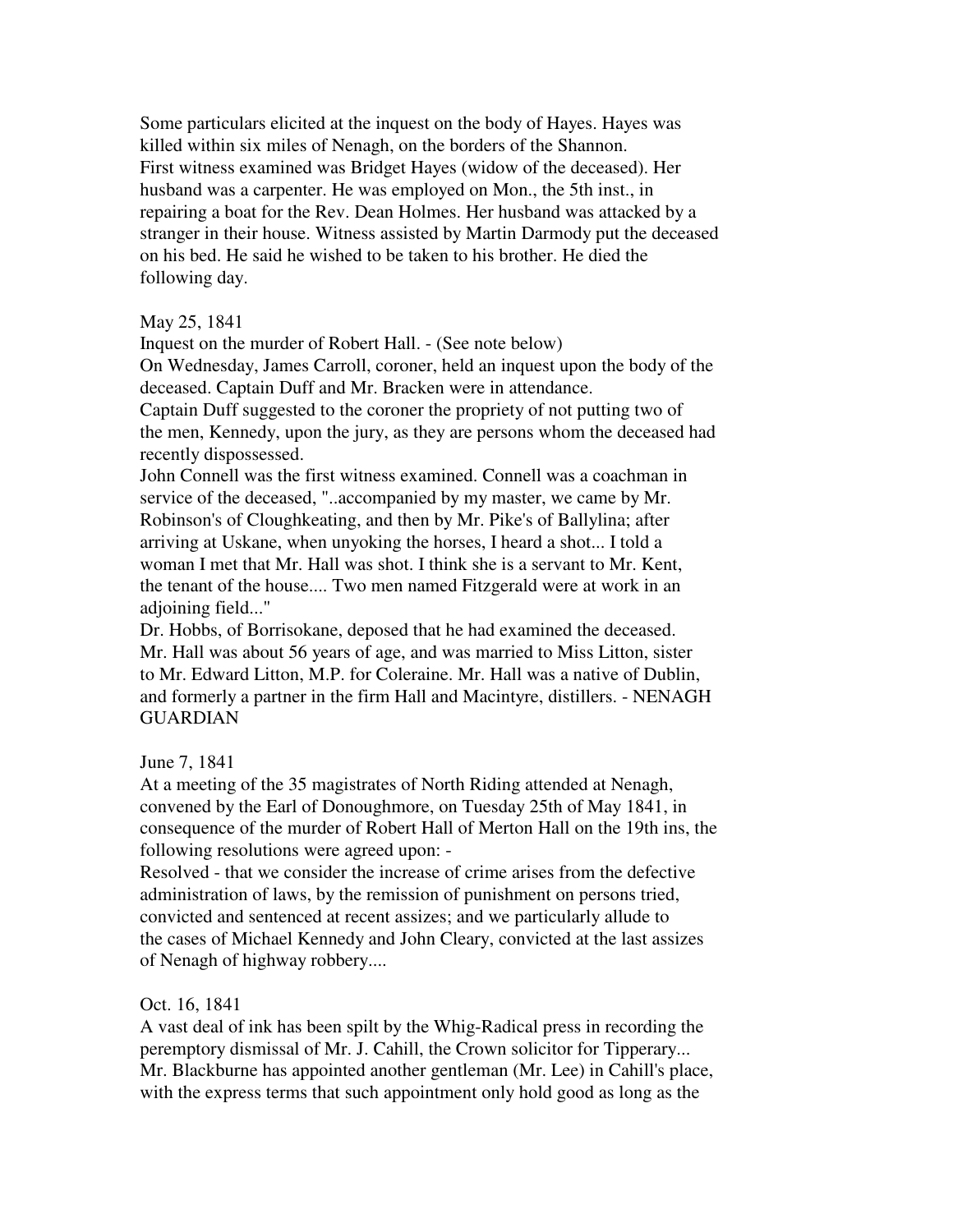Some particulars elicited at the inquest on the body of Hayes. Hayes was killed within six miles of Nenagh, on the borders of the Shannon. First witness examined was Bridget Hayes (widow of the deceased). Her husband was a carpenter. He was employed on Mon., the 5th inst., in repairing a boat for the Rev. Dean Holmes. Her husband was attacked by a stranger in their house. Witness assisted by Martin Darmody put the deceased on his bed. He said he wished to be taken to his brother. He died the following day.

# May 25, 1841

Inquest on the murder of Robert Hall. - (See note below)

On Wednesday, James Carroll, coroner, held an inquest upon the body of the deceased. Captain Duff and Mr. Bracken were in attendance.

Captain Duff suggested to the coroner the propriety of not putting two of the men, Kennedy, upon the jury, as they are persons whom the deceased had recently dispossessed.

John Connell was the first witness examined. Connell was a coachman in service of the deceased, "..accompanied by my master, we came by Mr. Robinson's of Cloughkeating, and then by Mr. Pike's of Ballylina; after arriving at Uskane, when unyoking the horses, I heard a shot... I told a woman I met that Mr. Hall was shot. I think she is a servant to Mr. Kent, the tenant of the house.... Two men named Fitzgerald were at work in an adjoining field..."

Dr. Hobbs, of Borrisokane, deposed that he had examined the deceased. Mr. Hall was about 56 years of age, and was married to Miss Litton, sister to Mr. Edward Litton, M.P. for Coleraine. Mr. Hall was a native of Dublin, and formerly a partner in the firm Hall and Macintyre, distillers. - NENAGH GUARDIAN

# June 7, 1841

At a meeting of the 35 magistrates of North Riding attended at Nenagh, convened by the Earl of Donoughmore, on Tuesday 25th of May 1841, in consequence of the murder of Robert Hall of Merton Hall on the 19th ins, the following resolutions were agreed upon: -

Resolved - that we consider the increase of crime arises from the defective administration of laws, by the remission of punishment on persons tried, convicted and sentenced at recent assizes; and we particularly allude to the cases of Michael Kennedy and John Cleary, convicted at the last assizes of Nenagh of highway robbery....

# Oct. 16, 1841

A vast deal of ink has been spilt by the Whig-Radical press in recording the peremptory dismissal of Mr. J. Cahill, the Crown solicitor for Tipperary... Mr. Blackburne has appointed another gentleman (Mr. Lee) in Cahill's place, with the express terms that such appointment only hold good as long as the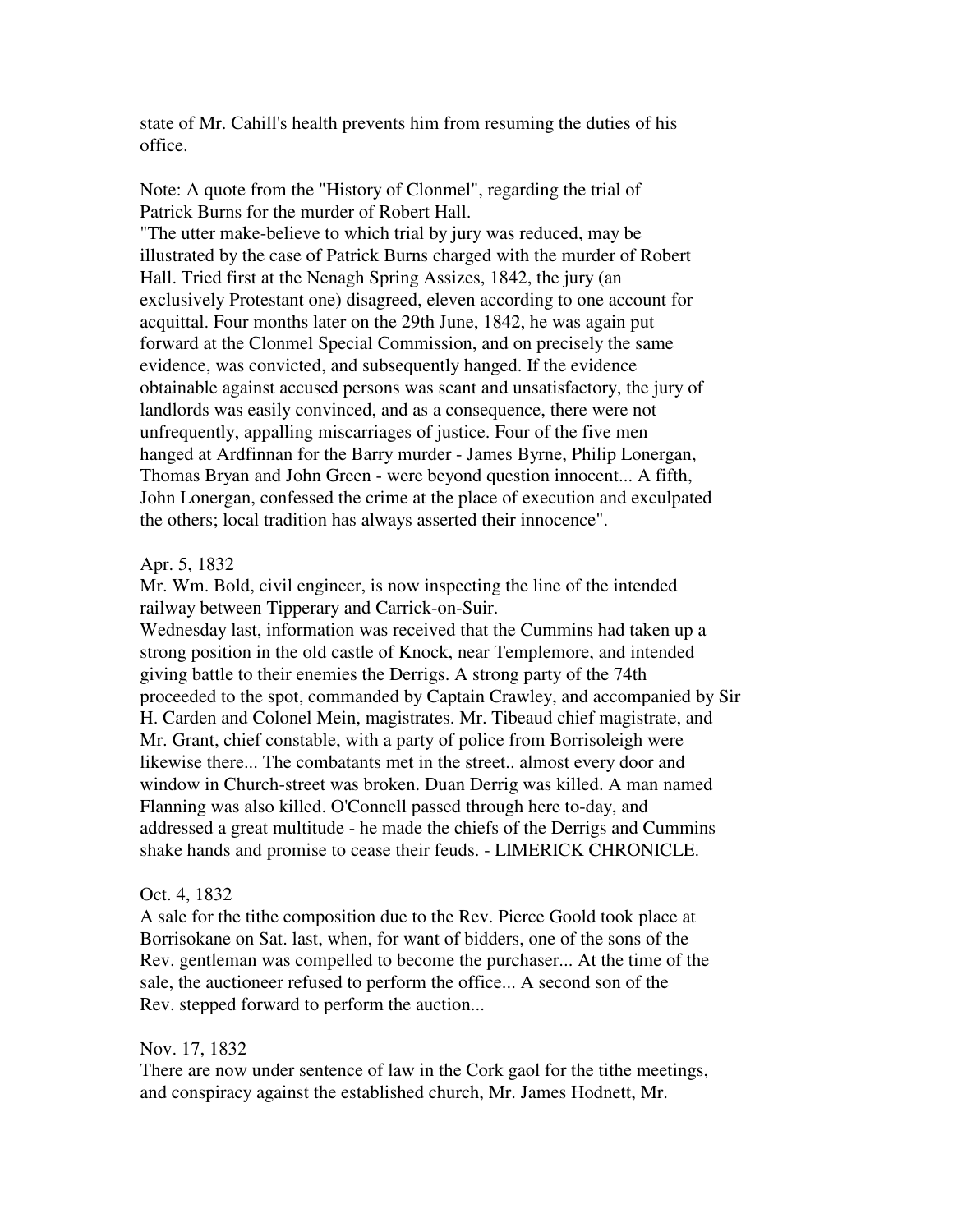state of Mr. Cahill's health prevents him from resuming the duties of his office.

Note: A quote from the "History of Clonmel", regarding the trial of Patrick Burns for the murder of Robert Hall.

"The utter make-believe to which trial by jury was reduced, may be illustrated by the case of Patrick Burns charged with the murder of Robert Hall. Tried first at the Nenagh Spring Assizes, 1842, the jury (an exclusively Protestant one) disagreed, eleven according to one account for acquittal. Four months later on the 29th June, 1842, he was again put forward at the Clonmel Special Commission, and on precisely the same evidence, was convicted, and subsequently hanged. If the evidence obtainable against accused persons was scant and unsatisfactory, the jury of landlords was easily convinced, and as a consequence, there were not unfrequently, appalling miscarriages of justice. Four of the five men hanged at Ardfinnan for the Barry murder - James Byrne, Philip Lonergan, Thomas Bryan and John Green - were beyond question innocent... A fifth, John Lonergan, confessed the crime at the place of execution and exculpated the others; local tradition has always asserted their innocence".

### Apr. 5, 1832

Mr. Wm. Bold, civil engineer, is now inspecting the line of the intended railway between Tipperary and Carrick-on-Suir.

Wednesday last, information was received that the Cummins had taken up a strong position in the old castle of Knock, near Templemore, and intended giving battle to their enemies the Derrigs. A strong party of the 74th proceeded to the spot, commanded by Captain Crawley, and accompanied by Sir H. Carden and Colonel Mein, magistrates. Mr. Tibeaud chief magistrate, and Mr. Grant, chief constable, with a party of police from Borrisoleigh were likewise there... The combatants met in the street.. almost every door and window in Church-street was broken. Duan Derrig was killed. A man named Flanning was also killed. O'Connell passed through here to-day, and addressed a great multitude - he made the chiefs of the Derrigs and Cummins shake hands and promise to cease their feuds. - LIMERICK CHRONICLE.

### Oct. 4, 1832

A sale for the tithe composition due to the Rev. Pierce Goold took place at Borrisokane on Sat. last, when, for want of bidders, one of the sons of the Rev. gentleman was compelled to become the purchaser... At the time of the sale, the auctioneer refused to perform the office... A second son of the Rev. stepped forward to perform the auction...

### Nov. 17, 1832

There are now under sentence of law in the Cork gaol for the tithe meetings, and conspiracy against the established church, Mr. James Hodnett, Mr.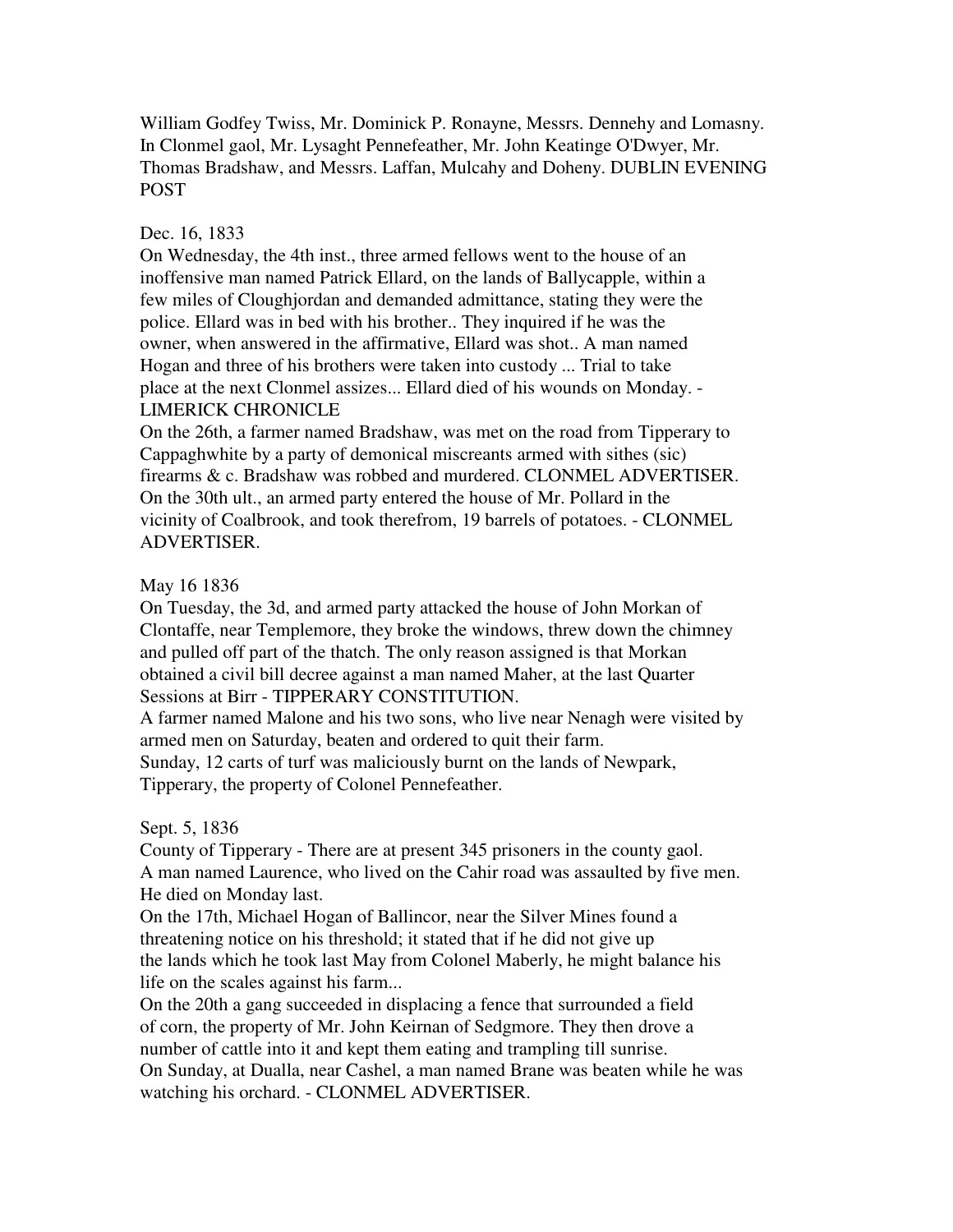William Godfey Twiss, Mr. Dominick P. Ronayne, Messrs. Dennehy and Lomasny. In Clonmel gaol, Mr. Lysaght Pennefeather, Mr. John Keatinge O'Dwyer, Mr. Thomas Bradshaw, and Messrs. Laffan, Mulcahy and Doheny. DUBLIN EVENING POST

### Dec. 16, 1833

On Wednesday, the 4th inst., three armed fellows went to the house of an inoffensive man named Patrick Ellard, on the lands of Ballycapple, within a few miles of Cloughjordan and demanded admittance, stating they were the police. Ellard was in bed with his brother.. They inquired if he was the owner, when answered in the affirmative, Ellard was shot.. A man named Hogan and three of his brothers were taken into custody ... Trial to take place at the next Clonmel assizes... Ellard died of his wounds on Monday. - LIMERICK CHRONICLE

On the 26th, a farmer named Bradshaw, was met on the road from Tipperary to Cappaghwhite by a party of demonical miscreants armed with sithes (sic) firearms & c. Bradshaw was robbed and murdered. CLONMEL ADVERTISER. On the 30th ult., an armed party entered the house of Mr. Pollard in the vicinity of Coalbrook, and took therefrom, 19 barrels of potatoes. - CLONMEL ADVERTISER.

### May 16 1836

On Tuesday, the 3d, and armed party attacked the house of John Morkan of Clontaffe, near Templemore, they broke the windows, threw down the chimney and pulled off part of the thatch. The only reason assigned is that Morkan obtained a civil bill decree against a man named Maher, at the last Quarter Sessions at Birr - TIPPERARY CONSTITUTION.

A farmer named Malone and his two sons, who live near Nenagh were visited by armed men on Saturday, beaten and ordered to quit their farm. Sunday, 12 carts of turf was maliciously burnt on the lands of Newpark, Tipperary, the property of Colonel Pennefeather.

# Sept. 5, 1836

County of Tipperary - There are at present 345 prisoners in the county gaol. A man named Laurence, who lived on the Cahir road was assaulted by five men. He died on Monday last.

On the 17th, Michael Hogan of Ballincor, near the Silver Mines found a threatening notice on his threshold; it stated that if he did not give up the lands which he took last May from Colonel Maberly, he might balance his life on the scales against his farm...

On the 20th a gang succeeded in displacing a fence that surrounded a field of corn, the property of Mr. John Keirnan of Sedgmore. They then drove a number of cattle into it and kept them eating and trampling till sunrise. On Sunday, at Dualla, near Cashel, a man named Brane was beaten while he was watching his orchard. - CLONMEL ADVERTISER.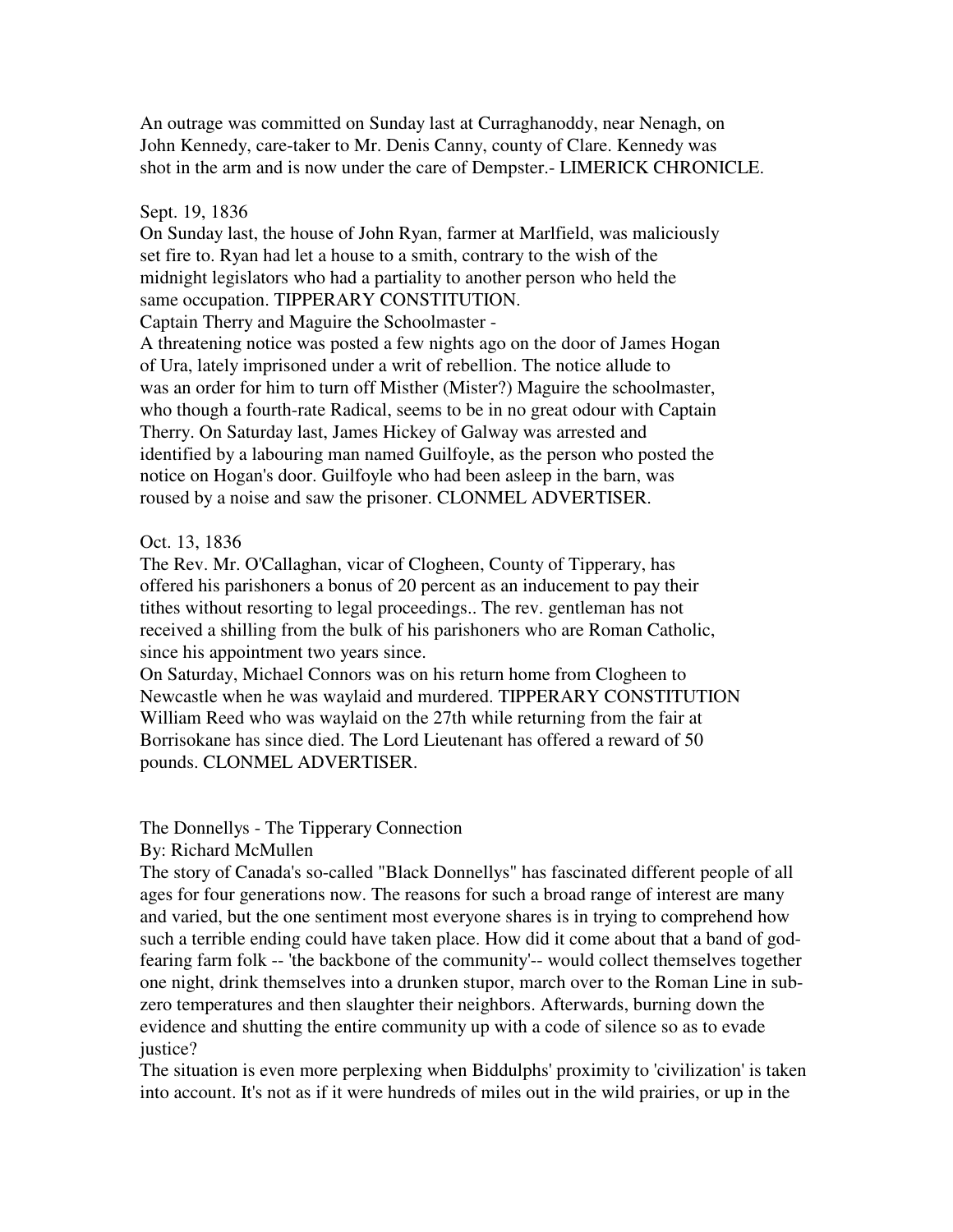An outrage was committed on Sunday last at Curraghanoddy, near Nenagh, on John Kennedy, care-taker to Mr. Denis Canny, county of Clare. Kennedy was shot in the arm and is now under the care of Dempster.- LIMERICK CHRONICLE.

### Sept. 19, 1836

On Sunday last, the house of John Ryan, farmer at Marlfield, was maliciously set fire to. Ryan had let a house to a smith, contrary to the wish of the midnight legislators who had a partiality to another person who held the same occupation. TIPPERARY CONSTITUTION. Captain Therry and Maguire the Schoolmaster -

A threatening notice was posted a few nights ago on the door of James Hogan of Ura, lately imprisoned under a writ of rebellion. The notice allude to was an order for him to turn off Misther (Mister?) Maguire the schoolmaster, who though a fourth-rate Radical, seems to be in no great odour with Captain Therry. On Saturday last, James Hickey of Galway was arrested and identified by a labouring man named Guilfoyle, as the person who posted the notice on Hogan's door. Guilfoyle who had been asleep in the barn, was roused by a noise and saw the prisoner. CLONMEL ADVERTISER.

### Oct. 13, 1836

The Rev. Mr. O'Callaghan, vicar of Clogheen, County of Tipperary, has offered his parishoners a bonus of 20 percent as an inducement to pay their tithes without resorting to legal proceedings.. The rev. gentleman has not received a shilling from the bulk of his parishoners who are Roman Catholic, since his appointment two years since.

On Saturday, Michael Connors was on his return home from Clogheen to Newcastle when he was waylaid and murdered. TIPPERARY CONSTITUTION William Reed who was waylaid on the 27th while returning from the fair at Borrisokane has since died. The Lord Lieutenant has offered a reward of 50 pounds. CLONMEL ADVERTISER.

### The Donnellys - The Tipperary Connection

#### By: Richard McMullen

The story of Canada's so-called "Black Donnellys" has fascinated different people of all ages for four generations now. The reasons for such a broad range of interest are many and varied, but the one sentiment most everyone shares is in trying to comprehend how such a terrible ending could have taken place. How did it come about that a band of godfearing farm folk -- 'the backbone of the community'-- would collect themselves together one night, drink themselves into a drunken stupor, march over to the Roman Line in subzero temperatures and then slaughter their neighbors. Afterwards, burning down the evidence and shutting the entire community up with a code of silence so as to evade justice?

The situation is even more perplexing when Biddulphs' proximity to 'civilization' is taken into account. It's not as if it were hundreds of miles out in the wild prairies, or up in the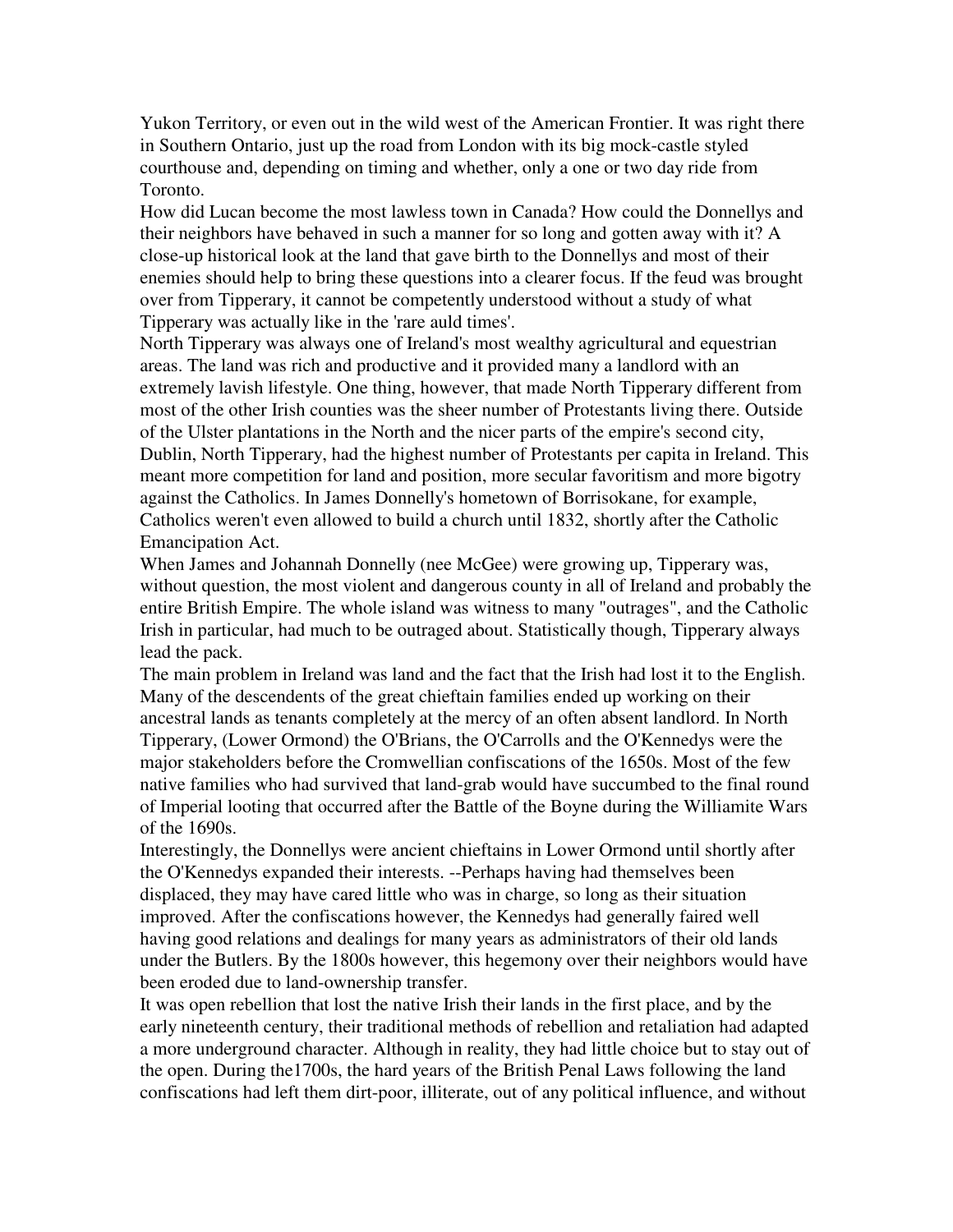Yukon Territory, or even out in the wild west of the American Frontier. It was right there in Southern Ontario, just up the road from London with its big mock-castle styled courthouse and, depending on timing and whether, only a one or two day ride from Toronto.

How did Lucan become the most lawless town in Canada? How could the Donnellys and their neighbors have behaved in such a manner for so long and gotten away with it? A close-up historical look at the land that gave birth to the Donnellys and most of their enemies should help to bring these questions into a clearer focus. If the feud was brought over from Tipperary, it cannot be competently understood without a study of what Tipperary was actually like in the 'rare auld times'.

North Tipperary was always one of Ireland's most wealthy agricultural and equestrian areas. The land was rich and productive and it provided many a landlord with an extremely lavish lifestyle. One thing, however, that made North Tipperary different from most of the other Irish counties was the sheer number of Protestants living there. Outside of the Ulster plantations in the North and the nicer parts of the empire's second city, Dublin, North Tipperary, had the highest number of Protestants per capita in Ireland. This meant more competition for land and position, more secular favoritism and more bigotry against the Catholics. In James Donnelly's hometown of Borrisokane, for example, Catholics weren't even allowed to build a church until 1832, shortly after the Catholic Emancipation Act.

When James and Johannah Donnelly (nee McGee) were growing up, Tipperary was, without question, the most violent and dangerous county in all of Ireland and probably the entire British Empire. The whole island was witness to many "outrages", and the Catholic Irish in particular, had much to be outraged about. Statistically though, Tipperary always lead the pack.

The main problem in Ireland was land and the fact that the Irish had lost it to the English. Many of the descendents of the great chieftain families ended up working on their ancestral lands as tenants completely at the mercy of an often absent landlord. In North Tipperary, (Lower Ormond) the O'Brians, the O'Carrolls and the O'Kennedys were the major stakeholders before the Cromwellian confiscations of the 1650s. Most of the few native families who had survived that land-grab would have succumbed to the final round of Imperial looting that occurred after the Battle of the Boyne during the Williamite Wars of the 1690s.

Interestingly, the Donnellys were ancient chieftains in Lower Ormond until shortly after the O'Kennedys expanded their interests. --Perhaps having had themselves been displaced, they may have cared little who was in charge, so long as their situation improved. After the confiscations however, the Kennedys had generally faired well having good relations and dealings for many years as administrators of their old lands under the Butlers. By the 1800s however, this hegemony over their neighbors would have been eroded due to land-ownership transfer.

It was open rebellion that lost the native Irish their lands in the first place, and by the early nineteenth century, their traditional methods of rebellion and retaliation had adapted a more underground character. Although in reality, they had little choice but to stay out of the open. During the1700s, the hard years of the British Penal Laws following the land confiscations had left them dirt-poor, illiterate, out of any political influence, and without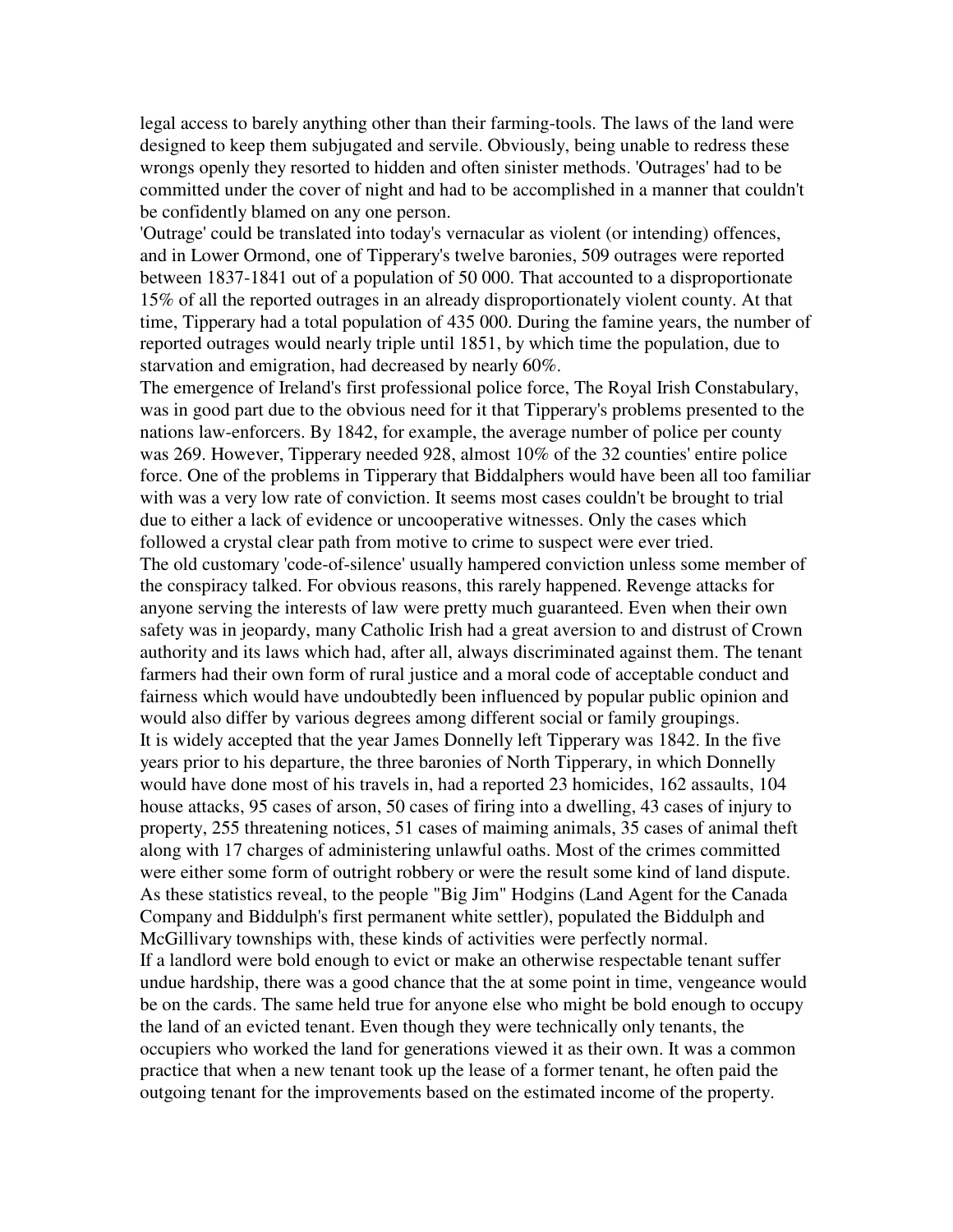legal access to barely anything other than their farming-tools. The laws of the land were designed to keep them subjugated and servile. Obviously, being unable to redress these wrongs openly they resorted to hidden and often sinister methods. 'Outrages' had to be committed under the cover of night and had to be accomplished in a manner that couldn't be confidently blamed on any one person.

'Outrage' could be translated into today's vernacular as violent (or intending) offences, and in Lower Ormond, one of Tipperary's twelve baronies, 509 outrages were reported between 1837-1841 out of a population of 50 000. That accounted to a disproportionate 15% of all the reported outrages in an already disproportionately violent county. At that time, Tipperary had a total population of 435 000. During the famine years, the number of reported outrages would nearly triple until 1851, by which time the population, due to starvation and emigration, had decreased by nearly 60%.

The emergence of Ireland's first professional police force, The Royal Irish Constabulary, was in good part due to the obvious need for it that Tipperary's problems presented to the nations law-enforcers. By 1842, for example, the average number of police per county was 269. However, Tipperary needed 928, almost 10% of the 32 counties' entire police force. One of the problems in Tipperary that Biddalphers would have been all too familiar with was a very low rate of conviction. It seems most cases couldn't be brought to trial due to either a lack of evidence or uncooperative witnesses. Only the cases which followed a crystal clear path from motive to crime to suspect were ever tried. The old customary 'code-of-silence' usually hampered conviction unless some member of the conspiracy talked. For obvious reasons, this rarely happened. Revenge attacks for anyone serving the interests of law were pretty much guaranteed. Even when their own safety was in jeopardy, many Catholic Irish had a great aversion to and distrust of Crown authority and its laws which had, after all, always discriminated against them. The tenant farmers had their own form of rural justice and a moral code of acceptable conduct and fairness which would have undoubtedly been influenced by popular public opinion and would also differ by various degrees among different social or family groupings. It is widely accepted that the year James Donnelly left Tipperary was 1842. In the five years prior to his departure, the three baronies of North Tipperary, in which Donnelly would have done most of his travels in, had a reported 23 homicides, 162 assaults, 104 house attacks, 95 cases of arson, 50 cases of firing into a dwelling, 43 cases of injury to property, 255 threatening notices, 51 cases of maiming animals, 35 cases of animal theft along with 17 charges of administering unlawful oaths. Most of the crimes committed were either some form of outright robbery or were the result some kind of land dispute. As these statistics reveal, to the people "Big Jim" Hodgins (Land Agent for the Canada Company and Biddulph's first permanent white settler), populated the Biddulph and McGillivary townships with, these kinds of activities were perfectly normal. If a landlord were bold enough to evict or make an otherwise respectable tenant suffer undue hardship, there was a good chance that the at some point in time, vengeance would be on the cards. The same held true for anyone else who might be bold enough to occupy the land of an evicted tenant. Even though they were technically only tenants, the occupiers who worked the land for generations viewed it as their own. It was a common practice that when a new tenant took up the lease of a former tenant, he often paid the outgoing tenant for the improvements based on the estimated income of the property.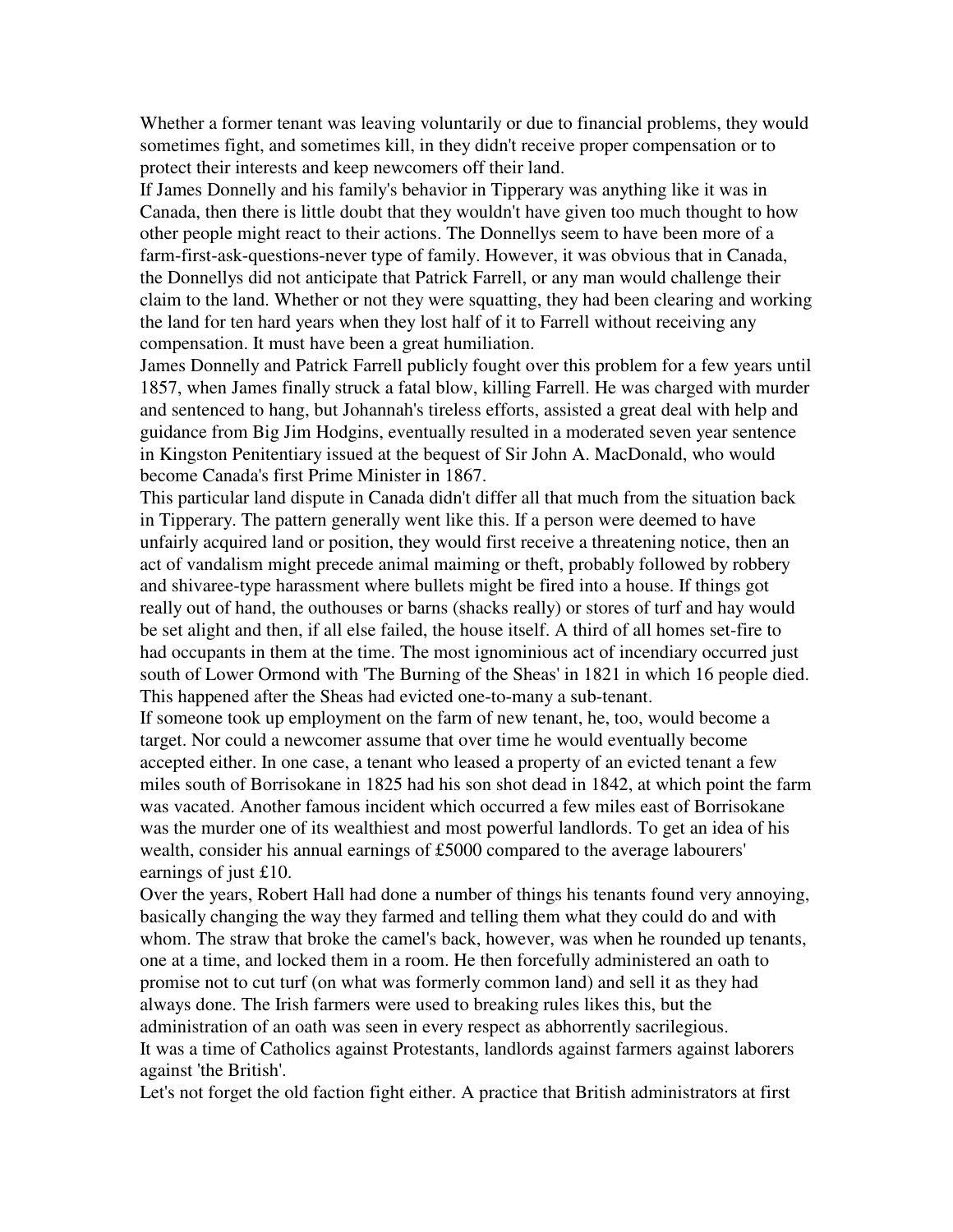Whether a former tenant was leaving voluntarily or due to financial problems, they would sometimes fight, and sometimes kill, in they didn't receive proper compensation or to protect their interests and keep newcomers off their land.

If James Donnelly and his family's behavior in Tipperary was anything like it was in Canada, then there is little doubt that they wouldn't have given too much thought to how other people might react to their actions. The Donnellys seem to have been more of a farm-first-ask-questions-never type of family. However, it was obvious that in Canada, the Donnellys did not anticipate that Patrick Farrell, or any man would challenge their claim to the land. Whether or not they were squatting, they had been clearing and working the land for ten hard years when they lost half of it to Farrell without receiving any compensation. It must have been a great humiliation.

James Donnelly and Patrick Farrell publicly fought over this problem for a few years until 1857, when James finally struck a fatal blow, killing Farrell. He was charged with murder and sentenced to hang, but Johannah's tireless efforts, assisted a great deal with help and guidance from Big Jim Hodgins, eventually resulted in a moderated seven year sentence in Kingston Penitentiary issued at the bequest of Sir John A. MacDonald, who would become Canada's first Prime Minister in 1867.

This particular land dispute in Canada didn't differ all that much from the situation back in Tipperary. The pattern generally went like this. If a person were deemed to have unfairly acquired land or position, they would first receive a threatening notice, then an act of vandalism might precede animal maiming or theft, probably followed by robbery and shivaree-type harassment where bullets might be fired into a house. If things got really out of hand, the outhouses or barns (shacks really) or stores of turf and hay would be set alight and then, if all else failed, the house itself. A third of all homes set-fire to had occupants in them at the time. The most ignominious act of incendiary occurred just south of Lower Ormond with 'The Burning of the Sheas' in 1821 in which 16 people died. This happened after the Sheas had evicted one-to-many a sub-tenant.

If someone took up employment on the farm of new tenant, he, too, would become a target. Nor could a newcomer assume that over time he would eventually become accepted either. In one case, a tenant who leased a property of an evicted tenant a few miles south of Borrisokane in 1825 had his son shot dead in 1842, at which point the farm was vacated. Another famous incident which occurred a few miles east of Borrisokane was the murder one of its wealthiest and most powerful landlords. To get an idea of his wealth, consider his annual earnings of £5000 compared to the average labourers' earnings of just £10.

Over the years, Robert Hall had done a number of things his tenants found very annoying, basically changing the way they farmed and telling them what they could do and with whom. The straw that broke the camel's back, however, was when he rounded up tenants, one at a time, and locked them in a room. He then forcefully administered an oath to promise not to cut turf (on what was formerly common land) and sell it as they had always done. The Irish farmers were used to breaking rules likes this, but the administration of an oath was seen in every respect as abhorrently sacrilegious. It was a time of Catholics against Protestants, landlords against farmers against laborers against 'the British'.

Let's not forget the old faction fight either. A practice that British administrators at first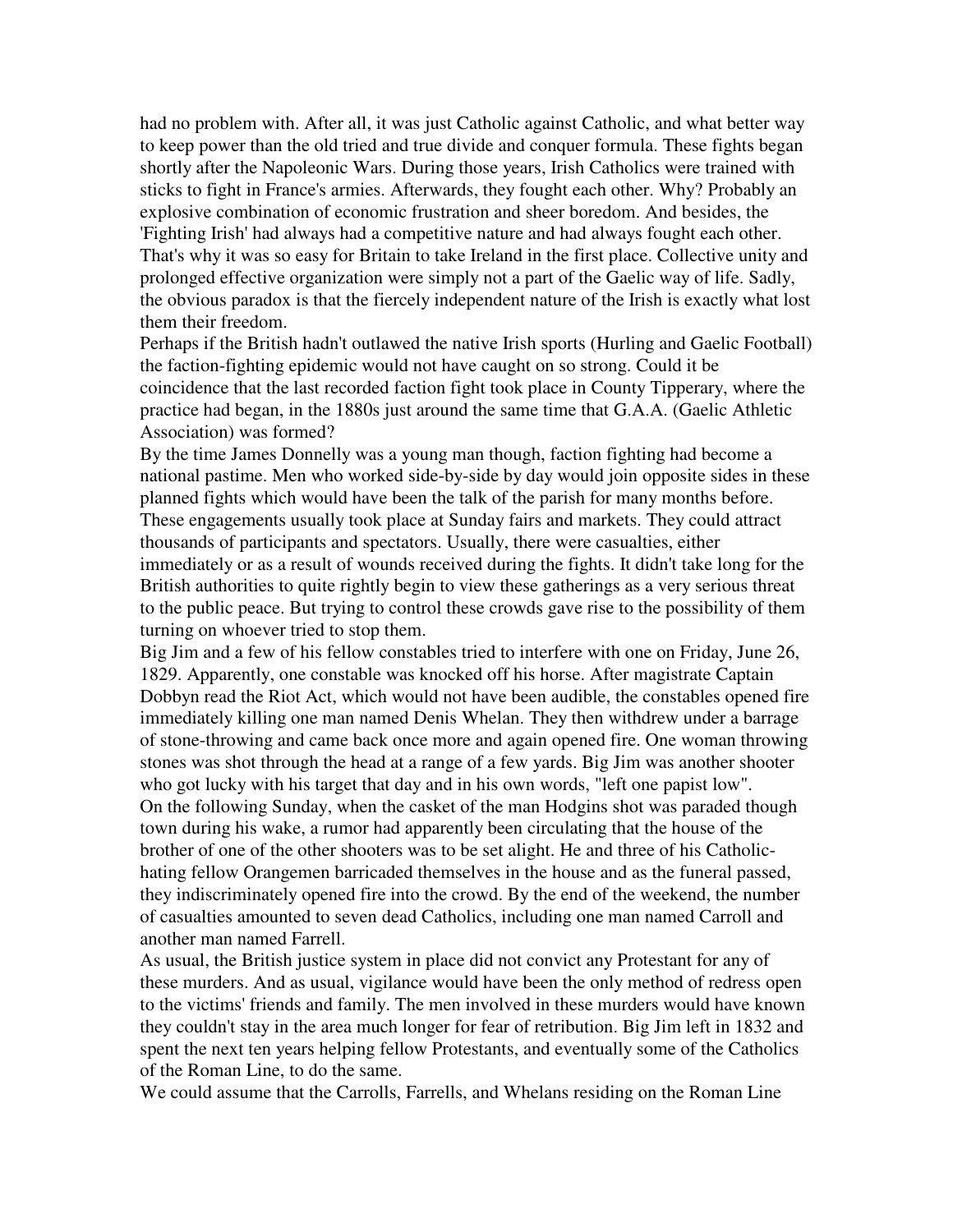had no problem with. After all, it was just Catholic against Catholic, and what better way to keep power than the old tried and true divide and conquer formula. These fights began shortly after the Napoleonic Wars. During those years, Irish Catholics were trained with sticks to fight in France's armies. Afterwards, they fought each other. Why? Probably an explosive combination of economic frustration and sheer boredom. And besides, the 'Fighting Irish' had always had a competitive nature and had always fought each other. That's why it was so easy for Britain to take Ireland in the first place. Collective unity and prolonged effective organization were simply not a part of the Gaelic way of life. Sadly, the obvious paradox is that the fiercely independent nature of the Irish is exactly what lost them their freedom.

Perhaps if the British hadn't outlawed the native Irish sports (Hurling and Gaelic Football) the faction-fighting epidemic would not have caught on so strong. Could it be coincidence that the last recorded faction fight took place in County Tipperary, where the practice had began, in the 1880s just around the same time that G.A.A. (Gaelic Athletic Association) was formed?

By the time James Donnelly was a young man though, faction fighting had become a national pastime. Men who worked side-by-side by day would join opposite sides in these planned fights which would have been the talk of the parish for many months before. These engagements usually took place at Sunday fairs and markets. They could attract thousands of participants and spectators. Usually, there were casualties, either immediately or as a result of wounds received during the fights. It didn't take long for the British authorities to quite rightly begin to view these gatherings as a very serious threat to the public peace. But trying to control these crowds gave rise to the possibility of them turning on whoever tried to stop them.

Big Jim and a few of his fellow constables tried to interfere with one on Friday, June 26, 1829. Apparently, one constable was knocked off his horse. After magistrate Captain Dobbyn read the Riot Act, which would not have been audible, the constables opened fire immediately killing one man named Denis Whelan. They then withdrew under a barrage of stone-throwing and came back once more and again opened fire. One woman throwing stones was shot through the head at a range of a few yards. Big Jim was another shooter who got lucky with his target that day and in his own words, "left one papist low". On the following Sunday, when the casket of the man Hodgins shot was paraded though town during his wake, a rumor had apparently been circulating that the house of the brother of one of the other shooters was to be set alight. He and three of his Catholichating fellow Orangemen barricaded themselves in the house and as the funeral passed, they indiscriminately opened fire into the crowd. By the end of the weekend, the number of casualties amounted to seven dead Catholics, including one man named Carroll and another man named Farrell.

As usual, the British justice system in place did not convict any Protestant for any of these murders. And as usual, vigilance would have been the only method of redress open to the victims' friends and family. The men involved in these murders would have known they couldn't stay in the area much longer for fear of retribution. Big Jim left in 1832 and spent the next ten years helping fellow Protestants, and eventually some of the Catholics of the Roman Line, to do the same.

We could assume that the Carrolls, Farrells, and Whelans residing on the Roman Line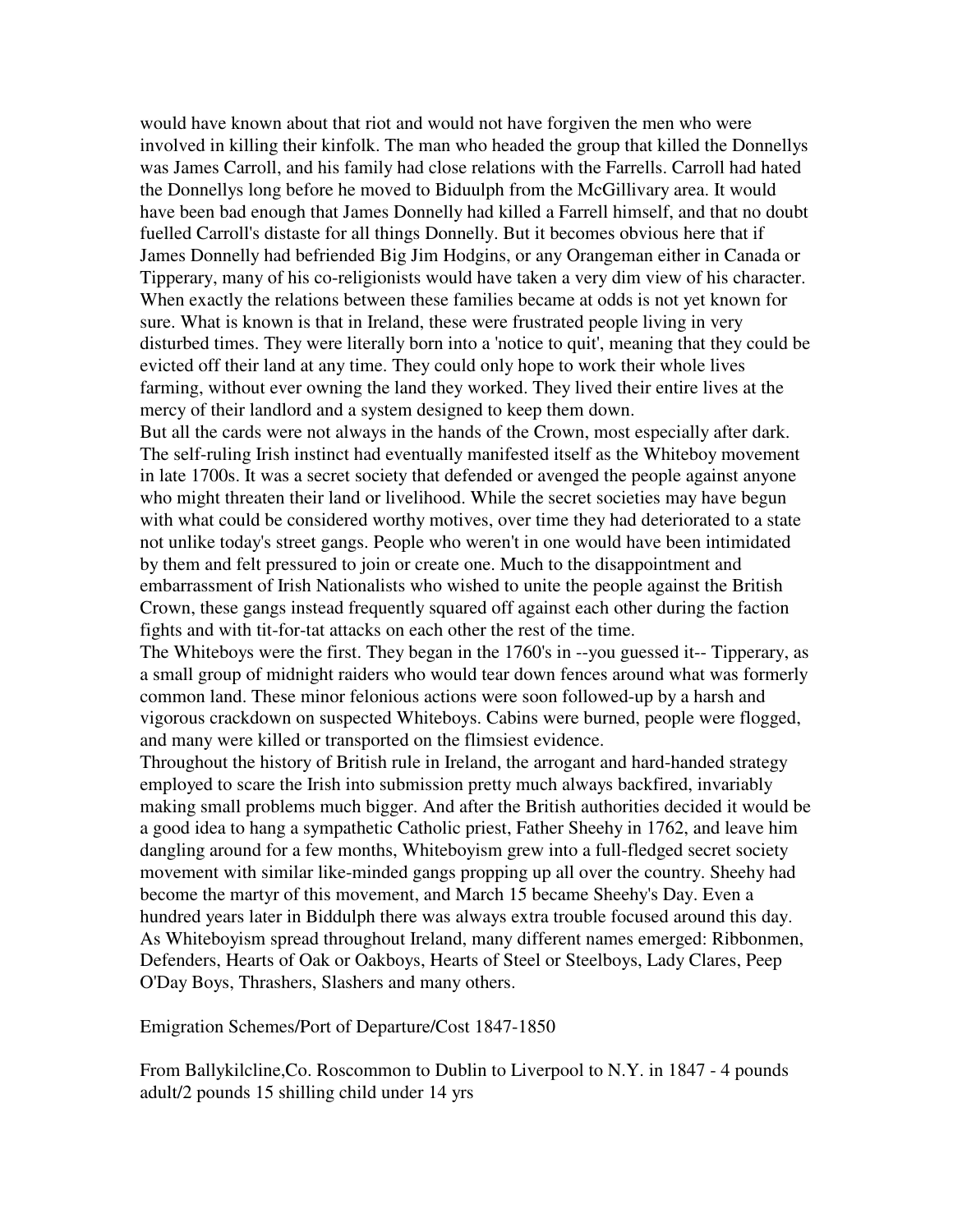would have known about that riot and would not have forgiven the men who were involved in killing their kinfolk. The man who headed the group that killed the Donnellys was James Carroll, and his family had close relations with the Farrells. Carroll had hated the Donnellys long before he moved to Biduulph from the McGillivary area. It would have been bad enough that James Donnelly had killed a Farrell himself, and that no doubt fuelled Carroll's distaste for all things Donnelly. But it becomes obvious here that if James Donnelly had befriended Big Jim Hodgins, or any Orangeman either in Canada or Tipperary, many of his co-religionists would have taken a very dim view of his character. When exactly the relations between these families became at odds is not yet known for sure. What is known is that in Ireland, these were frustrated people living in very disturbed times. They were literally born into a 'notice to quit', meaning that they could be evicted off their land at any time. They could only hope to work their whole lives farming, without ever owning the land they worked. They lived their entire lives at the mercy of their landlord and a system designed to keep them down.

But all the cards were not always in the hands of the Crown, most especially after dark. The self-ruling Irish instinct had eventually manifested itself as the Whiteboy movement in late 1700s. It was a secret society that defended or avenged the people against anyone who might threaten their land or livelihood. While the secret societies may have begun with what could be considered worthy motives, over time they had deteriorated to a state not unlike today's street gangs. People who weren't in one would have been intimidated by them and felt pressured to join or create one. Much to the disappointment and embarrassment of Irish Nationalists who wished to unite the people against the British Crown, these gangs instead frequently squared off against each other during the faction fights and with tit-for-tat attacks on each other the rest of the time.

The Whiteboys were the first. They began in the 1760's in --you guessed it-- Tipperary, as a small group of midnight raiders who would tear down fences around what was formerly common land. These minor felonious actions were soon followed-up by a harsh and vigorous crackdown on suspected Whiteboys. Cabins were burned, people were flogged, and many were killed or transported on the flimsiest evidence.

Throughout the history of British rule in Ireland, the arrogant and hard-handed strategy employed to scare the Irish into submission pretty much always backfired, invariably making small problems much bigger. And after the British authorities decided it would be a good idea to hang a sympathetic Catholic priest, Father Sheehy in 1762, and leave him dangling around for a few months, Whiteboyism grew into a full-fledged secret society movement with similar like-minded gangs propping up all over the country. Sheehy had become the martyr of this movement, and March 15 became Sheehy's Day. Even a hundred years later in Biddulph there was always extra trouble focused around this day. As Whiteboyism spread throughout Ireland, many different names emerged: Ribbonmen, Defenders, Hearts of Oak or Oakboys, Hearts of Steel or Steelboys, Lady Clares, Peep O'Day Boys, Thrashers, Slashers and many others.

Emigration Schemes/Port of Departure/Cost 1847-1850

From Ballykilcline,Co. Roscommon to Dublin to Liverpool to N.Y. in 1847 - 4 pounds adult/2 pounds 15 shilling child under 14 yrs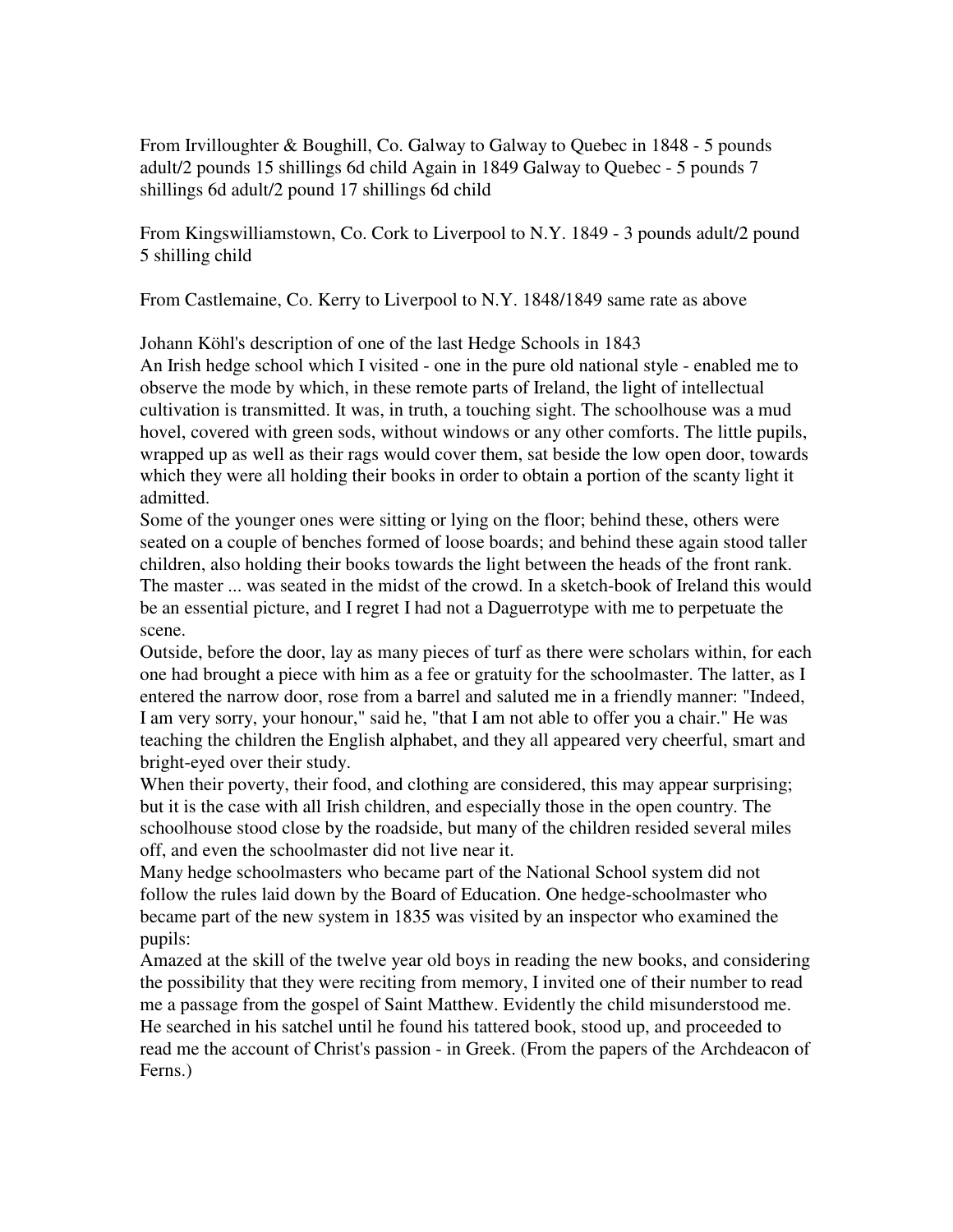From Irvilloughter & Boughill, Co. Galway to Galway to Quebec in 1848 - 5 pounds adult/2 pounds 15 shillings 6d child Again in 1849 Galway to Quebec - 5 pounds 7 shillings 6d adult/2 pound 17 shillings 6d child

From Kingswilliamstown, Co. Cork to Liverpool to N.Y. 1849 - 3 pounds adult/2 pound 5 shilling child

From Castlemaine, Co. Kerry to Liverpool to N.Y. 1848/1849 same rate as above

Johann Köhl's description of one of the last Hedge Schools in 1843

An Irish hedge school which I visited - one in the pure old national style - enabled me to observe the mode by which, in these remote parts of Ireland, the light of intellectual cultivation is transmitted. It was, in truth, a touching sight. The schoolhouse was a mud hovel, covered with green sods, without windows or any other comforts. The little pupils, wrapped up as well as their rags would cover them, sat beside the low open door, towards which they were all holding their books in order to obtain a portion of the scanty light it admitted.

Some of the younger ones were sitting or lying on the floor; behind these, others were seated on a couple of benches formed of loose boards; and behind these again stood taller children, also holding their books towards the light between the heads of the front rank. The master ... was seated in the midst of the crowd. In a sketch-book of Ireland this would be an essential picture, and I regret I had not a Daguerrotype with me to perpetuate the scene.

Outside, before the door, lay as many pieces of turf as there were scholars within, for each one had brought a piece with him as a fee or gratuity for the schoolmaster. The latter, as I entered the narrow door, rose from a barrel and saluted me in a friendly manner: "Indeed, I am very sorry, your honour," said he, "that I am not able to offer you a chair." He was teaching the children the English alphabet, and they all appeared very cheerful, smart and bright-eyed over their study.

When their poverty, their food, and clothing are considered, this may appear surprising; but it is the case with all Irish children, and especially those in the open country. The schoolhouse stood close by the roadside, but many of the children resided several miles off, and even the schoolmaster did not live near it.

Many hedge schoolmasters who became part of the National School system did not follow the rules laid down by the Board of Education. One hedge-schoolmaster who became part of the new system in 1835 was visited by an inspector who examined the pupils:

Amazed at the skill of the twelve year old boys in reading the new books, and considering the possibility that they were reciting from memory, I invited one of their number to read me a passage from the gospel of Saint Matthew. Evidently the child misunderstood me. He searched in his satchel until he found his tattered book, stood up, and proceeded to read me the account of Christ's passion - in Greek. (From the papers of the Archdeacon of Ferns.)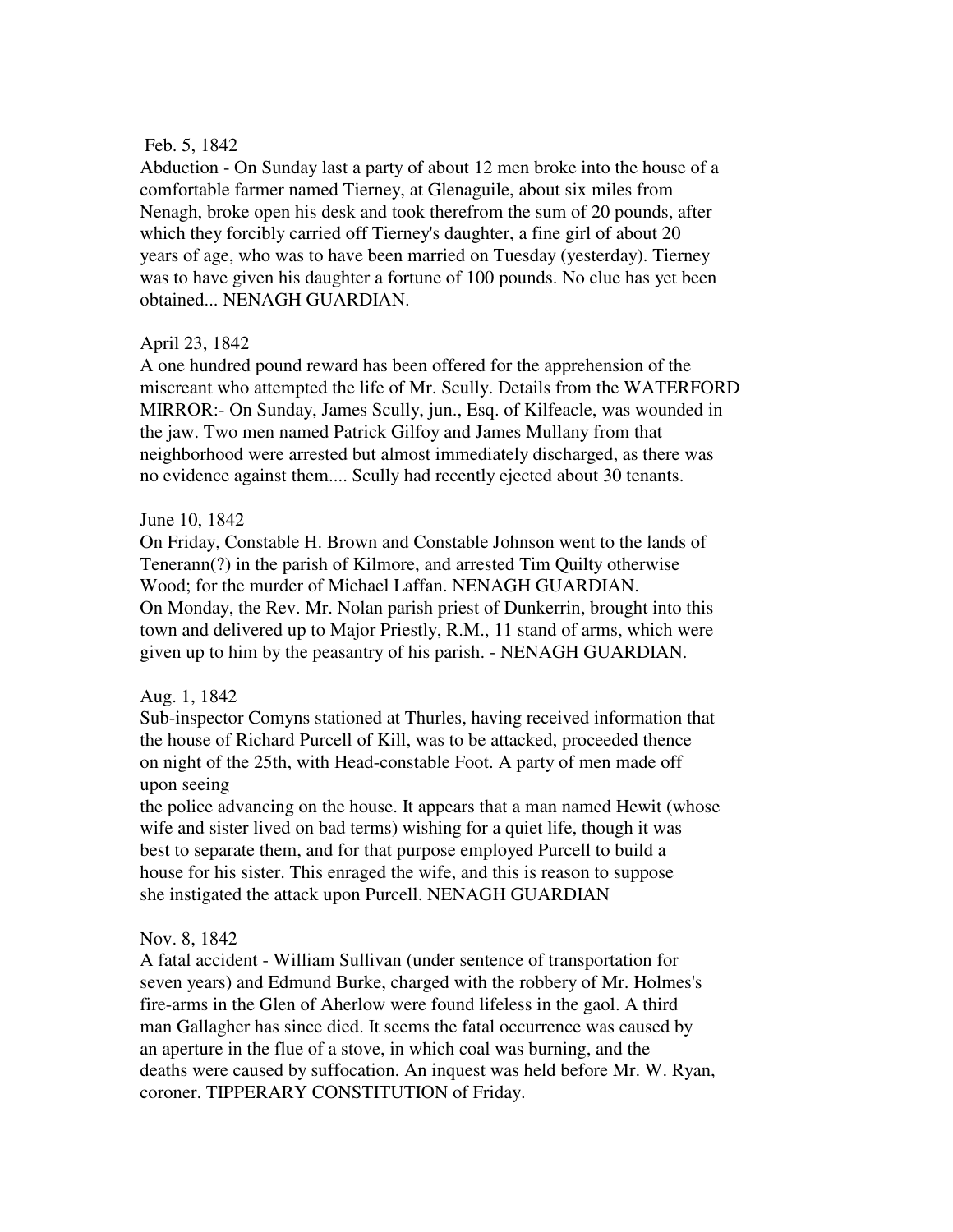# Feb. 5, 1842

Abduction - On Sunday last a party of about 12 men broke into the house of a comfortable farmer named Tierney, at Glenaguile, about six miles from Nenagh, broke open his desk and took therefrom the sum of 20 pounds, after which they forcibly carried off Tierney's daughter, a fine girl of about 20 years of age, who was to have been married on Tuesday (yesterday). Tierney was to have given his daughter a fortune of 100 pounds. No clue has yet been obtained... NENAGH GUARDIAN.

# April 23, 1842

A one hundred pound reward has been offered for the apprehension of the miscreant who attempted the life of Mr. Scully. Details from the WATERFORD MIRROR:- On Sunday, James Scully, jun., Esq. of Kilfeacle, was wounded in the jaw. Two men named Patrick Gilfoy and James Mullany from that neighborhood were arrested but almost immediately discharged, as there was no evidence against them.... Scully had recently ejected about 30 tenants.

# June 10, 1842

On Friday, Constable H. Brown and Constable Johnson went to the lands of Tenerann(?) in the parish of Kilmore, and arrested Tim Quilty otherwise Wood; for the murder of Michael Laffan. NENAGH GUARDIAN. On Monday, the Rev. Mr. Nolan parish priest of Dunkerrin, brought into this town and delivered up to Major Priestly, R.M., 11 stand of arms, which were given up to him by the peasantry of his parish. - NENAGH GUARDIAN.

# Aug. 1, 1842

Sub-inspector Comyns stationed at Thurles, having received information that the house of Richard Purcell of Kill, was to be attacked, proceeded thence on night of the 25th, with Head-constable Foot. A party of men made off upon seeing

the police advancing on the house. It appears that a man named Hewit (whose wife and sister lived on bad terms) wishing for a quiet life, though it was best to separate them, and for that purpose employed Purcell to build a house for his sister. This enraged the wife, and this is reason to suppose she instigated the attack upon Purcell. NENAGH GUARDIAN

# Nov. 8, 1842

A fatal accident - William Sullivan (under sentence of transportation for seven years) and Edmund Burke, charged with the robbery of Mr. Holmes's fire-arms in the Glen of Aherlow were found lifeless in the gaol. A third man Gallagher has since died. It seems the fatal occurrence was caused by an aperture in the flue of a stove, in which coal was burning, and the deaths were caused by suffocation. An inquest was held before Mr. W. Ryan, coroner. TIPPERARY CONSTITUTION of Friday.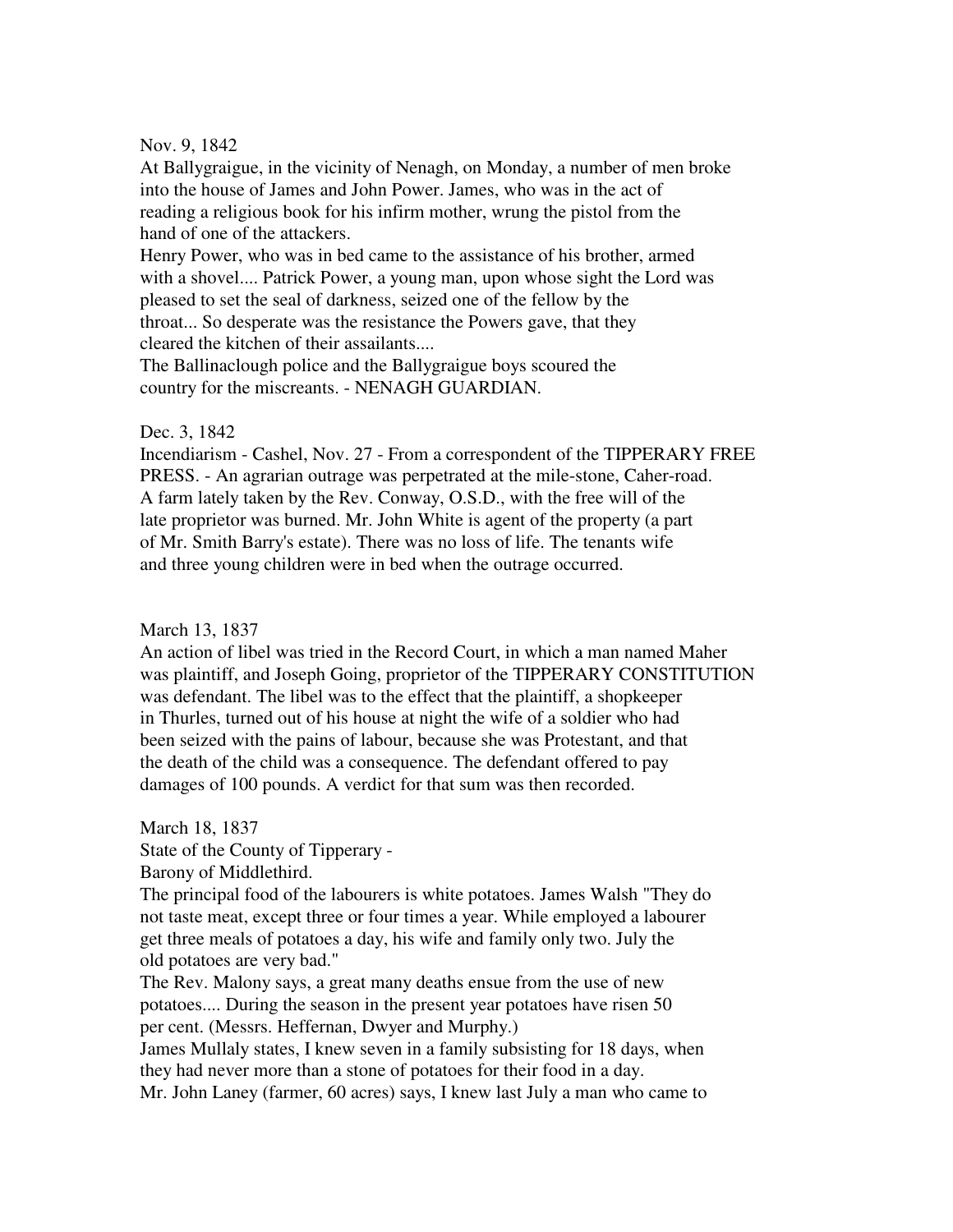### Nov. 9, 1842

At Ballygraigue, in the vicinity of Nenagh, on Monday, a number of men broke into the house of James and John Power. James, who was in the act of reading a religious book for his infirm mother, wrung the pistol from the hand of one of the attackers.

Henry Power, who was in bed came to the assistance of his brother, armed with a shovel.... Patrick Power, a young man, upon whose sight the Lord was pleased to set the seal of darkness, seized one of the fellow by the throat... So desperate was the resistance the Powers gave, that they cleared the kitchen of their assailants....

The Ballinaclough police and the Ballygraigue boys scoured the country for the miscreants. - NENAGH GUARDIAN.

### Dec. 3, 1842

Incendiarism - Cashel, Nov. 27 - From a correspondent of the TIPPERARY FREE PRESS. - An agrarian outrage was perpetrated at the mile-stone, Caher-road. A farm lately taken by the Rev. Conway, O.S.D., with the free will of the late proprietor was burned. Mr. John White is agent of the property (a part of Mr. Smith Barry's estate). There was no loss of life. The tenants wife and three young children were in bed when the outrage occurred.

# March 13, 1837

An action of libel was tried in the Record Court, in which a man named Maher was plaintiff, and Joseph Going, proprietor of the TIPPERARY CONSTITUTION was defendant. The libel was to the effect that the plaintiff, a shopkeeper in Thurles, turned out of his house at night the wife of a soldier who had been seized with the pains of labour, because she was Protestant, and that the death of the child was a consequence. The defendant offered to pay damages of 100 pounds. A verdict for that sum was then recorded.

March 18, 1837

State of the County of Tipperary -

Barony of Middlethird.

The principal food of the labourers is white potatoes. James Walsh "They do not taste meat, except three or four times a year. While employed a labourer get three meals of potatoes a day, his wife and family only two. July the old potatoes are very bad."

The Rev. Malony says, a great many deaths ensue from the use of new potatoes.... During the season in the present year potatoes have risen 50 per cent. (Messrs. Heffernan, Dwyer and Murphy.)

James Mullaly states, I knew seven in a family subsisting for 18 days, when they had never more than a stone of potatoes for their food in a day. Mr. John Laney (farmer, 60 acres) says, I knew last July a man who came to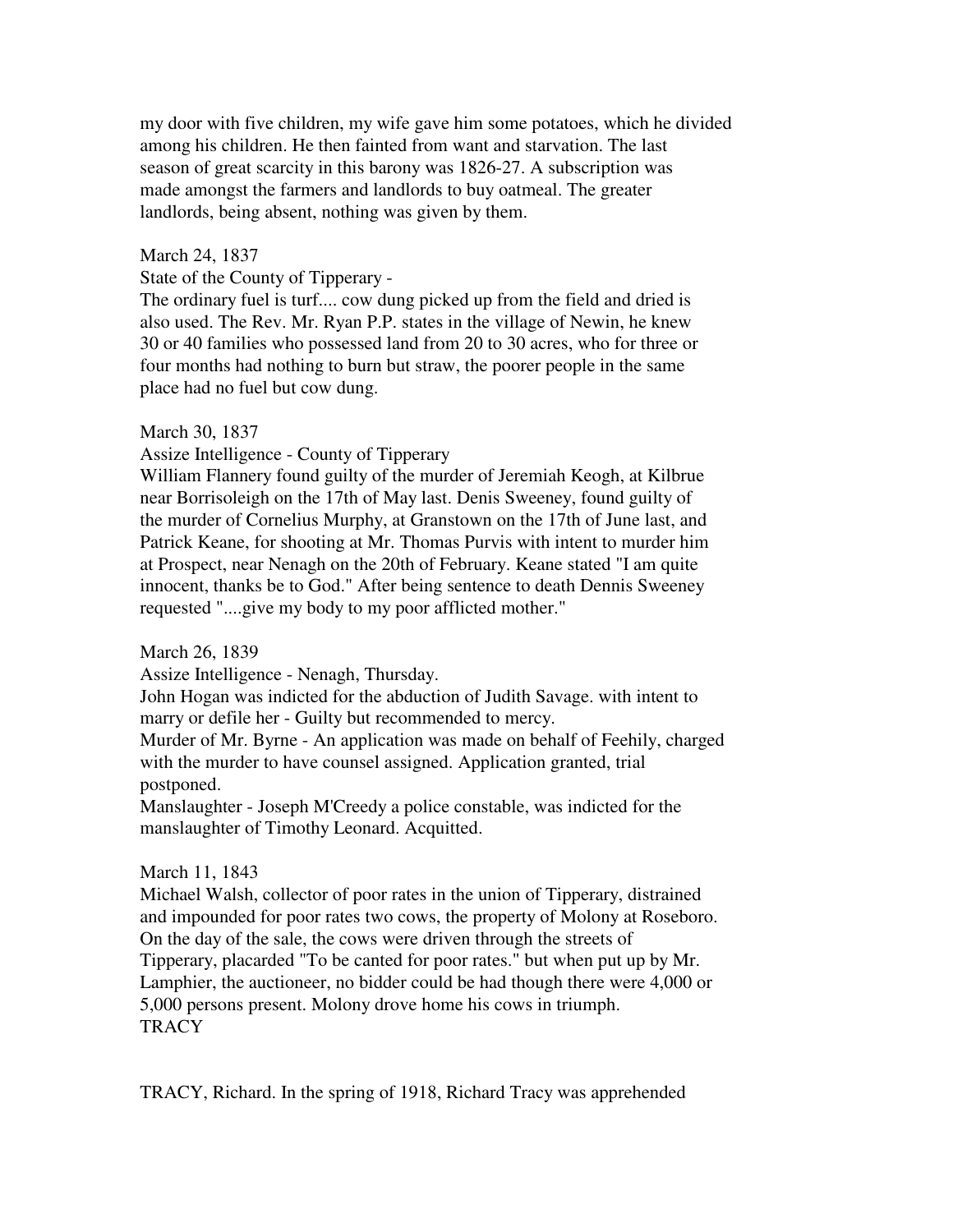my door with five children, my wife gave him some potatoes, which he divided among his children. He then fainted from want and starvation. The last season of great scarcity in this barony was 1826-27. A subscription was made amongst the farmers and landlords to buy oatmeal. The greater landlords, being absent, nothing was given by them.

### March 24, 1837

State of the County of Tipperary -

The ordinary fuel is turf.... cow dung picked up from the field and dried is also used. The Rev. Mr. Ryan P.P. states in the village of Newin, he knew 30 or 40 families who possessed land from 20 to 30 acres, who for three or four months had nothing to burn but straw, the poorer people in the same place had no fuel but cow dung.

### March 30, 1837

Assize Intelligence - County of Tipperary

William Flannery found guilty of the murder of Jeremiah Keogh, at Kilbrue near Borrisoleigh on the 17th of May last. Denis Sweeney, found guilty of the murder of Cornelius Murphy, at Granstown on the 17th of June last, and Patrick Keane, for shooting at Mr. Thomas Purvis with intent to murder him at Prospect, near Nenagh on the 20th of February. Keane stated "I am quite innocent, thanks be to God." After being sentence to death Dennis Sweeney requested "....give my body to my poor afflicted mother."

March 26, 1839

Assize Intelligence - Nenagh, Thursday.

John Hogan was indicted for the abduction of Judith Savage. with intent to marry or defile her - Guilty but recommended to mercy.

Murder of Mr. Byrne - An application was made on behalf of Feehily, charged with the murder to have counsel assigned. Application granted, trial postponed.

Manslaughter - Joseph M'Creedy a police constable, was indicted for the manslaughter of Timothy Leonard. Acquitted.

### March 11, 1843

Michael Walsh, collector of poor rates in the union of Tipperary, distrained and impounded for poor rates two cows, the property of Molony at Roseboro. On the day of the sale, the cows were driven through the streets of Tipperary, placarded "To be canted for poor rates." but when put up by Mr. Lamphier, the auctioneer, no bidder could be had though there were 4,000 or 5,000 persons present. Molony drove home his cows in triumph. **TRACY** 

TRACY, Richard. In the spring of 1918, Richard Tracy was apprehended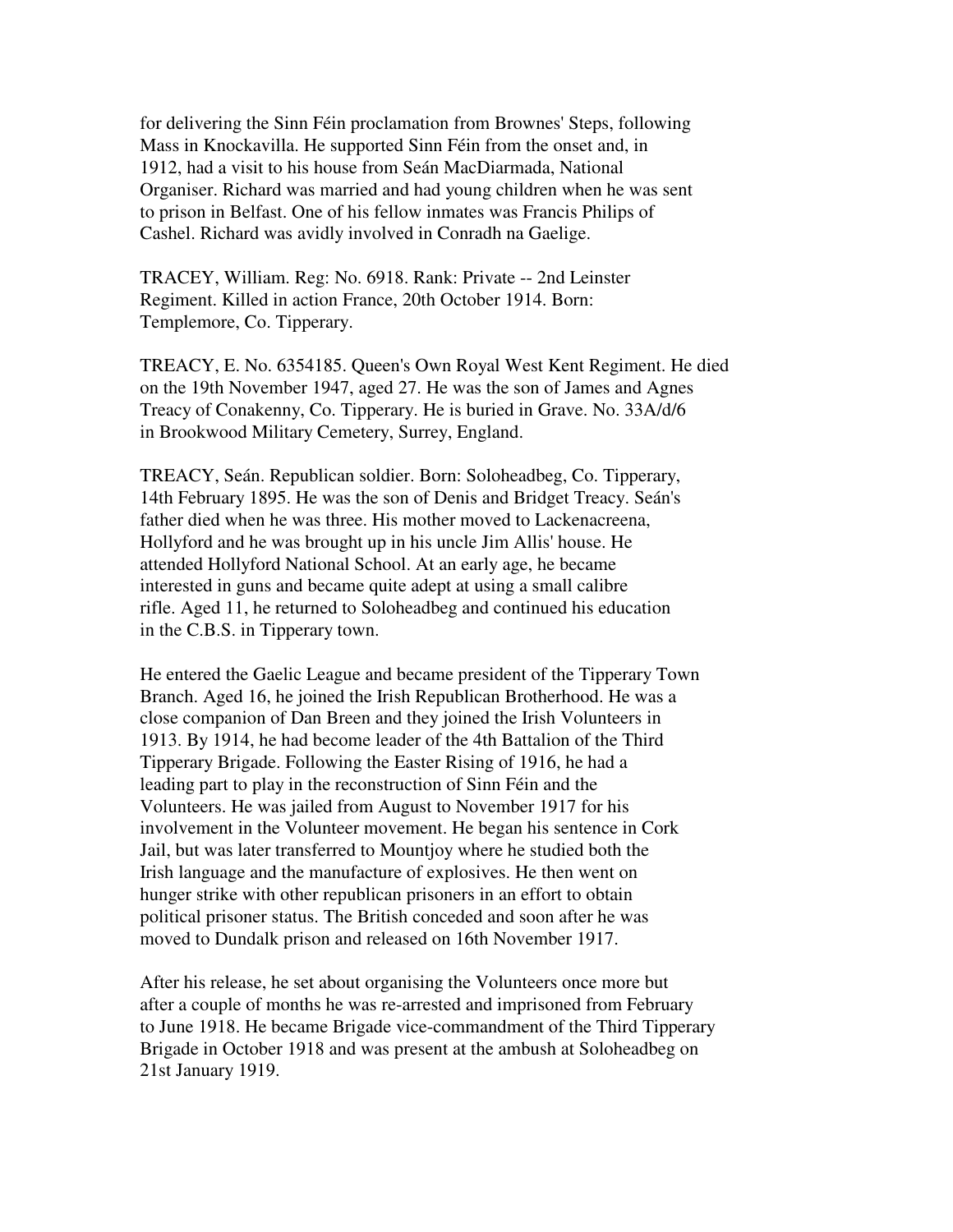for delivering the Sinn Féin proclamation from Brownes' Steps, following Mass in Knockavilla. He supported Sinn Féin from the onset and, in 1912, had a visit to his house from Seán MacDiarmada, National Organiser. Richard was married and had young children when he was sent to prison in Belfast. One of his fellow inmates was Francis Philips of Cashel. Richard was avidly involved in Conradh na Gaelige.

TRACEY, William. Reg: No. 6918. Rank: Private -- 2nd Leinster Regiment. Killed in action France, 20th October 1914. Born: Templemore, Co. Tipperary.

TREACY, E. No. 6354185. Queen's Own Royal West Kent Regiment. He died on the 19th November 1947, aged 27. He was the son of James and Agnes Treacy of Conakenny, Co. Tipperary. He is buried in Grave. No. 33A/d/6 in Brookwood Military Cemetery, Surrey, England.

TREACY, Seán. Republican soldier. Born: Soloheadbeg, Co. Tipperary, 14th February 1895. He was the son of Denis and Bridget Treacy. Seán's father died when he was three. His mother moved to Lackenacreena, Hollyford and he was brought up in his uncle Jim Allis' house. He attended Hollyford National School. At an early age, he became interested in guns and became quite adept at using a small calibre rifle. Aged 11, he returned to Soloheadbeg and continued his education in the C.B.S. in Tipperary town.

He entered the Gaelic League and became president of the Tipperary Town Branch. Aged 16, he joined the Irish Republican Brotherhood. He was a close companion of Dan Breen and they joined the Irish Volunteers in 1913. By 1914, he had become leader of the 4th Battalion of the Third Tipperary Brigade. Following the Easter Rising of 1916, he had a leading part to play in the reconstruction of Sinn Féin and the Volunteers. He was jailed from August to November 1917 for his involvement in the Volunteer movement. He began his sentence in Cork Jail, but was later transferred to Mountjoy where he studied both the Irish language and the manufacture of explosives. He then went on hunger strike with other republican prisoners in an effort to obtain political prisoner status. The British conceded and soon after he was moved to Dundalk prison and released on 16th November 1917.

After his release, he set about organising the Volunteers once more but after a couple of months he was re-arrested and imprisoned from February to June 1918. He became Brigade vice-commandment of the Third Tipperary Brigade in October 1918 and was present at the ambush at Soloheadbeg on 21st January 1919.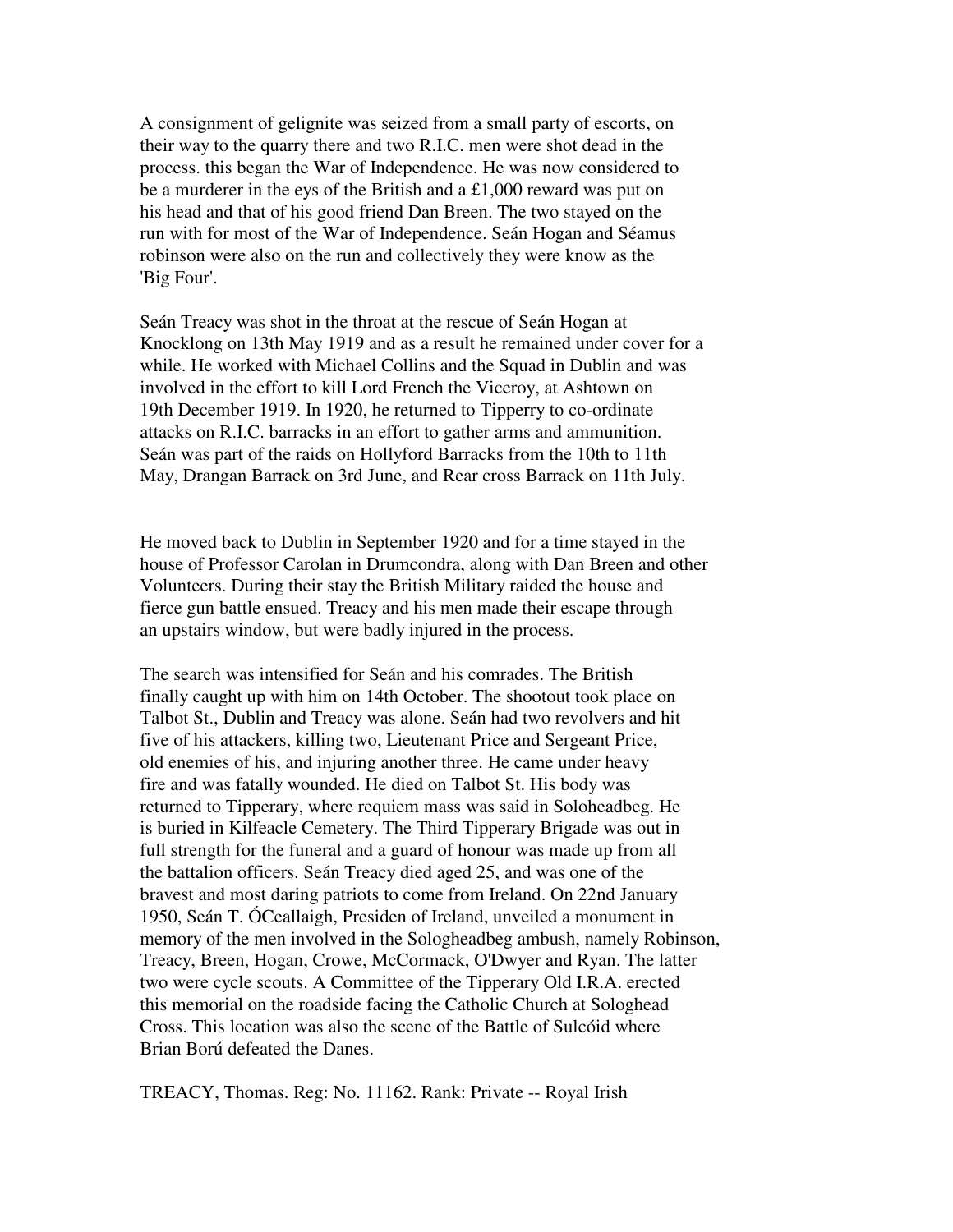A consignment of gelignite was seized from a small party of escorts, on their way to the quarry there and two R.I.C. men were shot dead in the process. this began the War of Independence. He was now considered to be a murderer in the eys of the British and a  $\pounds1,000$  reward was put on his head and that of his good friend Dan Breen. The two stayed on the run with for most of the War of Independence. Seán Hogan and Séamus robinson were also on the run and collectively they were know as the 'Big Four'.

Seán Treacy was shot in the throat at the rescue of Seán Hogan at Knocklong on 13th May 1919 and as a result he remained under cover for a while. He worked with Michael Collins and the Squad in Dublin and was involved in the effort to kill Lord French the Viceroy, at Ashtown on 19th December 1919. In 1920, he returned to Tipperry to co-ordinate attacks on R.I.C. barracks in an effort to gather arms and ammunition. Seán was part of the raids on Hollyford Barracks from the 10th to 11th May, Drangan Barrack on 3rd June, and Rear cross Barrack on 11th July.

He moved back to Dublin in September 1920 and for a time stayed in the house of Professor Carolan in Drumcondra, along with Dan Breen and other Volunteers. During their stay the British Military raided the house and fierce gun battle ensued. Treacy and his men made their escape through an upstairs window, but were badly injured in the process.

The search was intensified for Seán and his comrades. The British finally caught up with him on 14th October. The shootout took place on Talbot St., Dublin and Treacy was alone. Seán had two revolvers and hit five of his attackers, killing two, Lieutenant Price and Sergeant Price, old enemies of his, and injuring another three. He came under heavy fire and was fatally wounded. He died on Talbot St. His body was returned to Tipperary, where requiem mass was said in Soloheadbeg. He is buried in Kilfeacle Cemetery. The Third Tipperary Brigade was out in full strength for the funeral and a guard of honour was made up from all the battalion officers. Seán Treacy died aged 25, and was one of the bravest and most daring patriots to come from Ireland. On 22nd January 1950, Seán T. ÓCeallaigh, Presiden of Ireland, unveiled a monument in memory of the men involved in the Sologheadbeg ambush, namely Robinson, Treacy, Breen, Hogan, Crowe, McCormack, O'Dwyer and Ryan. The latter two were cycle scouts. A Committee of the Tipperary Old I.R.A. erected this memorial on the roadside facing the Catholic Church at Sologhead Cross. This location was also the scene of the Battle of Sulcóid where Brian Ború defeated the Danes.

TREACY, Thomas. Reg: No. 11162. Rank: Private -- Royal Irish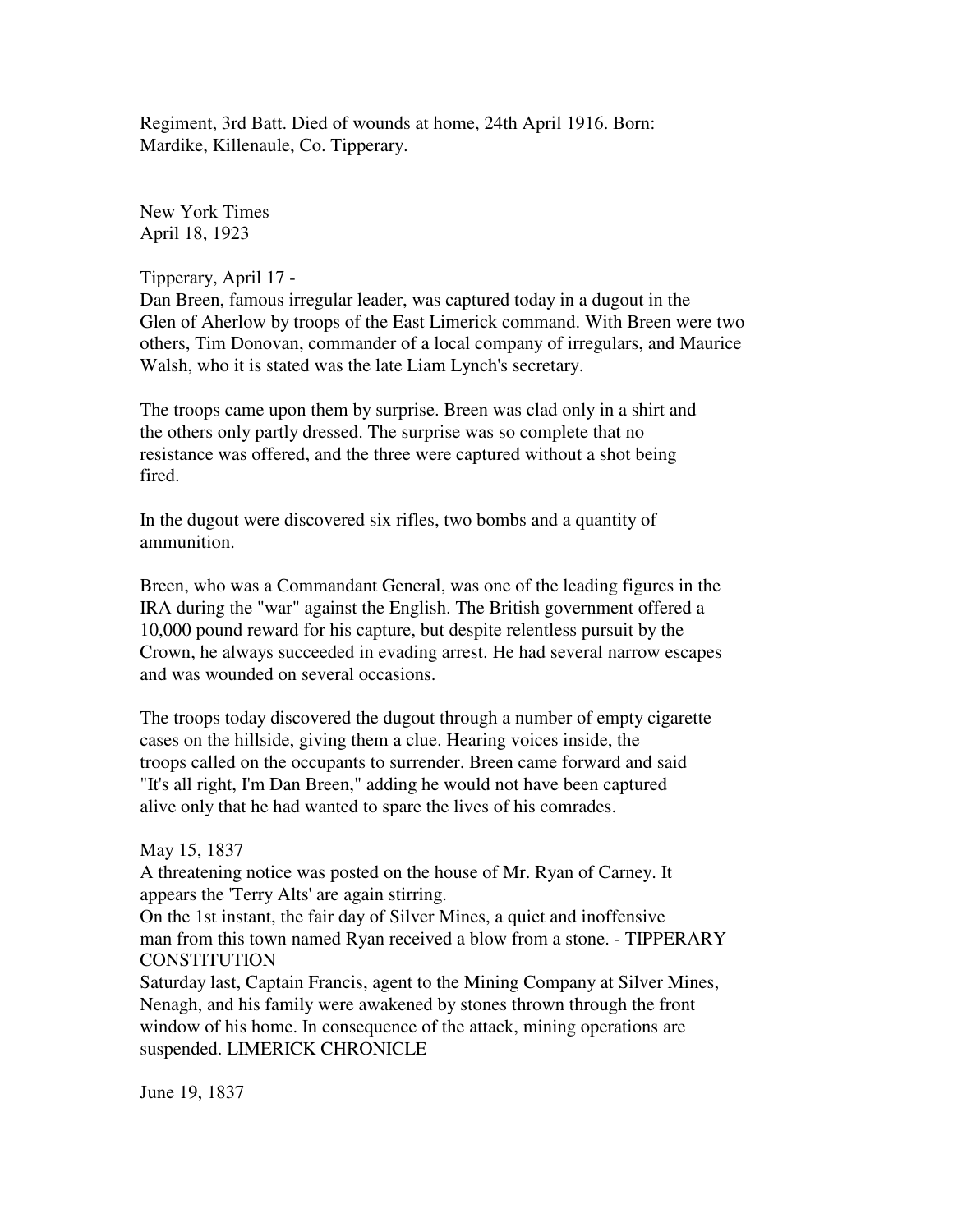Regiment, 3rd Batt. Died of wounds at home, 24th April 1916. Born: Mardike, Killenaule, Co. Tipperary.

New York Times April 18, 1923

Tipperary, April 17 -

Dan Breen, famous irregular leader, was captured today in a dugout in the Glen of Aherlow by troops of the East Limerick command. With Breen were two others, Tim Donovan, commander of a local company of irregulars, and Maurice Walsh, who it is stated was the late Liam Lynch's secretary.

The troops came upon them by surprise. Breen was clad only in a shirt and the others only partly dressed. The surprise was so complete that no resistance was offered, and the three were captured without a shot being fired.

In the dugout were discovered six rifles, two bombs and a quantity of ammunition.

Breen, who was a Commandant General, was one of the leading figures in the IRA during the "war" against the English. The British government offered a 10,000 pound reward for his capture, but despite relentless pursuit by the Crown, he always succeeded in evading arrest. He had several narrow escapes and was wounded on several occasions.

The troops today discovered the dugout through a number of empty cigarette cases on the hillside, giving them a clue. Hearing voices inside, the troops called on the occupants to surrender. Breen came forward and said "It's all right, I'm Dan Breen," adding he would not have been captured alive only that he had wanted to spare the lives of his comrades.

# May 15, 1837

A threatening notice was posted on the house of Mr. Ryan of Carney. It appears the 'Terry Alts' are again stirring.

On the 1st instant, the fair day of Silver Mines, a quiet and inoffensive man from this town named Ryan received a blow from a stone. - TIPPERARY **CONSTITUTION** 

Saturday last, Captain Francis, agent to the Mining Company at Silver Mines, Nenagh, and his family were awakened by stones thrown through the front window of his home. In consequence of the attack, mining operations are suspended. LIMERICK CHRONICLE

June 19, 1837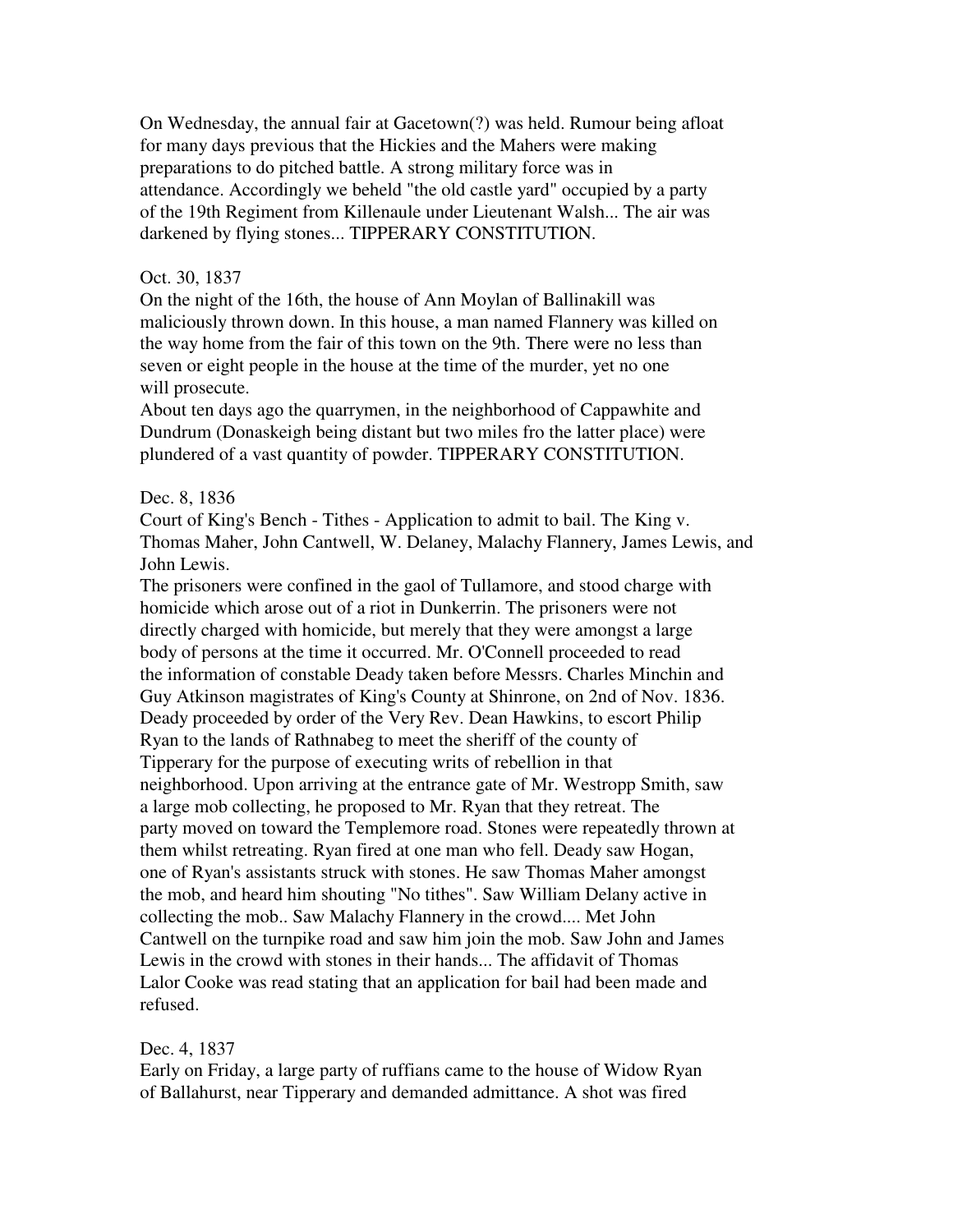On Wednesday, the annual fair at Gacetown(?) was held. Rumour being afloat for many days previous that the Hickies and the Mahers were making preparations to do pitched battle. A strong military force was in attendance. Accordingly we beheld "the old castle yard" occupied by a party of the 19th Regiment from Killenaule under Lieutenant Walsh... The air was darkened by flying stones... TIPPERARY CONSTITUTION.

### Oct. 30, 1837

On the night of the 16th, the house of Ann Moylan of Ballinakill was maliciously thrown down. In this house, a man named Flannery was killed on the way home from the fair of this town on the 9th. There were no less than seven or eight people in the house at the time of the murder, yet no one will prosecute.

About ten days ago the quarrymen, in the neighborhood of Cappawhite and Dundrum (Donaskeigh being distant but two miles fro the latter place) were plundered of a vast quantity of powder. TIPPERARY CONSTITUTION.

#### Dec. 8, 1836

Court of King's Bench - Tithes - Application to admit to bail. The King v. Thomas Maher, John Cantwell, W. Delaney, Malachy Flannery, James Lewis, and John Lewis.

The prisoners were confined in the gaol of Tullamore, and stood charge with homicide which arose out of a riot in Dunkerrin. The prisoners were not directly charged with homicide, but merely that they were amongst a large body of persons at the time it occurred. Mr. O'Connell proceeded to read the information of constable Deady taken before Messrs. Charles Minchin and Guy Atkinson magistrates of King's County at Shinrone, on 2nd of Nov. 1836. Deady proceeded by order of the Very Rev. Dean Hawkins, to escort Philip Ryan to the lands of Rathnabeg to meet the sheriff of the county of Tipperary for the purpose of executing writs of rebellion in that neighborhood. Upon arriving at the entrance gate of Mr. Westropp Smith, saw a large mob collecting, he proposed to Mr. Ryan that they retreat. The party moved on toward the Templemore road. Stones were repeatedly thrown at them whilst retreating. Ryan fired at one man who fell. Deady saw Hogan, one of Ryan's assistants struck with stones. He saw Thomas Maher amongst the mob, and heard him shouting "No tithes". Saw William Delany active in collecting the mob.. Saw Malachy Flannery in the crowd.... Met John Cantwell on the turnpike road and saw him join the mob. Saw John and James Lewis in the crowd with stones in their hands... The affidavit of Thomas Lalor Cooke was read stating that an application for bail had been made and refused.

### Dec. 4, 1837

Early on Friday, a large party of ruffians came to the house of Widow Ryan of Ballahurst, near Tipperary and demanded admittance. A shot was fired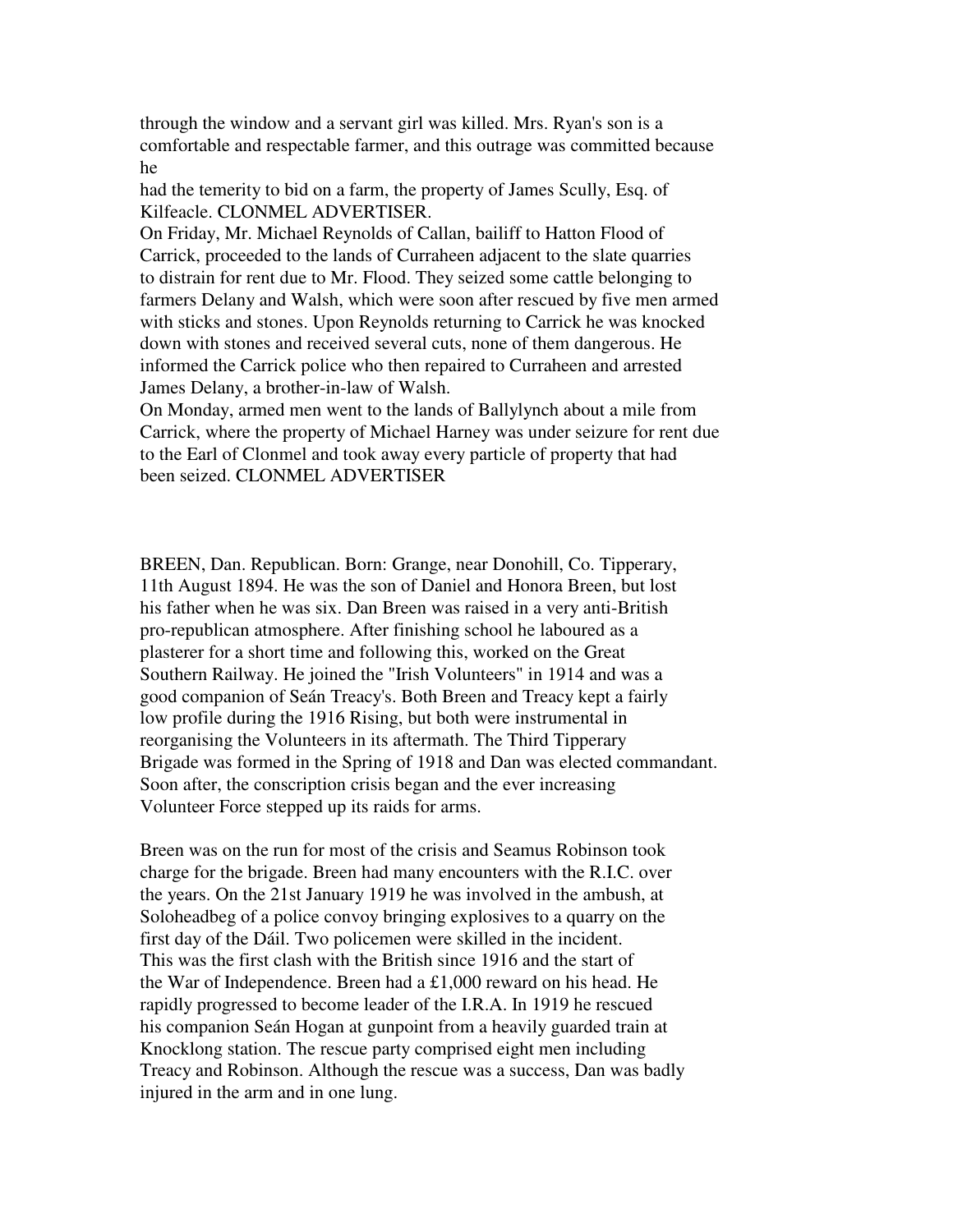through the window and a servant girl was killed. Mrs. Ryan's son is a comfortable and respectable farmer, and this outrage was committed because he

had the temerity to bid on a farm, the property of James Scully, Esq. of Kilfeacle. CLONMEL ADVERTISER.

On Friday, Mr. Michael Reynolds of Callan, bailiff to Hatton Flood of Carrick, proceeded to the lands of Curraheen adjacent to the slate quarries to distrain for rent due to Mr. Flood. They seized some cattle belonging to farmers Delany and Walsh, which were soon after rescued by five men armed with sticks and stones. Upon Reynolds returning to Carrick he was knocked down with stones and received several cuts, none of them dangerous. He informed the Carrick police who then repaired to Curraheen and arrested James Delany, a brother-in-law of Walsh.

On Monday, armed men went to the lands of Ballylynch about a mile from Carrick, where the property of Michael Harney was under seizure for rent due to the Earl of Clonmel and took away every particle of property that had been seized. CLONMEL ADVERTISER

BREEN, Dan. Republican. Born: Grange, near Donohill, Co. Tipperary, 11th August 1894. He was the son of Daniel and Honora Breen, but lost his father when he was six. Dan Breen was raised in a very anti-British pro-republican atmosphere. After finishing school he laboured as a plasterer for a short time and following this, worked on the Great Southern Railway. He joined the "Irish Volunteers" in 1914 and was a good companion of Seán Treacy's. Both Breen and Treacy kept a fairly low profile during the 1916 Rising, but both were instrumental in reorganising the Volunteers in its aftermath. The Third Tipperary Brigade was formed in the Spring of 1918 and Dan was elected commandant. Soon after, the conscription crisis began and the ever increasing Volunteer Force stepped up its raids for arms.

Breen was on the run for most of the crisis and Seamus Robinson took charge for the brigade. Breen had many encounters with the R.I.C. over the years. On the 21st January 1919 he was involved in the ambush, at Soloheadbeg of a police convoy bringing explosives to a quarry on the first day of the Dáil. Two policemen were skilled in the incident. This was the first clash with the British since 1916 and the start of the War of Independence. Breen had a £1,000 reward on his head. He rapidly progressed to become leader of the I.R.A. In 1919 he rescued his companion Seán Hogan at gunpoint from a heavily guarded train at Knocklong station. The rescue party comprised eight men including Treacy and Robinson. Although the rescue was a success, Dan was badly injured in the arm and in one lung.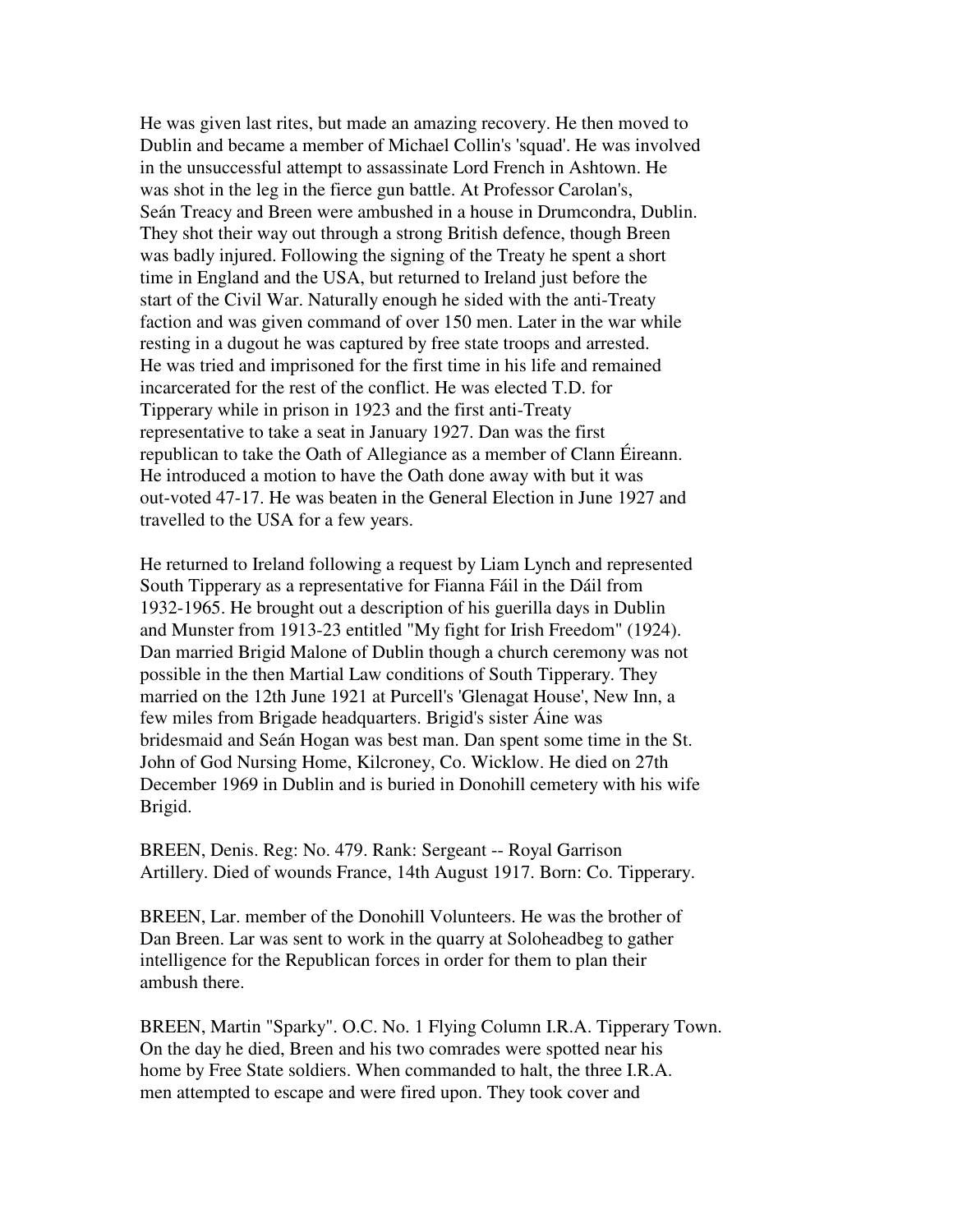He was given last rites, but made an amazing recovery. He then moved to Dublin and became a member of Michael Collin's 'squad'. He was involved in the unsuccessful attempt to assassinate Lord French in Ashtown. He was shot in the leg in the fierce gun battle. At Professor Carolan's, Seán Treacy and Breen were ambushed in a house in Drumcondra, Dublin. They shot their way out through a strong British defence, though Breen was badly injured. Following the signing of the Treaty he spent a short time in England and the USA, but returned to Ireland just before the start of the Civil War. Naturally enough he sided with the anti-Treaty faction and was given command of over 150 men. Later in the war while resting in a dugout he was captured by free state troops and arrested. He was tried and imprisoned for the first time in his life and remained incarcerated for the rest of the conflict. He was elected T.D. for Tipperary while in prison in 1923 and the first anti-Treaty representative to take a seat in January 1927. Dan was the first republican to take the Oath of Allegiance as a member of Clann Éireann. He introduced a motion to have the Oath done away with but it was out-voted 47-17. He was beaten in the General Election in June 1927 and travelled to the USA for a few years.

He returned to Ireland following a request by Liam Lynch and represented South Tipperary as a representative for Fianna Fáil in the Dáil from 1932-1965. He brought out a description of his guerilla days in Dublin and Munster from 1913-23 entitled "My fight for Irish Freedom" (1924). Dan married Brigid Malone of Dublin though a church ceremony was not possible in the then Martial Law conditions of South Tipperary. They married on the 12th June 1921 at Purcell's 'Glenagat House', New Inn, a few miles from Brigade headquarters. Brigid's sister Áine was bridesmaid and Seán Hogan was best man. Dan spent some time in the St. John of God Nursing Home, Kilcroney, Co. Wicklow. He died on 27th December 1969 in Dublin and is buried in Donohill cemetery with his wife Brigid.

BREEN, Denis. Reg: No. 479. Rank: Sergeant -- Royal Garrison Artillery. Died of wounds France, 14th August 1917. Born: Co. Tipperary.

BREEN, Lar. member of the Donohill Volunteers. He was the brother of Dan Breen. Lar was sent to work in the quarry at Soloheadbeg to gather intelligence for the Republican forces in order for them to plan their ambush there.

BREEN, Martin "Sparky". O.C. No. 1 Flying Column I.R.A. Tipperary Town. On the day he died, Breen and his two comrades were spotted near his home by Free State soldiers. When commanded to halt, the three I.R.A. men attempted to escape and were fired upon. They took cover and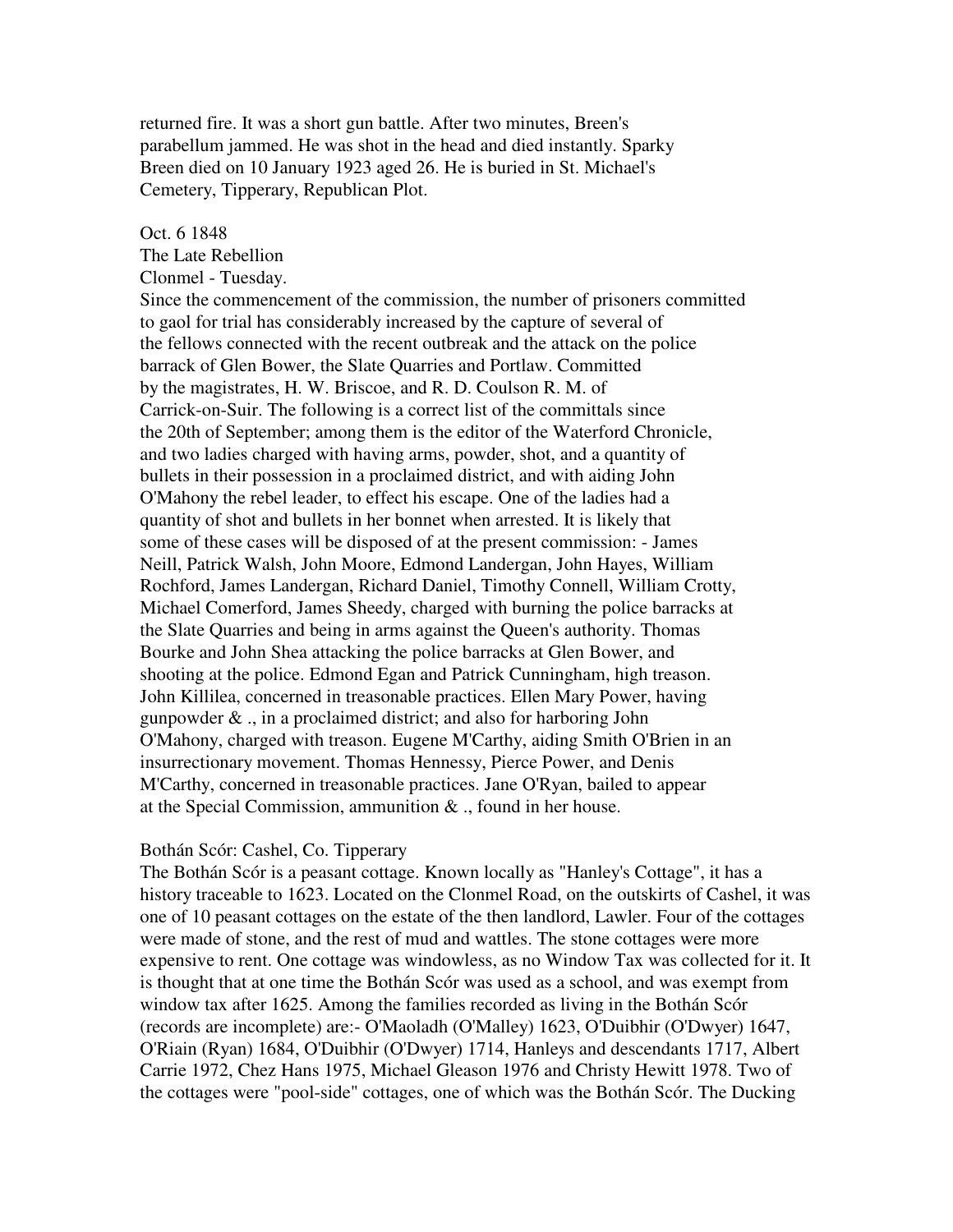returned fire. It was a short gun battle. After two minutes, Breen's parabellum jammed. He was shot in the head and died instantly. Sparky Breen died on 10 January 1923 aged 26. He is buried in St. Michael's Cemetery, Tipperary, Republican Plot.

### Oct. 6 1848

The Late Rebellion

Clonmel - Tuesday.

Since the commencement of the commission, the number of prisoners committed to gaol for trial has considerably increased by the capture of several of the fellows connected with the recent outbreak and the attack on the police barrack of Glen Bower, the Slate Quarries and Portlaw. Committed by the magistrates, H. W. Briscoe, and R. D. Coulson R. M. of Carrick-on-Suir. The following is a correct list of the committals since the 20th of September; among them is the editor of the Waterford Chronicle, and two ladies charged with having arms, powder, shot, and a quantity of bullets in their possession in a proclaimed district, and with aiding John O'Mahony the rebel leader, to effect his escape. One of the ladies had a quantity of shot and bullets in her bonnet when arrested. It is likely that some of these cases will be disposed of at the present commission: - James Neill, Patrick Walsh, John Moore, Edmond Landergan, John Hayes, William Rochford, James Landergan, Richard Daniel, Timothy Connell, William Crotty, Michael Comerford, James Sheedy, charged with burning the police barracks at the Slate Quarries and being in arms against the Queen's authority. Thomas Bourke and John Shea attacking the police barracks at Glen Bower, and shooting at the police. Edmond Egan and Patrick Cunningham, high treason. John Killilea, concerned in treasonable practices. Ellen Mary Power, having gunpowder & ., in a proclaimed district; and also for harboring John O'Mahony, charged with treason. Eugene M'Carthy, aiding Smith O'Brien in an insurrectionary movement. Thomas Hennessy, Pierce Power, and Denis M'Carthy, concerned in treasonable practices. Jane O'Ryan, bailed to appear at the Special Commission, ammunition & ., found in her house.

#### Bothán Scór: Cashel, Co. Tipperary

The Bothán Scór is a peasant cottage. Known locally as "Hanley's Cottage", it has a history traceable to 1623. Located on the Clonmel Road, on the outskirts of Cashel, it was one of 10 peasant cottages on the estate of the then landlord, Lawler. Four of the cottages were made of stone, and the rest of mud and wattles. The stone cottages were more expensive to rent. One cottage was windowless, as no Window Tax was collected for it. It is thought that at one time the Bothán Scór was used as a school, and was exempt from window tax after 1625. Among the families recorded as living in the Bothán Scór (records are incomplete) are:- O'Maoladh (O'Malley) 1623, O'Duibhir (O'Dwyer) 1647, O'Riain (Ryan) 1684, O'Duibhir (O'Dwyer) 1714, Hanleys and descendants 1717, Albert Carrie 1972, Chez Hans 1975, Michael Gleason 1976 and Christy Hewitt 1978. Two of the cottages were "pool-side" cottages, one of which was the Bothán Scór. The Ducking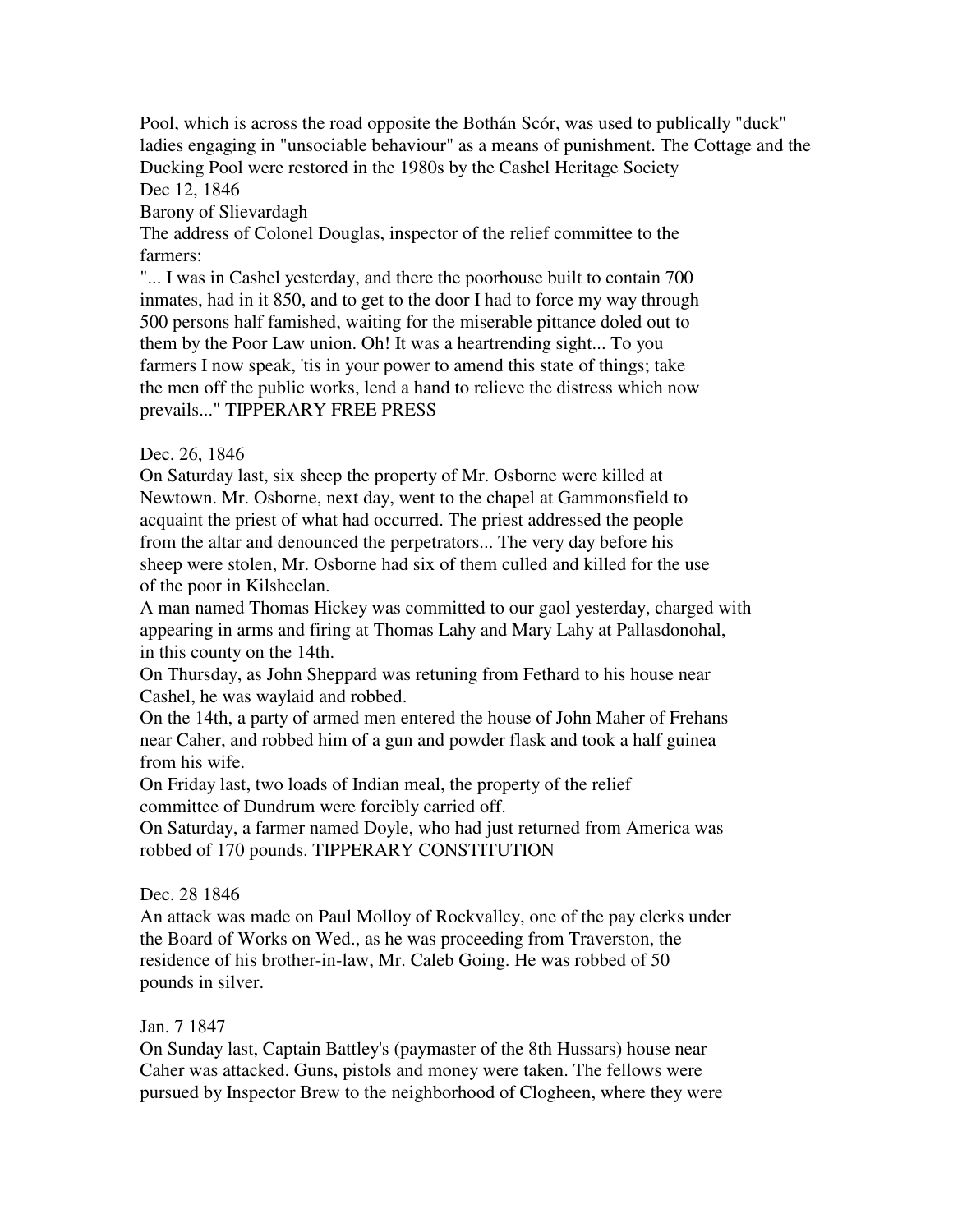Pool, which is across the road opposite the Bothán Scór, was used to publically "duck" ladies engaging in "unsociable behaviour" as a means of punishment. The Cottage and the Ducking Pool were restored in the 1980s by the Cashel Heritage Society Dec 12, 1846

Barony of Slievardagh

The address of Colonel Douglas, inspector of the relief committee to the farmers:

"... I was in Cashel yesterday, and there the poorhouse built to contain 700 inmates, had in it 850, and to get to the door I had to force my way through 500 persons half famished, waiting for the miserable pittance doled out to them by the Poor Law union. Oh! It was a heartrending sight... To you farmers I now speak, 'tis in your power to amend this state of things; take the men off the public works, lend a hand to relieve the distress which now prevails..." TIPPERARY FREE PRESS

Dec. 26, 1846

On Saturday last, six sheep the property of Mr. Osborne were killed at Newtown. Mr. Osborne, next day, went to the chapel at Gammonsfield to acquaint the priest of what had occurred. The priest addressed the people from the altar and denounced the perpetrators... The very day before his sheep were stolen, Mr. Osborne had six of them culled and killed for the use of the poor in Kilsheelan.

A man named Thomas Hickey was committed to our gaol yesterday, charged with appearing in arms and firing at Thomas Lahy and Mary Lahy at Pallasdonohal, in this county on the 14th.

On Thursday, as John Sheppard was retuning from Fethard to his house near Cashel, he was waylaid and robbed.

On the 14th, a party of armed men entered the house of John Maher of Frehans near Caher, and robbed him of a gun and powder flask and took a half guinea from his wife.

On Friday last, two loads of Indian meal, the property of the relief committee of Dundrum were forcibly carried off.

On Saturday, a farmer named Doyle, who had just returned from America was robbed of 170 pounds. TIPPERARY CONSTITUTION

Dec. 28 1846

An attack was made on Paul Molloy of Rockvalley, one of the pay clerks under the Board of Works on Wed., as he was proceeding from Traverston, the residence of his brother-in-law, Mr. Caleb Going. He was robbed of 50 pounds in silver.

# Jan. 7 1847

On Sunday last, Captain Battley's (paymaster of the 8th Hussars) house near Caher was attacked. Guns, pistols and money were taken. The fellows were pursued by Inspector Brew to the neighborhood of Clogheen, where they were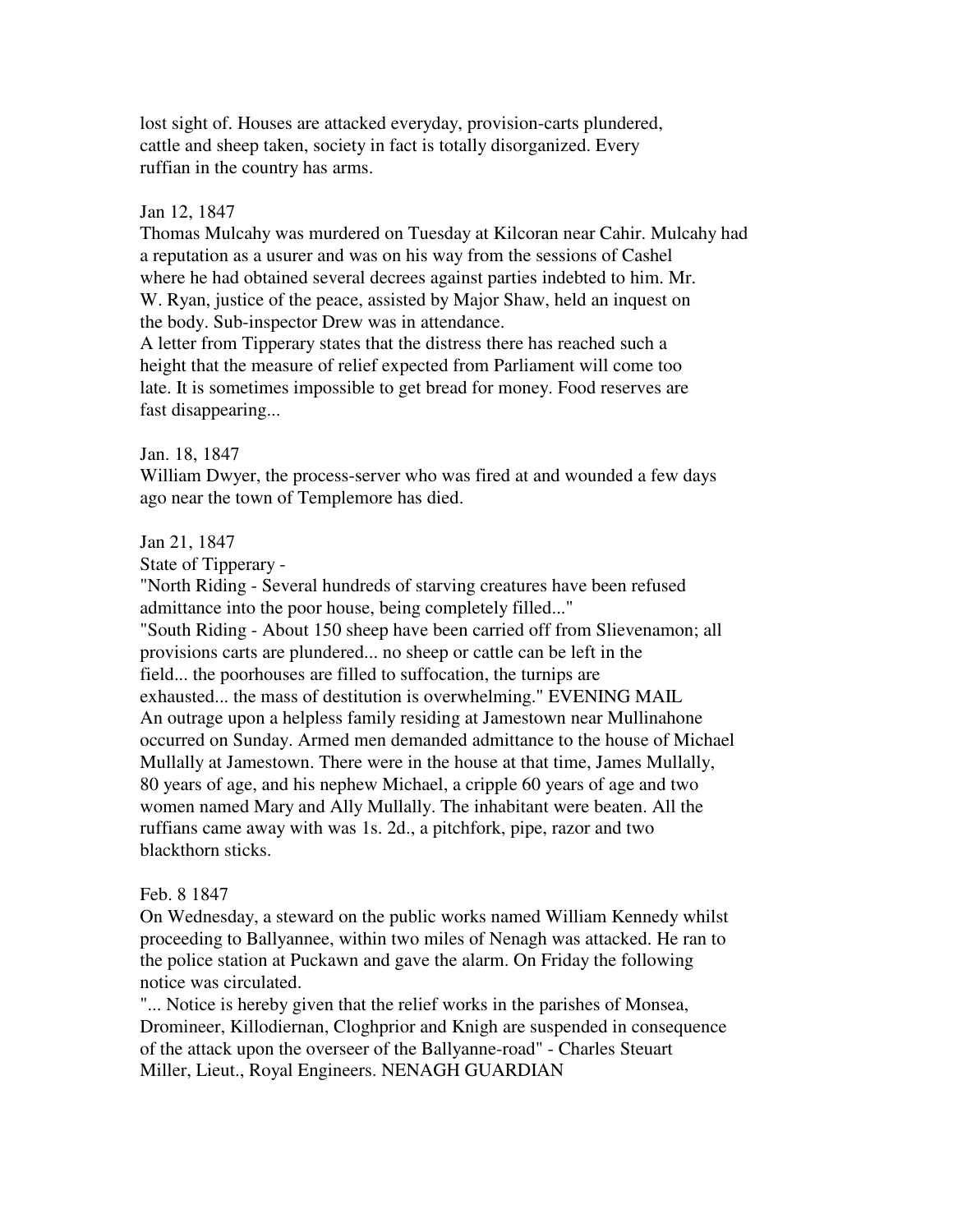lost sight of. Houses are attacked everyday, provision-carts plundered, cattle and sheep taken, society in fact is totally disorganized. Every ruffian in the country has arms.

# Jan 12, 1847

Thomas Mulcahy was murdered on Tuesday at Kilcoran near Cahir. Mulcahy had a reputation as a usurer and was on his way from the sessions of Cashel where he had obtained several decrees against parties indebted to him. Mr. W. Ryan, justice of the peace, assisted by Major Shaw, held an inquest on the body. Sub-inspector Drew was in attendance.

A letter from Tipperary states that the distress there has reached such a height that the measure of relief expected from Parliament will come too late. It is sometimes impossible to get bread for money. Food reserves are fast disappearing...

### Jan. 18, 1847

William Dwyer, the process-server who was fired at and wounded a few days ago near the town of Templemore has died.

# Jan 21, 1847

State of Tipperary -

"North Riding - Several hundreds of starving creatures have been refused admittance into the poor house, being completely filled..." "South Riding - About 150 sheep have been carried off from Slievenamon; all provisions carts are plundered... no sheep or cattle can be left in the field... the poorhouses are filled to suffocation, the turnips are exhausted... the mass of destitution is overwhelming." EVENING MAIL An outrage upon a helpless family residing at Jamestown near Mullinahone occurred on Sunday. Armed men demanded admittance to the house of Michael Mullally at Jamestown. There were in the house at that time, James Mullally, 80 years of age, and his nephew Michael, a cripple 60 years of age and two women named Mary and Ally Mullally. The inhabitant were beaten. All the ruffians came away with was 1s. 2d., a pitchfork, pipe, razor and two blackthorn sticks.

# Feb. 8 1847

On Wednesday, a steward on the public works named William Kennedy whilst proceeding to Ballyannee, within two miles of Nenagh was attacked. He ran to the police station at Puckawn and gave the alarm. On Friday the following notice was circulated.

"... Notice is hereby given that the relief works in the parishes of Monsea, Dromineer, Killodiernan, Cloghprior and Knigh are suspended in consequence of the attack upon the overseer of the Ballyanne-road" - Charles Steuart Miller, Lieut., Royal Engineers. NENAGH GUARDIAN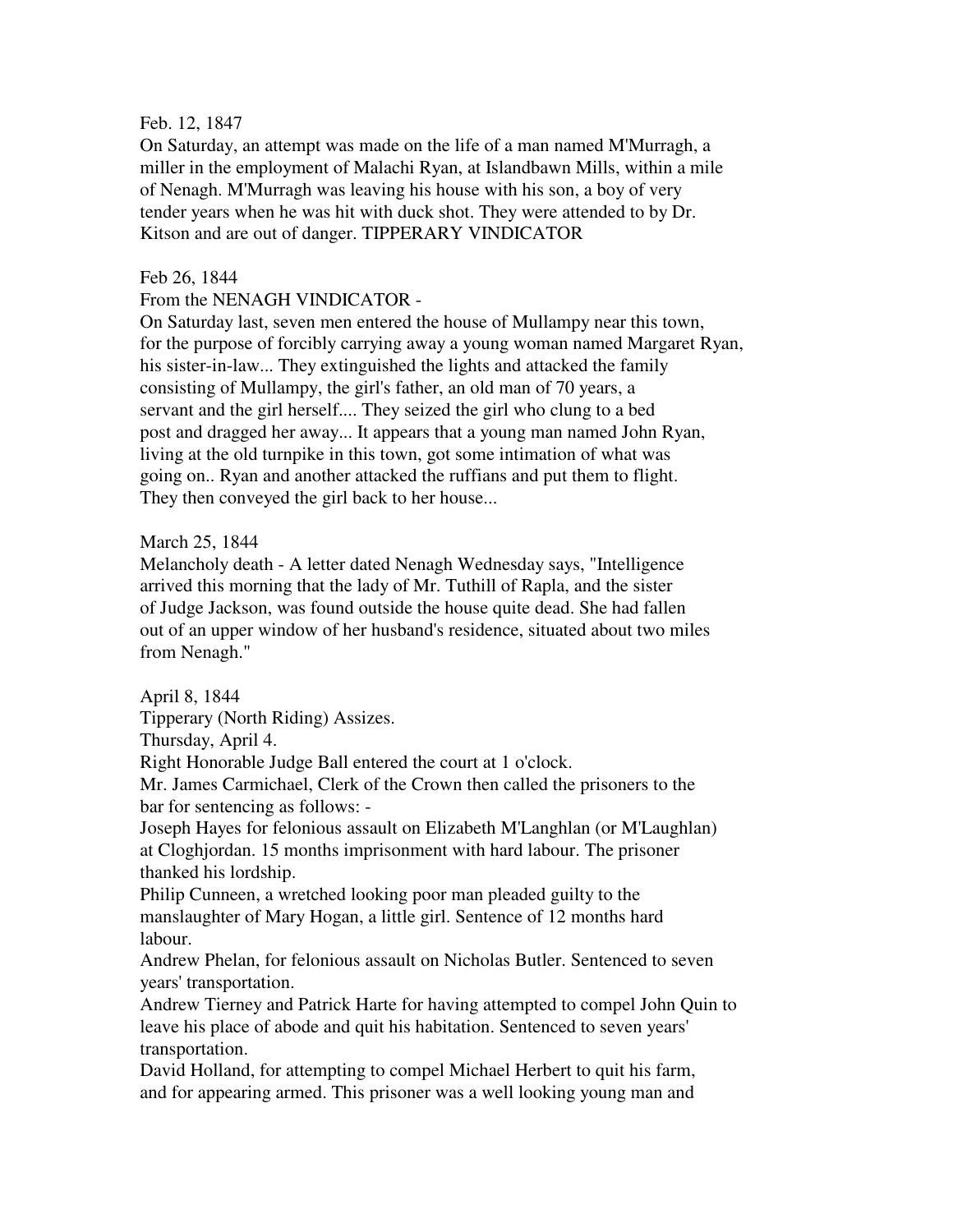# Feb. 12, 1847

On Saturday, an attempt was made on the life of a man named M'Murragh, a miller in the employment of Malachi Ryan, at Islandbawn Mills, within a mile of Nenagh. M'Murragh was leaving his house with his son, a boy of very tender years when he was hit with duck shot. They were attended to by Dr. Kitson and are out of danger. TIPPERARY VINDICATOR

# Feb 26, 1844

From the NENAGH VINDICATOR -

On Saturday last, seven men entered the house of Mullampy near this town, for the purpose of forcibly carrying away a young woman named Margaret Ryan, his sister-in-law... They extinguished the lights and attacked the family consisting of Mullampy, the girl's father, an old man of 70 years, a servant and the girl herself.... They seized the girl who clung to a bed post and dragged her away... It appears that a young man named John Ryan, living at the old turnpike in this town, got some intimation of what was going on.. Ryan and another attacked the ruffians and put them to flight. They then conveyed the girl back to her house...

# March 25, 1844

Melancholy death - A letter dated Nenagh Wednesday says, "Intelligence arrived this morning that the lady of Mr. Tuthill of Rapla, and the sister of Judge Jackson, was found outside the house quite dead. She had fallen out of an upper window of her husband's residence, situated about two miles from Nenagh."

April 8, 1844 Tipperary (North Riding) Assizes. Thursday, April 4. Right Honorable Judge Ball entered the court at 1 o'clock. Mr. James Carmichael, Clerk of the Crown then called the prisoners to the bar for sentencing as follows: - Joseph Hayes for felonious assault on Elizabeth M'Langhlan (or M'Laughlan) at Cloghjordan. 15 months imprisonment with hard labour. The prisoner thanked his lordship. Philip Cunneen, a wretched looking poor man pleaded guilty to the manslaughter of Mary Hogan, a little girl. Sentence of 12 months hard labour.

Andrew Phelan, for felonious assault on Nicholas Butler. Sentenced to seven years' transportation.

Andrew Tierney and Patrick Harte for having attempted to compel John Quin to leave his place of abode and quit his habitation. Sentenced to seven years' transportation.

David Holland, for attempting to compel Michael Herbert to quit his farm, and for appearing armed. This prisoner was a well looking young man and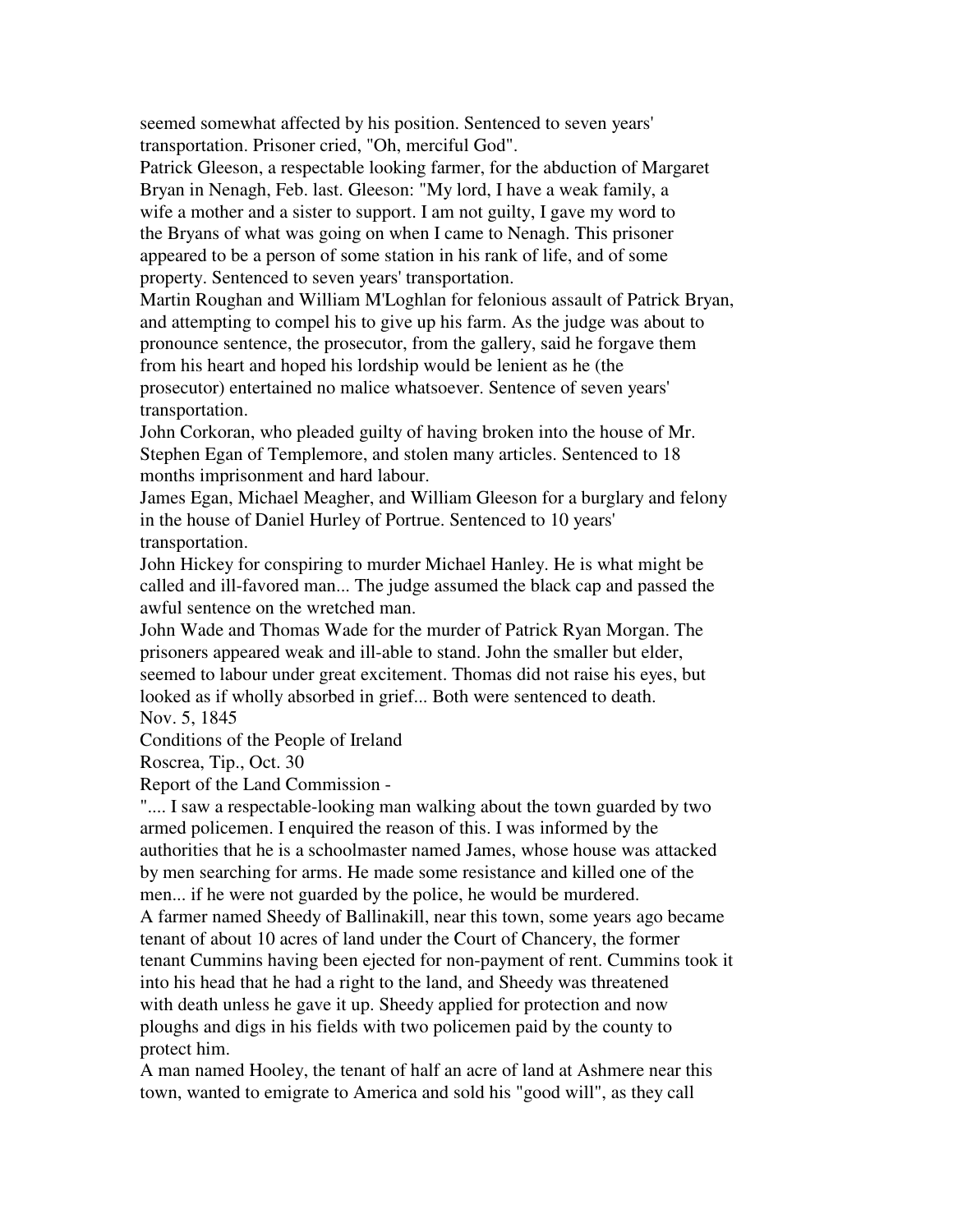seemed somewhat affected by his position. Sentenced to seven years' transportation. Prisoner cried, "Oh, merciful God".

Patrick Gleeson, a respectable looking farmer, for the abduction of Margaret Bryan in Nenagh, Feb. last. Gleeson: "My lord, I have a weak family, a wife a mother and a sister to support. I am not guilty, I gave my word to the Bryans of what was going on when I came to Nenagh. This prisoner appeared to be a person of some station in his rank of life, and of some property. Sentenced to seven years' transportation.

Martin Roughan and William M'Loghlan for felonious assault of Patrick Bryan, and attempting to compel his to give up his farm. As the judge was about to pronounce sentence, the prosecutor, from the gallery, said he forgave them from his heart and hoped his lordship would be lenient as he (the prosecutor) entertained no malice whatsoever. Sentence of seven years' transportation.

John Corkoran, who pleaded guilty of having broken into the house of Mr. Stephen Egan of Templemore, and stolen many articles. Sentenced to 18 months imprisonment and hard labour.

James Egan, Michael Meagher, and William Gleeson for a burglary and felony in the house of Daniel Hurley of Portrue. Sentenced to 10 years' transportation.

John Hickey for conspiring to murder Michael Hanley. He is what might be called and ill-favored man... The judge assumed the black cap and passed the awful sentence on the wretched man.

John Wade and Thomas Wade for the murder of Patrick Ryan Morgan. The prisoners appeared weak and ill-able to stand. John the smaller but elder, seemed to labour under great excitement. Thomas did not raise his eyes, but looked as if wholly absorbed in grief... Both were sentenced to death. Nov. 5, 1845

Conditions of the People of Ireland

Roscrea, Tip., Oct. 30

Report of the Land Commission -

".... I saw a respectable-looking man walking about the town guarded by two armed policemen. I enquired the reason of this. I was informed by the authorities that he is a schoolmaster named James, whose house was attacked by men searching for arms. He made some resistance and killed one of the men... if he were not guarded by the police, he would be murdered. A farmer named Sheedy of Ballinakill, near this town, some years ago became tenant of about 10 acres of land under the Court of Chancery, the former tenant Cummins having been ejected for non-payment of rent. Cummins took it into his head that he had a right to the land, and Sheedy was threatened with death unless he gave it up. Sheedy applied for protection and now ploughs and digs in his fields with two policemen paid by the county to protect him.

A man named Hooley, the tenant of half an acre of land at Ashmere near this town, wanted to emigrate to America and sold his "good will", as they call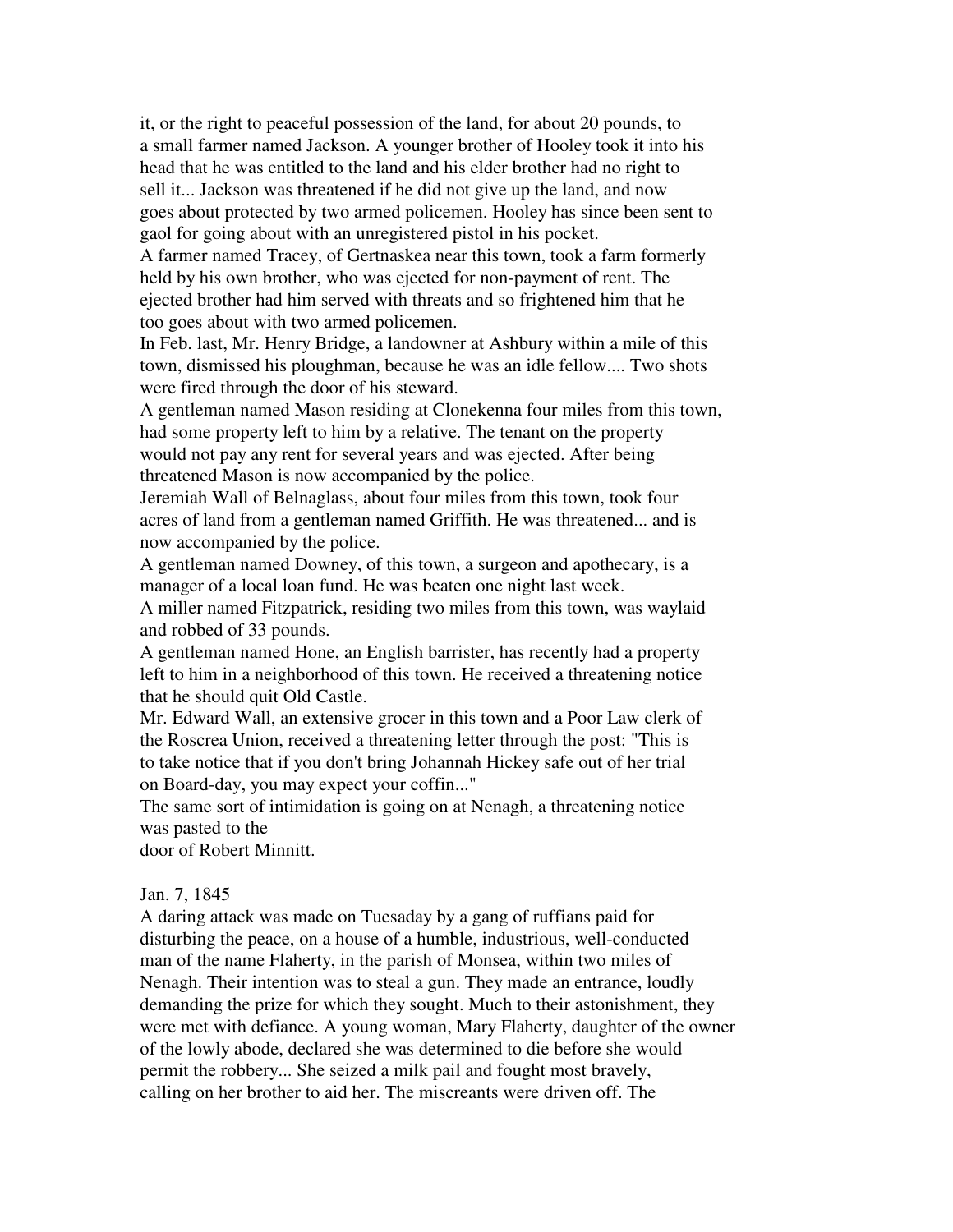it, or the right to peaceful possession of the land, for about 20 pounds, to a small farmer named Jackson. A younger brother of Hooley took it into his head that he was entitled to the land and his elder brother had no right to sell it... Jackson was threatened if he did not give up the land, and now goes about protected by two armed policemen. Hooley has since been sent to gaol for going about with an unregistered pistol in his pocket.

A farmer named Tracey, of Gertnaskea near this town, took a farm formerly held by his own brother, who was ejected for non-payment of rent. The ejected brother had him served with threats and so frightened him that he too goes about with two armed policemen.

In Feb. last, Mr. Henry Bridge, a landowner at Ashbury within a mile of this town, dismissed his ploughman, because he was an idle fellow.... Two shots were fired through the door of his steward.

A gentleman named Mason residing at Clonekenna four miles from this town, had some property left to him by a relative. The tenant on the property would not pay any rent for several years and was ejected. After being threatened Mason is now accompanied by the police.

Jeremiah Wall of Belnaglass, about four miles from this town, took four acres of land from a gentleman named Griffith. He was threatened... and is now accompanied by the police.

A gentleman named Downey, of this town, a surgeon and apothecary, is a manager of a local loan fund. He was beaten one night last week.

A miller named Fitzpatrick, residing two miles from this town, was waylaid and robbed of 33 pounds.

A gentleman named Hone, an English barrister, has recently had a property left to him in a neighborhood of this town. He received a threatening notice that he should quit Old Castle.

Mr. Edward Wall, an extensive grocer in this town and a Poor Law clerk of the Roscrea Union, received a threatening letter through the post: "This is to take notice that if you don't bring Johannah Hickey safe out of her trial on Board-day, you may expect your coffin..."

The same sort of intimidation is going on at Nenagh, a threatening notice was pasted to the

door of Robert Minnitt.

### Jan. 7, 1845

A daring attack was made on Tuesaday by a gang of ruffians paid for disturbing the peace, on a house of a humble, industrious, well-conducted man of the name Flaherty, in the parish of Monsea, within two miles of Nenagh. Their intention was to steal a gun. They made an entrance, loudly demanding the prize for which they sought. Much to their astonishment, they were met with defiance. A young woman, Mary Flaherty, daughter of the owner of the lowly abode, declared she was determined to die before she would permit the robbery... She seized a milk pail and fought most bravely, calling on her brother to aid her. The miscreants were driven off. The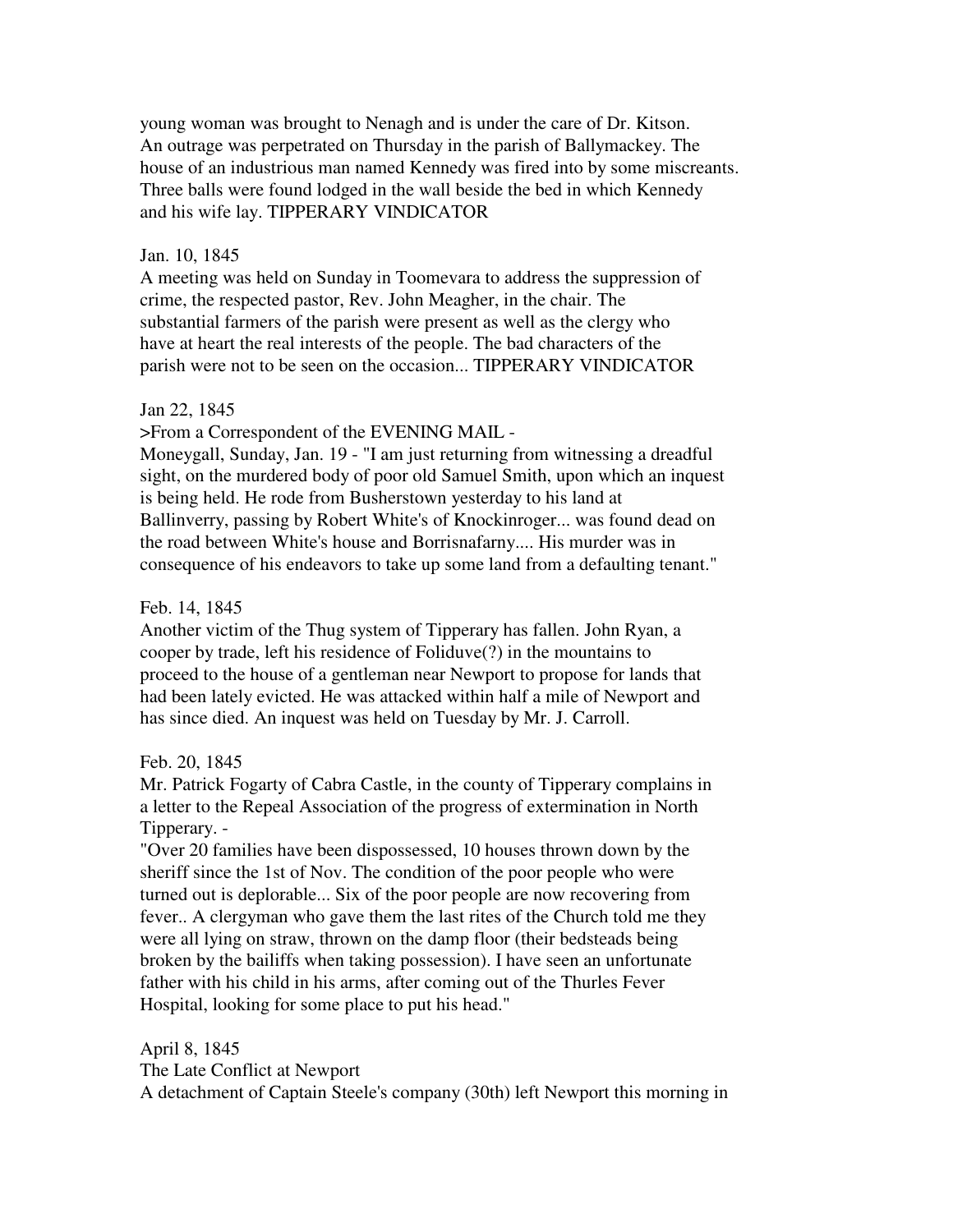young woman was brought to Nenagh and is under the care of Dr. Kitson. An outrage was perpetrated on Thursday in the parish of Ballymackey. The house of an industrious man named Kennedy was fired into by some miscreants. Three balls were found lodged in the wall beside the bed in which Kennedy and his wife lay. TIPPERARY VINDICATOR

### Jan. 10, 1845

A meeting was held on Sunday in Toomevara to address the suppression of crime, the respected pastor, Rev. John Meagher, in the chair. The substantial farmers of the parish were present as well as the clergy who have at heart the real interests of the people. The bad characters of the parish were not to be seen on the occasion... TIPPERARY VINDICATOR

#### Jan 22, 1845

>From a Correspondent of the EVENING MAIL -

Moneygall, Sunday, Jan. 19 - "I am just returning from witnessing a dreadful sight, on the murdered body of poor old Samuel Smith, upon which an inquest is being held. He rode from Busherstown yesterday to his land at Ballinverry, passing by Robert White's of Knockinroger... was found dead on the road between White's house and Borrisnafarny.... His murder was in consequence of his endeavors to take up some land from a defaulting tenant."

### Feb. 14, 1845

Another victim of the Thug system of Tipperary has fallen. John Ryan, a cooper by trade, left his residence of Foliduve(?) in the mountains to proceed to the house of a gentleman near Newport to propose for lands that had been lately evicted. He was attacked within half a mile of Newport and has since died. An inquest was held on Tuesday by Mr. J. Carroll.

#### Feb. 20, 1845

Mr. Patrick Fogarty of Cabra Castle, in the county of Tipperary complains in a letter to the Repeal Association of the progress of extermination in North Tipperary. -

"Over 20 families have been dispossessed, 10 houses thrown down by the sheriff since the 1st of Nov. The condition of the poor people who were turned out is deplorable... Six of the poor people are now recovering from fever.. A clergyman who gave them the last rites of the Church told me they were all lying on straw, thrown on the damp floor (their bedsteads being broken by the bailiffs when taking possession). I have seen an unfortunate father with his child in his arms, after coming out of the Thurles Fever Hospital, looking for some place to put his head."

# April 8, 1845 The Late Conflict at Newport A detachment of Captain Steele's company (30th) left Newport this morning in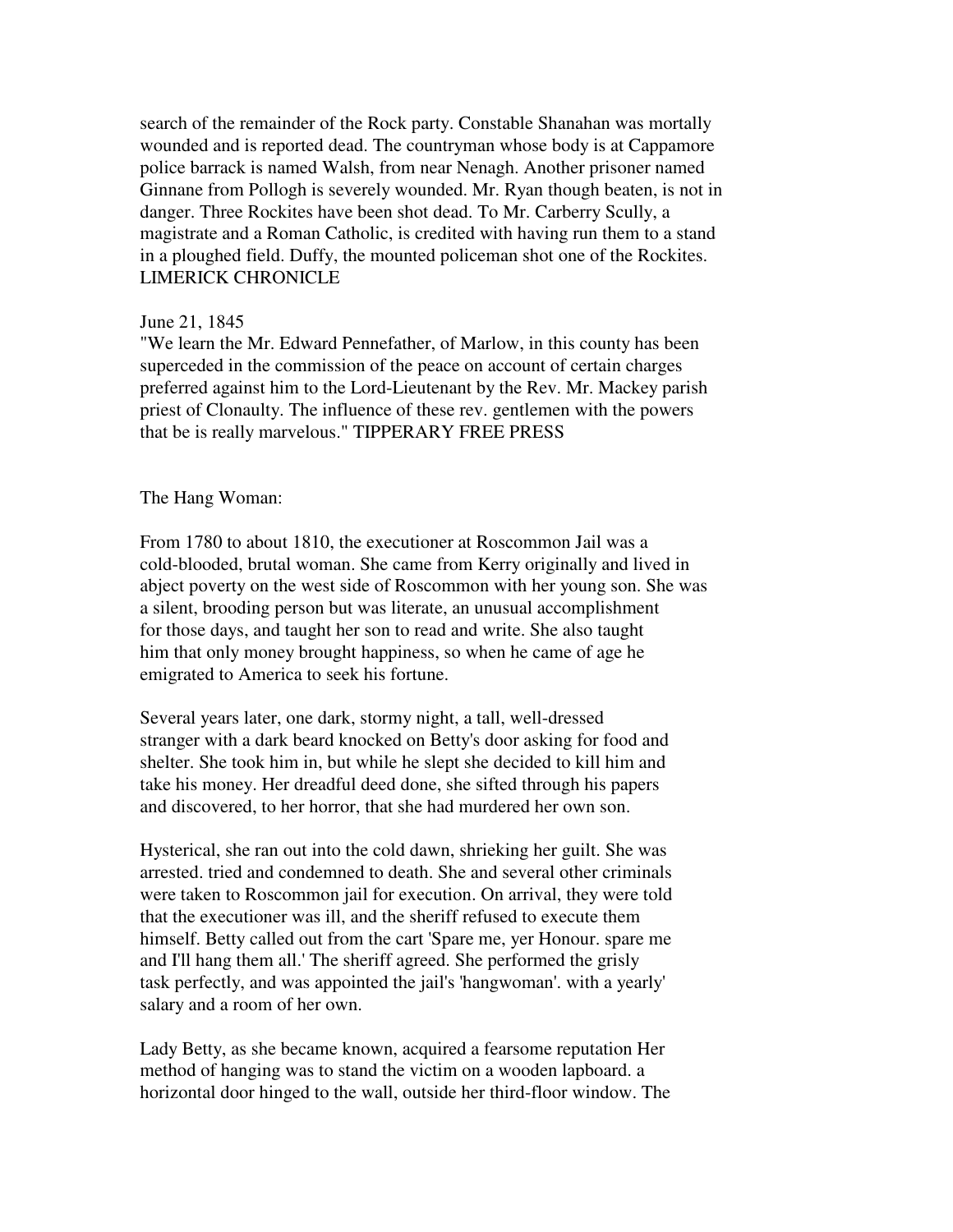search of the remainder of the Rock party. Constable Shanahan was mortally wounded and is reported dead. The countryman whose body is at Cappamore police barrack is named Walsh, from near Nenagh. Another prisoner named Ginnane from Pollogh is severely wounded. Mr. Ryan though beaten, is not in danger. Three Rockites have been shot dead. To Mr. Carberry Scully, a magistrate and a Roman Catholic, is credited with having run them to a stand in a ploughed field. Duffy, the mounted policeman shot one of the Rockites. LIMERICK CHRONICLE

### June 21, 1845

"We learn the Mr. Edward Pennefather, of Marlow, in this county has been superceded in the commission of the peace on account of certain charges preferred against him to the Lord-Lieutenant by the Rev. Mr. Mackey parish priest of Clonaulty. The influence of these rev. gentlemen with the powers that be is really marvelous." TIPPERARY FREE PRESS

### The Hang Woman:

From 1780 to about 1810, the executioner at Roscommon Jail was a cold-blooded, brutal woman. She came from Kerry originally and lived in abject poverty on the west side of Roscommon with her young son. She was a silent, brooding person but was literate, an unusual accomplishment for those days, and taught her son to read and write. She also taught him that only money brought happiness, so when he came of age he emigrated to America to seek his fortune.

Several years later, one dark, stormy night, a tall, well-dressed stranger with a dark beard knocked on Betty's door asking for food and shelter. She took him in, but while he slept she decided to kill him and take his money. Her dreadful deed done, she sifted through his papers and discovered, to her horror, that she had murdered her own son.

Hysterical, she ran out into the cold dawn, shrieking her guilt. She was arrested. tried and condemned to death. She and several other criminals were taken to Roscommon jail for execution. On arrival, they were told that the executioner was ill, and the sheriff refused to execute them himself. Betty called out from the cart 'Spare me, yer Honour. spare me and I'll hang them all.' The sheriff agreed. She performed the grisly task perfectly, and was appointed the jail's 'hangwoman'. with a yearly' salary and a room of her own.

Lady Betty, as she became known, acquired a fearsome reputation Her method of hanging was to stand the victim on a wooden lapboard. a horizontal door hinged to the wall, outside her third-floor window. The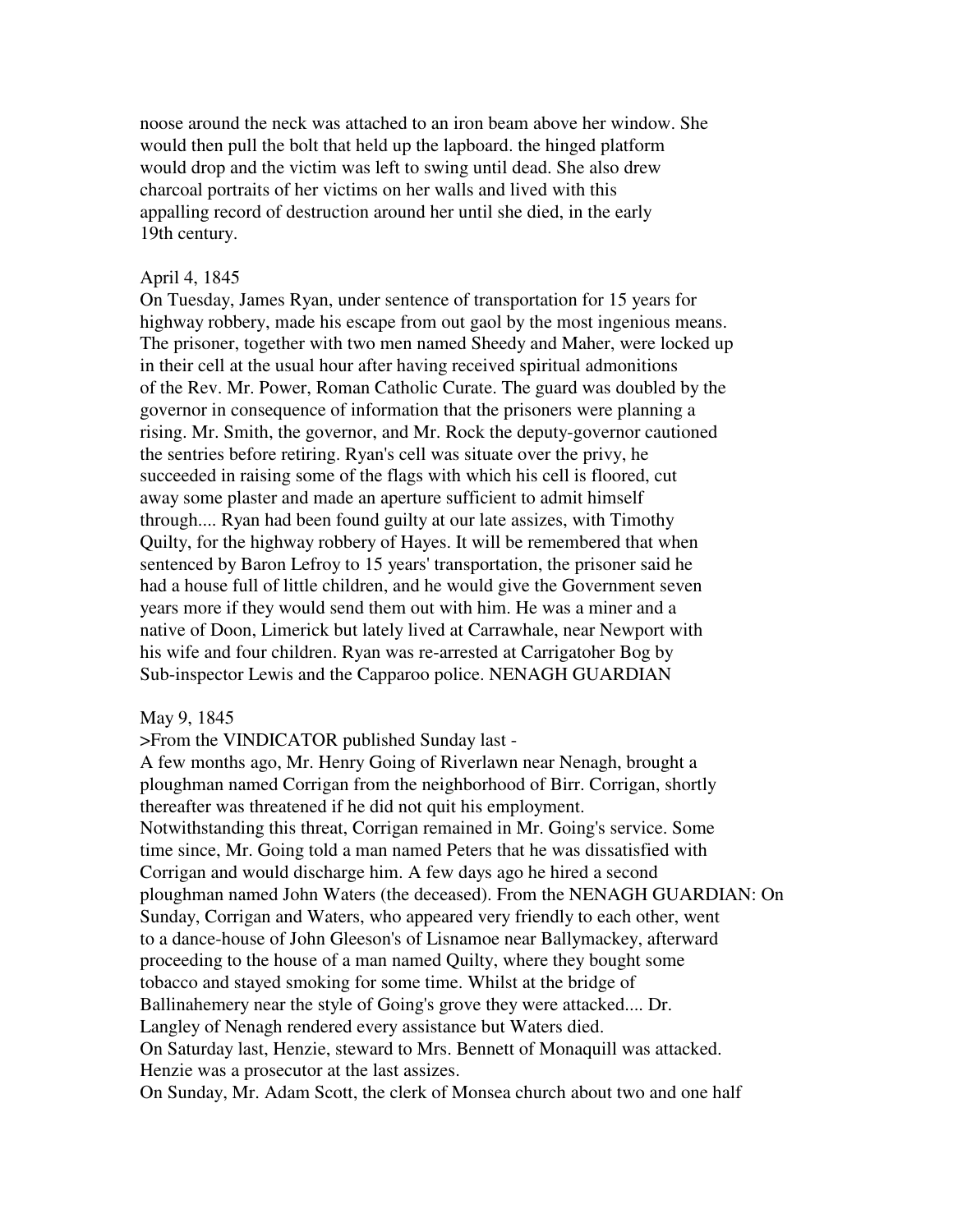noose around the neck was attached to an iron beam above her window. She would then pull the bolt that held up the lapboard. the hinged platform would drop and the victim was left to swing until dead. She also drew charcoal portraits of her victims on her walls and lived with this appalling record of destruction around her until she died, in the early 19th century.

#### April 4, 1845

On Tuesday, James Ryan, under sentence of transportation for 15 years for highway robbery, made his escape from out gaol by the most ingenious means. The prisoner, together with two men named Sheedy and Maher, were locked up in their cell at the usual hour after having received spiritual admonitions of the Rev. Mr. Power, Roman Catholic Curate. The guard was doubled by the governor in consequence of information that the prisoners were planning a rising. Mr. Smith, the governor, and Mr. Rock the deputy-governor cautioned the sentries before retiring. Ryan's cell was situate over the privy, he succeeded in raising some of the flags with which his cell is floored, cut away some plaster and made an aperture sufficient to admit himself through.... Ryan had been found guilty at our late assizes, with Timothy Quilty, for the highway robbery of Hayes. It will be remembered that when sentenced by Baron Lefroy to 15 years' transportation, the prisoner said he had a house full of little children, and he would give the Government seven years more if they would send them out with him. He was a miner and a native of Doon, Limerick but lately lived at Carrawhale, near Newport with his wife and four children. Ryan was re-arrested at Carrigatoher Bog by Sub-inspector Lewis and the Capparoo police. NENAGH GUARDIAN

#### May 9, 1845

>From the VINDICATOR published Sunday last -

A few months ago, Mr. Henry Going of Riverlawn near Nenagh, brought a ploughman named Corrigan from the neighborhood of Birr. Corrigan, shortly thereafter was threatened if he did not quit his employment. Notwithstanding this threat, Corrigan remained in Mr. Going's service. Some time since, Mr. Going told a man named Peters that he was dissatisfied with Corrigan and would discharge him. A few days ago he hired a second ploughman named John Waters (the deceased). From the NENAGH GUARDIAN: On Sunday, Corrigan and Waters, who appeared very friendly to each other, went to a dance-house of John Gleeson's of Lisnamoe near Ballymackey, afterward proceeding to the house of a man named Quilty, where they bought some tobacco and stayed smoking for some time. Whilst at the bridge of Ballinahemery near the style of Going's grove they were attacked.... Dr. Langley of Nenagh rendered every assistance but Waters died. On Saturday last, Henzie, steward to Mrs. Bennett of Monaquill was attacked. Henzie was a prosecutor at the last assizes. On Sunday, Mr. Adam Scott, the clerk of Monsea church about two and one half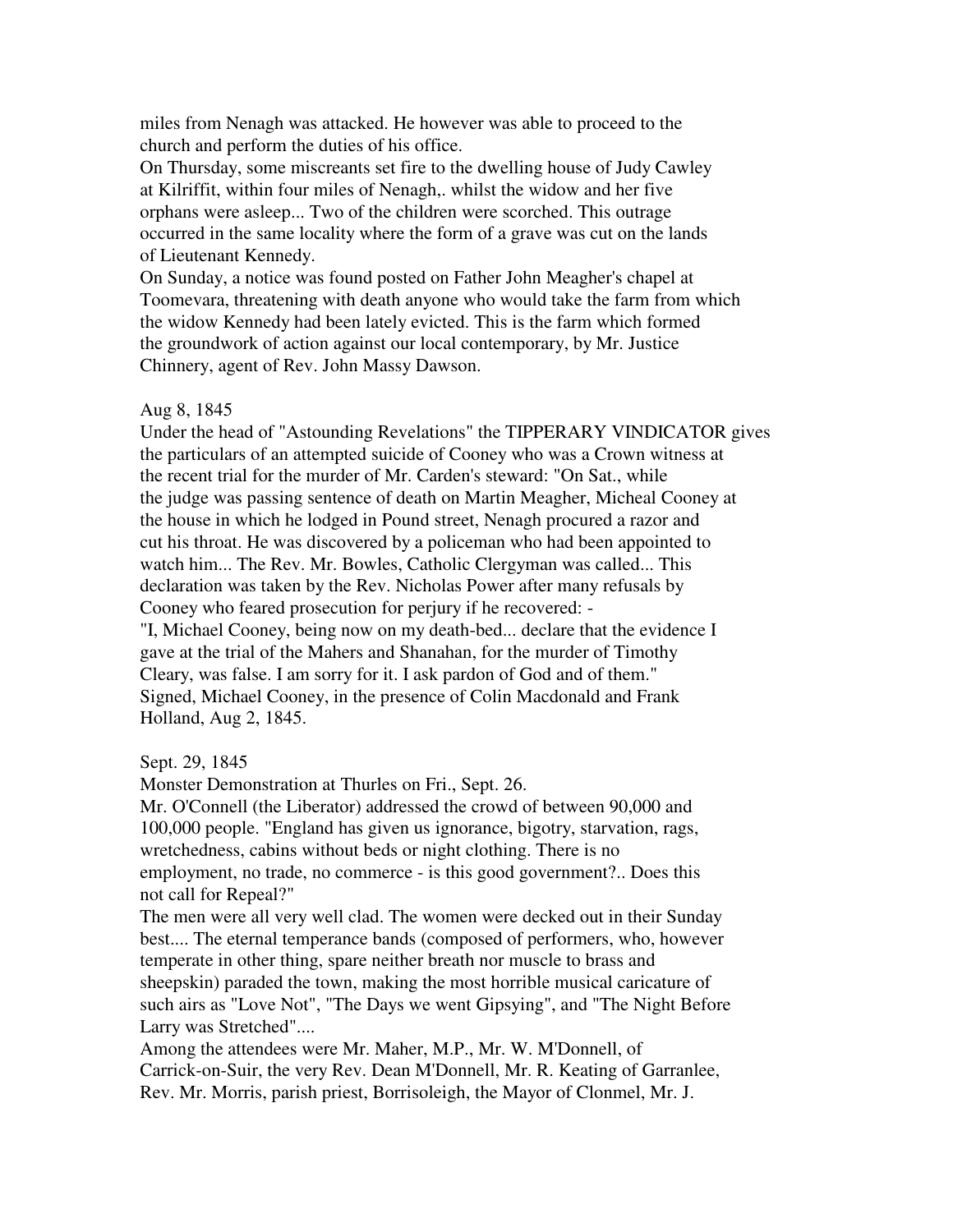miles from Nenagh was attacked. He however was able to proceed to the church and perform the duties of his office.

On Thursday, some miscreants set fire to the dwelling house of Judy Cawley at Kilriffit, within four miles of Nenagh,. whilst the widow and her five orphans were asleep... Two of the children were scorched. This outrage occurred in the same locality where the form of a grave was cut on the lands of Lieutenant Kennedy.

On Sunday, a notice was found posted on Father John Meagher's chapel at Toomevara, threatening with death anyone who would take the farm from which the widow Kennedy had been lately evicted. This is the farm which formed the groundwork of action against our local contemporary, by Mr. Justice Chinnery, agent of Rev. John Massy Dawson.

### Aug 8, 1845

Under the head of "Astounding Revelations" the TIPPERARY VINDICATOR gives the particulars of an attempted suicide of Cooney who was a Crown witness at the recent trial for the murder of Mr. Carden's steward: "On Sat., while the judge was passing sentence of death on Martin Meagher, Micheal Cooney at the house in which he lodged in Pound street, Nenagh procured a razor and cut his throat. He was discovered by a policeman who had been appointed to watch him... The Rev. Mr. Bowles, Catholic Clergyman was called... This declaration was taken by the Rev. Nicholas Power after many refusals by Cooney who feared prosecution for perjury if he recovered: - "I, Michael Cooney, being now on my death-bed... declare that the evidence I gave at the trial of the Mahers and Shanahan, for the murder of Timothy Cleary, was false. I am sorry for it. I ask pardon of God and of them." Signed, Michael Cooney, in the presence of Colin Macdonald and Frank Holland, Aug 2, 1845.

Sept. 29, 1845

Monster Demonstration at Thurles on Fri., Sept. 26.

Mr. O'Connell (the Liberator) addressed the crowd of between 90,000 and 100,000 people. "England has given us ignorance, bigotry, starvation, rags, wretchedness, cabins without beds or night clothing. There is no employment, no trade, no commerce - is this good government?.. Does this not call for Repeal?"

The men were all very well clad. The women were decked out in their Sunday best.... The eternal temperance bands (composed of performers, who, however temperate in other thing, spare neither breath nor muscle to brass and sheepskin) paraded the town, making the most horrible musical caricature of such airs as "Love Not", "The Days we went Gipsying", and "The Night Before Larry was Stretched"....

Among the attendees were Mr. Maher, M.P., Mr. W. M'Donnell, of Carrick-on-Suir, the very Rev. Dean M'Donnell, Mr. R. Keating of Garranlee, Rev. Mr. Morris, parish priest, Borrisoleigh, the Mayor of Clonmel, Mr. J.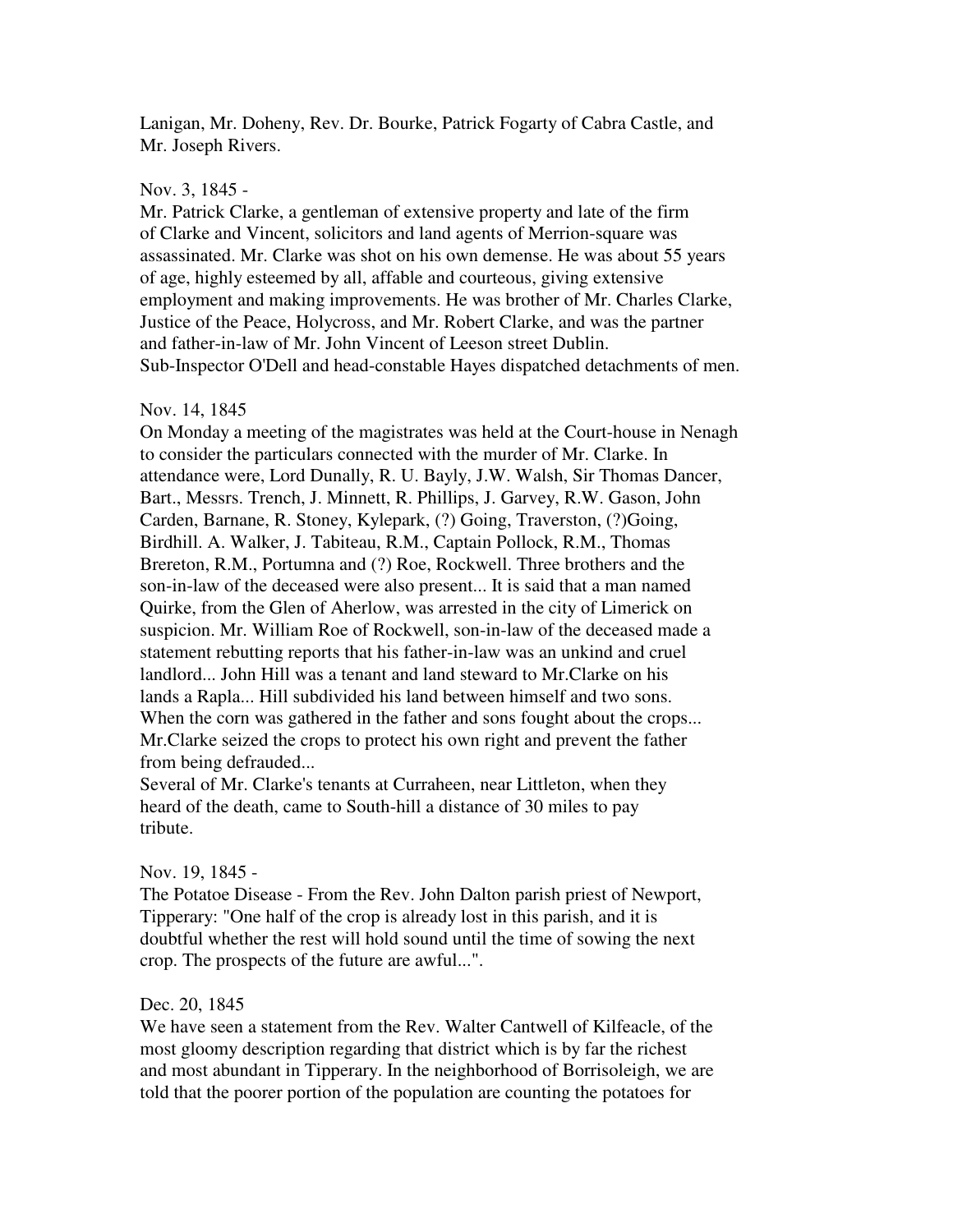Lanigan, Mr. Doheny, Rev. Dr. Bourke, Patrick Fogarty of Cabra Castle, and Mr. Joseph Rivers.

### Nov. 3, 1845 -

Mr. Patrick Clarke, a gentleman of extensive property and late of the firm of Clarke and Vincent, solicitors and land agents of Merrion-square was assassinated. Mr. Clarke was shot on his own demense. He was about 55 years of age, highly esteemed by all, affable and courteous, giving extensive employment and making improvements. He was brother of Mr. Charles Clarke, Justice of the Peace, Holycross, and Mr. Robert Clarke, and was the partner and father-in-law of Mr. John Vincent of Leeson street Dublin. Sub-Inspector O'Dell and head-constable Hayes dispatched detachments of men.

# Nov. 14, 1845

On Monday a meeting of the magistrates was held at the Court-house in Nenagh to consider the particulars connected with the murder of Mr. Clarke. In attendance were, Lord Dunally, R. U. Bayly, J.W. Walsh, Sir Thomas Dancer, Bart., Messrs. Trench, J. Minnett, R. Phillips, J. Garvey, R.W. Gason, John Carden, Barnane, R. Stoney, Kylepark, (?) Going, Traverston, (?)Going, Birdhill. A. Walker, J. Tabiteau, R.M., Captain Pollock, R.M., Thomas Brereton, R.M., Portumna and (?) Roe, Rockwell. Three brothers and the son-in-law of the deceased were also present... It is said that a man named Quirke, from the Glen of Aherlow, was arrested in the city of Limerick on suspicion. Mr. William Roe of Rockwell, son-in-law of the deceased made a statement rebutting reports that his father-in-law was an unkind and cruel landlord... John Hill was a tenant and land steward to Mr.Clarke on his lands a Rapla... Hill subdivided his land between himself and two sons. When the corn was gathered in the father and sons fought about the crops... Mr.Clarke seized the crops to protect his own right and prevent the father from being defrauded...

Several of Mr. Clarke's tenants at Curraheen, near Littleton, when they heard of the death, came to South-hill a distance of 30 miles to pay tribute.

# Nov. 19, 1845 -

The Potatoe Disease - From the Rev. John Dalton parish priest of Newport, Tipperary: "One half of the crop is already lost in this parish, and it is doubtful whether the rest will hold sound until the time of sowing the next crop. The prospects of the future are awful...".

# Dec. 20, 1845

We have seen a statement from the Rev. Walter Cantwell of Kilfeacle, of the most gloomy description regarding that district which is by far the richest and most abundant in Tipperary. In the neighborhood of Borrisoleigh, we are told that the poorer portion of the population are counting the potatoes for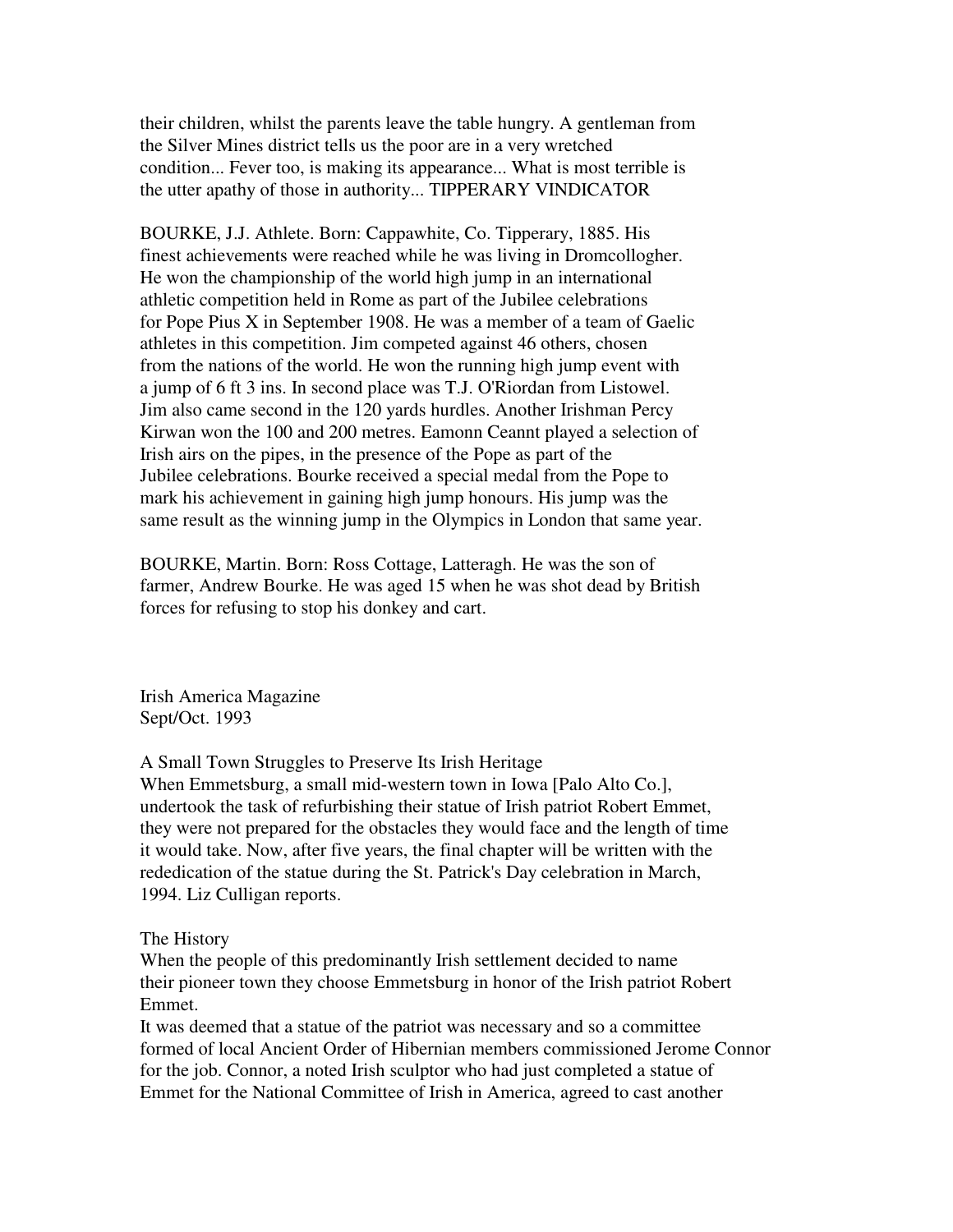their children, whilst the parents leave the table hungry. A gentleman from the Silver Mines district tells us the poor are in a very wretched condition... Fever too, is making its appearance... What is most terrible is the utter apathy of those in authority... TIPPERARY VINDICATOR

BOURKE, J.J. Athlete. Born: Cappawhite, Co. Tipperary, 1885. His finest achievements were reached while he was living in Dromcollogher. He won the championship of the world high jump in an international athletic competition held in Rome as part of the Jubilee celebrations for Pope Pius X in September 1908. He was a member of a team of Gaelic athletes in this competition. Jim competed against 46 others, chosen from the nations of the world. He won the running high jump event with a jump of 6 ft 3 ins. In second place was T.J. O'Riordan from Listowel. Jim also came second in the 120 yards hurdles. Another Irishman Percy Kirwan won the 100 and 200 metres. Eamonn Ceannt played a selection of Irish airs on the pipes, in the presence of the Pope as part of the Jubilee celebrations. Bourke received a special medal from the Pope to mark his achievement in gaining high jump honours. His jump was the same result as the winning jump in the Olympics in London that same year.

BOURKE, Martin. Born: Ross Cottage, Latteragh. He was the son of farmer, Andrew Bourke. He was aged 15 when he was shot dead by British forces for refusing to stop his donkey and cart.

Irish America Magazine Sept/Oct. 1993

A Small Town Struggles to Preserve Its Irish Heritage

When Emmetsburg, a small mid-western town in Iowa [Palo Alto Co.], undertook the task of refurbishing their statue of Irish patriot Robert Emmet, they were not prepared for the obstacles they would face and the length of time it would take. Now, after five years, the final chapter will be written with the rededication of the statue during the St. Patrick's Day celebration in March, 1994. Liz Culligan reports.

### The History

When the people of this predominantly Irish settlement decided to name their pioneer town they choose Emmetsburg in honor of the Irish patriot Robert Emmet.

It was deemed that a statue of the patriot was necessary and so a committee formed of local Ancient Order of Hibernian members commissioned Jerome Connor for the job. Connor, a noted Irish sculptor who had just completed a statue of Emmet for the National Committee of Irish in America, agreed to cast another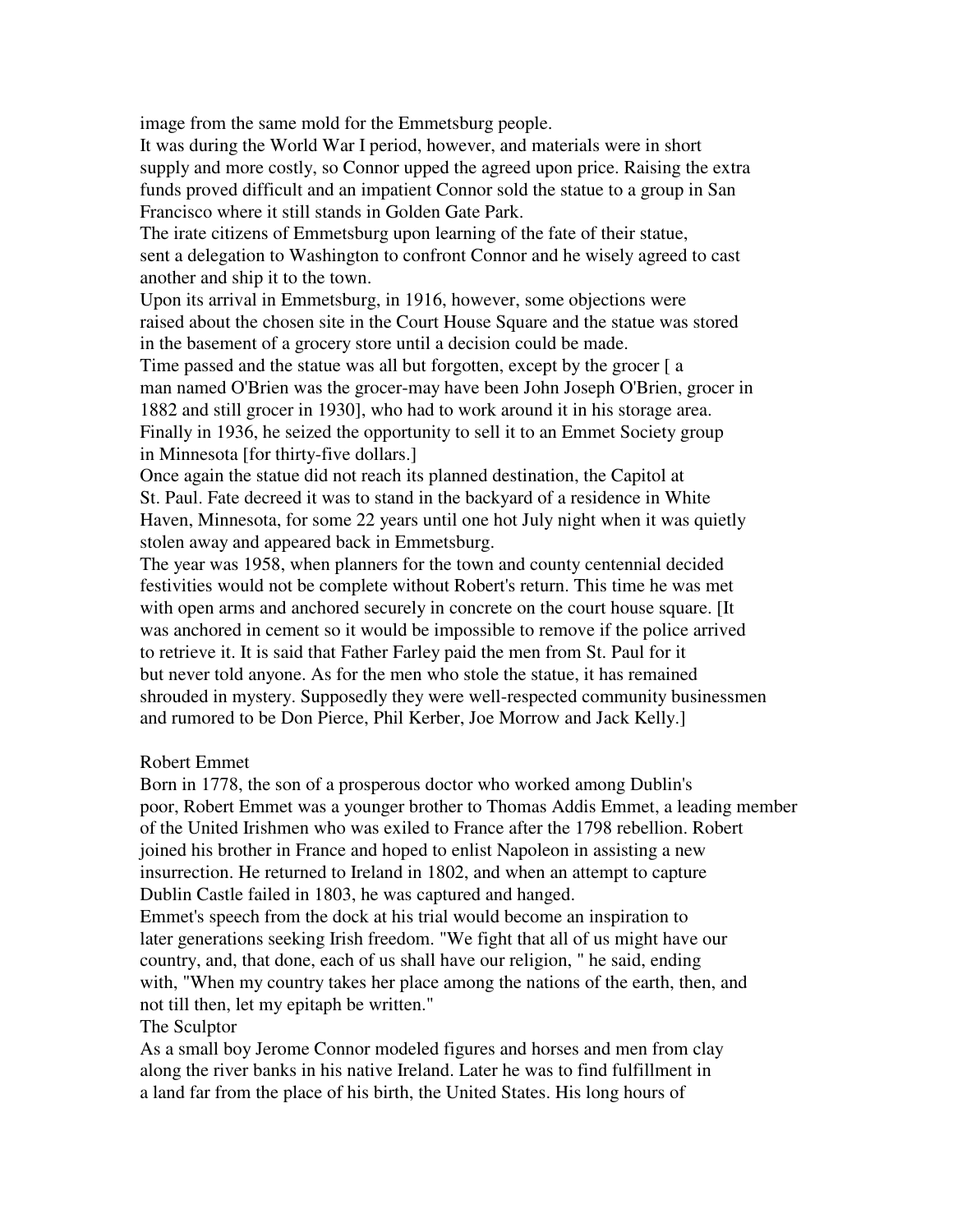image from the same mold for the Emmetsburg people.

It was during the World War I period, however, and materials were in short supply and more costly, so Connor upped the agreed upon price. Raising the extra funds proved difficult and an impatient Connor sold the statue to a group in San Francisco where it still stands in Golden Gate Park.

The irate citizens of Emmetsburg upon learning of the fate of their statue, sent a delegation to Washington to confront Connor and he wisely agreed to cast another and ship it to the town.

Upon its arrival in Emmetsburg, in 1916, however, some objections were raised about the chosen site in the Court House Square and the statue was stored in the basement of a grocery store until a decision could be made.

Time passed and the statue was all but forgotten, except by the grocer [ a man named O'Brien was the grocer-may have been John Joseph O'Brien, grocer in 1882 and still grocer in 1930], who had to work around it in his storage area. Finally in 1936, he seized the opportunity to sell it to an Emmet Society group in Minnesota [for thirty-five dollars.]

Once again the statue did not reach its planned destination, the Capitol at St. Paul. Fate decreed it was to stand in the backyard of a residence in White Haven, Minnesota, for some 22 years until one hot July night when it was quietly stolen away and appeared back in Emmetsburg.

The year was 1958, when planners for the town and county centennial decided festivities would not be complete without Robert's return. This time he was met with open arms and anchored securely in concrete on the court house square. [It was anchored in cement so it would be impossible to remove if the police arrived to retrieve it. It is said that Father Farley paid the men from St. Paul for it but never told anyone. As for the men who stole the statue, it has remained shrouded in mystery. Supposedly they were well-respected community businessmen and rumored to be Don Pierce, Phil Kerber, Joe Morrow and Jack Kelly.]

# Robert Emmet

Born in 1778, the son of a prosperous doctor who worked among Dublin's poor, Robert Emmet was a younger brother to Thomas Addis Emmet, a leading member of the United Irishmen who was exiled to France after the 1798 rebellion. Robert joined his brother in France and hoped to enlist Napoleon in assisting a new insurrection. He returned to Ireland in 1802, and when an attempt to capture Dublin Castle failed in 1803, he was captured and hanged.

Emmet's speech from the dock at his trial would become an inspiration to later generations seeking Irish freedom. "We fight that all of us might have our country, and, that done, each of us shall have our religion, " he said, ending with, "When my country takes her place among the nations of the earth, then, and not till then, let my epitaph be written."

# The Sculptor

As a small boy Jerome Connor modeled figures and horses and men from clay along the river banks in his native Ireland. Later he was to find fulfillment in a land far from the place of his birth, the United States. His long hours of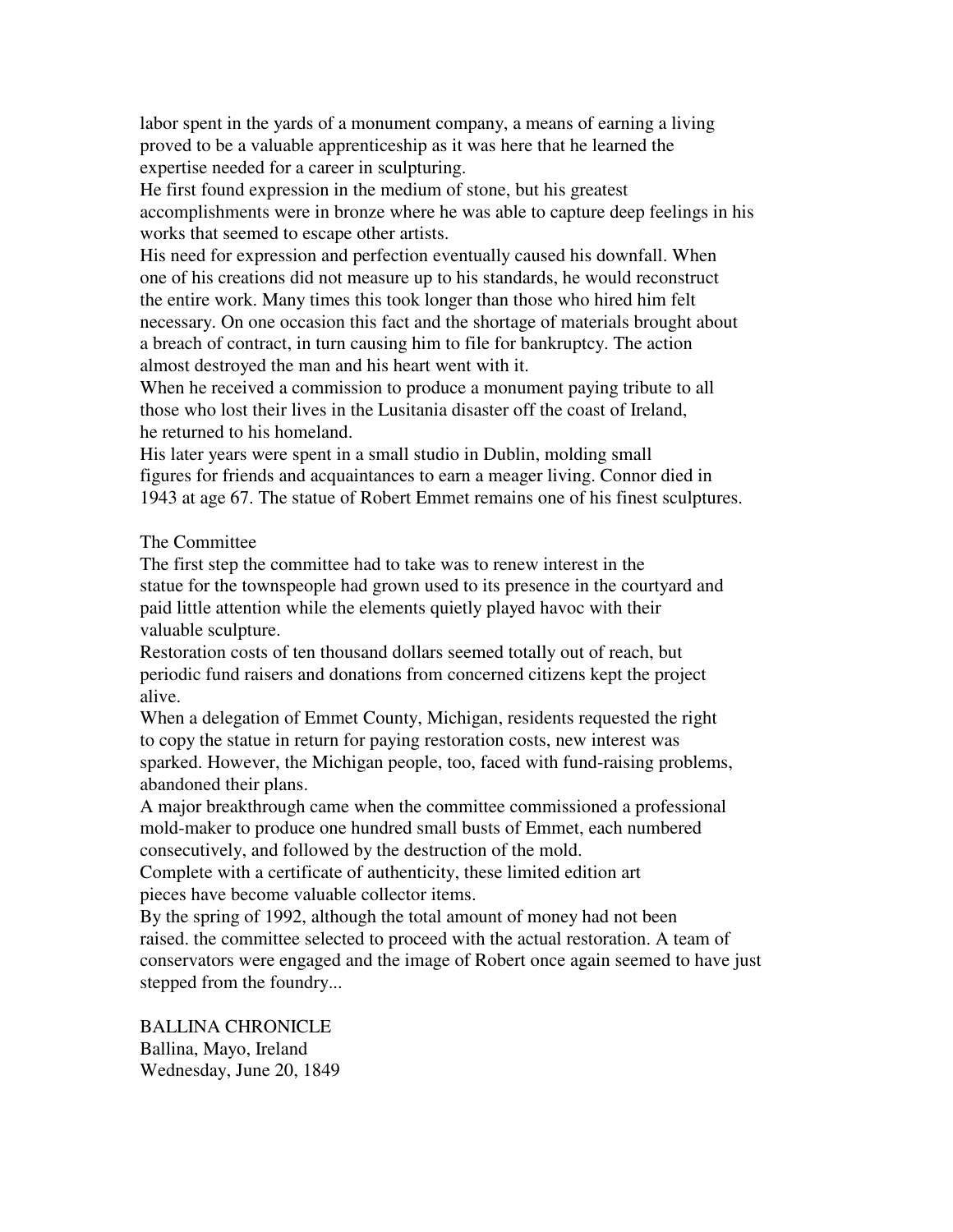labor spent in the yards of a monument company, a means of earning a living proved to be a valuable apprenticeship as it was here that he learned the expertise needed for a career in sculpturing.

He first found expression in the medium of stone, but his greatest accomplishments were in bronze where he was able to capture deep feelings in his works that seemed to escape other artists.

His need for expression and perfection eventually caused his downfall. When one of his creations did not measure up to his standards, he would reconstruct the entire work. Many times this took longer than those who hired him felt necessary. On one occasion this fact and the shortage of materials brought about a breach of contract, in turn causing him to file for bankruptcy. The action almost destroyed the man and his heart went with it.

When he received a commission to produce a monument paying tribute to all those who lost their lives in the Lusitania disaster off the coast of Ireland, he returned to his homeland.

His later years were spent in a small studio in Dublin, molding small figures for friends and acquaintances to earn a meager living. Connor died in 1943 at age 67. The statue of Robert Emmet remains one of his finest sculptures.

## The Committee

The first step the committee had to take was to renew interest in the statue for the townspeople had grown used to its presence in the courtyard and paid little attention while the elements quietly played havoc with their valuable sculpture.

Restoration costs of ten thousand dollars seemed totally out of reach, but periodic fund raisers and donations from concerned citizens kept the project alive.

When a delegation of Emmet County, Michigan, residents requested the right to copy the statue in return for paying restoration costs, new interest was sparked. However, the Michigan people, too, faced with fund-raising problems, abandoned their plans.

A major breakthrough came when the committee commissioned a professional mold-maker to produce one hundred small busts of Emmet, each numbered consecutively, and followed by the destruction of the mold.

Complete with a certificate of authenticity, these limited edition art pieces have become valuable collector items.

By the spring of 1992, although the total amount of money had not been raised. the committee selected to proceed with the actual restoration. A team of conservators were engaged and the image of Robert once again seemed to have just stepped from the foundry...

BALLINA CHRONICLE Ballina, Mayo, Ireland Wednesday, June 20, 1849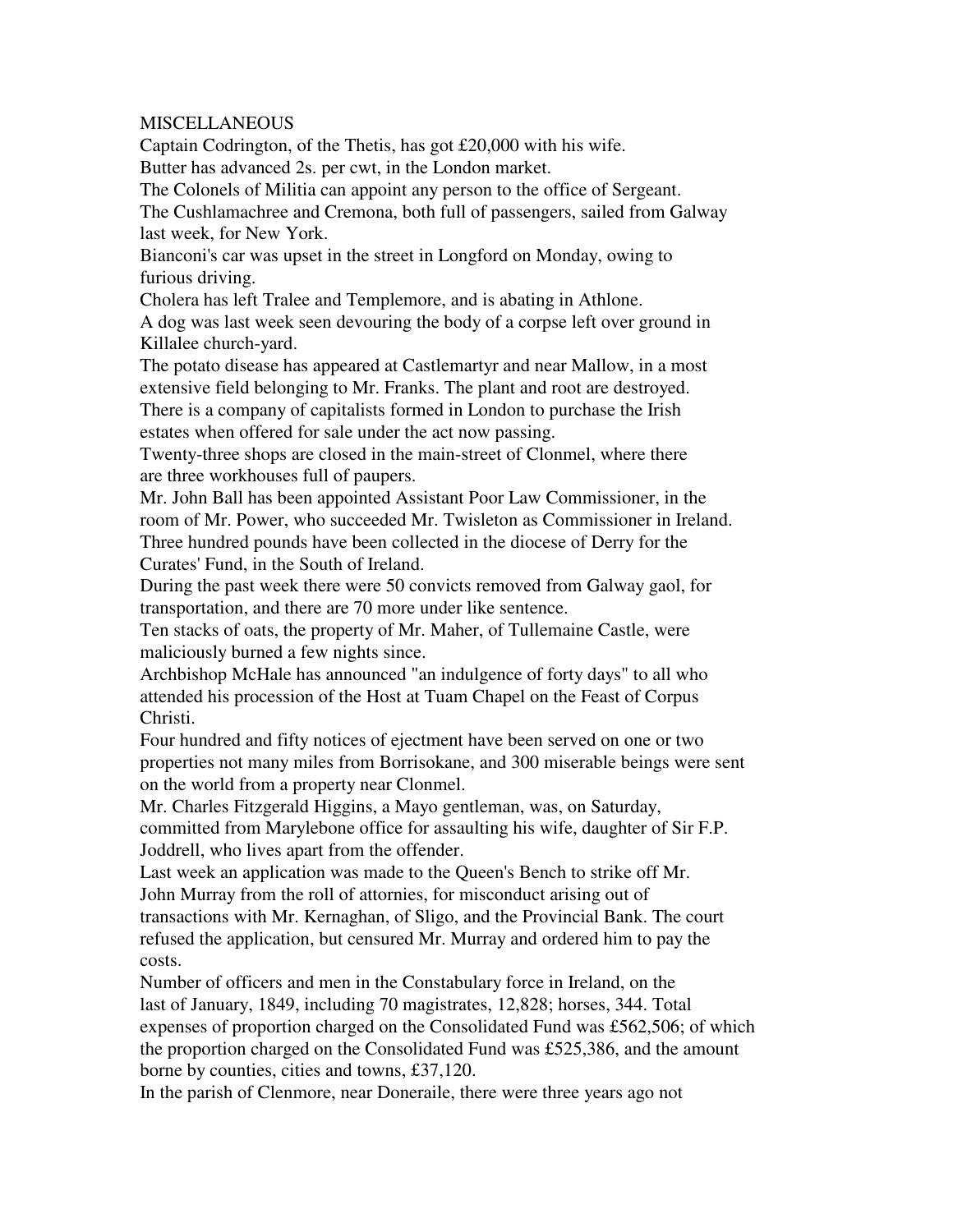## **MISCELLANEOUS**

Captain Codrington, of the Thetis, has got £20,000 with his wife. Butter has advanced 2s. per cwt, in the London market.

The Colonels of Militia can appoint any person to the office of Sergeant.

The Cushlamachree and Cremona, both full of passengers, sailed from Galway last week, for New York.

Bianconi's car was upset in the street in Longford on Monday, owing to furious driving.

Cholera has left Tralee and Templemore, and is abating in Athlone.

A dog was last week seen devouring the body of a corpse left over ground in Killalee church-yard.

The potato disease has appeared at Castlemartyr and near Mallow, in a most extensive field belonging to Mr. Franks. The plant and root are destroyed. There is a company of capitalists formed in London to purchase the Irish estates when offered for sale under the act now passing.

Twenty-three shops are closed in the main-street of Clonmel, where there are three workhouses full of paupers.

Mr. John Ball has been appointed Assistant Poor Law Commissioner, in the room of Mr. Power, who succeeded Mr. Twisleton as Commissioner in Ireland. Three hundred pounds have been collected in the diocese of Derry for the Curates' Fund, in the South of Ireland.

During the past week there were 50 convicts removed from Galway gaol, for transportation, and there are 70 more under like sentence.

Ten stacks of oats, the property of Mr. Maher, of Tullemaine Castle, were maliciously burned a few nights since.

Archbishop McHale has announced "an indulgence of forty days" to all who attended his procession of the Host at Tuam Chapel on the Feast of Corpus Christi.

Four hundred and fifty notices of ejectment have been served on one or two properties not many miles from Borrisokane, and 300 miserable beings were sent on the world from a property near Clonmel.

Mr. Charles Fitzgerald Higgins, a Mayo gentleman, was, on Saturday, committed from Marylebone office for assaulting his wife, daughter of Sir F.P. Joddrell, who lives apart from the offender.

Last week an application was made to the Queen's Bench to strike off Mr. John Murray from the roll of attornies, for misconduct arising out of transactions with Mr. Kernaghan, of Sligo, and the Provincial Bank. The court refused the application, but censured Mr. Murray and ordered him to pay the costs.

Number of officers and men in the Constabulary force in Ireland, on the last of January, 1849, including 70 magistrates, 12,828; horses, 344. Total expenses of proportion charged on the Consolidated Fund was £562,506; of which the proportion charged on the Consolidated Fund was £525,386, and the amount borne by counties, cities and towns, £37,120.

In the parish of Clenmore, near Doneraile, there were three years ago not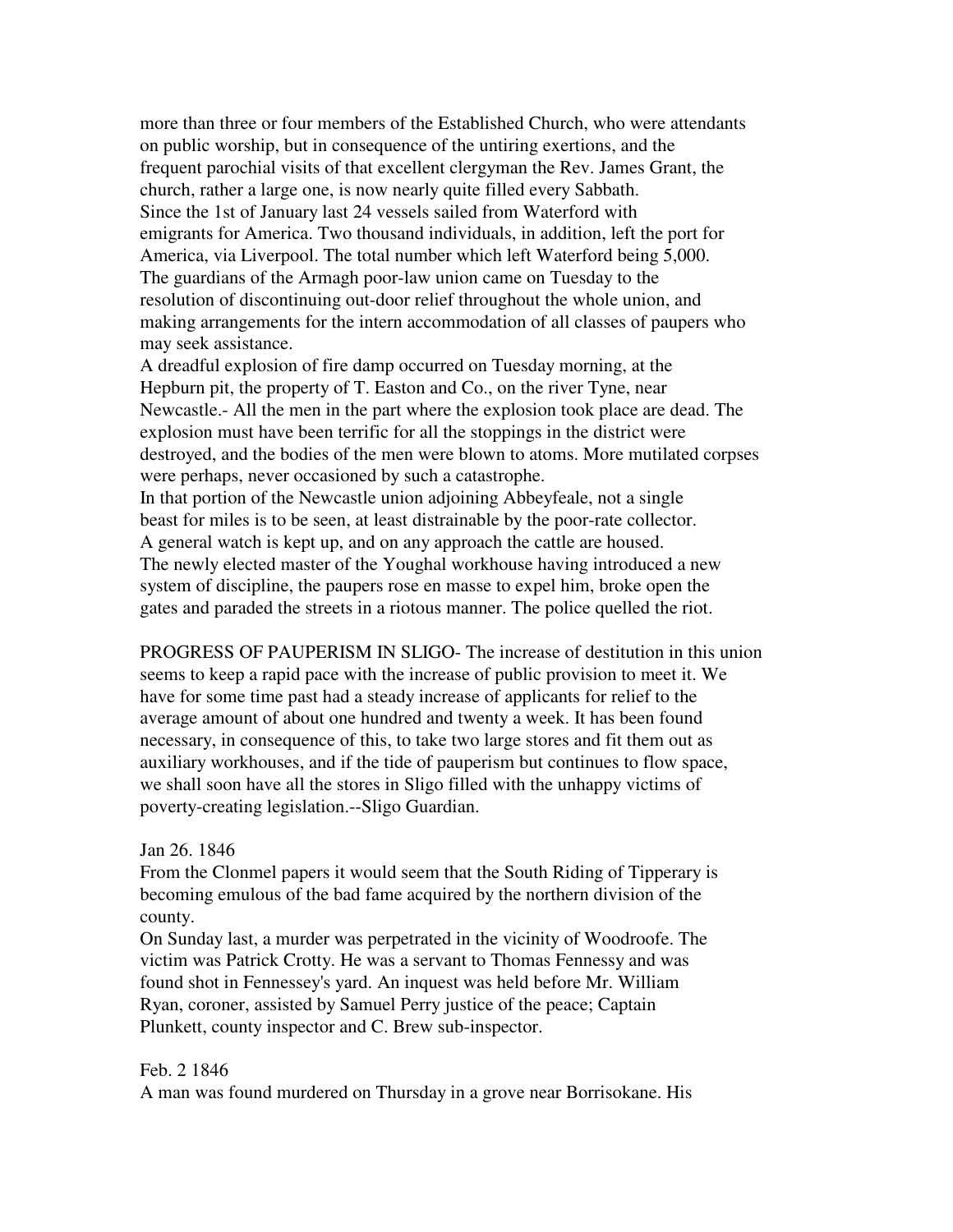more than three or four members of the Established Church, who were attendants on public worship, but in consequence of the untiring exertions, and the frequent parochial visits of that excellent clergyman the Rev. James Grant, the church, rather a large one, is now nearly quite filled every Sabbath. Since the 1st of January last 24 vessels sailed from Waterford with emigrants for America. Two thousand individuals, in addition, left the port for America, via Liverpool. The total number which left Waterford being 5,000. The guardians of the Armagh poor-law union came on Tuesday to the resolution of discontinuing out-door relief throughout the whole union, and making arrangements for the intern accommodation of all classes of paupers who may seek assistance.

A dreadful explosion of fire damp occurred on Tuesday morning, at the Hepburn pit, the property of T. Easton and Co., on the river Tyne, near Newcastle.- All the men in the part where the explosion took place are dead. The explosion must have been terrific for all the stoppings in the district were destroyed, and the bodies of the men were blown to atoms. More mutilated corpses were perhaps, never occasioned by such a catastrophe.

In that portion of the Newcastle union adjoining Abbeyfeale, not a single beast for miles is to be seen, at least distrainable by the poor-rate collector. A general watch is kept up, and on any approach the cattle are housed. The newly elected master of the Youghal workhouse having introduced a new system of discipline, the paupers rose en masse to expel him, broke open the gates and paraded the streets in a riotous manner. The police quelled the riot.

PROGRESS OF PAUPERISM IN SLIGO- The increase of destitution in this union seems to keep a rapid pace with the increase of public provision to meet it. We have for some time past had a steady increase of applicants for relief to the average amount of about one hundred and twenty a week. It has been found necessary, in consequence of this, to take two large stores and fit them out as auxiliary workhouses, and if the tide of pauperism but continues to flow space, we shall soon have all the stores in Sligo filled with the unhappy victims of poverty-creating legislation.--Sligo Guardian.

#### Jan 26. 1846

From the Clonmel papers it would seem that the South Riding of Tipperary is becoming emulous of the bad fame acquired by the northern division of the county.

On Sunday last, a murder was perpetrated in the vicinity of Woodroofe. The victim was Patrick Crotty. He was a servant to Thomas Fennessy and was found shot in Fennessey's yard. An inquest was held before Mr. William Ryan, coroner, assisted by Samuel Perry justice of the peace; Captain Plunkett, county inspector and C. Brew sub-inspector.

#### Feb. 2 1846

A man was found murdered on Thursday in a grove near Borrisokane. His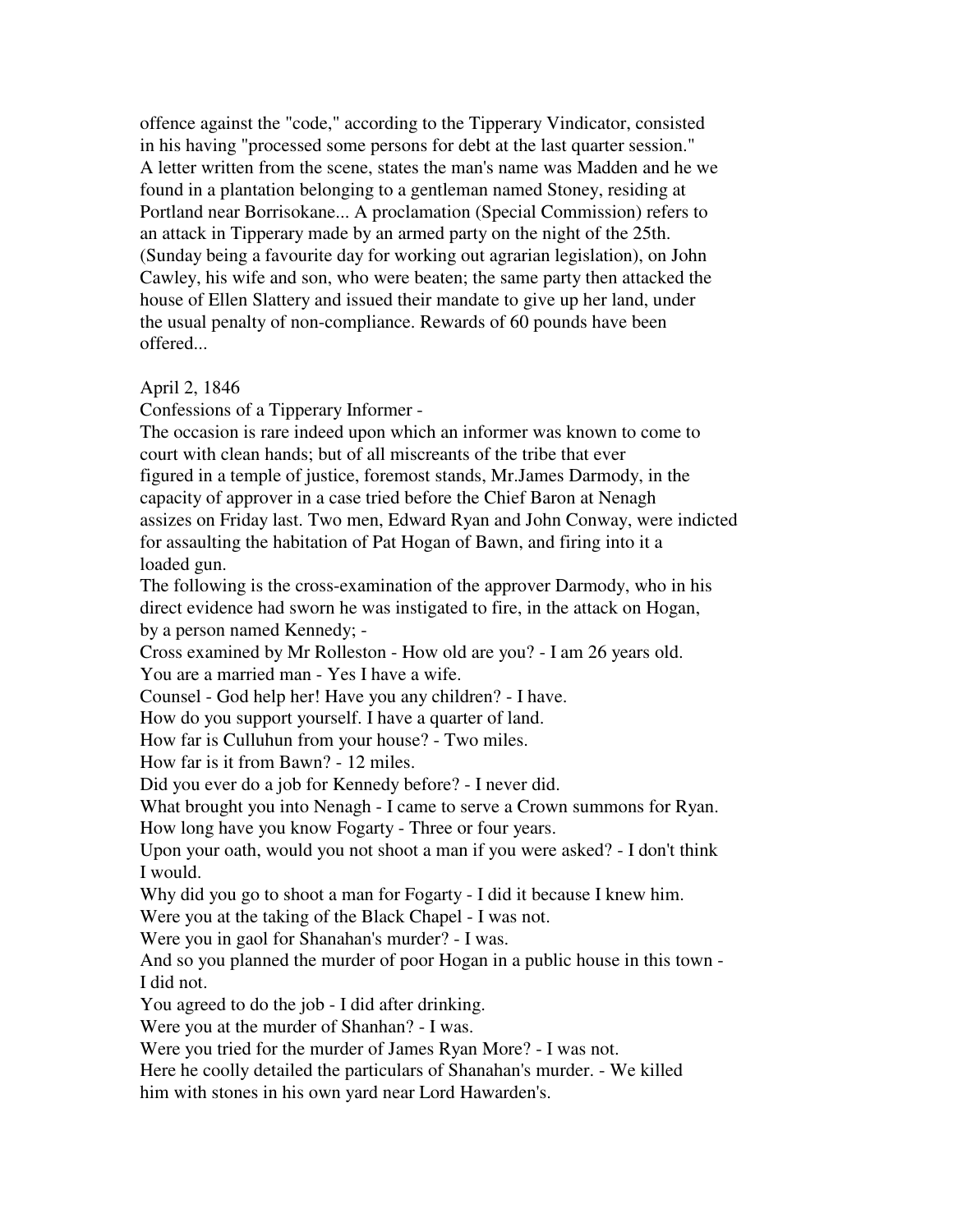offence against the "code," according to the Tipperary Vindicator, consisted in his having "processed some persons for debt at the last quarter session." A letter written from the scene, states the man's name was Madden and he we found in a plantation belonging to a gentleman named Stoney, residing at Portland near Borrisokane... A proclamation (Special Commission) refers to an attack in Tipperary made by an armed party on the night of the 25th. (Sunday being a favourite day for working out agrarian legislation), on John Cawley, his wife and son, who were beaten; the same party then attacked the house of Ellen Slattery and issued their mandate to give up her land, under the usual penalty of non-compliance. Rewards of 60 pounds have been offered...

#### April 2, 1846

Confessions of a Tipperary Informer -

The occasion is rare indeed upon which an informer was known to come to court with clean hands; but of all miscreants of the tribe that ever figured in a temple of justice, foremost stands, Mr.James Darmody, in the capacity of approver in a case tried before the Chief Baron at Nenagh assizes on Friday last. Two men, Edward Ryan and John Conway, were indicted for assaulting the habitation of Pat Hogan of Bawn, and firing into it a loaded gun.

The following is the cross-examination of the approver Darmody, who in his direct evidence had sworn he was instigated to fire, in the attack on Hogan, by a person named Kennedy; -

Cross examined by Mr Rolleston - How old are you? - I am 26 years old. You are a married man - Yes I have a wife.

Counsel - God help her! Have you any children? - I have.

How do you support yourself. I have a quarter of land.

How far is Culluhun from your house? - Two miles.

How far is it from Bawn? - 12 miles.

Did you ever do a job for Kennedy before? - I never did.

What brought you into Nenagh - I came to serve a Crown summons for Ryan.

How long have you know Fogarty - Three or four years.

Upon your oath, would you not shoot a man if you were asked? - I don't think I would.

Why did you go to shoot a man for Fogarty - I did it because I knew him.

Were you at the taking of the Black Chapel - I was not.

Were you in gaol for Shanahan's murder? - I was.

And so you planned the murder of poor Hogan in a public house in this town - I did not.

You agreed to do the job - I did after drinking.

Were you at the murder of Shanhan? - I was.

Were you tried for the murder of James Ryan More? - I was not.

Here he coolly detailed the particulars of Shanahan's murder. - We killed

him with stones in his own yard near Lord Hawarden's.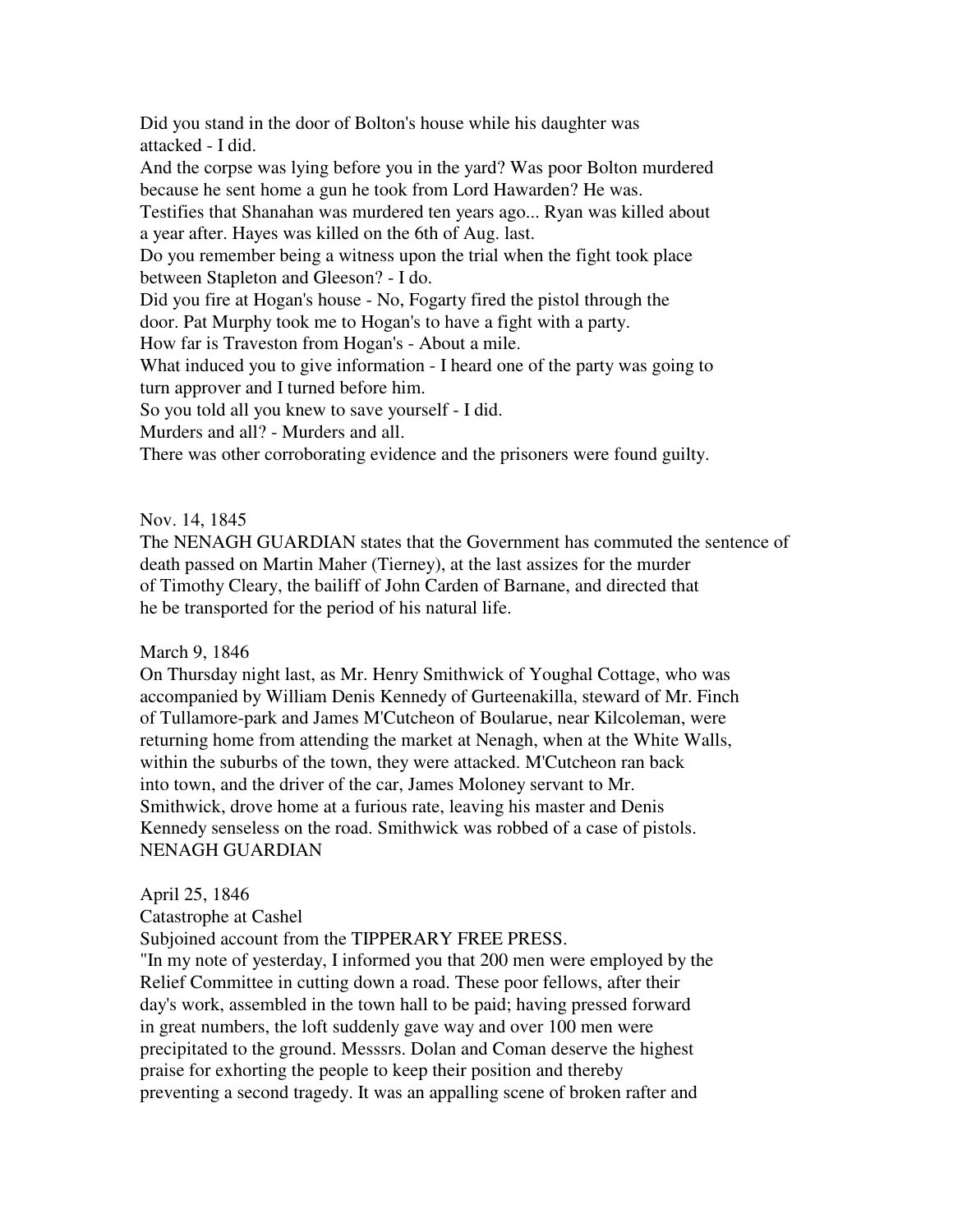Did you stand in the door of Bolton's house while his daughter was attacked - I did. And the corpse was lying before you in the yard? Was poor Bolton murdered

because he sent home a gun he took from Lord Hawarden? He was.

Testifies that Shanahan was murdered ten years ago... Ryan was killed about a year after. Hayes was killed on the 6th of Aug. last.

Do you remember being a witness upon the trial when the fight took place between Stapleton and Gleeson? - I do.

Did you fire at Hogan's house - No, Fogarty fired the pistol through the door. Pat Murphy took me to Hogan's to have a fight with a party.

How far is Traveston from Hogan's - About a mile.

What induced you to give information - I heard one of the party was going to turn approver and I turned before him.

So you told all you knew to save yourself - I did.

Murders and all? - Murders and all.

There was other corroborating evidence and the prisoners were found guilty.

Nov. 14, 1845

The NENAGH GUARDIAN states that the Government has commuted the sentence of death passed on Martin Maher (Tierney), at the last assizes for the murder of Timothy Cleary, the bailiff of John Carden of Barnane, and directed that he be transported for the period of his natural life.

March 9, 1846

On Thursday night last, as Mr. Henry Smithwick of Youghal Cottage, who was accompanied by William Denis Kennedy of Gurteenakilla, steward of Mr. Finch of Tullamore-park and James M'Cutcheon of Boularue, near Kilcoleman, were returning home from attending the market at Nenagh, when at the White Walls, within the suburbs of the town, they were attacked. M'Cutcheon ran back into town, and the driver of the car, James Moloney servant to Mr. Smithwick, drove home at a furious rate, leaving his master and Denis Kennedy senseless on the road. Smithwick was robbed of a case of pistols. NENAGH GUARDIAN

April 25, 1846

Catastrophe at Cashel

Subjoined account from the TIPPERARY FREE PRESS.

"In my note of yesterday, I informed you that 200 men were employed by the Relief Committee in cutting down a road. These poor fellows, after their day's work, assembled in the town hall to be paid; having pressed forward in great numbers, the loft suddenly gave way and over 100 men were precipitated to the ground. Messsrs. Dolan and Coman deserve the highest praise for exhorting the people to keep their position and thereby preventing a second tragedy. It was an appalling scene of broken rafter and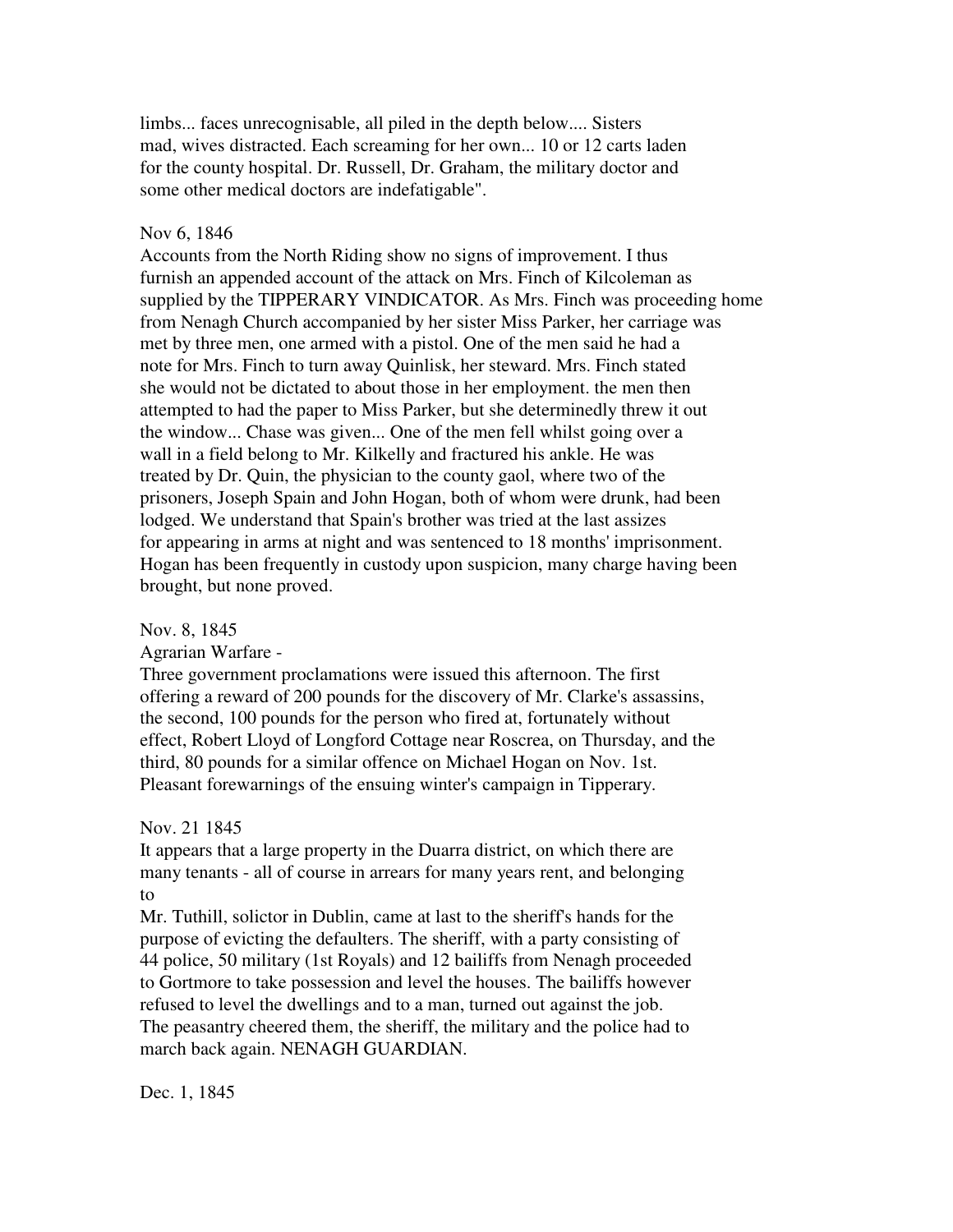limbs... faces unrecognisable, all piled in the depth below.... Sisters mad, wives distracted. Each screaming for her own... 10 or 12 carts laden for the county hospital. Dr. Russell, Dr. Graham, the military doctor and some other medical doctors are indefatigable".

#### Nov 6, 1846

Accounts from the North Riding show no signs of improvement. I thus furnish an appended account of the attack on Mrs. Finch of Kilcoleman as supplied by the TIPPERARY VINDICATOR. As Mrs. Finch was proceeding home from Nenagh Church accompanied by her sister Miss Parker, her carriage was met by three men, one armed with a pistol. One of the men said he had a note for Mrs. Finch to turn away Quinlisk, her steward. Mrs. Finch stated she would not be dictated to about those in her employment. the men then attempted to had the paper to Miss Parker, but she determinedly threw it out the window... Chase was given... One of the men fell whilst going over a wall in a field belong to Mr. Kilkelly and fractured his ankle. He was treated by Dr. Quin, the physician to the county gaol, where two of the prisoners, Joseph Spain and John Hogan, both of whom were drunk, had been lodged. We understand that Spain's brother was tried at the last assizes for appearing in arms at night and was sentenced to 18 months' imprisonment. Hogan has been frequently in custody upon suspicion, many charge having been brought, but none proved.

Nov. 8, 1845

Agrarian Warfare -

Three government proclamations were issued this afternoon. The first offering a reward of 200 pounds for the discovery of Mr. Clarke's assassins, the second, 100 pounds for the person who fired at, fortunately without effect, Robert Lloyd of Longford Cottage near Roscrea, on Thursday, and the third, 80 pounds for a similar offence on Michael Hogan on Nov. 1st. Pleasant forewarnings of the ensuing winter's campaign in Tipperary.

## Nov. 21 1845

It appears that a large property in the Duarra district, on which there are many tenants - all of course in arrears for many years rent, and belonging to

Mr. Tuthill, solictor in Dublin, came at last to the sheriff's hands for the purpose of evicting the defaulters. The sheriff, with a party consisting of 44 police, 50 military (1st Royals) and 12 bailiffs from Nenagh proceeded to Gortmore to take possession and level the houses. The bailiffs however refused to level the dwellings and to a man, turned out against the job. The peasantry cheered them, the sheriff, the military and the police had to march back again. NENAGH GUARDIAN.

Dec. 1, 1845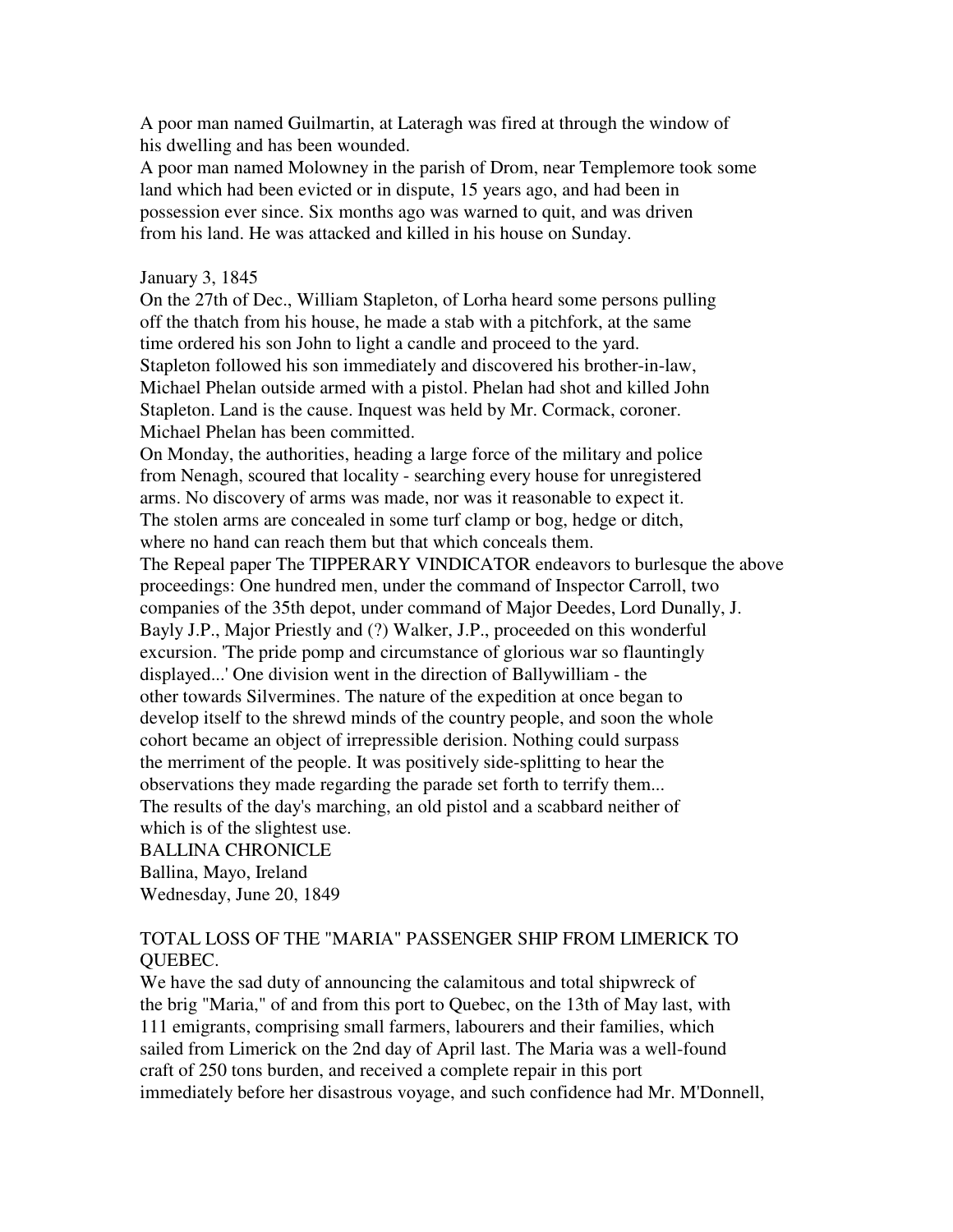A poor man named Guilmartin, at Lateragh was fired at through the window of his dwelling and has been wounded.

A poor man named Molowney in the parish of Drom, near Templemore took some land which had been evicted or in dispute, 15 years ago, and had been in possession ever since. Six months ago was warned to quit, and was driven from his land. He was attacked and killed in his house on Sunday.

#### January 3, 1845

On the 27th of Dec., William Stapleton, of Lorha heard some persons pulling off the thatch from his house, he made a stab with a pitchfork, at the same time ordered his son John to light a candle and proceed to the yard. Stapleton followed his son immediately and discovered his brother-in-law, Michael Phelan outside armed with a pistol. Phelan had shot and killed John Stapleton. Land is the cause. Inquest was held by Mr. Cormack, coroner. Michael Phelan has been committed.

On Monday, the authorities, heading a large force of the military and police from Nenagh, scoured that locality - searching every house for unregistered arms. No discovery of arms was made, nor was it reasonable to expect it. The stolen arms are concealed in some turf clamp or bog, hedge or ditch, where no hand can reach them but that which conceals them.

The Repeal paper The TIPPERARY VINDICATOR endeavors to burlesque the above proceedings: One hundred men, under the command of Inspector Carroll, two companies of the 35th depot, under command of Major Deedes, Lord Dunally, J. Bayly J.P., Major Priestly and (?) Walker, J.P., proceeded on this wonderful excursion. 'The pride pomp and circumstance of glorious war so flauntingly displayed...' One division went in the direction of Ballywilliam - the other towards Silvermines. The nature of the expedition at once began to develop itself to the shrewd minds of the country people, and soon the whole cohort became an object of irrepressible derision. Nothing could surpass the merriment of the people. It was positively side-splitting to hear the observations they made regarding the parade set forth to terrify them... The results of the day's marching, an old pistol and a scabbard neither of which is of the slightest use.

BALLINA CHRONICLE Ballina, Mayo, Ireland Wednesday, June 20, 1849

## TOTAL LOSS OF THE "MARIA" PASSENGER SHIP FROM LIMERICK TO QUEBEC.

We have the sad duty of announcing the calamitous and total shipwreck of the brig "Maria," of and from this port to Quebec, on the 13th of May last, with 111 emigrants, comprising small farmers, labourers and their families, which sailed from Limerick on the 2nd day of April last. The Maria was a well-found craft of 250 tons burden, and received a complete repair in this port immediately before her disastrous voyage, and such confidence had Mr. M'Donnell,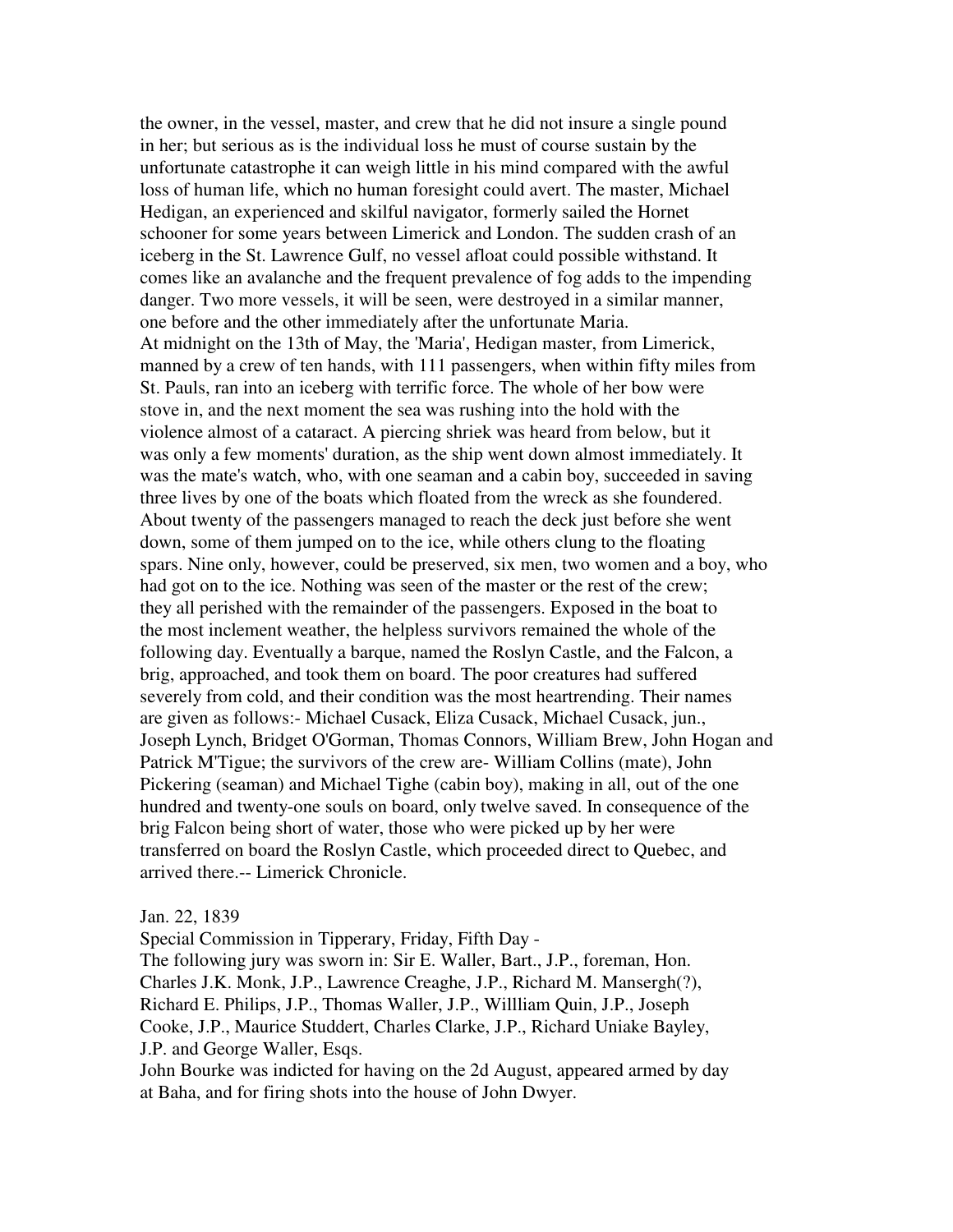the owner, in the vessel, master, and crew that he did not insure a single pound in her; but serious as is the individual loss he must of course sustain by the unfortunate catastrophe it can weigh little in his mind compared with the awful loss of human life, which no human foresight could avert. The master, Michael Hedigan, an experienced and skilful navigator, formerly sailed the Hornet schooner for some years between Limerick and London. The sudden crash of an iceberg in the St. Lawrence Gulf, no vessel afloat could possible withstand. It comes like an avalanche and the frequent prevalence of fog adds to the impending danger. Two more vessels, it will be seen, were destroyed in a similar manner, one before and the other immediately after the unfortunate Maria. At midnight on the 13th of May, the 'Maria', Hedigan master, from Limerick, manned by a crew of ten hands, with 111 passengers, when within fifty miles from St. Pauls, ran into an iceberg with terrific force. The whole of her bow were stove in, and the next moment the sea was rushing into the hold with the violence almost of a cataract. A piercing shriek was heard from below, but it was only a few moments' duration, as the ship went down almost immediately. It was the mate's watch, who, with one seaman and a cabin boy, succeeded in saving three lives by one of the boats which floated from the wreck as she foundered. About twenty of the passengers managed to reach the deck just before she went down, some of them jumped on to the ice, while others clung to the floating spars. Nine only, however, could be preserved, six men, two women and a boy, who had got on to the ice. Nothing was seen of the master or the rest of the crew; they all perished with the remainder of the passengers. Exposed in the boat to the most inclement weather, the helpless survivors remained the whole of the following day. Eventually a barque, named the Roslyn Castle, and the Falcon, a brig, approached, and took them on board. The poor creatures had suffered severely from cold, and their condition was the most heartrending. Their names are given as follows:- Michael Cusack, Eliza Cusack, Michael Cusack, jun., Joseph Lynch, Bridget O'Gorman, Thomas Connors, William Brew, John Hogan and Patrick M'Tigue; the survivors of the crew are- William Collins (mate), John Pickering (seaman) and Michael Tighe (cabin boy), making in all, out of the one hundred and twenty-one souls on board, only twelve saved. In consequence of the brig Falcon being short of water, those who were picked up by her were transferred on board the Roslyn Castle, which proceeded direct to Quebec, and arrived there.-- Limerick Chronicle.

#### Jan. 22, 1839

Special Commission in Tipperary, Friday, Fifth Day -

The following jury was sworn in: Sir E. Waller, Bart., J.P., foreman, Hon. Charles J.K. Monk, J.P., Lawrence Creaghe, J.P., Richard M. Mansergh(?), Richard E. Philips, J.P., Thomas Waller, J.P., Willliam Quin, J.P., Joseph Cooke, J.P., Maurice Studdert, Charles Clarke, J.P., Richard Uniake Bayley, J.P. and George Waller, Esqs.

John Bourke was indicted for having on the 2d August, appeared armed by day at Baha, and for firing shots into the house of John Dwyer.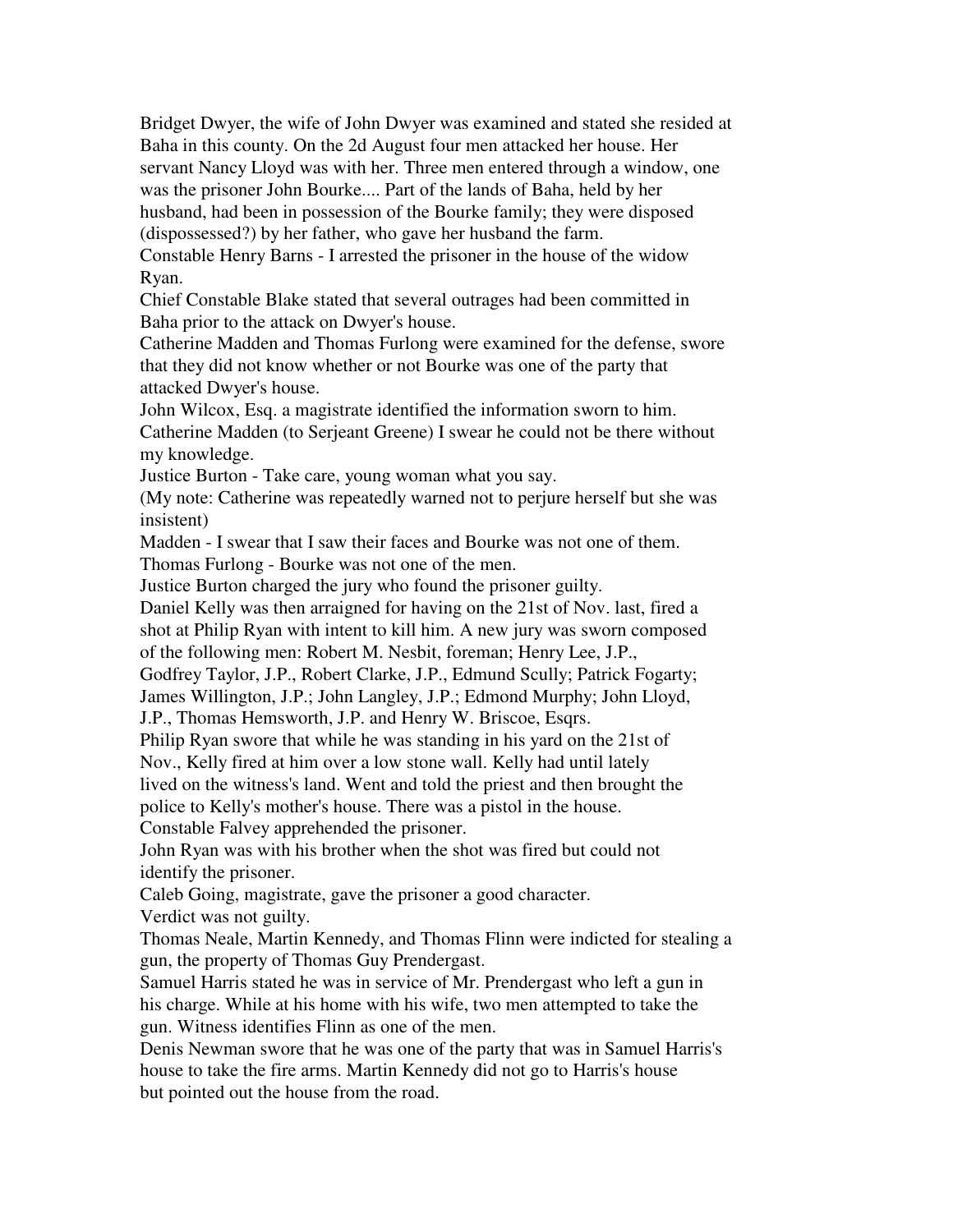Bridget Dwyer, the wife of John Dwyer was examined and stated she resided at Baha in this county. On the 2d August four men attacked her house. Her servant Nancy Lloyd was with her. Three men entered through a window, one was the prisoner John Bourke.... Part of the lands of Baha, held by her husband, had been in possession of the Bourke family; they were disposed (dispossessed?) by her father, who gave her husband the farm.

Constable Henry Barns - I arrested the prisoner in the house of the widow Ryan.

Chief Constable Blake stated that several outrages had been committed in Baha prior to the attack on Dwyer's house.

Catherine Madden and Thomas Furlong were examined for the defense, swore that they did not know whether or not Bourke was one of the party that attacked Dwyer's house.

John Wilcox, Esq. a magistrate identified the information sworn to him. Catherine Madden (to Serjeant Greene) I swear he could not be there without my knowledge.

Justice Burton - Take care, young woman what you say.

(My note: Catherine was repeatedly warned not to perjure herself but she was insistent)

Madden - I swear that I saw their faces and Bourke was not one of them.

Thomas Furlong - Bourke was not one of the men.

Justice Burton charged the jury who found the prisoner guilty.

Daniel Kelly was then arraigned for having on the 21st of Nov. last, fired a shot at Philip Ryan with intent to kill him. A new jury was sworn composed of the following men: Robert M. Nesbit, foreman; Henry Lee, J.P.,

Godfrey Taylor, J.P., Robert Clarke, J.P., Edmund Scully; Patrick Fogarty; James Willington, J.P.; John Langley, J.P.; Edmond Murphy; John Lloyd,

J.P., Thomas Hemsworth, J.P. and Henry W. Briscoe, Esqrs.

Philip Ryan swore that while he was standing in his yard on the 21st of

Nov., Kelly fired at him over a low stone wall. Kelly had until lately

lived on the witness's land. Went and told the priest and then brought the

police to Kelly's mother's house. There was a pistol in the house.

Constable Falvey apprehended the prisoner.

John Ryan was with his brother when the shot was fired but could not identify the prisoner.

Caleb Going, magistrate, gave the prisoner a good character. Verdict was not guilty.

Thomas Neale, Martin Kennedy, and Thomas Flinn were indicted for stealing a gun, the property of Thomas Guy Prendergast.

Samuel Harris stated he was in service of Mr. Prendergast who left a gun in his charge. While at his home with his wife, two men attempted to take the gun. Witness identifies Flinn as one of the men.

Denis Newman swore that he was one of the party that was in Samuel Harris's house to take the fire arms. Martin Kennedy did not go to Harris's house but pointed out the house from the road.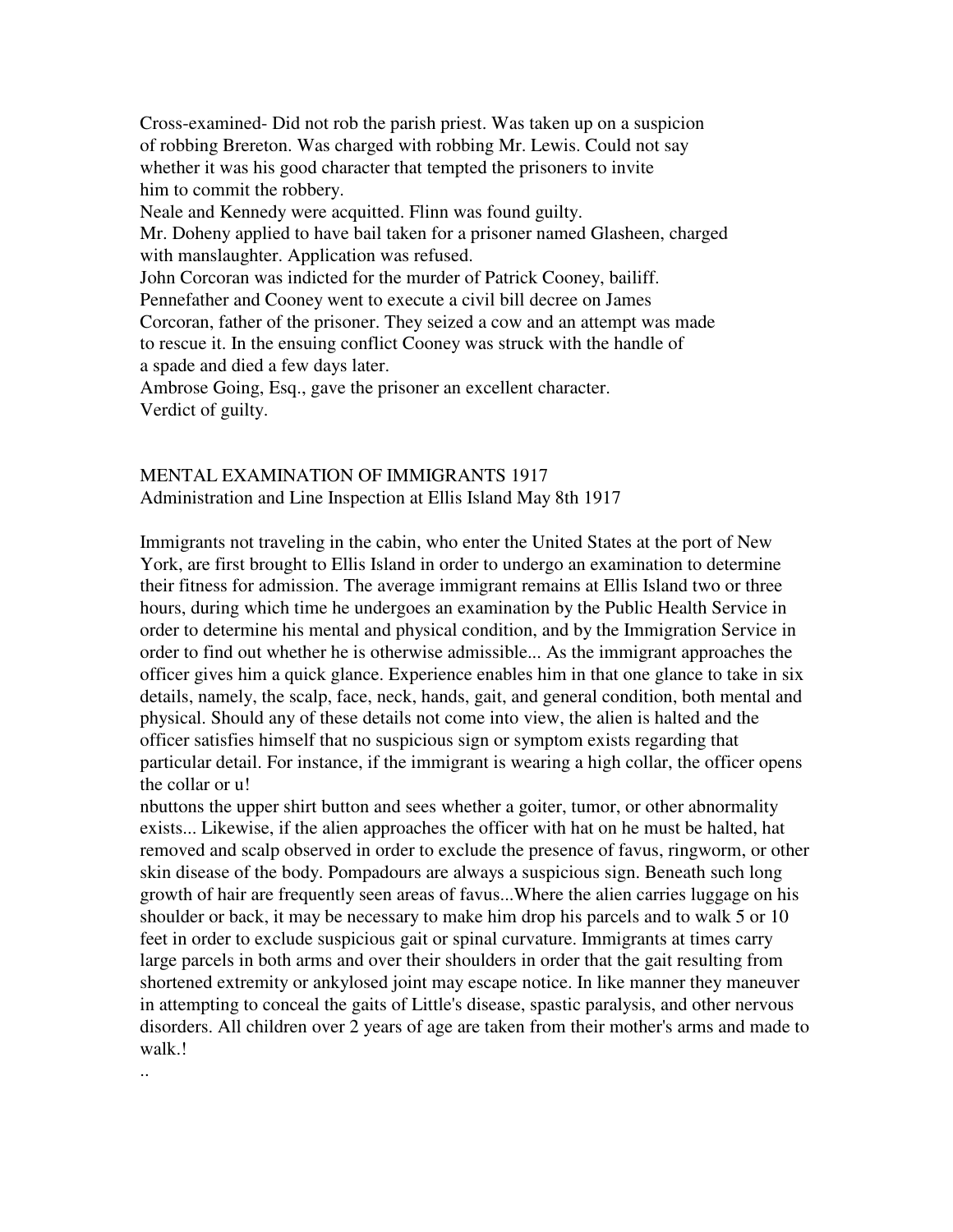Cross-examined- Did not rob the parish priest. Was taken up on a suspicion of robbing Brereton. Was charged with robbing Mr. Lewis. Could not say whether it was his good character that tempted the prisoners to invite him to commit the robbery.

Neale and Kennedy were acquitted. Flinn was found guilty. Mr. Doheny applied to have bail taken for a prisoner named Glasheen, charged with manslaughter. Application was refused.

John Corcoran was indicted for the murder of Patrick Cooney, bailiff. Pennefather and Cooney went to execute a civil bill decree on James Corcoran, father of the prisoner. They seized a cow and an attempt was made to rescue it. In the ensuing conflict Cooney was struck with the handle of a spade and died a few days later.

Ambrose Going, Esq., gave the prisoner an excellent character. Verdict of guilty.

## MENTAL EXAMINATION OF IMMIGRANTS 1917 Administration and Line Inspection at Ellis Island May 8th 1917

Immigrants not traveling in the cabin, who enter the United States at the port of New York, are first brought to Ellis Island in order to undergo an examination to determine their fitness for admission. The average immigrant remains at Ellis Island two or three hours, during which time he undergoes an examination by the Public Health Service in order to determine his mental and physical condition, and by the Immigration Service in order to find out whether he is otherwise admissible... As the immigrant approaches the officer gives him a quick glance. Experience enables him in that one glance to take in six details, namely, the scalp, face, neck, hands, gait, and general condition, both mental and physical. Should any of these details not come into view, the alien is halted and the officer satisfies himself that no suspicious sign or symptom exists regarding that particular detail. For instance, if the immigrant is wearing a high collar, the officer opens the collar or u!

nbuttons the upper shirt button and sees whether a goiter, tumor, or other abnormality exists... Likewise, if the alien approaches the officer with hat on he must be halted, hat removed and scalp observed in order to exclude the presence of favus, ringworm, or other skin disease of the body. Pompadours are always a suspicious sign. Beneath such long growth of hair are frequently seen areas of favus...Where the alien carries luggage on his shoulder or back, it may be necessary to make him drop his parcels and to walk 5 or 10 feet in order to exclude suspicious gait or spinal curvature. Immigrants at times carry large parcels in both arms and over their shoulders in order that the gait resulting from shortened extremity or ankylosed joint may escape notice. In like manner they maneuver in attempting to conceal the gaits of Little's disease, spastic paralysis, and other nervous disorders. All children over 2 years of age are taken from their mother's arms and made to walk.!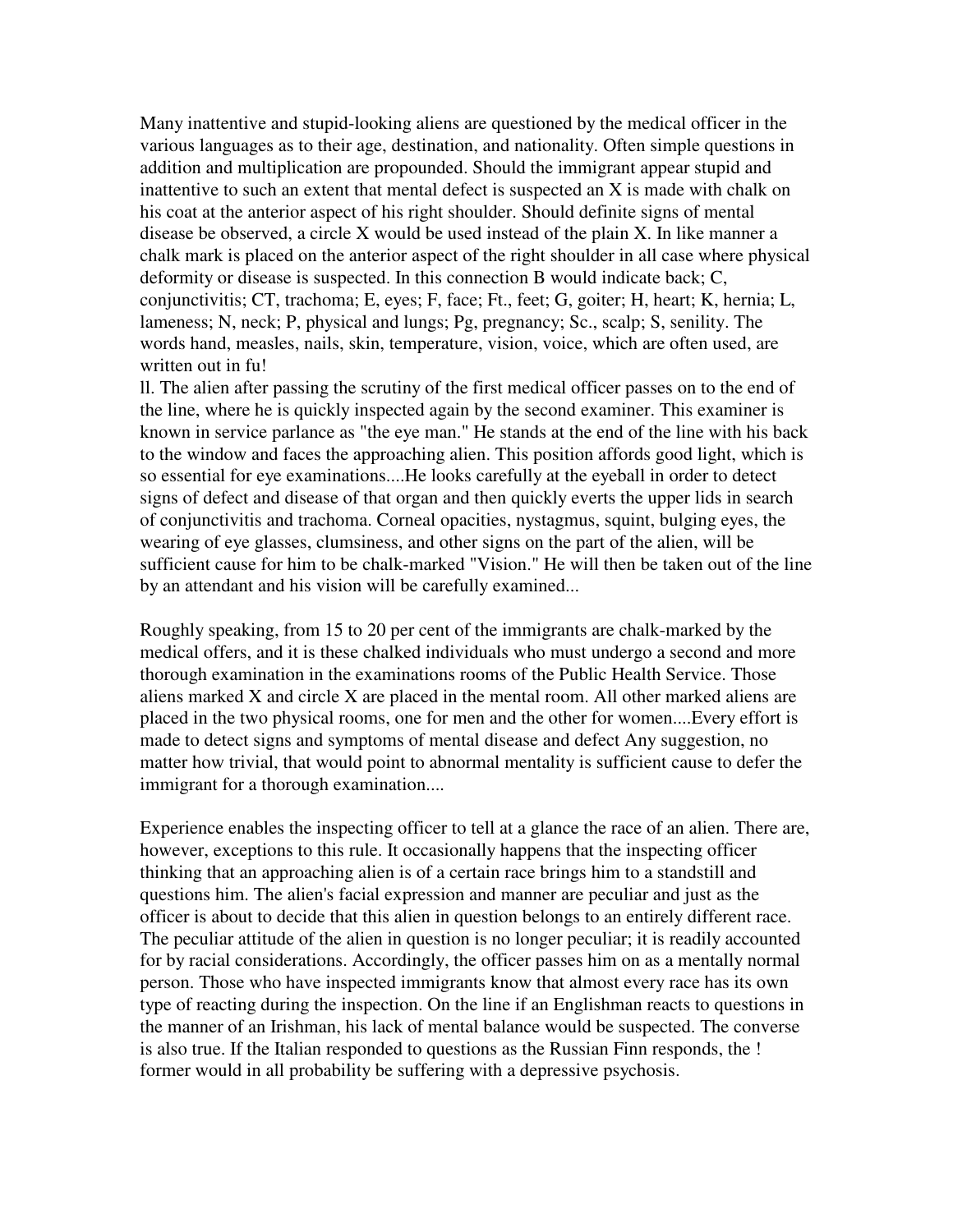Many inattentive and stupid-looking aliens are questioned by the medical officer in the various languages as to their age, destination, and nationality. Often simple questions in addition and multiplication are propounded. Should the immigrant appear stupid and inattentive to such an extent that mental defect is suspected an X is made with chalk on his coat at the anterior aspect of his right shoulder. Should definite signs of mental disease be observed, a circle  $X$  would be used instead of the plain  $X$ . In like manner a chalk mark is placed on the anterior aspect of the right shoulder in all case where physical deformity or disease is suspected. In this connection B would indicate back; C, conjunctivitis; CT, trachoma; E, eyes; F, face; Ft., feet; G, goiter; H, heart; K, hernia; L, lameness; N, neck; P, physical and lungs; Pg, pregnancy; Sc., scalp; S, senility. The words hand, measles, nails, skin, temperature, vision, voice, which are often used, are written out in fu!

ll. The alien after passing the scrutiny of the first medical officer passes on to the end of the line, where he is quickly inspected again by the second examiner. This examiner is known in service parlance as "the eye man." He stands at the end of the line with his back to the window and faces the approaching alien. This position affords good light, which is so essential for eye examinations....He looks carefully at the eyeball in order to detect signs of defect and disease of that organ and then quickly everts the upper lids in search of conjunctivitis and trachoma. Corneal opacities, nystagmus, squint, bulging eyes, the wearing of eye glasses, clumsiness, and other signs on the part of the alien, will be sufficient cause for him to be chalk-marked "Vision." He will then be taken out of the line by an attendant and his vision will be carefully examined...

Roughly speaking, from 15 to 20 per cent of the immigrants are chalk-marked by the medical offers, and it is these chalked individuals who must undergo a second and more thorough examination in the examinations rooms of the Public Health Service. Those aliens marked X and circle X are placed in the mental room. All other marked aliens are placed in the two physical rooms, one for men and the other for women....Every effort is made to detect signs and symptoms of mental disease and defect Any suggestion, no matter how trivial, that would point to abnormal mentality is sufficient cause to defer the immigrant for a thorough examination....

Experience enables the inspecting officer to tell at a glance the race of an alien. There are, however, exceptions to this rule. It occasionally happens that the inspecting officer thinking that an approaching alien is of a certain race brings him to a standstill and questions him. The alien's facial expression and manner are peculiar and just as the officer is about to decide that this alien in question belongs to an entirely different race. The peculiar attitude of the alien in question is no longer peculiar; it is readily accounted for by racial considerations. Accordingly, the officer passes him on as a mentally normal person. Those who have inspected immigrants know that almost every race has its own type of reacting during the inspection. On the line if an Englishman reacts to questions in the manner of an Irishman, his lack of mental balance would be suspected. The converse is also true. If the Italian responded to questions as the Russian Finn responds, the ! former would in all probability be suffering with a depressive psychosis.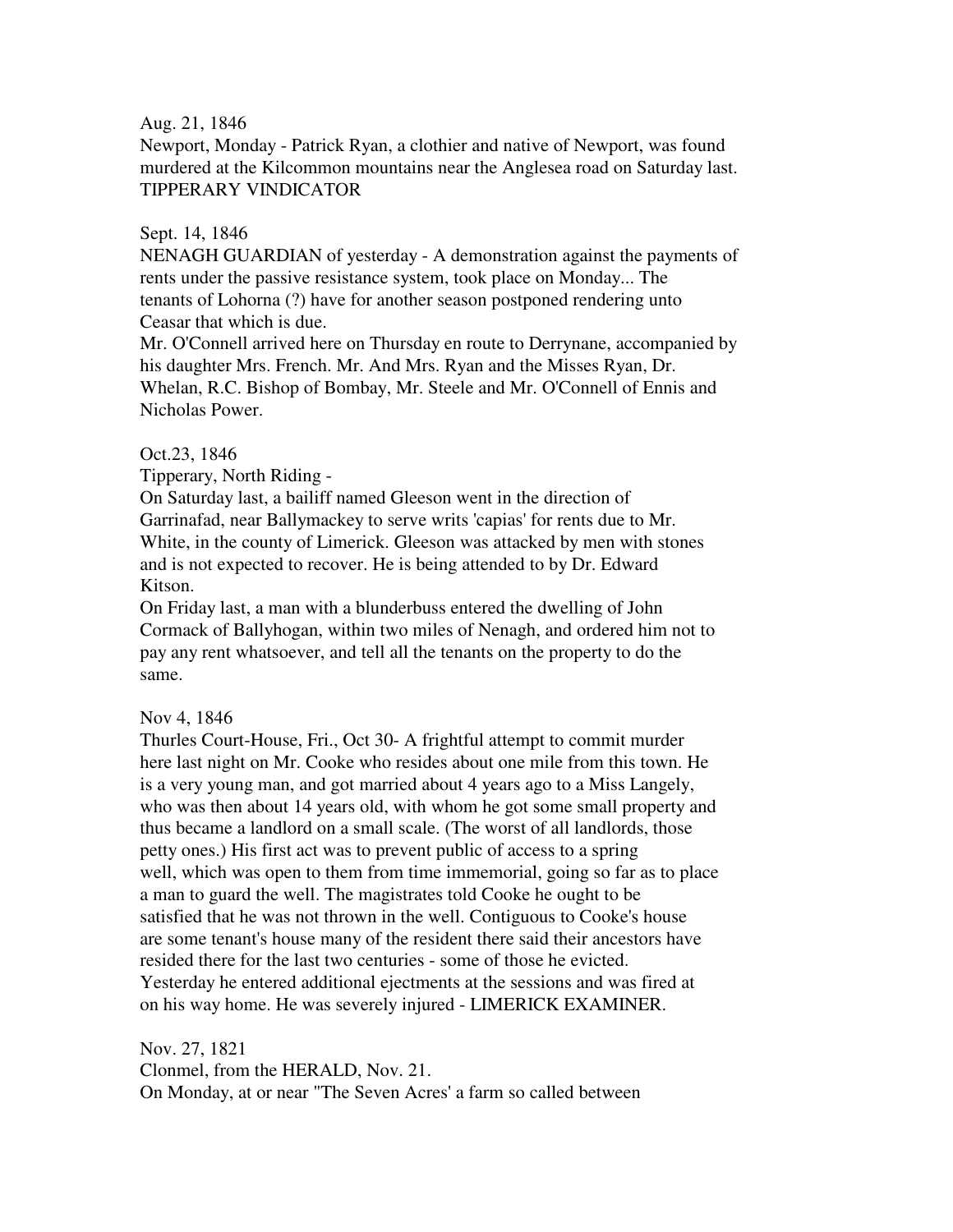## Aug. 21, 1846

Newport, Monday - Patrick Ryan, a clothier and native of Newport, was found murdered at the Kilcommon mountains near the Anglesea road on Saturday last. TIPPERARY VINDICATOR

## Sept. 14, 1846

NENAGH GUARDIAN of yesterday - A demonstration against the payments of rents under the passive resistance system, took place on Monday... The tenants of Lohorna (?) have for another season postponed rendering unto Ceasar that which is due.

Mr. O'Connell arrived here on Thursday en route to Derrynane, accompanied by his daughter Mrs. French. Mr. And Mrs. Ryan and the Misses Ryan, Dr. Whelan, R.C. Bishop of Bombay, Mr. Steele and Mr. O'Connell of Ennis and Nicholas Power.

## Oct.23, 1846

Tipperary, North Riding -

On Saturday last, a bailiff named Gleeson went in the direction of Garrinafad, near Ballymackey to serve writs 'capias' for rents due to Mr. White, in the county of Limerick. Gleeson was attacked by men with stones and is not expected to recover. He is being attended to by Dr. Edward Kitson.

On Friday last, a man with a blunderbuss entered the dwelling of John Cormack of Ballyhogan, within two miles of Nenagh, and ordered him not to pay any rent whatsoever, and tell all the tenants on the property to do the same.

## Nov 4, 1846

Thurles Court-House, Fri., Oct 30- A frightful attempt to commit murder here last night on Mr. Cooke who resides about one mile from this town. He is a very young man, and got married about 4 years ago to a Miss Langely, who was then about 14 years old, with whom he got some small property and thus became a landlord on a small scale. (The worst of all landlords, those petty ones.) His first act was to prevent public of access to a spring well, which was open to them from time immemorial, going so far as to place a man to guard the well. The magistrates told Cooke he ought to be satisfied that he was not thrown in the well. Contiguous to Cooke's house are some tenant's house many of the resident there said their ancestors have resided there for the last two centuries - some of those he evicted. Yesterday he entered additional ejectments at the sessions and was fired at on his way home. He was severely injured - LIMERICK EXAMINER.

Nov. 27, 1821 Clonmel, from the HERALD, Nov. 21. On Monday, at or near "The Seven Acres' a farm so called between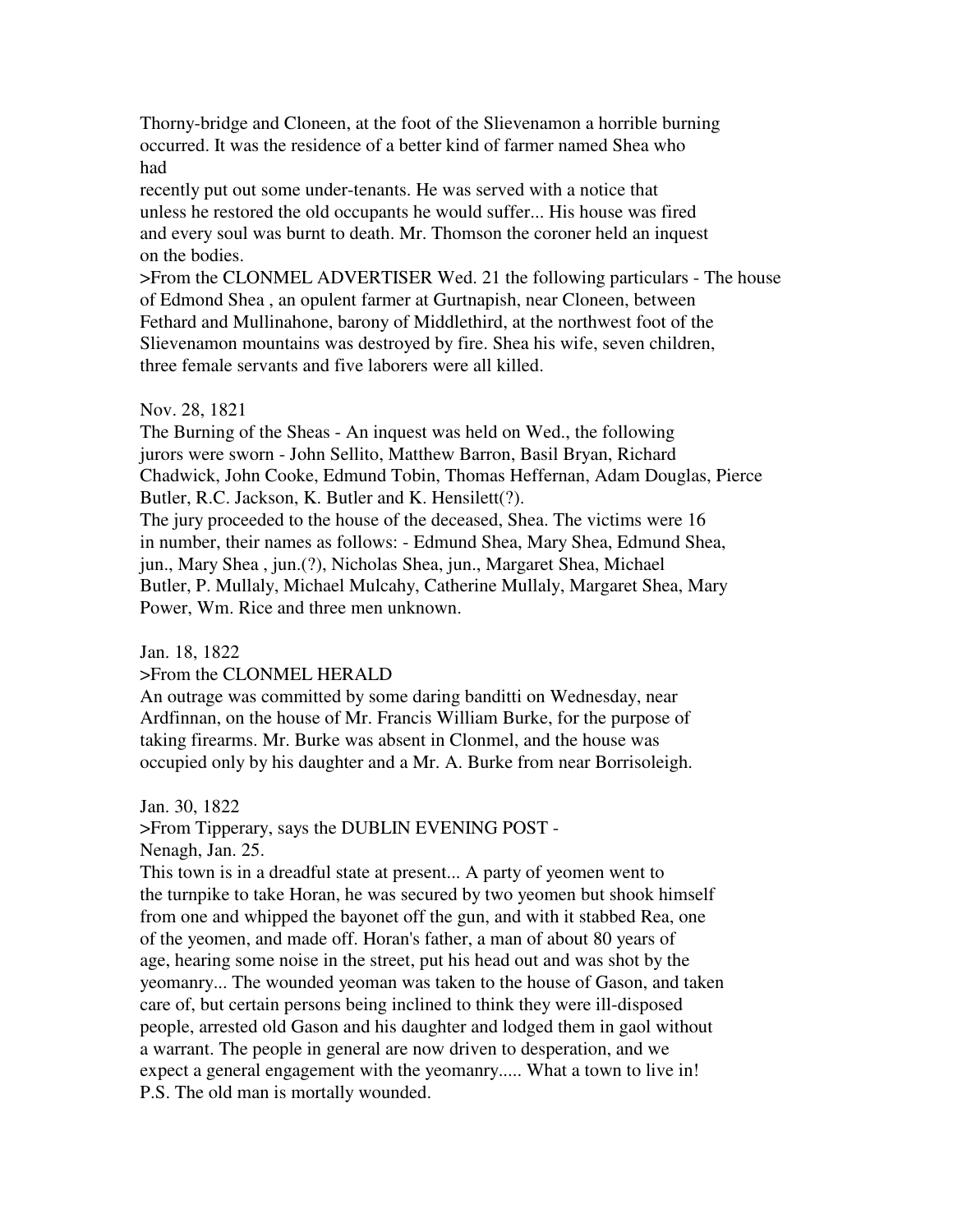Thorny-bridge and Cloneen, at the foot of the Slievenamon a horrible burning occurred. It was the residence of a better kind of farmer named Shea who had

recently put out some under-tenants. He was served with a notice that unless he restored the old occupants he would suffer... His house was fired and every soul was burnt to death. Mr. Thomson the coroner held an inquest on the bodies.

>From the CLONMEL ADVERTISER Wed. 21 the following particulars - The house of Edmond Shea , an opulent farmer at Gurtnapish, near Cloneen, between Fethard and Mullinahone, barony of Middlethird, at the northwest foot of the Slievenamon mountains was destroyed by fire. Shea his wife, seven children, three female servants and five laborers were all killed.

#### Nov. 28, 1821

The Burning of the Sheas - An inquest was held on Wed., the following jurors were sworn - John Sellito, Matthew Barron, Basil Bryan, Richard Chadwick, John Cooke, Edmund Tobin, Thomas Heffernan, Adam Douglas, Pierce Butler, R.C. Jackson, K. Butler and K. Hensilett(?).

The jury proceeded to the house of the deceased, Shea. The victims were 16 in number, their names as follows: - Edmund Shea, Mary Shea, Edmund Shea, jun., Mary Shea , jun.(?), Nicholas Shea, jun., Margaret Shea, Michael Butler, P. Mullaly, Michael Mulcahy, Catherine Mullaly, Margaret Shea, Mary Power, Wm. Rice and three men unknown.

Jan. 18, 1822

>From the CLONMEL HERALD

An outrage was committed by some daring banditti on Wednesday, near Ardfinnan, on the house of Mr. Francis William Burke, for the purpose of taking firearms. Mr. Burke was absent in Clonmel, and the house was occupied only by his daughter and a Mr. A. Burke from near Borrisoleigh.

Jan. 30, 1822

>From Tipperary, says the DUBLIN EVENING POST - Nenagh, Jan. 25.

This town is in a dreadful state at present... A party of yeomen went to the turnpike to take Horan, he was secured by two yeomen but shook himself from one and whipped the bayonet off the gun, and with it stabbed Rea, one of the yeomen, and made off. Horan's father, a man of about 80 years of age, hearing some noise in the street, put his head out and was shot by the yeomanry... The wounded yeoman was taken to the house of Gason, and taken care of, but certain persons being inclined to think they were ill-disposed people, arrested old Gason and his daughter and lodged them in gaol without a warrant. The people in general are now driven to desperation, and we expect a general engagement with the yeomanry..... What a town to live in! P.S. The old man is mortally wounded.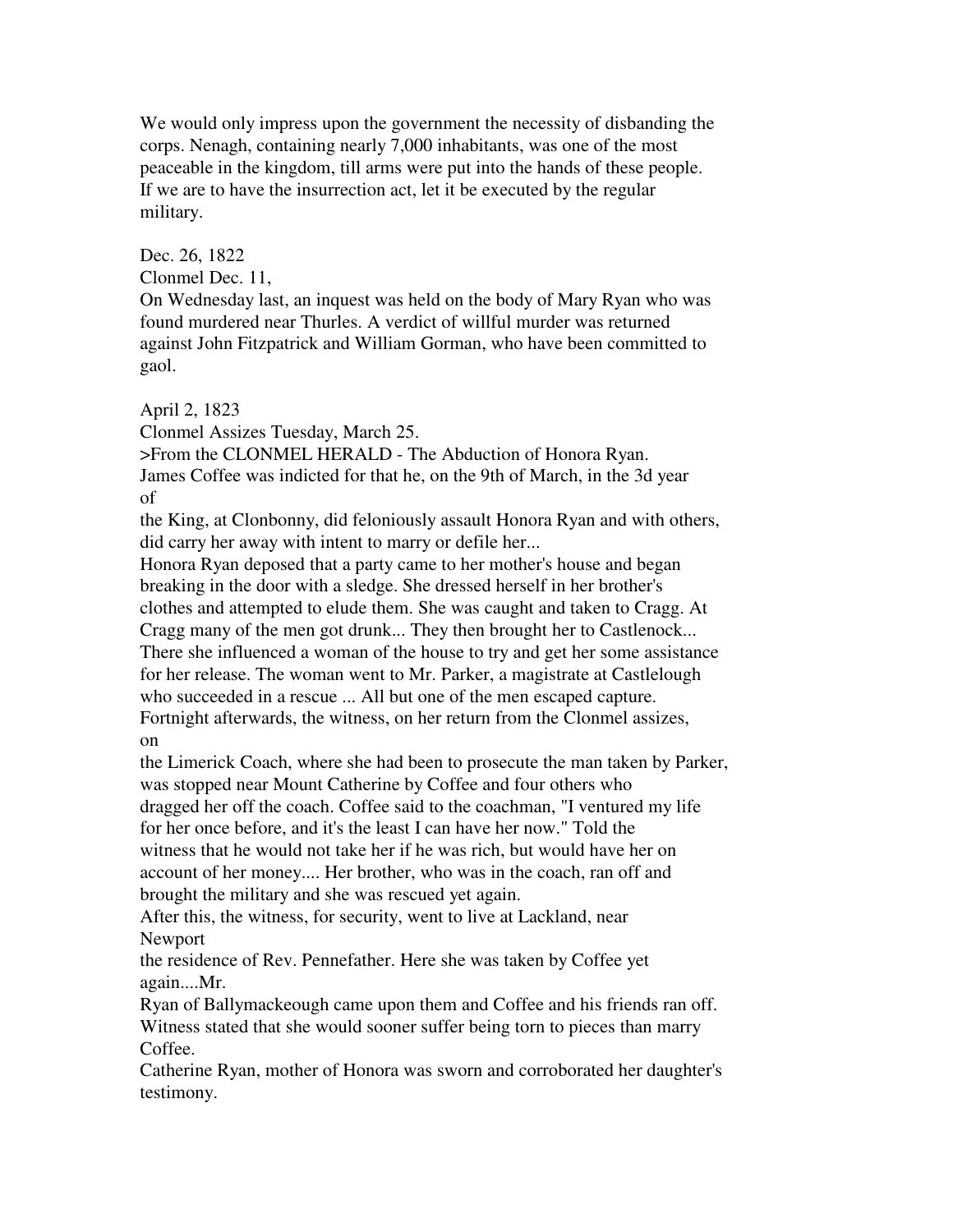We would only impress upon the government the necessity of disbanding the corps. Nenagh, containing nearly 7,000 inhabitants, was one of the most peaceable in the kingdom, till arms were put into the hands of these people. If we are to have the insurrection act, let it be executed by the regular military.

Dec. 26, 1822

# Clonmel Dec. 11,

On Wednesday last, an inquest was held on the body of Mary Ryan who was found murdered near Thurles. A verdict of willful murder was returned against John Fitzpatrick and William Gorman, who have been committed to gaol.

## April 2, 1823

Clonmel Assizes Tuesday, March 25.

>From the CLONMEL HERALD - The Abduction of Honora Ryan. James Coffee was indicted for that he, on the 9th of March, in the 3d year of

the King, at Clonbonny, did feloniously assault Honora Ryan and with others, did carry her away with intent to marry or defile her...

Honora Ryan deposed that a party came to her mother's house and began breaking in the door with a sledge. She dressed herself in her brother's clothes and attempted to elude them. She was caught and taken to Cragg. At Cragg many of the men got drunk... They then brought her to Castlenock... There she influenced a woman of the house to try and get her some assistance for her release. The woman went to Mr. Parker, a magistrate at Castlelough who succeeded in a rescue ... All but one of the men escaped capture. Fortnight afterwards, the witness, on her return from the Clonmel assizes, on

the Limerick Coach, where she had been to prosecute the man taken by Parker, was stopped near Mount Catherine by Coffee and four others who dragged her off the coach. Coffee said to the coachman, "I ventured my life for her once before, and it's the least I can have her now." Told the witness that he would not take her if he was rich, but would have her on account of her money.... Her brother, who was in the coach, ran off and brought the military and she was rescued yet again.

After this, the witness, for security, went to live at Lackland, near Newport

the residence of Rev. Pennefather. Here she was taken by Coffee yet again....Mr.

Ryan of Ballymackeough came upon them and Coffee and his friends ran off. Witness stated that she would sooner suffer being torn to pieces than marry Coffee.

Catherine Ryan, mother of Honora was sworn and corroborated her daughter's testimony.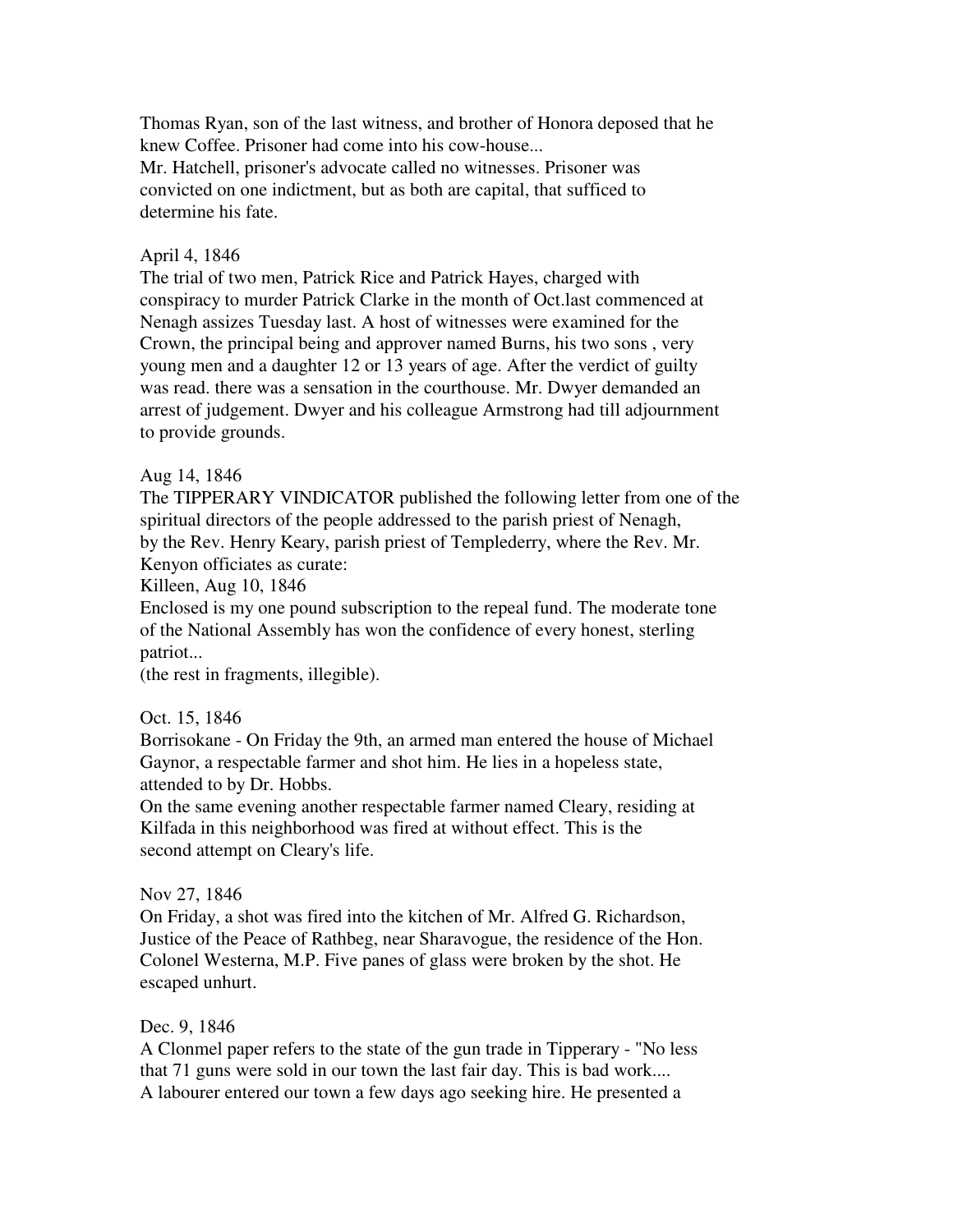Thomas Ryan, son of the last witness, and brother of Honora deposed that he knew Coffee. Prisoner had come into his cow-house...

Mr. Hatchell, prisoner's advocate called no witnesses. Prisoner was convicted on one indictment, but as both are capital, that sufficed to determine his fate.

## April 4, 1846

The trial of two men, Patrick Rice and Patrick Hayes, charged with conspiracy to murder Patrick Clarke in the month of Oct.last commenced at Nenagh assizes Tuesday last. A host of witnesses were examined for the Crown, the principal being and approver named Burns, his two sons , very young men and a daughter 12 or 13 years of age. After the verdict of guilty was read. there was a sensation in the courthouse. Mr. Dwyer demanded an arrest of judgement. Dwyer and his colleague Armstrong had till adjournment to provide grounds.

## Aug 14, 1846

The TIPPERARY VINDICATOR published the following letter from one of the spiritual directors of the people addressed to the parish priest of Nenagh, by the Rev. Henry Keary, parish priest of Templederry, where the Rev. Mr. Kenyon officiates as curate:

Killeen, Aug 10, 1846

Enclosed is my one pound subscription to the repeal fund. The moderate tone of the National Assembly has won the confidence of every honest, sterling patriot...

(the rest in fragments, illegible).

## Oct. 15, 1846

Borrisokane - On Friday the 9th, an armed man entered the house of Michael Gaynor, a respectable farmer and shot him. He lies in a hopeless state, attended to by Dr. Hobbs.

On the same evening another respectable farmer named Cleary, residing at Kilfada in this neighborhood was fired at without effect. This is the second attempt on Cleary's life.

## Nov 27, 1846

On Friday, a shot was fired into the kitchen of Mr. Alfred G. Richardson, Justice of the Peace of Rathbeg, near Sharavogue, the residence of the Hon. Colonel Westerna, M.P. Five panes of glass were broken by the shot. He escaped unhurt.

## Dec. 9, 1846

A Clonmel paper refers to the state of the gun trade in Tipperary - "No less that 71 guns were sold in our town the last fair day. This is bad work.... A labourer entered our town a few days ago seeking hire. He presented a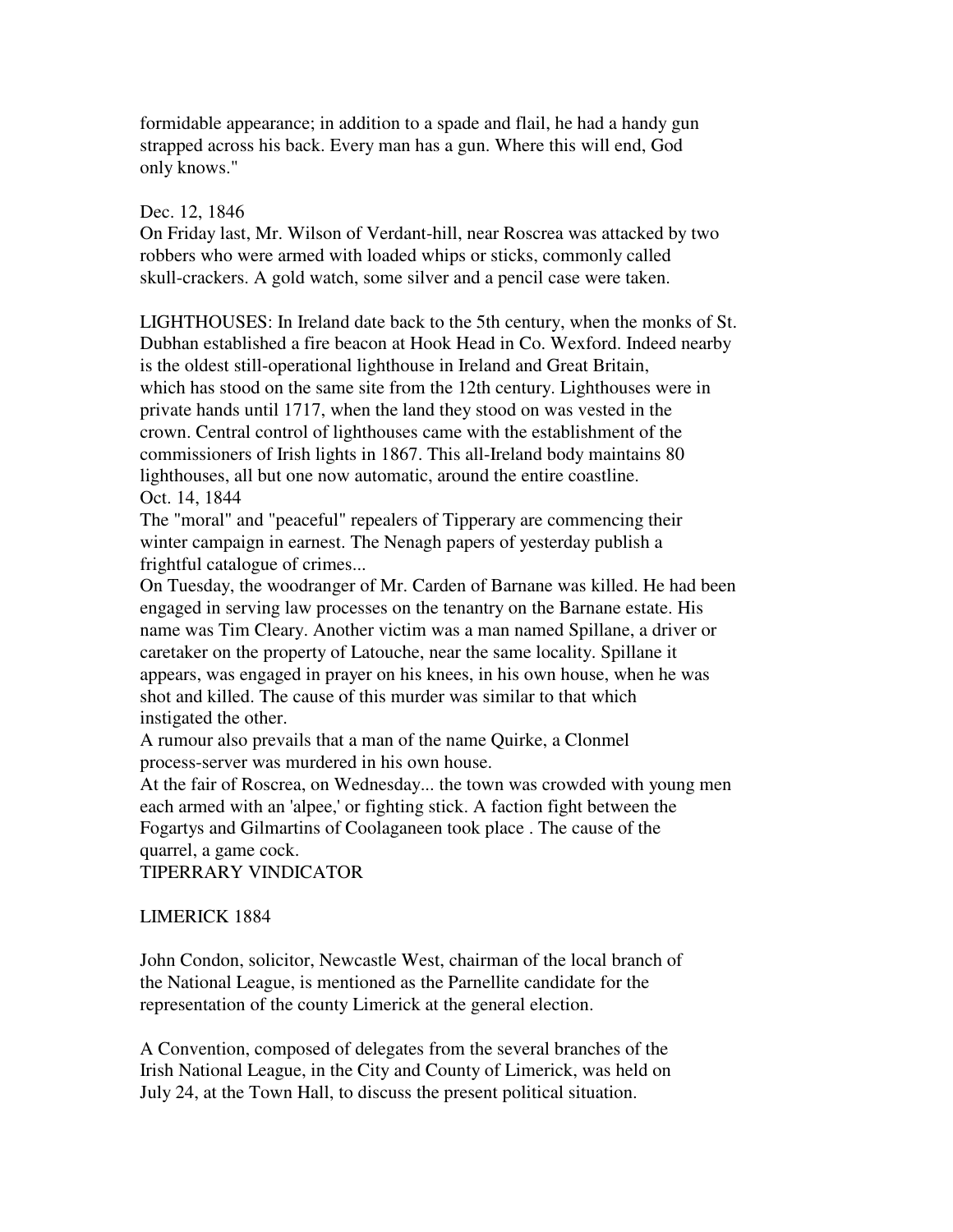formidable appearance; in addition to a spade and flail, he had a handy gun strapped across his back. Every man has a gun. Where this will end, God only knows."

## Dec. 12, 1846

On Friday last, Mr. Wilson of Verdant-hill, near Roscrea was attacked by two robbers who were armed with loaded whips or sticks, commonly called skull-crackers. A gold watch, some silver and a pencil case were taken.

LIGHTHOUSES: In Ireland date back to the 5th century, when the monks of St. Dubhan established a fire beacon at Hook Head in Co. Wexford. Indeed nearby is the oldest still-operational lighthouse in Ireland and Great Britain, which has stood on the same site from the 12th century. Lighthouses were in private hands until 1717, when the land they stood on was vested in the crown. Central control of lighthouses came with the establishment of the commissioners of Irish lights in 1867. This all-Ireland body maintains 80 lighthouses, all but one now automatic, around the entire coastline. Oct. 14, 1844

The "moral" and "peaceful" repealers of Tipperary are commencing their winter campaign in earnest. The Nenagh papers of yesterday publish a frightful catalogue of crimes...

On Tuesday, the woodranger of Mr. Carden of Barnane was killed. He had been engaged in serving law processes on the tenantry on the Barnane estate. His name was Tim Cleary. Another victim was a man named Spillane, a driver or caretaker on the property of Latouche, near the same locality. Spillane it appears, was engaged in prayer on his knees, in his own house, when he was shot and killed. The cause of this murder was similar to that which instigated the other.

A rumour also prevails that a man of the name Quirke, a Clonmel process-server was murdered in his own house.

At the fair of Roscrea, on Wednesday... the town was crowded with young men each armed with an 'alpee,' or fighting stick. A faction fight between the Fogartys and Gilmartins of Coolaganeen took place . The cause of the quarrel, a game cock.

TIPERRARY VINDICATOR

## LIMERICK 1884

John Condon, solicitor, Newcastle West, chairman of the local branch of the National League, is mentioned as the Parnellite candidate for the representation of the county Limerick at the general election.

A Convention, composed of delegates from the several branches of the Irish National League, in the City and County of Limerick, was held on July 24, at the Town Hall, to discuss the present political situation.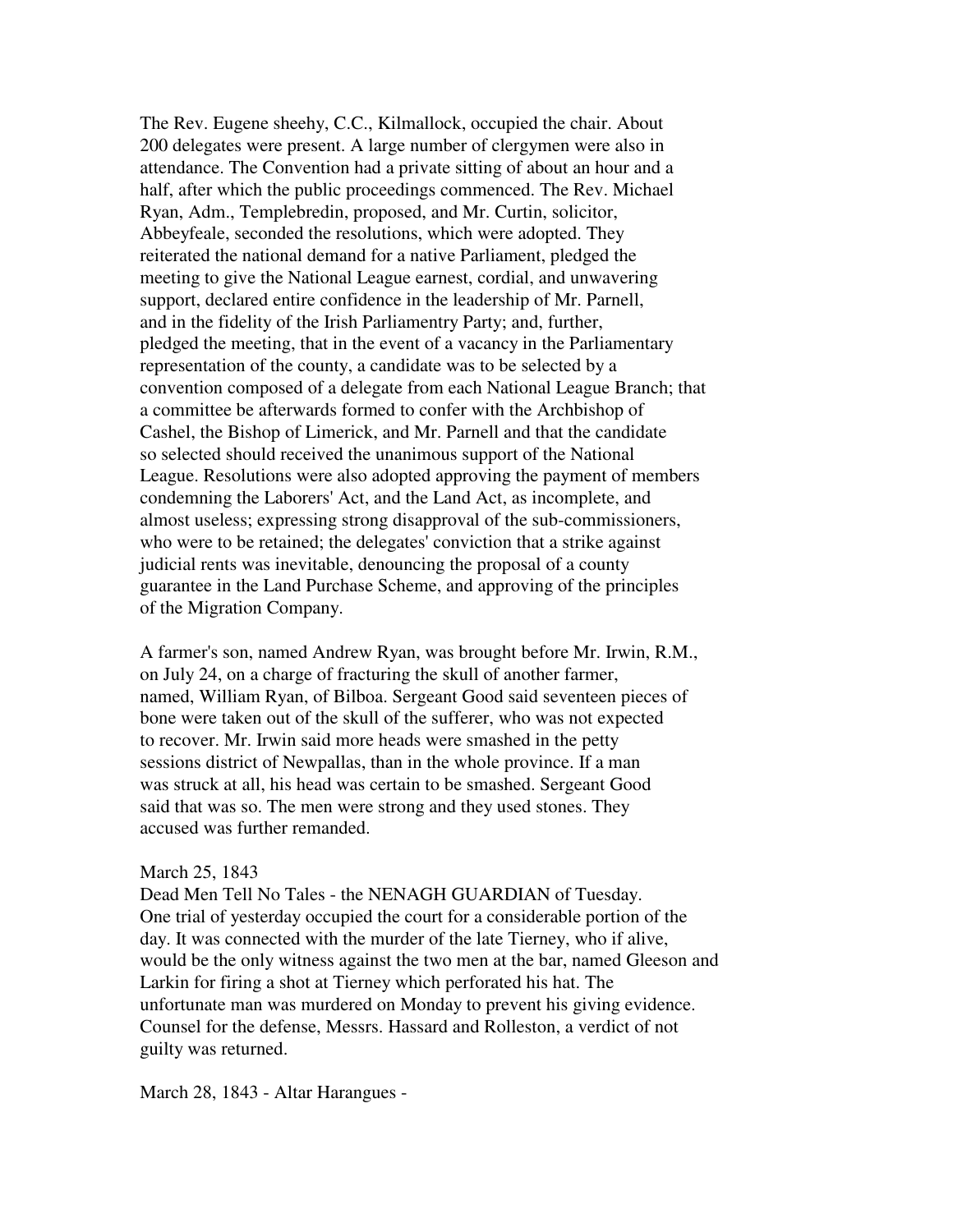The Rev. Eugene sheehy, C.C., Kilmallock, occupied the chair. About 200 delegates were present. A large number of clergymen were also in attendance. The Convention had a private sitting of about an hour and a half, after which the public proceedings commenced. The Rev. Michael Ryan, Adm., Templebredin, proposed, and Mr. Curtin, solicitor, Abbeyfeale, seconded the resolutions, which were adopted. They reiterated the national demand for a native Parliament, pledged the meeting to give the National League earnest, cordial, and unwavering support, declared entire confidence in the leadership of Mr. Parnell, and in the fidelity of the Irish Parliamentry Party; and, further, pledged the meeting, that in the event of a vacancy in the Parliamentary representation of the county, a candidate was to be selected by a convention composed of a delegate from each National League Branch; that a committee be afterwards formed to confer with the Archbishop of Cashel, the Bishop of Limerick, and Mr. Parnell and that the candidate so selected should received the unanimous support of the National League. Resolutions were also adopted approving the payment of members condemning the Laborers' Act, and the Land Act, as incomplete, and almost useless; expressing strong disapproval of the sub-commissioners, who were to be retained; the delegates' conviction that a strike against judicial rents was inevitable, denouncing the proposal of a county guarantee in the Land Purchase Scheme, and approving of the principles of the Migration Company.

A farmer's son, named Andrew Ryan, was brought before Mr. Irwin, R.M., on July 24, on a charge of fracturing the skull of another farmer, named, William Ryan, of Bilboa. Sergeant Good said seventeen pieces of bone were taken out of the skull of the sufferer, who was not expected to recover. Mr. Irwin said more heads were smashed in the petty sessions district of Newpallas, than in the whole province. If a man was struck at all, his head was certain to be smashed. Sergeant Good said that was so. The men were strong and they used stones. They accused was further remanded.

#### March 25, 1843

Dead Men Tell No Tales - the NENAGH GUARDIAN of Tuesday. One trial of yesterday occupied the court for a considerable portion of the day. It was connected with the murder of the late Tierney, who if alive, would be the only witness against the two men at the bar, named Gleeson and Larkin for firing a shot at Tierney which perforated his hat. The unfortunate man was murdered on Monday to prevent his giving evidence. Counsel for the defense, Messrs. Hassard and Rolleston, a verdict of not guilty was returned.

March 28, 1843 - Altar Harangues -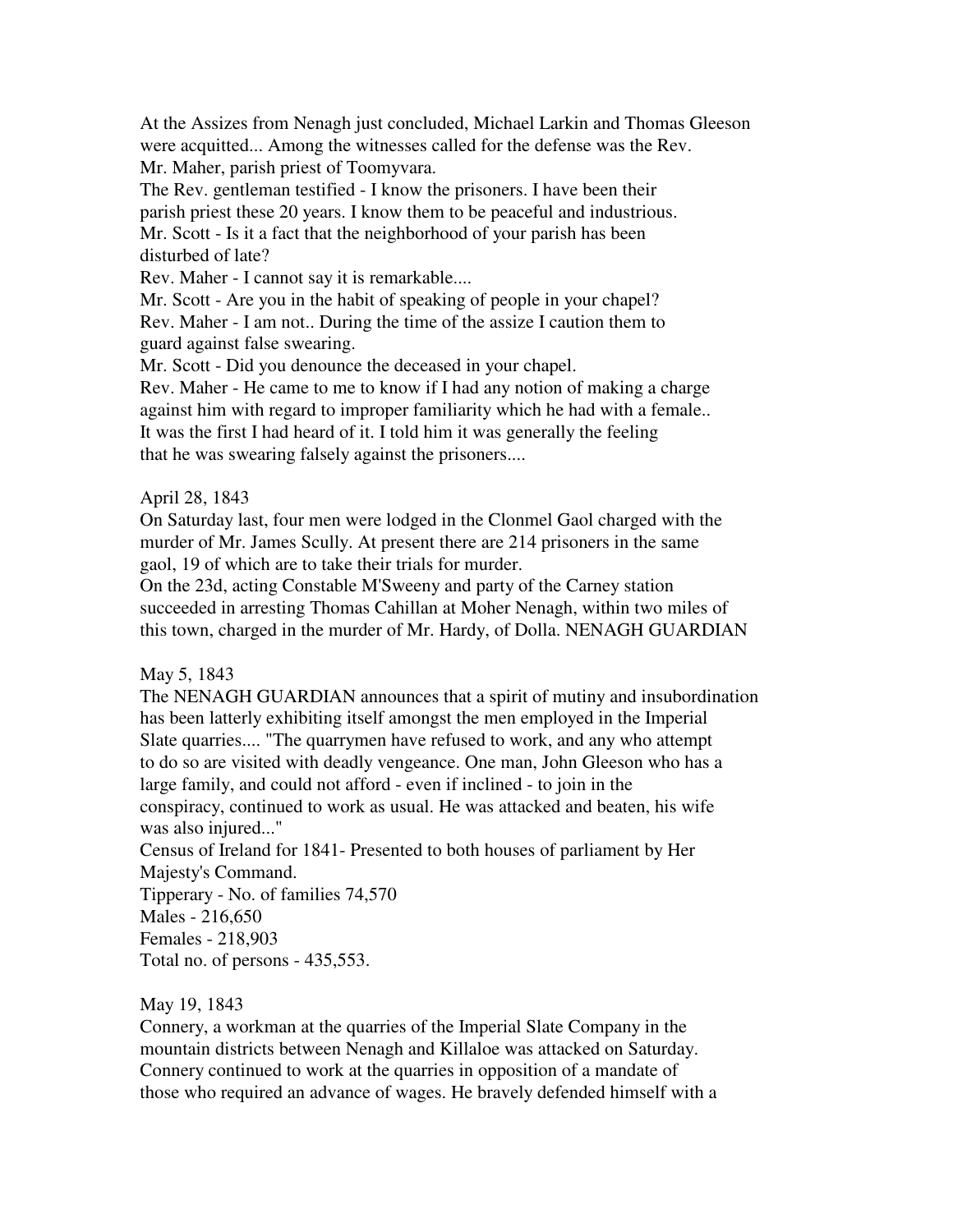At the Assizes from Nenagh just concluded, Michael Larkin and Thomas Gleeson were acquitted... Among the witnesses called for the defense was the Rev. Mr. Maher, parish priest of Toomyvara.

The Rev. gentleman testified - I know the prisoners. I have been their parish priest these 20 years. I know them to be peaceful and industrious. Mr. Scott - Is it a fact that the neighborhood of your parish has been disturbed of late?

Rev. Maher - I cannot say it is remarkable....

Mr. Scott - Are you in the habit of speaking of people in your chapel? Rev. Maher - I am not.. During the time of the assize I caution them to guard against false swearing.

Mr. Scott - Did you denounce the deceased in your chapel.

Rev. Maher - He came to me to know if I had any notion of making a charge against him with regard to improper familiarity which he had with a female.. It was the first I had heard of it. I told him it was generally the feeling that he was swearing falsely against the prisoners....

## April 28, 1843

On Saturday last, four men were lodged in the Clonmel Gaol charged with the murder of Mr. James Scully. At present there are 214 prisoners in the same gaol, 19 of which are to take their trials for murder.

On the 23d, acting Constable M'Sweeny and party of the Carney station succeeded in arresting Thomas Cahillan at Moher Nenagh, within two miles of this town, charged in the murder of Mr. Hardy, of Dolla. NENAGH GUARDIAN

## May 5, 1843

The NENAGH GUARDIAN announces that a spirit of mutiny and insubordination has been latterly exhibiting itself amongst the men employed in the Imperial Slate quarries.... "The quarrymen have refused to work, and any who attempt to do so are visited with deadly vengeance. One man, John Gleeson who has a large family, and could not afford - even if inclined - to join in the conspiracy, continued to work as usual. He was attacked and beaten, his wife was also injured..."

Census of Ireland for 1841- Presented to both houses of parliament by Her Majesty's Command.

Tipperary - No. of families 74,570 Males - 216,650 Females - 218,903 Total no. of persons - 435,553.

May 19, 1843

Connery, a workman at the quarries of the Imperial Slate Company in the mountain districts between Nenagh and Killaloe was attacked on Saturday. Connery continued to work at the quarries in opposition of a mandate of those who required an advance of wages. He bravely defended himself with a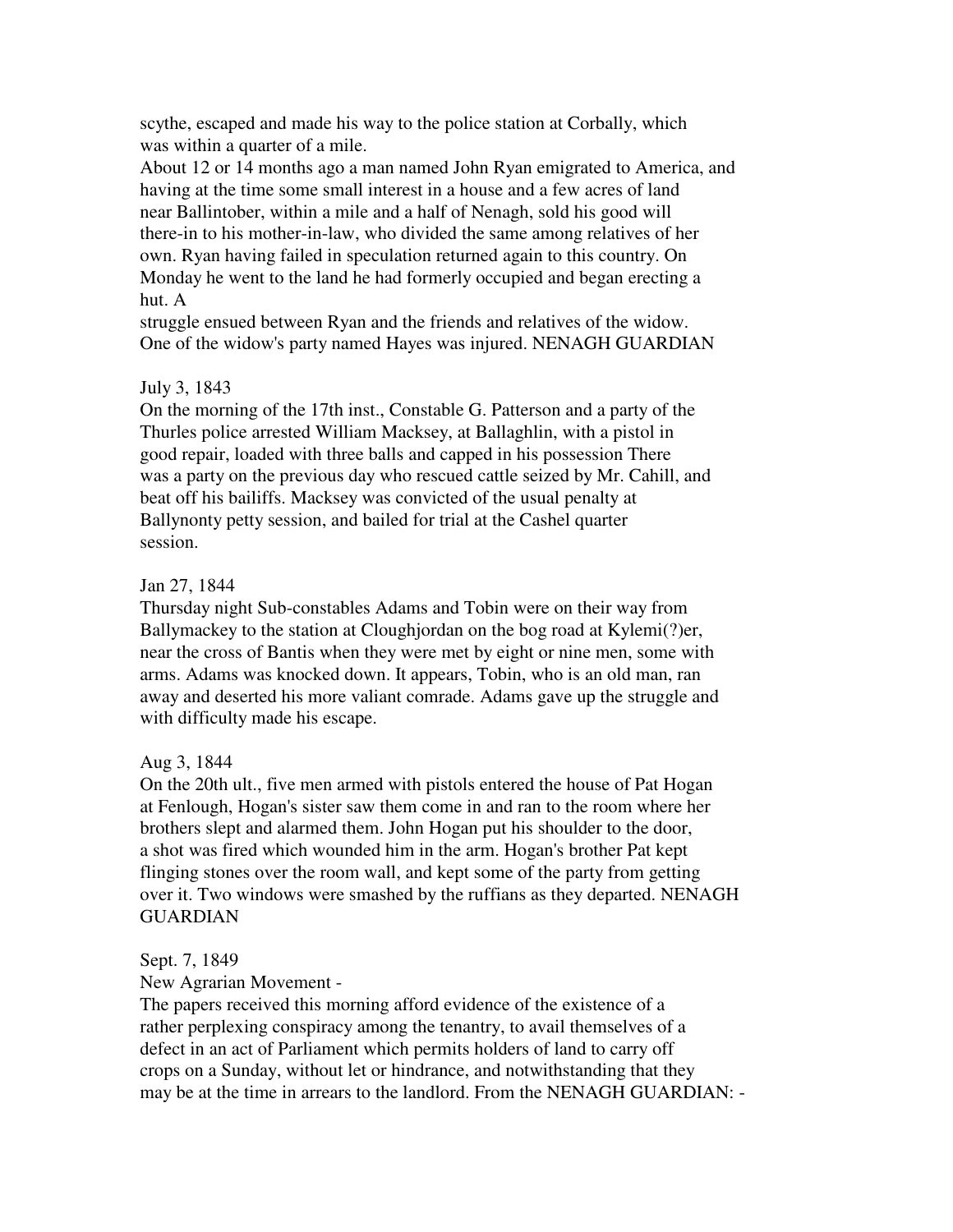scythe, escaped and made his way to the police station at Corbally, which was within a quarter of a mile.

About 12 or 14 months ago a man named John Ryan emigrated to America, and having at the time some small interest in a house and a few acres of land near Ballintober, within a mile and a half of Nenagh, sold his good will there-in to his mother-in-law, who divided the same among relatives of her own. Ryan having failed in speculation returned again to this country. On Monday he went to the land he had formerly occupied and began erecting a hut. A

struggle ensued between Ryan and the friends and relatives of the widow. One of the widow's party named Hayes was injured. NENAGH GUARDIAN

## July 3, 1843

On the morning of the 17th inst., Constable G. Patterson and a party of the Thurles police arrested William Macksey, at Ballaghlin, with a pistol in good repair, loaded with three balls and capped in his possession There was a party on the previous day who rescued cattle seized by Mr. Cahill, and beat off his bailiffs. Macksey was convicted of the usual penalty at Ballynonty petty session, and bailed for trial at the Cashel quarter session.

## Jan 27, 1844

Thursday night Sub-constables Adams and Tobin were on their way from Ballymackey to the station at Cloughjordan on the bog road at Kylemi(?)er, near the cross of Bantis when they were met by eight or nine men, some with arms. Adams was knocked down. It appears, Tobin, who is an old man, ran away and deserted his more valiant comrade. Adams gave up the struggle and with difficulty made his escape.

## Aug 3, 1844

On the 20th ult., five men armed with pistols entered the house of Pat Hogan at Fenlough, Hogan's sister saw them come in and ran to the room where her brothers slept and alarmed them. John Hogan put his shoulder to the door, a shot was fired which wounded him in the arm. Hogan's brother Pat kept flinging stones over the room wall, and kept some of the party from getting over it. Two windows were smashed by the ruffians as they departed. NENAGH GUARDIAN

## Sept. 7, 1849

New Agrarian Movement -

The papers received this morning afford evidence of the existence of a rather perplexing conspiracy among the tenantry, to avail themselves of a defect in an act of Parliament which permits holders of land to carry off crops on a Sunday, without let or hindrance, and notwithstanding that they may be at the time in arrears to the landlord. From the NENAGH GUARDIAN: -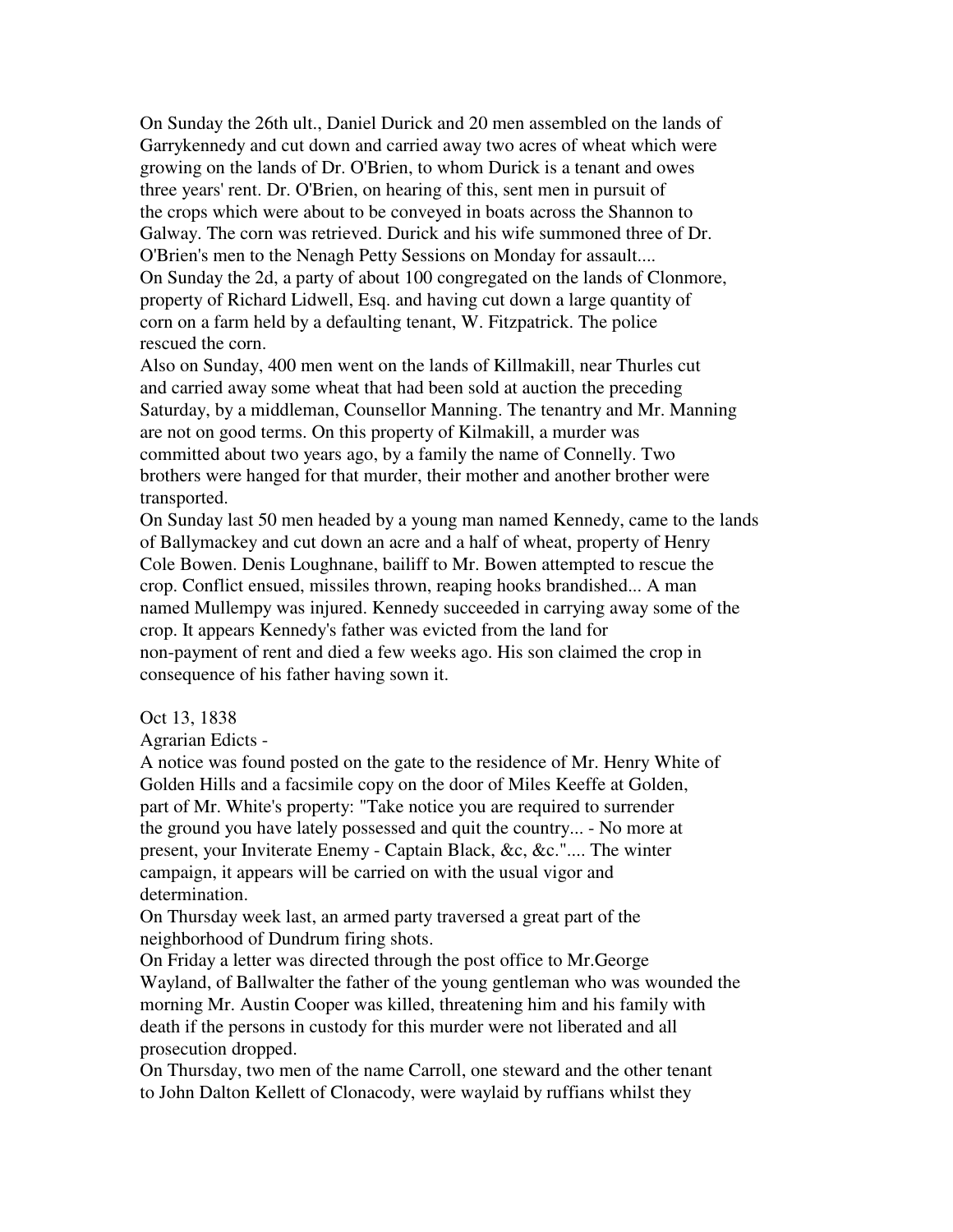On Sunday the 26th ult., Daniel Durick and 20 men assembled on the lands of Garrykennedy and cut down and carried away two acres of wheat which were growing on the lands of Dr. O'Brien, to whom Durick is a tenant and owes three years' rent. Dr. O'Brien, on hearing of this, sent men in pursuit of the crops which were about to be conveyed in boats across the Shannon to Galway. The corn was retrieved. Durick and his wife summoned three of Dr. O'Brien's men to the Nenagh Petty Sessions on Monday for assault.... On Sunday the 2d, a party of about 100 congregated on the lands of Clonmore, property of Richard Lidwell, Esq. and having cut down a large quantity of corn on a farm held by a defaulting tenant, W. Fitzpatrick. The police rescued the corn.

Also on Sunday, 400 men went on the lands of Killmakill, near Thurles cut and carried away some wheat that had been sold at auction the preceding Saturday, by a middleman, Counsellor Manning. The tenantry and Mr. Manning are not on good terms. On this property of Kilmakill, a murder was committed about two years ago, by a family the name of Connelly. Two brothers were hanged for that murder, their mother and another brother were transported.

On Sunday last 50 men headed by a young man named Kennedy, came to the lands of Ballymackey and cut down an acre and a half of wheat, property of Henry Cole Bowen. Denis Loughnane, bailiff to Mr. Bowen attempted to rescue the crop. Conflict ensued, missiles thrown, reaping hooks brandished... A man named Mullempy was injured. Kennedy succeeded in carrying away some of the crop. It appears Kennedy's father was evicted from the land for non-payment of rent and died a few weeks ago. His son claimed the crop in consequence of his father having sown it.

#### Oct 13, 1838

Agrarian Edicts -

A notice was found posted on the gate to the residence of Mr. Henry White of Golden Hills and a facsimile copy on the door of Miles Keeffe at Golden, part of Mr. White's property: "Take notice you are required to surrender the ground you have lately possessed and quit the country... - No more at present, your Inviterate Enemy - Captain Black, &c, &c.".... The winter campaign, it appears will be carried on with the usual vigor and determination.

On Thursday week last, an armed party traversed a great part of the neighborhood of Dundrum firing shots.

On Friday a letter was directed through the post office to Mr.George Wayland, of Ballwalter the father of the young gentleman who was wounded the morning Mr. Austin Cooper was killed, threatening him and his family with death if the persons in custody for this murder were not liberated and all prosecution dropped.

On Thursday, two men of the name Carroll, one steward and the other tenant to John Dalton Kellett of Clonacody, were waylaid by ruffians whilst they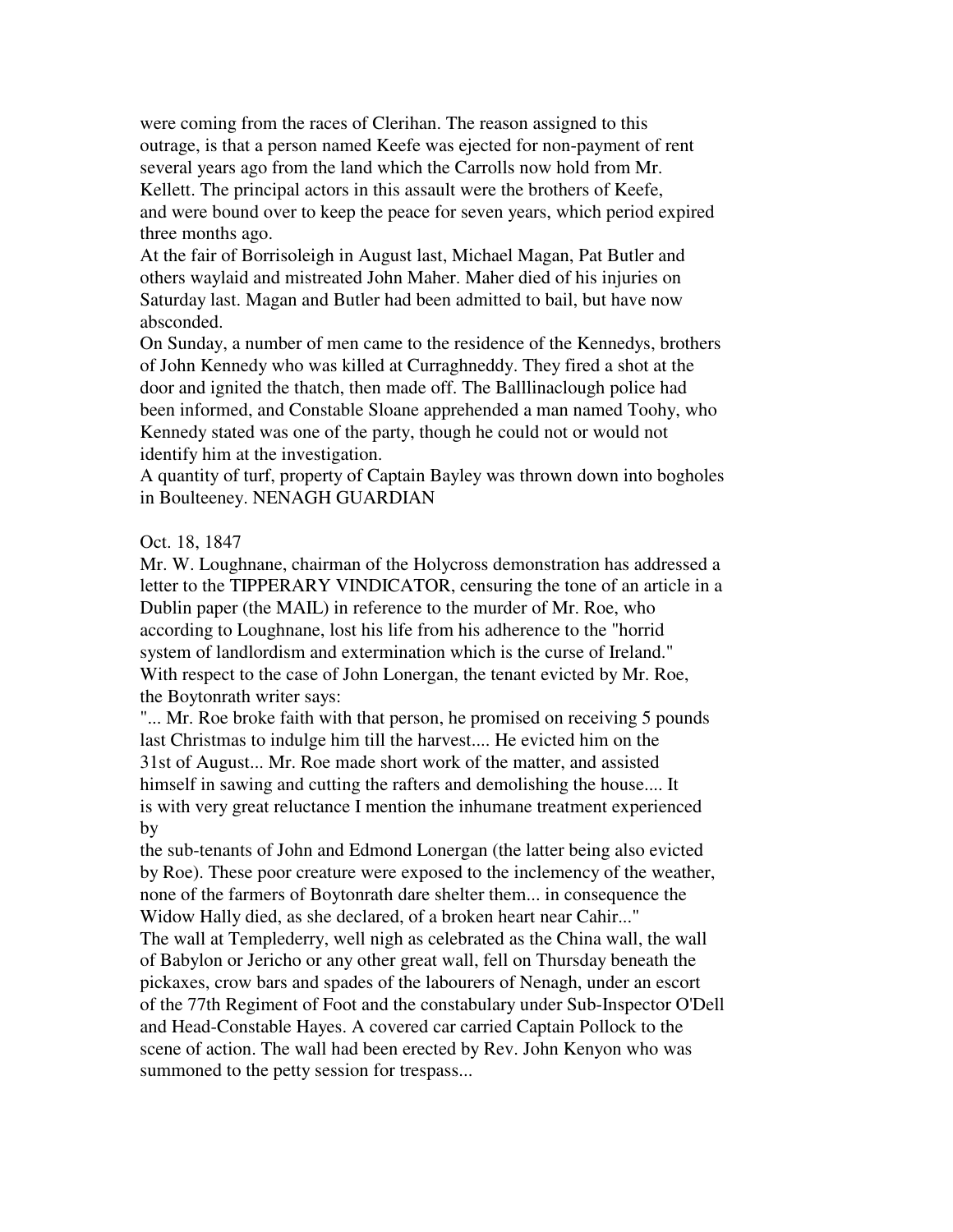were coming from the races of Clerihan. The reason assigned to this outrage, is that a person named Keefe was ejected for non-payment of rent several years ago from the land which the Carrolls now hold from Mr. Kellett. The principal actors in this assault were the brothers of Keefe, and were bound over to keep the peace for seven years, which period expired three months ago.

At the fair of Borrisoleigh in August last, Michael Magan, Pat Butler and others waylaid and mistreated John Maher. Maher died of his injuries on Saturday last. Magan and Butler had been admitted to bail, but have now absconded.

On Sunday, a number of men came to the residence of the Kennedys, brothers of John Kennedy who was killed at Curraghneddy. They fired a shot at the door and ignited the thatch, then made off. The Balllinaclough police had been informed, and Constable Sloane apprehended a man named Toohy, who Kennedy stated was one of the party, though he could not or would not identify him at the investigation.

A quantity of turf, property of Captain Bayley was thrown down into bogholes in Boulteeney. NENAGH GUARDIAN

## Oct. 18, 1847

Mr. W. Loughnane, chairman of the Holycross demonstration has addressed a letter to the TIPPERARY VINDICATOR, censuring the tone of an article in a Dublin paper (the MAIL) in reference to the murder of Mr. Roe, who according to Loughnane, lost his life from his adherence to the "horrid system of landlordism and extermination which is the curse of Ireland." With respect to the case of John Lonergan, the tenant evicted by Mr. Roe, the Boytonrath writer says:

"... Mr. Roe broke faith with that person, he promised on receiving 5 pounds last Christmas to indulge him till the harvest.... He evicted him on the 31st of August... Mr. Roe made short work of the matter, and assisted himself in sawing and cutting the rafters and demolishing the house.... It is with very great reluctance I mention the inhumane treatment experienced by

the sub-tenants of John and Edmond Lonergan (the latter being also evicted by Roe). These poor creature were exposed to the inclemency of the weather, none of the farmers of Boytonrath dare shelter them... in consequence the Widow Hally died, as she declared, of a broken heart near Cahir..." The wall at Templederry, well nigh as celebrated as the China wall, the wall of Babylon or Jericho or any other great wall, fell on Thursday beneath the pickaxes, crow bars and spades of the labourers of Nenagh, under an escort of the 77th Regiment of Foot and the constabulary under Sub-Inspector O'Dell and Head-Constable Hayes. A covered car carried Captain Pollock to the scene of action. The wall had been erected by Rev. John Kenyon who was summoned to the petty session for trespass...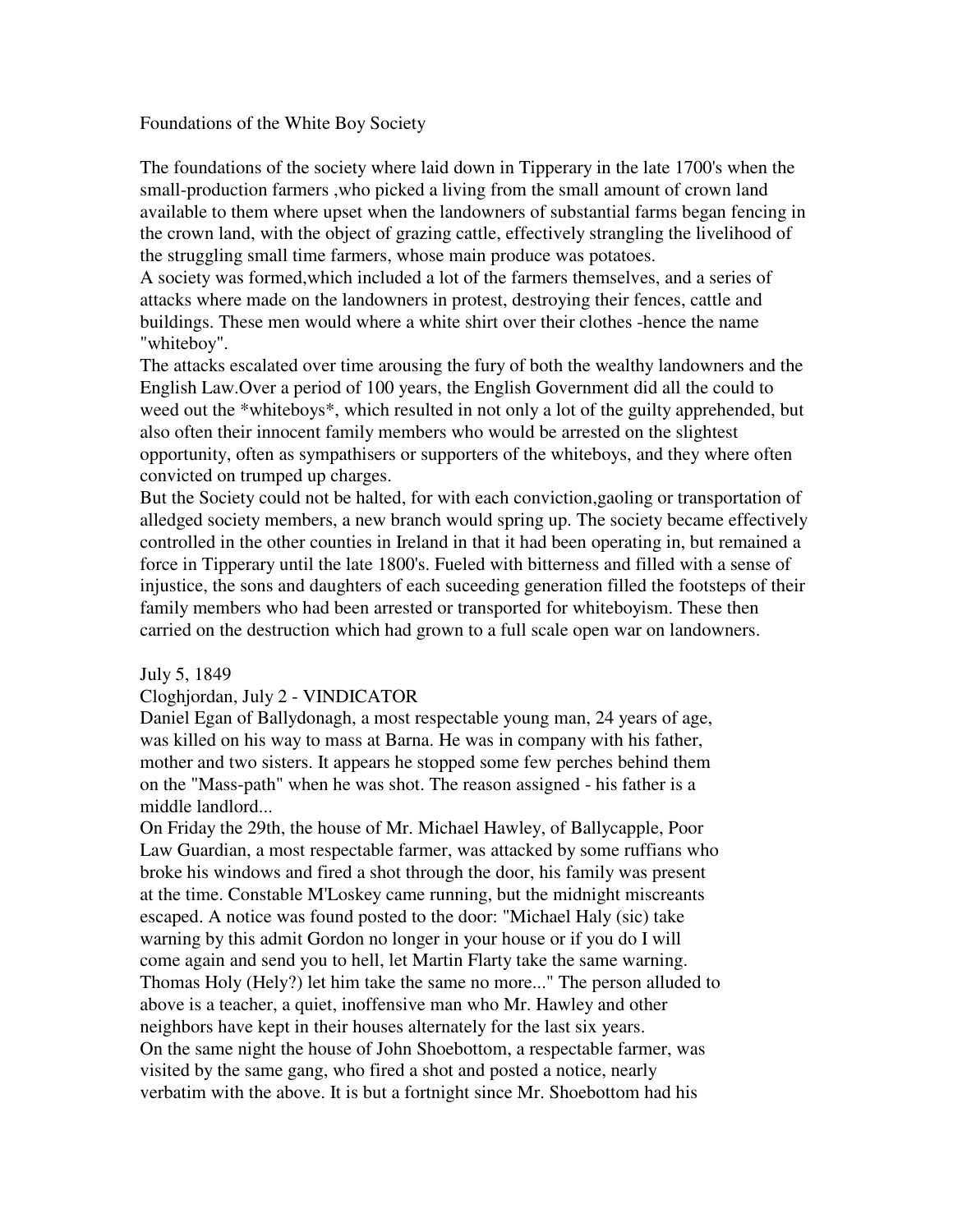#### Foundations of the White Boy Society

The foundations of the society where laid down in Tipperary in the late 1700's when the small-production farmers ,who picked a living from the small amount of crown land available to them where upset when the landowners of substantial farms began fencing in the crown land, with the object of grazing cattle, effectively strangling the livelihood of the struggling small time farmers, whose main produce was potatoes.

A society was formed,which included a lot of the farmers themselves, and a series of attacks where made on the landowners in protest, destroying their fences, cattle and buildings. These men would where a white shirt over their clothes -hence the name "whiteboy".

The attacks escalated over time arousing the fury of both the wealthy landowners and the English Law.Over a period of 100 years, the English Government did all the could to weed out the \*whiteboys\*, which resulted in not only a lot of the guilty apprehended, but also often their innocent family members who would be arrested on the slightest opportunity, often as sympathisers or supporters of the whiteboys, and they where often convicted on trumped up charges.

But the Society could not be halted, for with each conviction,gaoling or transportation of alledged society members, a new branch would spring up. The society became effectively controlled in the other counties in Ireland in that it had been operating in, but remained a force in Tipperary until the late 1800's. Fueled with bitterness and filled with a sense of injustice, the sons and daughters of each suceeding generation filled the footsteps of their family members who had been arrested or transported for whiteboyism. These then carried on the destruction which had grown to a full scale open war on landowners.

## July 5, 1849

## Cloghjordan, July 2 - VINDICATOR

Daniel Egan of Ballydonagh, a most respectable young man, 24 years of age, was killed on his way to mass at Barna. He was in company with his father, mother and two sisters. It appears he stopped some few perches behind them on the "Mass-path" when he was shot. The reason assigned - his father is a middle landlord...

On Friday the 29th, the house of Mr. Michael Hawley, of Ballycapple, Poor Law Guardian, a most respectable farmer, was attacked by some ruffians who broke his windows and fired a shot through the door, his family was present at the time. Constable M'Loskey came running, but the midnight miscreants escaped. A notice was found posted to the door: "Michael Haly (sic) take warning by this admit Gordon no longer in your house or if you do I will come again and send you to hell, let Martin Flarty take the same warning. Thomas Holy (Hely?) let him take the same no more..." The person alluded to above is a teacher, a quiet, inoffensive man who Mr. Hawley and other neighbors have kept in their houses alternately for the last six years. On the same night the house of John Shoebottom, a respectable farmer, was visited by the same gang, who fired a shot and posted a notice, nearly verbatim with the above. It is but a fortnight since Mr. Shoebottom had his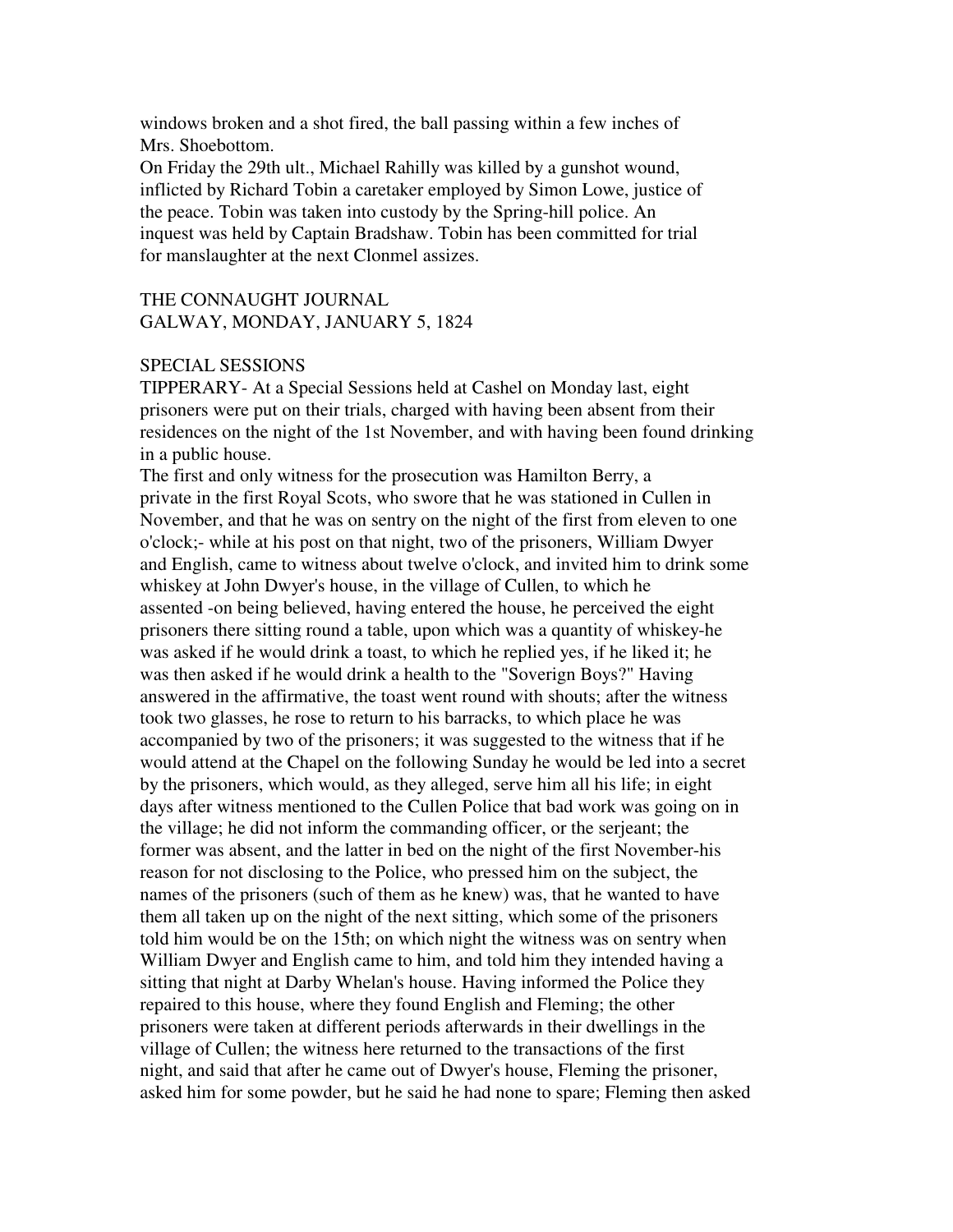windows broken and a shot fired, the ball passing within a few inches of Mrs. Shoebottom.

On Friday the 29th ult., Michael Rahilly was killed by a gunshot wound, inflicted by Richard Tobin a caretaker employed by Simon Lowe, justice of the peace. Tobin was taken into custody by the Spring-hill police. An inquest was held by Captain Bradshaw. Tobin has been committed for trial for manslaughter at the next Clonmel assizes.

## THE CONNAUGHT JOURNAL GALWAY, MONDAY, JANUARY 5, 1824

#### SPECIAL SESSIONS

TIPPERARY- At a Special Sessions held at Cashel on Monday last, eight prisoners were put on their trials, charged with having been absent from their residences on the night of the 1st November, and with having been found drinking in a public house.

The first and only witness for the prosecution was Hamilton Berry, a private in the first Royal Scots, who swore that he was stationed in Cullen in November, and that he was on sentry on the night of the first from eleven to one o'clock;- while at his post on that night, two of the prisoners, William Dwyer and English, came to witness about twelve o'clock, and invited him to drink some whiskey at John Dwyer's house, in the village of Cullen, to which he assented -on being believed, having entered the house, he perceived the eight prisoners there sitting round a table, upon which was a quantity of whiskey-he was asked if he would drink a toast, to which he replied yes, if he liked it; he was then asked if he would drink a health to the "Soverign Boys?" Having answered in the affirmative, the toast went round with shouts; after the witness took two glasses, he rose to return to his barracks, to which place he was accompanied by two of the prisoners; it was suggested to the witness that if he would attend at the Chapel on the following Sunday he would be led into a secret by the prisoners, which would, as they alleged, serve him all his life; in eight days after witness mentioned to the Cullen Police that bad work was going on in the village; he did not inform the commanding officer, or the serjeant; the former was absent, and the latter in bed on the night of the first November-his reason for not disclosing to the Police, who pressed him on the subject, the names of the prisoners (such of them as he knew) was, that he wanted to have them all taken up on the night of the next sitting, which some of the prisoners told him would be on the 15th; on which night the witness was on sentry when William Dwyer and English came to him, and told him they intended having a sitting that night at Darby Whelan's house. Having informed the Police they repaired to this house, where they found English and Fleming; the other prisoners were taken at different periods afterwards in their dwellings in the village of Cullen; the witness here returned to the transactions of the first night, and said that after he came out of Dwyer's house, Fleming the prisoner, asked him for some powder, but he said he had none to spare; Fleming then asked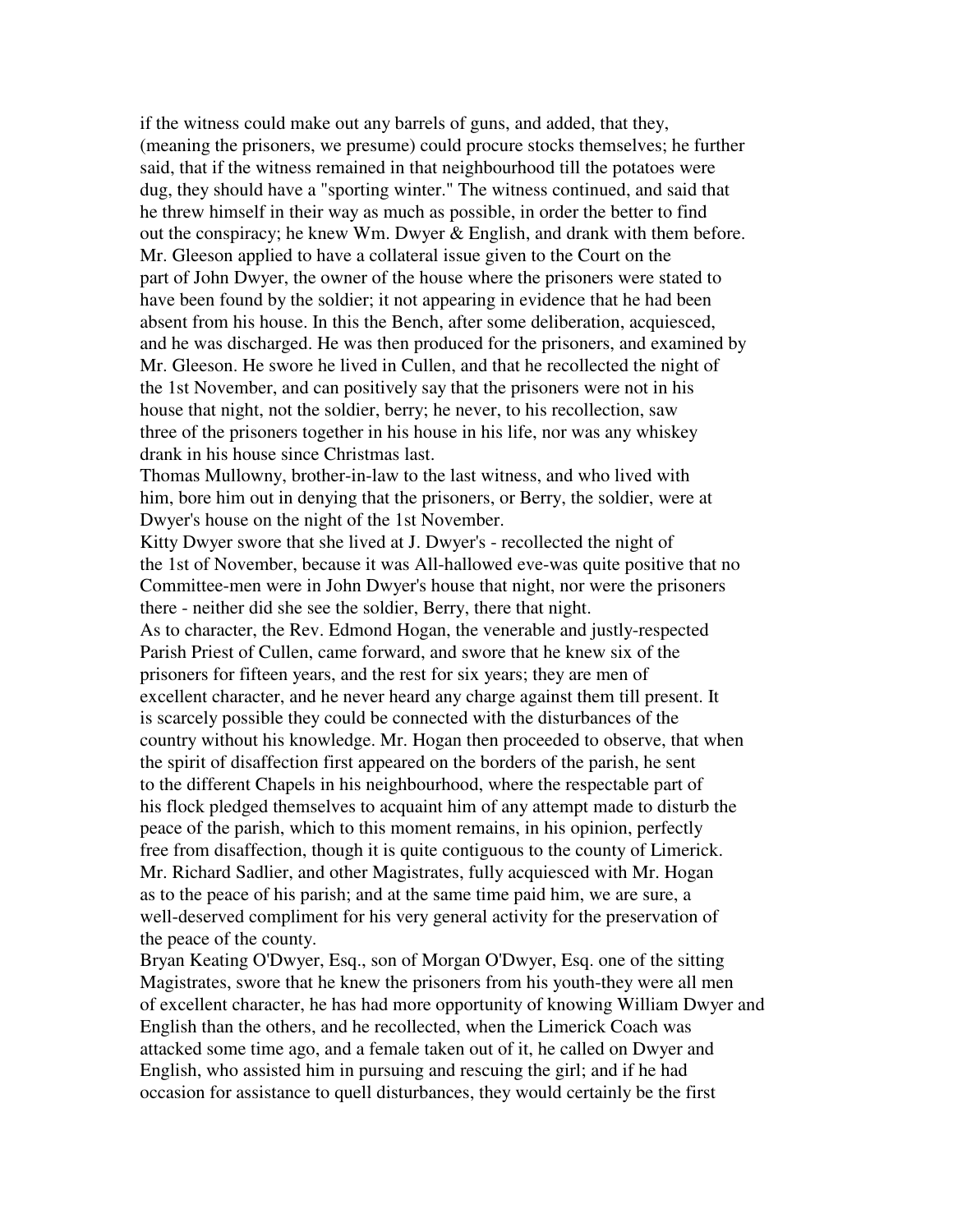if the witness could make out any barrels of guns, and added, that they, (meaning the prisoners, we presume) could procure stocks themselves; he further said, that if the witness remained in that neighbourhood till the potatoes were dug, they should have a "sporting winter." The witness continued, and said that he threw himself in their way as much as possible, in order the better to find out the conspiracy; he knew Wm. Dwyer & English, and drank with them before. Mr. Gleeson applied to have a collateral issue given to the Court on the part of John Dwyer, the owner of the house where the prisoners were stated to have been found by the soldier; it not appearing in evidence that he had been absent from his house. In this the Bench, after some deliberation, acquiesced, and he was discharged. He was then produced for the prisoners, and examined by Mr. Gleeson. He swore he lived in Cullen, and that he recollected the night of the 1st November, and can positively say that the prisoners were not in his house that night, not the soldier, berry; he never, to his recollection, saw three of the prisoners together in his house in his life, nor was any whiskey drank in his house since Christmas last.

Thomas Mullowny, brother-in-law to the last witness, and who lived with him, bore him out in denying that the prisoners, or Berry, the soldier, were at Dwyer's house on the night of the 1st November.

Kitty Dwyer swore that she lived at J. Dwyer's - recollected the night of the 1st of November, because it was All-hallowed eve-was quite positive that no Committee-men were in John Dwyer's house that night, nor were the prisoners there - neither did she see the soldier, Berry, there that night. As to character, the Rev. Edmond Hogan, the venerable and justly-respected

Parish Priest of Cullen, came forward, and swore that he knew six of the prisoners for fifteen years, and the rest for six years; they are men of excellent character, and he never heard any charge against them till present. It is scarcely possible they could be connected with the disturbances of the country without his knowledge. Mr. Hogan then proceeded to observe, that when the spirit of disaffection first appeared on the borders of the parish, he sent to the different Chapels in his neighbourhood, where the respectable part of his flock pledged themselves to acquaint him of any attempt made to disturb the peace of the parish, which to this moment remains, in his opinion, perfectly free from disaffection, though it is quite contiguous to the county of Limerick. Mr. Richard Sadlier, and other Magistrates, fully acquiesced with Mr. Hogan as to the peace of his parish; and at the same time paid him, we are sure, a well-deserved compliment for his very general activity for the preservation of the peace of the county.

Bryan Keating O'Dwyer, Esq., son of Morgan O'Dwyer, Esq. one of the sitting Magistrates, swore that he knew the prisoners from his youth-they were all men of excellent character, he has had more opportunity of knowing William Dwyer and English than the others, and he recollected, when the Limerick Coach was attacked some time ago, and a female taken out of it, he called on Dwyer and English, who assisted him in pursuing and rescuing the girl; and if he had occasion for assistance to quell disturbances, they would certainly be the first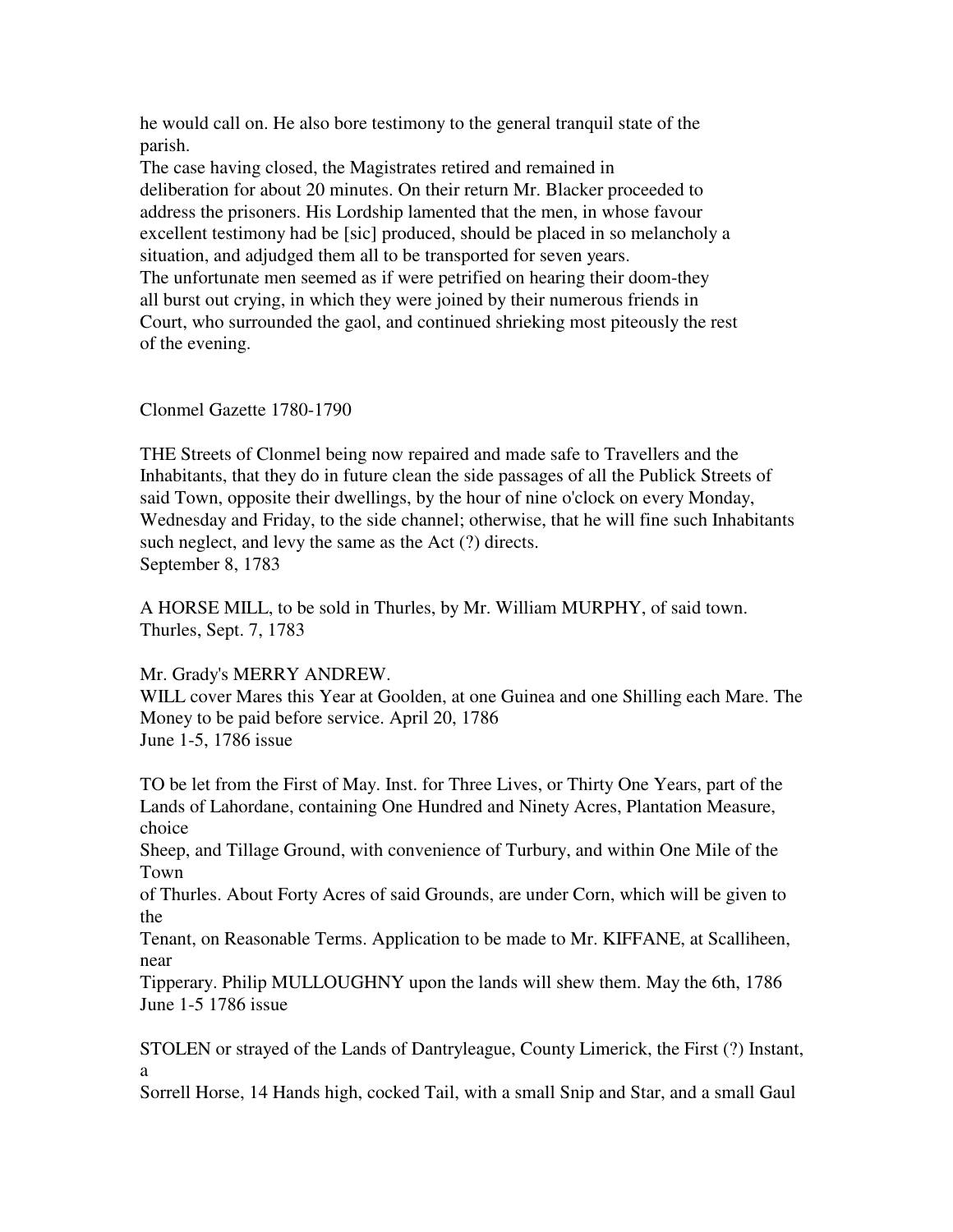he would call on. He also bore testimony to the general tranquil state of the parish.

The case having closed, the Magistrates retired and remained in deliberation for about 20 minutes. On their return Mr. Blacker proceeded to address the prisoners. His Lordship lamented that the men, in whose favour excellent testimony had be [sic] produced, should be placed in so melancholy a situation, and adjudged them all to be transported for seven years. The unfortunate men seemed as if were petrified on hearing their doom-they all burst out crying, in which they were joined by their numerous friends in Court, who surrounded the gaol, and continued shrieking most piteously the rest of the evening.

Clonmel Gazette 1780-1790

THE Streets of Clonmel being now repaired and made safe to Travellers and the Inhabitants, that they do in future clean the side passages of all the Publick Streets of said Town, opposite their dwellings, by the hour of nine o'clock on every Monday, Wednesday and Friday, to the side channel; otherwise, that he will fine such Inhabitants such neglect, and levy the same as the Act  $(?)$  directs. September 8, 1783

A HORSE MILL, to be sold in Thurles, by Mr. William MURPHY, of said town. Thurles, Sept. 7, 1783

Mr. Grady's MERRY ANDREW.

WILL cover Mares this Year at Goolden, at one Guinea and one Shilling each Mare. The Money to be paid before service. April 20, 1786 June 1-5, 1786 issue

TO be let from the First of May. Inst. for Three Lives, or Thirty One Years, part of the Lands of Lahordane, containing One Hundred and Ninety Acres, Plantation Measure, choice

Sheep, and Tillage Ground, with convenience of Turbury, and within One Mile of the Town

of Thurles. About Forty Acres of said Grounds, are under Corn, which will be given to the

Tenant, on Reasonable Terms. Application to be made to Mr. KIFFANE, at Scalliheen, near

Tipperary. Philip MULLOUGHNY upon the lands will shew them. May the 6th, 1786 June 1-5 1786 issue

STOLEN or strayed of the Lands of Dantryleague, County Limerick, the First (?) Instant, a

Sorrell Horse, 14 Hands high, cocked Tail, with a small Snip and Star, and a small Gaul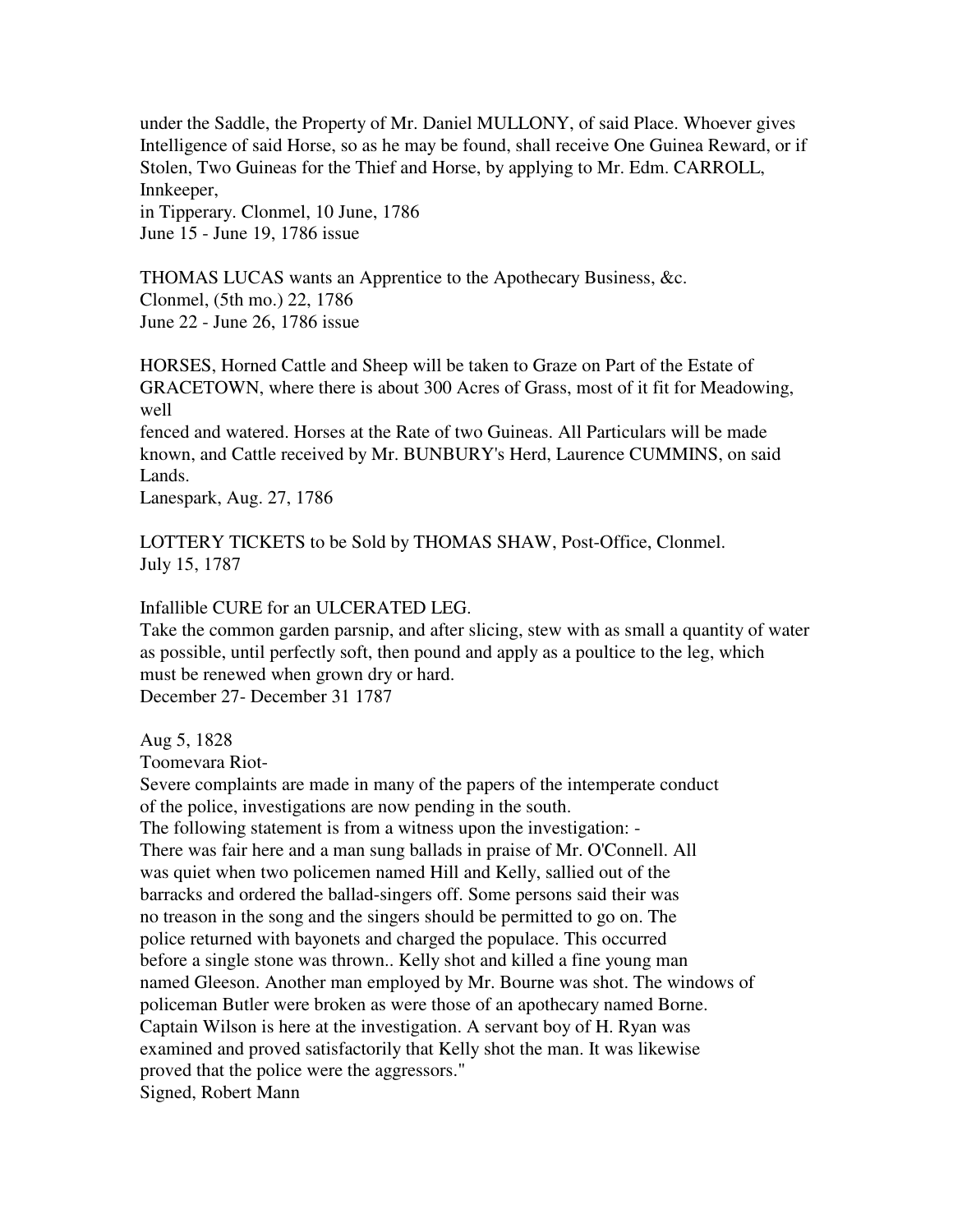under the Saddle, the Property of Mr. Daniel MULLONY, of said Place. Whoever gives Intelligence of said Horse, so as he may be found, shall receive One Guinea Reward, or if Stolen, Two Guineas for the Thief and Horse, by applying to Mr. Edm. CARROLL, Innkeeper,

in Tipperary. Clonmel, 10 June, 1786 June 15 - June 19, 1786 issue

THOMAS LUCAS wants an Apprentice to the Apothecary Business, &c. Clonmel, (5th mo.) 22, 1786 June 22 - June 26, 1786 issue

HORSES, Horned Cattle and Sheep will be taken to Graze on Part of the Estate of GRACETOWN, where there is about 300 Acres of Grass, most of it fit for Meadowing, well

fenced and watered. Horses at the Rate of two Guineas. All Particulars will be made known, and Cattle received by Mr. BUNBURY's Herd, Laurence CUMMINS, on said Lands.

Lanespark, Aug. 27, 1786

LOTTERY TICKETS to be Sold by THOMAS SHAW, Post-Office, Clonmel. July 15, 1787

Infallible CURE for an ULCERATED LEG.

Take the common garden parsnip, and after slicing, stew with as small a quantity of water as possible, until perfectly soft, then pound and apply as a poultice to the leg, which must be renewed when grown dry or hard.

December 27- December 31 1787

Aug 5, 1828

Toomevara Riot-

Severe complaints are made in many of the papers of the intemperate conduct of the police, investigations are now pending in the south.

The following statement is from a witness upon the investigation: - There was fair here and a man sung ballads in praise of Mr. O'Connell. All was quiet when two policemen named Hill and Kelly, sallied out of the barracks and ordered the ballad-singers off. Some persons said their was no treason in the song and the singers should be permitted to go on. The police returned with bayonets and charged the populace. This occurred before a single stone was thrown.. Kelly shot and killed a fine young man named Gleeson. Another man employed by Mr. Bourne was shot. The windows of policeman Butler were broken as were those of an apothecary named Borne. Captain Wilson is here at the investigation. A servant boy of H. Ryan was examined and proved satisfactorily that Kelly shot the man. It was likewise proved that the police were the aggressors." Signed, Robert Mann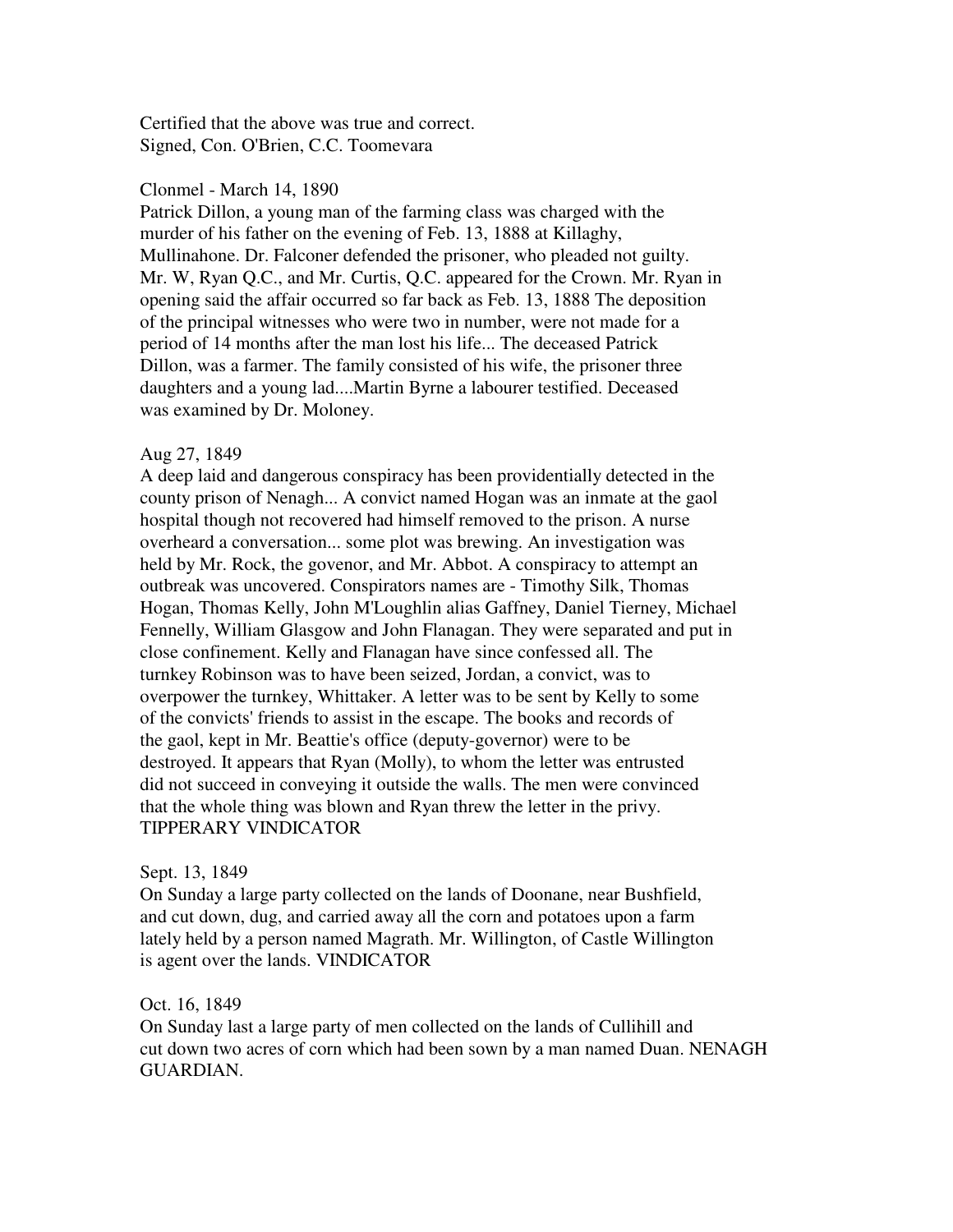Certified that the above was true and correct. Signed, Con. O'Brien, C.C. Toomevara

#### Clonmel - March 14, 1890

Patrick Dillon, a young man of the farming class was charged with the murder of his father on the evening of Feb. 13, 1888 at Killaghy, Mullinahone. Dr. Falconer defended the prisoner, who pleaded not guilty. Mr. W, Ryan Q.C., and Mr. Curtis, Q.C. appeared for the Crown. Mr. Ryan in opening said the affair occurred so far back as Feb. 13, 1888 The deposition of the principal witnesses who were two in number, were not made for a period of 14 months after the man lost his life... The deceased Patrick Dillon, was a farmer. The family consisted of his wife, the prisoner three daughters and a young lad....Martin Byrne a labourer testified. Deceased was examined by Dr. Moloney.

#### Aug 27, 1849

A deep laid and dangerous conspiracy has been providentially detected in the county prison of Nenagh... A convict named Hogan was an inmate at the gaol hospital though not recovered had himself removed to the prison. A nurse overheard a conversation... some plot was brewing. An investigation was held by Mr. Rock, the govenor, and Mr. Abbot. A conspiracy to attempt an outbreak was uncovered. Conspirators names are - Timothy Silk, Thomas Hogan, Thomas Kelly, John M'Loughlin alias Gaffney, Daniel Tierney, Michael Fennelly, William Glasgow and John Flanagan. They were separated and put in close confinement. Kelly and Flanagan have since confessed all. The turnkey Robinson was to have been seized, Jordan, a convict, was to overpower the turnkey, Whittaker. A letter was to be sent by Kelly to some of the convicts' friends to assist in the escape. The books and records of the gaol, kept in Mr. Beattie's office (deputy-governor) were to be destroyed. It appears that Ryan (Molly), to whom the letter was entrusted did not succeed in conveying it outside the walls. The men were convinced that the whole thing was blown and Ryan threw the letter in the privy. TIPPERARY VINDICATOR

#### Sept. 13, 1849

On Sunday a large party collected on the lands of Doonane, near Bushfield, and cut down, dug, and carried away all the corn and potatoes upon a farm lately held by a person named Magrath. Mr. Willington, of Castle Willington is agent over the lands. VINDICATOR

#### Oct. 16, 1849

On Sunday last a large party of men collected on the lands of Cullihill and cut down two acres of corn which had been sown by a man named Duan. NENAGH GUARDIAN.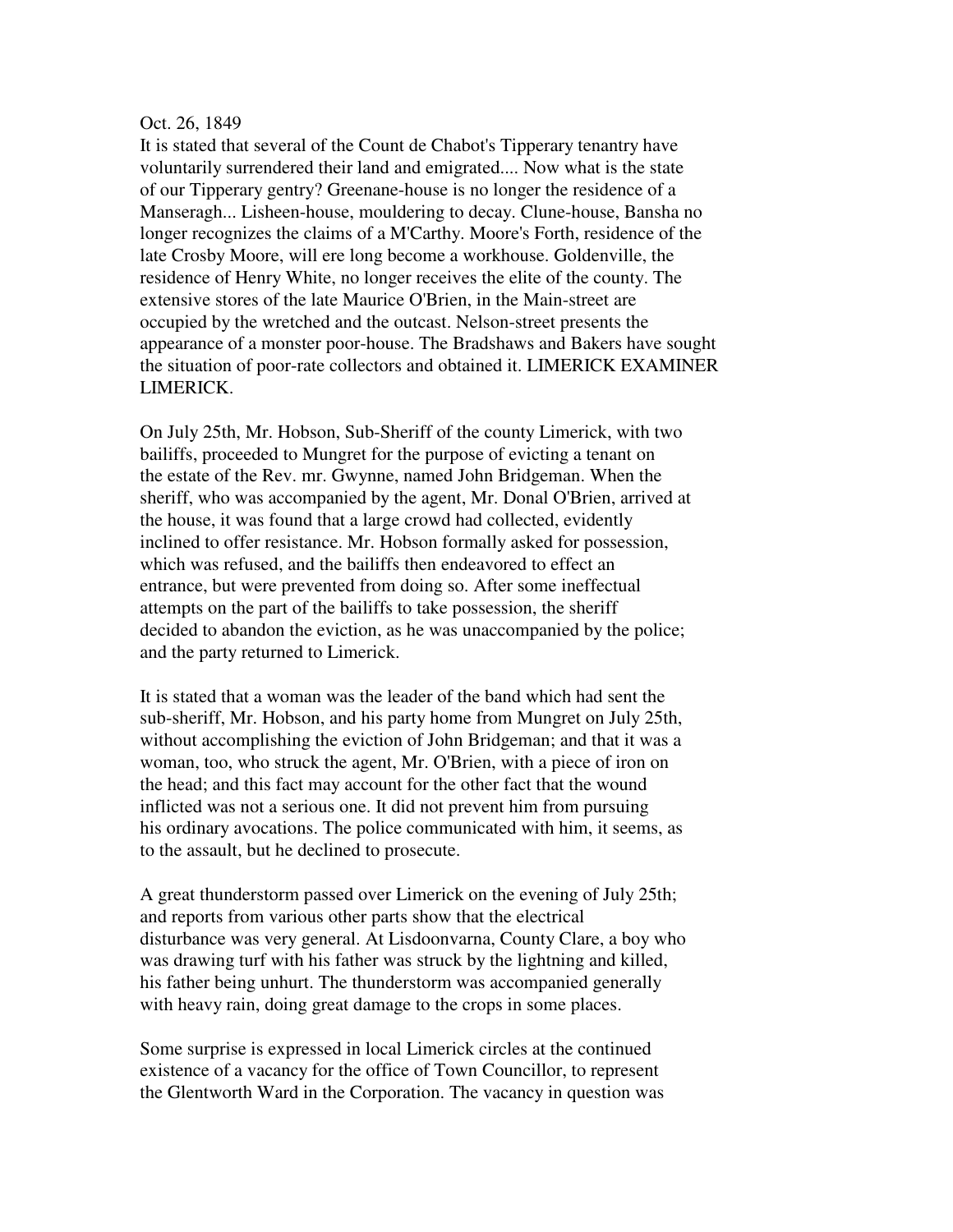#### Oct. 26, 1849

It is stated that several of the Count de Chabot's Tipperary tenantry have voluntarily surrendered their land and emigrated.... Now what is the state of our Tipperary gentry? Greenane-house is no longer the residence of a Manseragh... Lisheen-house, mouldering to decay. Clune-house, Bansha no longer recognizes the claims of a M'Carthy. Moore's Forth, residence of the late Crosby Moore, will ere long become a workhouse. Goldenville, the residence of Henry White, no longer receives the elite of the county. The extensive stores of the late Maurice O'Brien, in the Main-street are occupied by the wretched and the outcast. Nelson-street presents the appearance of a monster poor-house. The Bradshaws and Bakers have sought the situation of poor-rate collectors and obtained it. LIMERICK EXAMINER LIMERICK.

On July 25th, Mr. Hobson, Sub-Sheriff of the county Limerick, with two bailiffs, proceeded to Mungret for the purpose of evicting a tenant on the estate of the Rev. mr. Gwynne, named John Bridgeman. When the sheriff, who was accompanied by the agent, Mr. Donal O'Brien, arrived at the house, it was found that a large crowd had collected, evidently inclined to offer resistance. Mr. Hobson formally asked for possession, which was refused, and the bailiffs then endeavored to effect an entrance, but were prevented from doing so. After some ineffectual attempts on the part of the bailiffs to take possession, the sheriff decided to abandon the eviction, as he was unaccompanied by the police; and the party returned to Limerick.

It is stated that a woman was the leader of the band which had sent the sub-sheriff, Mr. Hobson, and his party home from Mungret on July 25th, without accomplishing the eviction of John Bridgeman; and that it was a woman, too, who struck the agent, Mr. O'Brien, with a piece of iron on the head; and this fact may account for the other fact that the wound inflicted was not a serious one. It did not prevent him from pursuing his ordinary avocations. The police communicated with him, it seems, as to the assault, but he declined to prosecute.

A great thunderstorm passed over Limerick on the evening of July 25th; and reports from various other parts show that the electrical disturbance was very general. At Lisdoonvarna, County Clare, a boy who was drawing turf with his father was struck by the lightning and killed, his father being unhurt. The thunderstorm was accompanied generally with heavy rain, doing great damage to the crops in some places.

Some surprise is expressed in local Limerick circles at the continued existence of a vacancy for the office of Town Councillor, to represent the Glentworth Ward in the Corporation. The vacancy in question was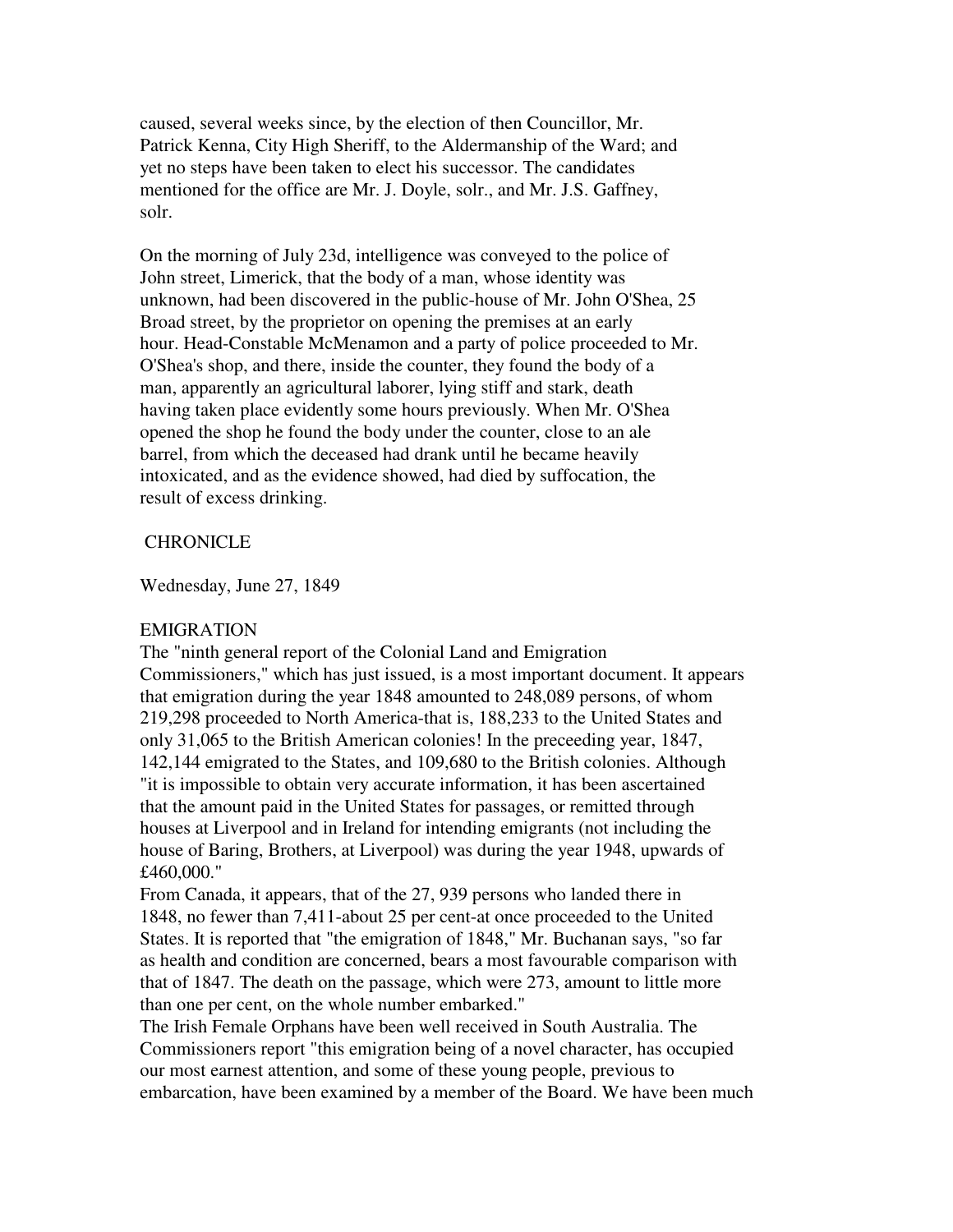caused, several weeks since, by the election of then Councillor, Mr. Patrick Kenna, City High Sheriff, to the Aldermanship of the Ward; and yet no steps have been taken to elect his successor. The candidates mentioned for the office are Mr. J. Doyle, solr., and Mr. J.S. Gaffney, solr.

On the morning of July 23d, intelligence was conveyed to the police of John street, Limerick, that the body of a man, whose identity was unknown, had been discovered in the public-house of Mr. John O'Shea, 25 Broad street, by the proprietor on opening the premises at an early hour. Head-Constable McMenamon and a party of police proceeded to Mr. O'Shea's shop, and there, inside the counter, they found the body of a man, apparently an agricultural laborer, lying stiff and stark, death having taken place evidently some hours previously. When Mr. O'Shea opened the shop he found the body under the counter, close to an ale barrel, from which the deceased had drank until he became heavily intoxicated, and as the evidence showed, had died by suffocation, the result of excess drinking.

#### CHRONICLE

Wednesday, June 27, 1849

#### EMIGRATION

The "ninth general report of the Colonial Land and Emigration Commissioners," which has just issued, is a most important document. It appears that emigration during the year 1848 amounted to 248,089 persons, of whom 219,298 proceeded to North America-that is, 188,233 to the United States and only 31,065 to the British American colonies! In the preceeding year, 1847, 142,144 emigrated to the States, and 109,680 to the British colonies. Although "it is impossible to obtain very accurate information, it has been ascertained that the amount paid in the United States for passages, or remitted through houses at Liverpool and in Ireland for intending emigrants (not including the house of Baring, Brothers, at Liverpool) was during the year 1948, upwards of £460,000."

From Canada, it appears, that of the 27, 939 persons who landed there in 1848, no fewer than 7,411-about 25 per cent-at once proceeded to the United States. It is reported that "the emigration of 1848," Mr. Buchanan says, "so far as health and condition are concerned, bears a most favourable comparison with that of 1847. The death on the passage, which were 273, amount to little more than one per cent, on the whole number embarked."

The Irish Female Orphans have been well received in South Australia. The Commissioners report "this emigration being of a novel character, has occupied our most earnest attention, and some of these young people, previous to embarcation, have been examined by a member of the Board. We have been much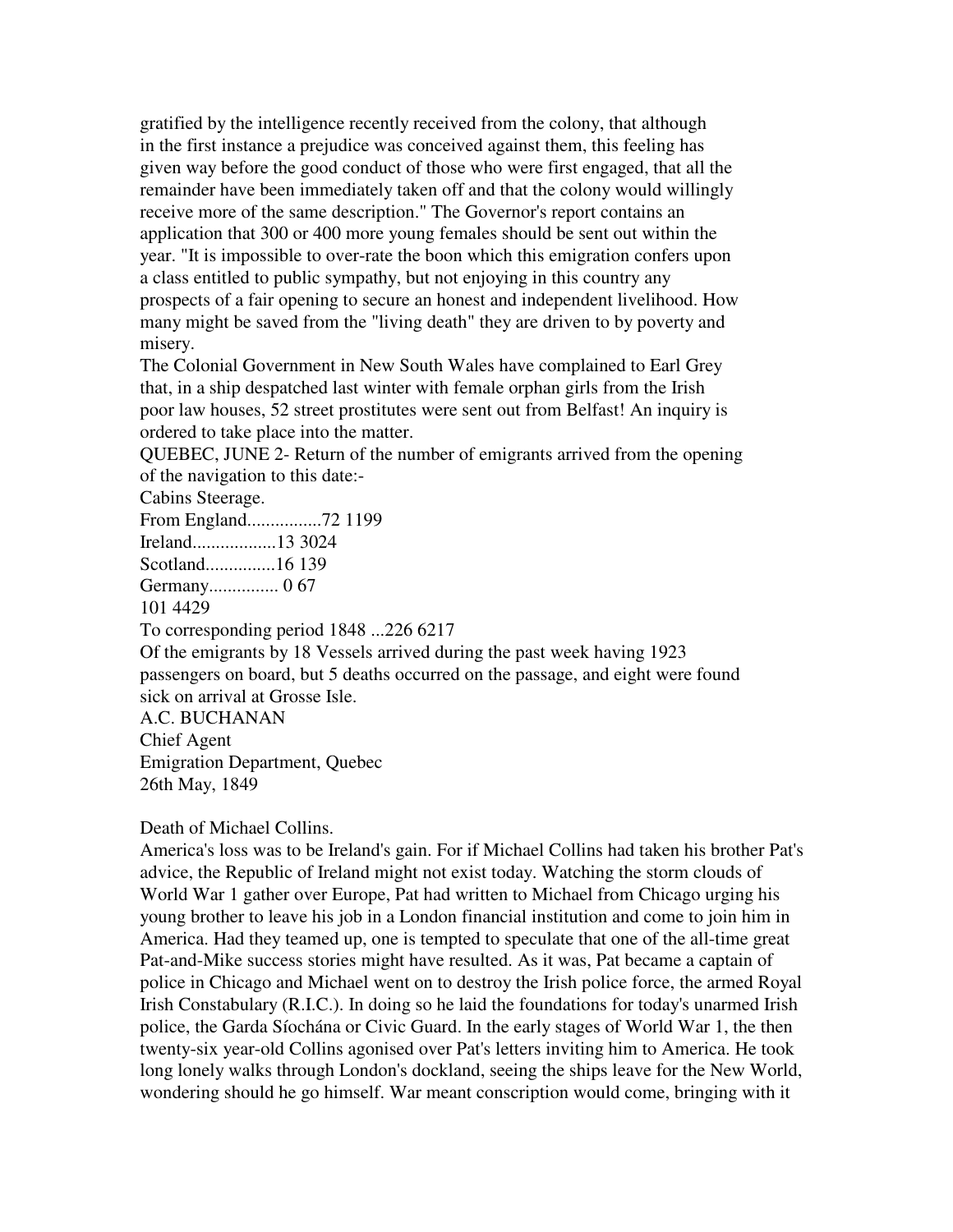gratified by the intelligence recently received from the colony, that although in the first instance a prejudice was conceived against them, this feeling has given way before the good conduct of those who were first engaged, that all the remainder have been immediately taken off and that the colony would willingly receive more of the same description." The Governor's report contains an application that 300 or 400 more young females should be sent out within the year. "It is impossible to over-rate the boon which this emigration confers upon a class entitled to public sympathy, but not enjoying in this country any prospects of a fair opening to secure an honest and independent livelihood. How many might be saved from the "living death" they are driven to by poverty and misery.

The Colonial Government in New South Wales have complained to Earl Grey that, in a ship despatched last winter with female orphan girls from the Irish poor law houses, 52 street prostitutes were sent out from Belfast! An inquiry is ordered to take place into the matter.

QUEBEC, JUNE 2- Return of the number of emigrants arrived from the opening of the navigation to this date:-

Cabins Steerage.

From England................72 1199

Ireland..................13 3024

Scotland...............16 139

Germany............... 0 67

101 4429

To corresponding period 1848 ...226 6217

Of the emigrants by 18 Vessels arrived during the past week having 1923 passengers on board, but 5 deaths occurred on the passage, and eight were found sick on arrival at Grosse Isle.

A.C. BUCHANAN Chief Agent Emigration Department, Quebec 26th May, 1849

Death of Michael Collins.

America's loss was to be Ireland's gain. For if Michael Collins had taken his brother Pat's advice, the Republic of Ireland might not exist today. Watching the storm clouds of World War 1 gather over Europe, Pat had written to Michael from Chicago urging his young brother to leave his job in a London financial institution and come to join him in America. Had they teamed up, one is tempted to speculate that one of the all-time great Pat-and-Mike success stories might have resulted. As it was, Pat became a captain of police in Chicago and Michael went on to destroy the Irish police force, the armed Royal Irish Constabulary (R.I.C.). In doing so he laid the foundations for today's unarmed Irish police, the Garda Síochána or Civic Guard. In the early stages of World War 1, the then twenty-six year-old Collins agonised over Pat's letters inviting him to America. He took long lonely walks through London's dockland, seeing the ships leave for the New World, wondering should he go himself. War meant conscription would come, bringing with it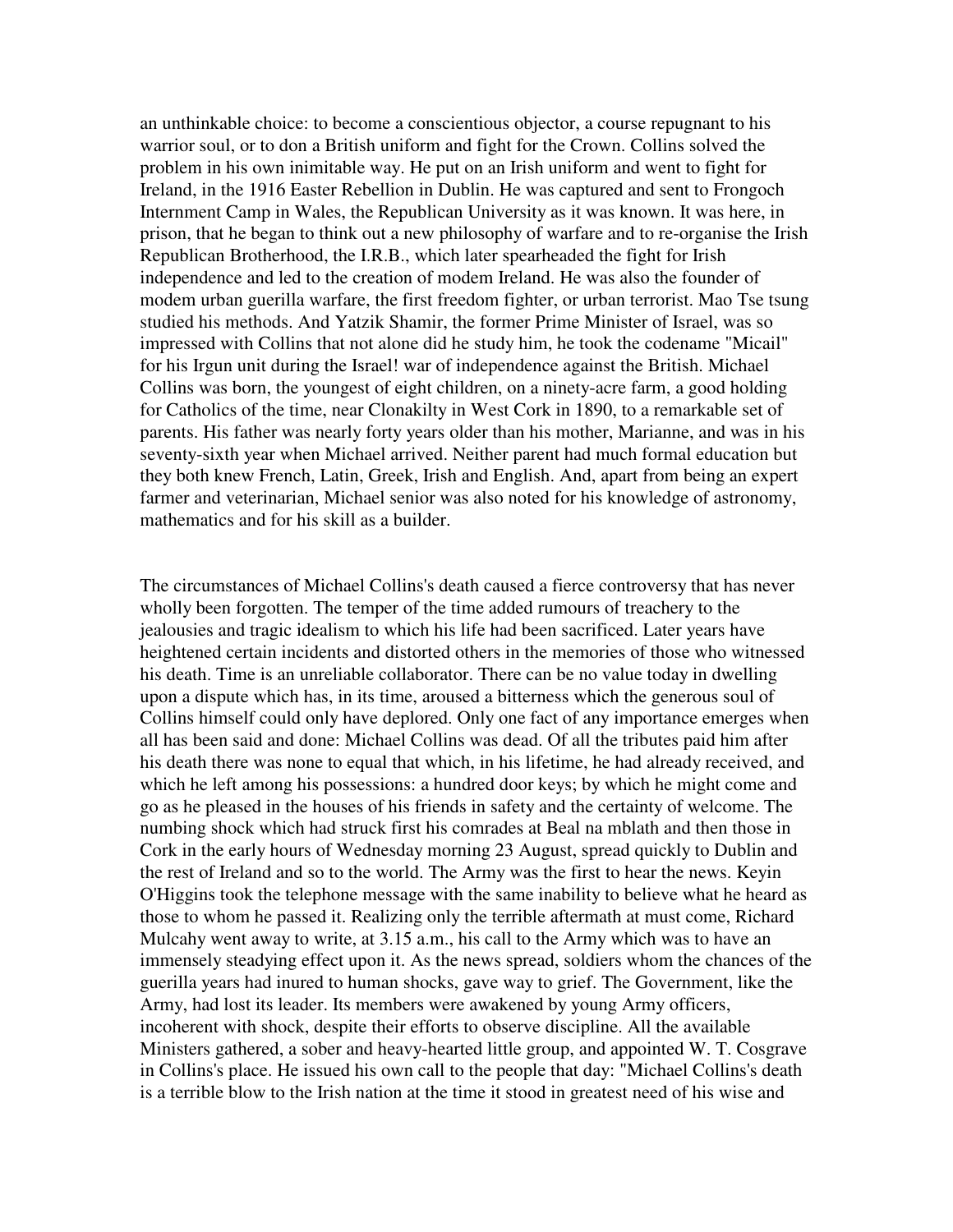an unthinkable choice: to become a conscientious objector, a course repugnant to his warrior soul, or to don a British uniform and fight for the Crown. Collins solved the problem in his own inimitable way. He put on an Irish uniform and went to fight for Ireland, in the 1916 Easter Rebellion in Dublin. He was captured and sent to Frongoch Internment Camp in Wales, the Republican University as it was known. It was here, in prison, that he began to think out a new philosophy of warfare and to re-organise the Irish Republican Brotherhood, the I.R.B., which later spearheaded the fight for Irish independence and led to the creation of modem Ireland. He was also the founder of modem urban guerilla warfare, the first freedom fighter, or urban terrorist. Mao Tse tsung studied his methods. And Yatzik Shamir, the former Prime Minister of Israel, was so impressed with Collins that not alone did he study him, he took the codename "Micail" for his Irgun unit during the Israel! war of independence against the British. Michael Collins was born, the youngest of eight children, on a ninety-acre farm, a good holding for Catholics of the time, near Clonakilty in West Cork in 1890, to a remarkable set of parents. His father was nearly forty years older than his mother, Marianne, and was in his seventy-sixth year when Michael arrived. Neither parent had much formal education but they both knew French, Latin, Greek, Irish and English. And, apart from being an expert farmer and veterinarian, Michael senior was also noted for his knowledge of astronomy, mathematics and for his skill as a builder.

The circumstances of Michael Collins's death caused a fierce controversy that has never wholly been forgotten. The temper of the time added rumours of treachery to the jealousies and tragic idealism to which his life had been sacrificed. Later years have heightened certain incidents and distorted others in the memories of those who witnessed his death. Time is an unreliable collaborator. There can be no value today in dwelling upon a dispute which has, in its time, aroused a bitterness which the generous soul of Collins himself could only have deplored. Only one fact of any importance emerges when all has been said and done: Michael Collins was dead. Of all the tributes paid him after his death there was none to equal that which, in his lifetime, he had already received, and which he left among his possessions: a hundred door keys; by which he might come and go as he pleased in the houses of his friends in safety and the certainty of welcome. The numbing shock which had struck first his comrades at Beal na mblath and then those in Cork in the early hours of Wednesday morning 23 August, spread quickly to Dublin and the rest of Ireland and so to the world. The Army was the first to hear the news. Keyin O'Higgins took the telephone message with the same inability to believe what he heard as those to whom he passed it. Realizing only the terrible aftermath at must come, Richard Mulcahy went away to write, at 3.15 a.m., his call to the Army which was to have an immensely steadying effect upon it. As the news spread, soldiers whom the chances of the guerilla years had inured to human shocks, gave way to grief. The Government, like the Army, had lost its leader. Its members were awakened by young Army officers, incoherent with shock, despite their efforts to observe discipline. All the available Ministers gathered, a sober and heavy-hearted little group, and appointed W. T. Cosgrave in Collins's place. He issued his own call to the people that day: "Michael Collins's death is a terrible blow to the Irish nation at the time it stood in greatest need of his wise and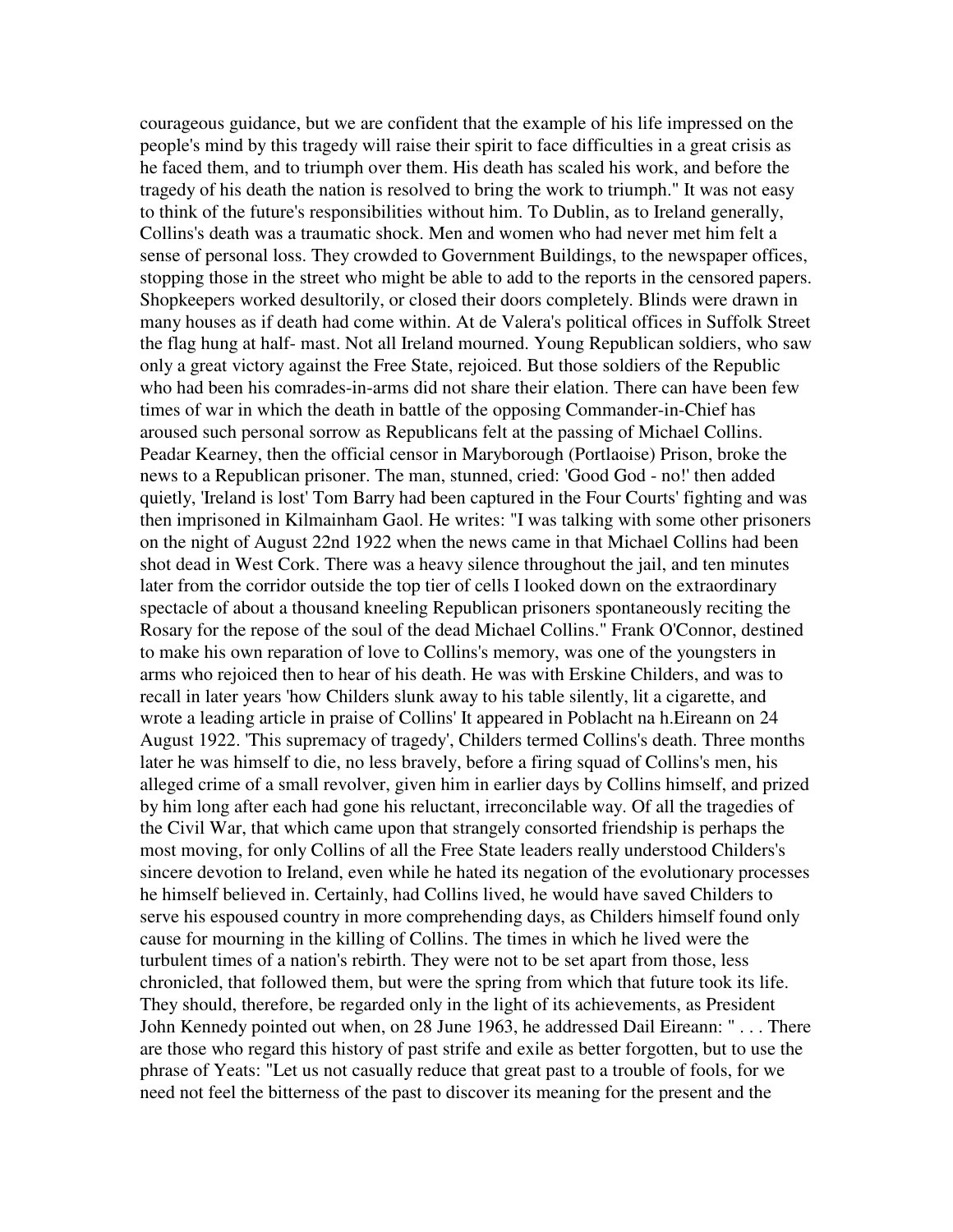courageous guidance, but we are confident that the example of his life impressed on the people's mind by this tragedy will raise their spirit to face difficulties in a great crisis as he faced them, and to triumph over them. His death has scaled his work, and before the tragedy of his death the nation is resolved to bring the work to triumph." It was not easy to think of the future's responsibilities without him. To Dublin, as to Ireland generally, Collins's death was a traumatic shock. Men and women who had never met him felt a sense of personal loss. They crowded to Government Buildings, to the newspaper offices, stopping those in the street who might be able to add to the reports in the censored papers. Shopkeepers worked desultorily, or closed their doors completely. Blinds were drawn in many houses as if death had come within. At de Valera's political offices in Suffolk Street the flag hung at half- mast. Not all Ireland mourned. Young Republican soldiers, who saw only a great victory against the Free State, rejoiced. But those soldiers of the Republic who had been his comrades-in-arms did not share their elation. There can have been few times of war in which the death in battle of the opposing Commander-in-Chief has aroused such personal sorrow as Republicans felt at the passing of Michael Collins. Peadar Kearney, then the official censor in Maryborough (Portlaoise) Prison, broke the news to a Republican prisoner. The man, stunned, cried: 'Good God - no!' then added quietly, 'Ireland is lost' Tom Barry had been captured in the Four Courts' fighting and was then imprisoned in Kilmainham Gaol. He writes: "I was talking with some other prisoners on the night of August 22nd 1922 when the news came in that Michael Collins had been shot dead in West Cork. There was a heavy silence throughout the jail, and ten minutes later from the corridor outside the top tier of cells I looked down on the extraordinary spectacle of about a thousand kneeling Republican prisoners spontaneously reciting the Rosary for the repose of the soul of the dead Michael Collins." Frank O'Connor, destined to make his own reparation of love to Collins's memory, was one of the youngsters in arms who rejoiced then to hear of his death. He was with Erskine Childers, and was to recall in later years 'how Childers slunk away to his table silently, lit a cigarette, and wrote a leading article in praise of Collins' It appeared in Poblacht na h.Eireann on 24 August 1922. 'This supremacy of tragedy', Childers termed Collins's death. Three months later he was himself to die, no less bravely, before a firing squad of Collins's men, his alleged crime of a small revolver, given him in earlier days by Collins himself, and prized by him long after each had gone his reluctant, irreconcilable way. Of all the tragedies of the Civil War, that which came upon that strangely consorted friendship is perhaps the most moving, for only Collins of all the Free State leaders really understood Childers's sincere devotion to Ireland, even while he hated its negation of the evolutionary processes he himself believed in. Certainly, had Collins lived, he would have saved Childers to serve his espoused country in more comprehending days, as Childers himself found only cause for mourning in the killing of Collins. The times in which he lived were the turbulent times of a nation's rebirth. They were not to be set apart from those, less chronicled, that followed them, but were the spring from which that future took its life. They should, therefore, be regarded only in the light of its achievements, as President John Kennedy pointed out when, on 28 June 1963, he addressed Dail Eireann: " . . . There are those who regard this history of past strife and exile as better forgotten, but to use the phrase of Yeats: "Let us not casually reduce that great past to a trouble of fools, for we need not feel the bitterness of the past to discover its meaning for the present and the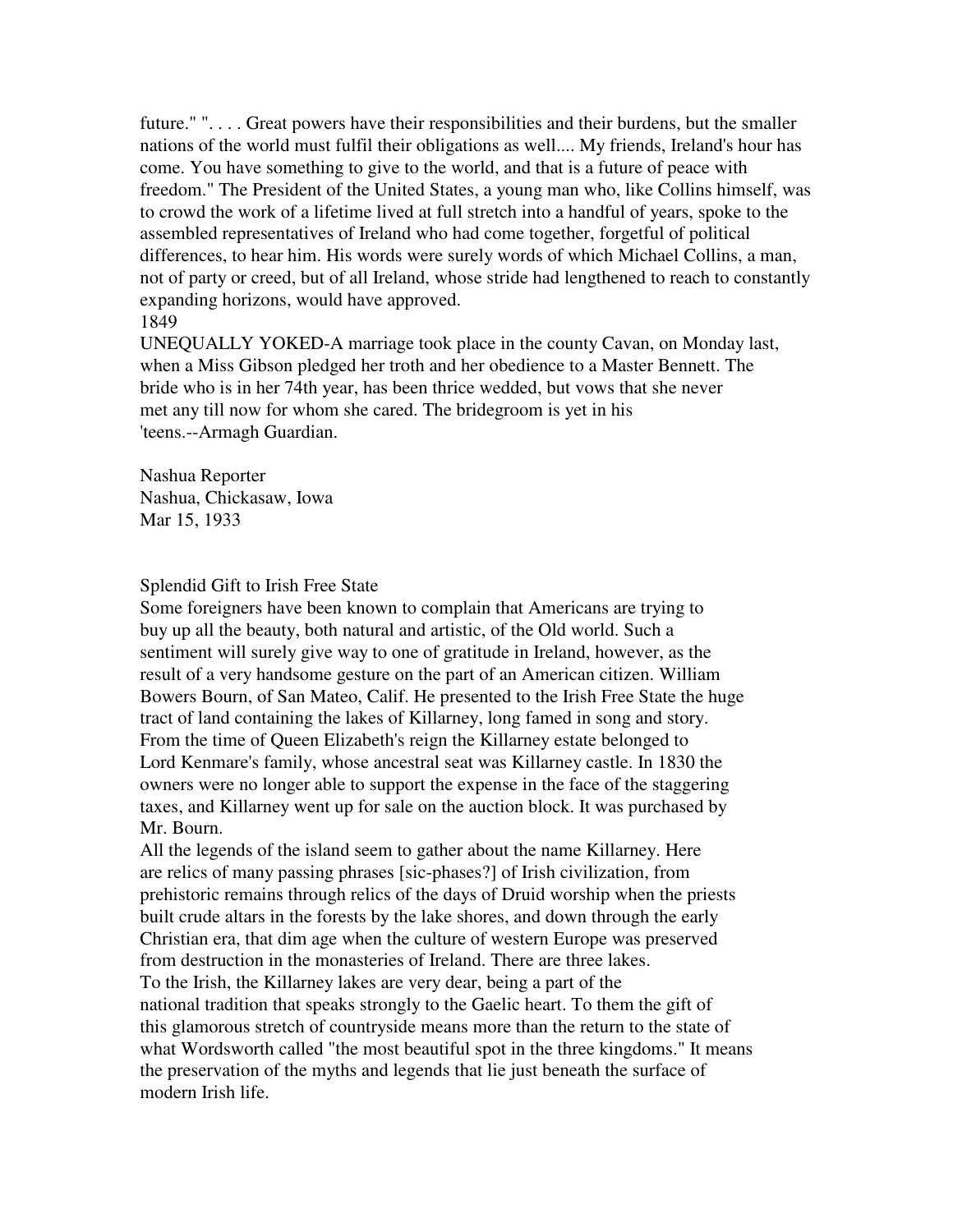future." ". . . . Great powers have their responsibilities and their burdens, but the smaller nations of the world must fulfil their obligations as well.... My friends, Ireland's hour has come. You have something to give to the world, and that is a future of peace with freedom." The President of the United States, a young man who, like Collins himself, was to crowd the work of a lifetime lived at full stretch into a handful of years, spoke to the assembled representatives of Ireland who had come together, forgetful of political differences, to hear him. His words were surely words of which Michael Collins, a man, not of party or creed, but of all Ireland, whose stride had lengthened to reach to constantly expanding horizons, would have approved.

## 1849

UNEQUALLY YOKED-A marriage took place in the county Cavan, on Monday last, when a Miss Gibson pledged her troth and her obedience to a Master Bennett. The bride who is in her 74th year, has been thrice wedded, but vows that she never met any till now for whom she cared. The bridegroom is yet in his 'teens.--Armagh Guardian.

Nashua Reporter Nashua, Chickasaw, Iowa Mar 15, 1933

## Splendid Gift to Irish Free State

Some foreigners have been known to complain that Americans are trying to buy up all the beauty, both natural and artistic, of the Old world. Such a sentiment will surely give way to one of gratitude in Ireland, however, as the result of a very handsome gesture on the part of an American citizen. William Bowers Bourn, of San Mateo, Calif. He presented to the Irish Free State the huge tract of land containing the lakes of Killarney, long famed in song and story. From the time of Queen Elizabeth's reign the Killarney estate belonged to Lord Kenmare's family, whose ancestral seat was Killarney castle. In 1830 the owners were no longer able to support the expense in the face of the staggering taxes, and Killarney went up for sale on the auction block. It was purchased by Mr. Bourn.

All the legends of the island seem to gather about the name Killarney. Here are relics of many passing phrases [sic-phases?] of Irish civilization, from prehistoric remains through relics of the days of Druid worship when the priests built crude altars in the forests by the lake shores, and down through the early Christian era, that dim age when the culture of western Europe was preserved from destruction in the monasteries of Ireland. There are three lakes. To the Irish, the Killarney lakes are very dear, being a part of the national tradition that speaks strongly to the Gaelic heart. To them the gift of this glamorous stretch of countryside means more than the return to the state of what Wordsworth called "the most beautiful spot in the three kingdoms." It means the preservation of the myths and legends that lie just beneath the surface of modern Irish life.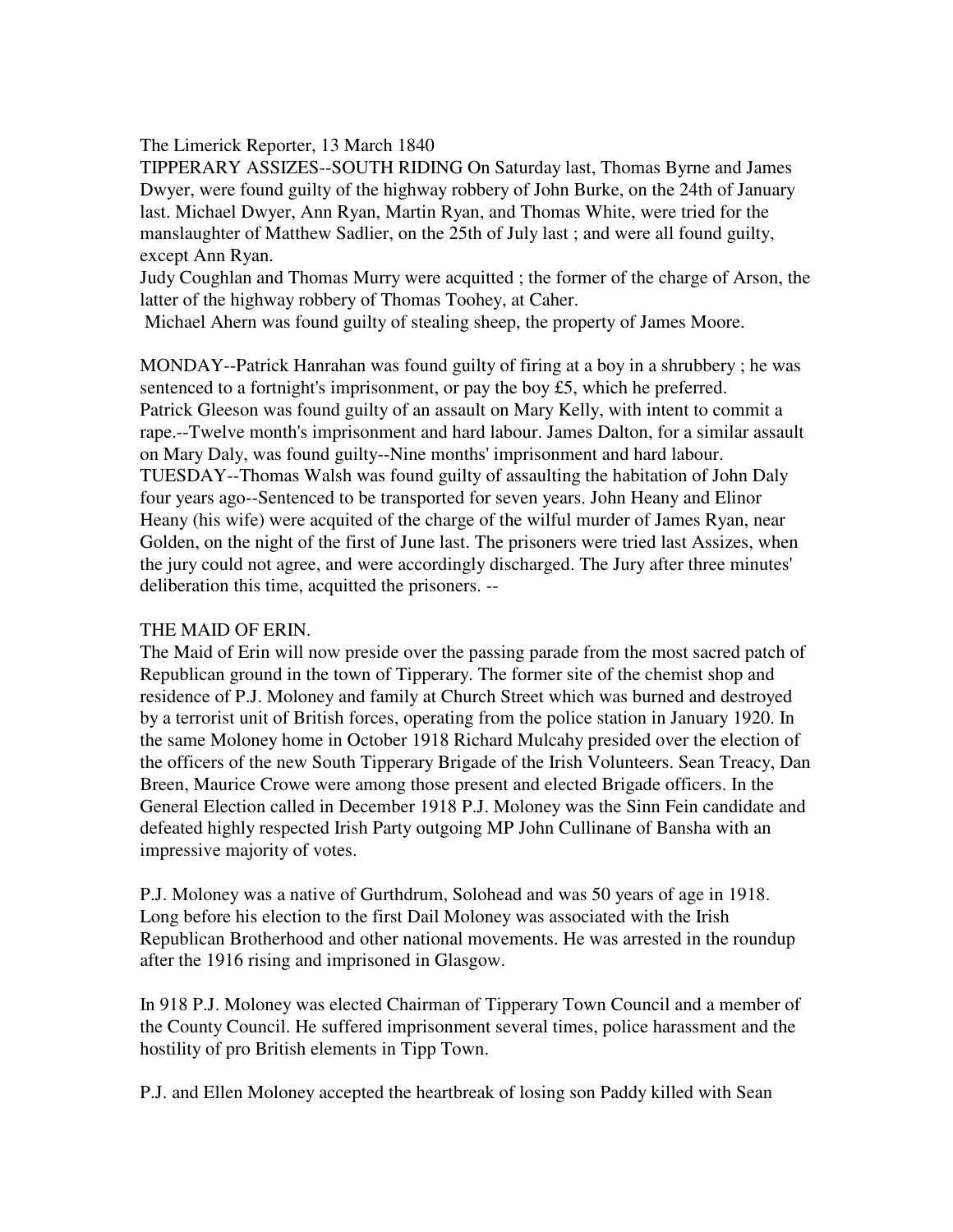The Limerick Reporter, 13 March 1840

TIPPERARY ASSIZES--SOUTH RIDING On Saturday last, Thomas Byrne and James Dwyer, were found guilty of the highway robbery of John Burke, on the 24th of January last. Michael Dwyer, Ann Ryan, Martin Ryan, and Thomas White, were tried for the manslaughter of Matthew Sadlier, on the 25th of July last ; and were all found guilty, except Ann Ryan.

Judy Coughlan and Thomas Murry were acquitted ; the former of the charge of Arson, the latter of the highway robbery of Thomas Toohey, at Caher.

Michael Ahern was found guilty of stealing sheep, the property of James Moore.

MONDAY--Patrick Hanrahan was found guilty of firing at a boy in a shrubbery ; he was sentenced to a fortnight's imprisonment, or pay the boy £5, which he preferred. Patrick Gleeson was found guilty of an assault on Mary Kelly, with intent to commit a rape.--Twelve month's imprisonment and hard labour. James Dalton, for a similar assault on Mary Daly, was found guilty--Nine months' imprisonment and hard labour. TUESDAY--Thomas Walsh was found guilty of assaulting the habitation of John Daly four years ago--Sentenced to be transported for seven years. John Heany and Elinor Heany (his wife) were acquited of the charge of the wilful murder of James Ryan, near Golden, on the night of the first of June last. The prisoners were tried last Assizes, when the jury could not agree, and were accordingly discharged. The Jury after three minutes' deliberation this time, acquitted the prisoners. --

## THE MAID OF ERIN.

The Maid of Erin will now preside over the passing parade from the most sacred patch of Republican ground in the town of Tipperary. The former site of the chemist shop and residence of P.J. Moloney and family at Church Street which was burned and destroyed by a terrorist unit of British forces, operating from the police station in January 1920. In the same Moloney home in October 1918 Richard Mulcahy presided over the election of the officers of the new South Tipperary Brigade of the Irish Volunteers. Sean Treacy, Dan Breen, Maurice Crowe were among those present and elected Brigade officers. In the General Election called in December 1918 P.J. Moloney was the Sinn Fein candidate and defeated highly respected Irish Party outgoing MP John Cullinane of Bansha with an impressive majority of votes.

P.J. Moloney was a native of Gurthdrum, Solohead and was 50 years of age in 1918. Long before his election to the first Dail Moloney was associated with the Irish Republican Brotherhood and other national movements. He was arrested in the roundup after the 1916 rising and imprisoned in Glasgow.

In 918 P.J. Moloney was elected Chairman of Tipperary Town Council and a member of the County Council. He suffered imprisonment several times, police harassment and the hostility of pro British elements in Tipp Town.

P.J. and Ellen Moloney accepted the heartbreak of losing son Paddy killed with Sean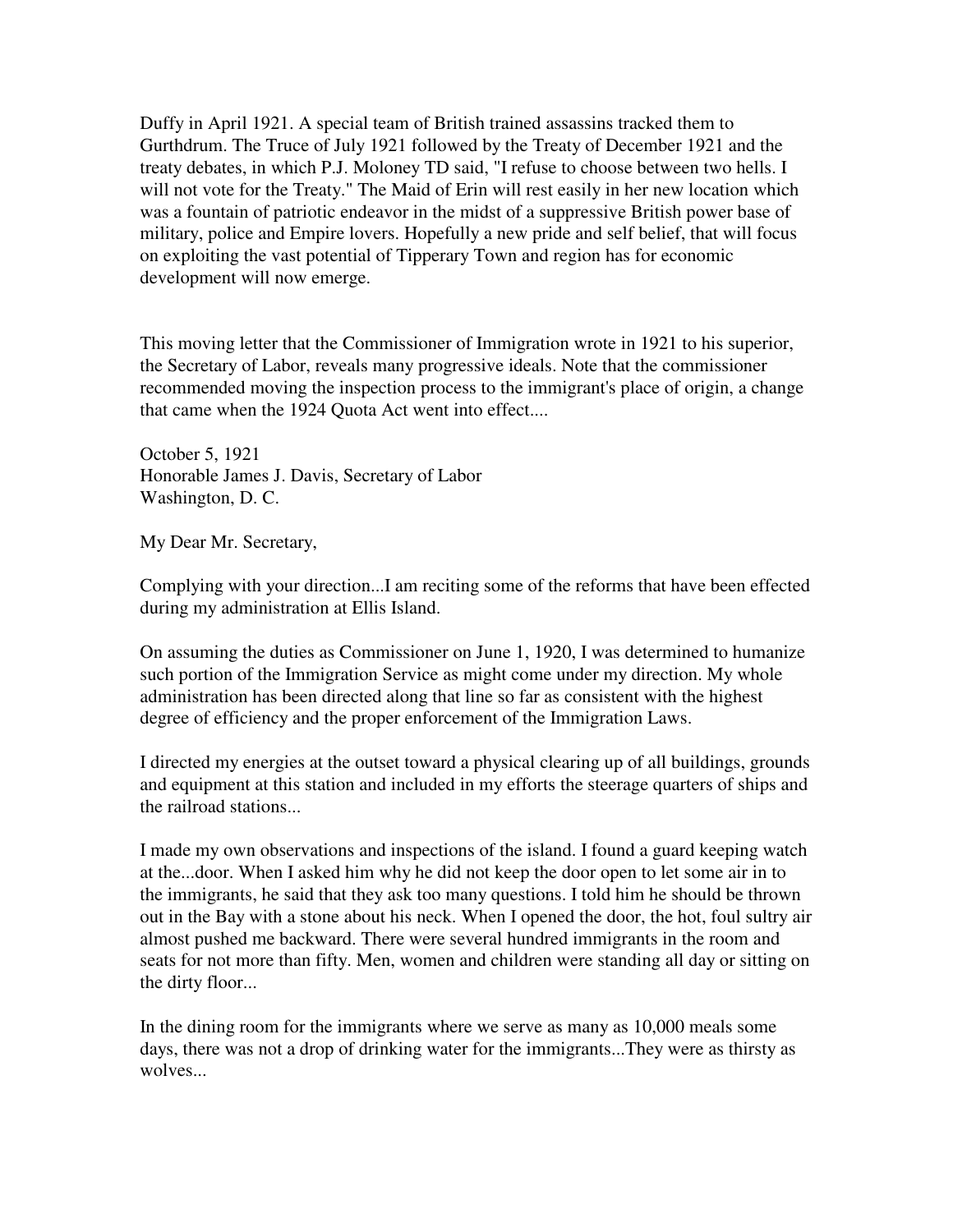Duffy in April 1921. A special team of British trained assassins tracked them to Gurthdrum. The Truce of July 1921 followed by the Treaty of December 1921 and the treaty debates, in which P.J. Moloney TD said, "I refuse to choose between two hells. I will not vote for the Treaty." The Maid of Erin will rest easily in her new location which was a fountain of patriotic endeavor in the midst of a suppressive British power base of military, police and Empire lovers. Hopefully a new pride and self belief, that will focus on exploiting the vast potential of Tipperary Town and region has for economic development will now emerge.

This moving letter that the Commissioner of Immigration wrote in 1921 to his superior, the Secretary of Labor, reveals many progressive ideals. Note that the commissioner recommended moving the inspection process to the immigrant's place of origin, a change that came when the 1924 Quota Act went into effect....

October 5, 1921 Honorable James J. Davis, Secretary of Labor Washington, D. C.

My Dear Mr. Secretary,

Complying with your direction...I am reciting some of the reforms that have been effected during my administration at Ellis Island.

On assuming the duties as Commissioner on June 1, 1920, I was determined to humanize such portion of the Immigration Service as might come under my direction. My whole administration has been directed along that line so far as consistent with the highest degree of efficiency and the proper enforcement of the Immigration Laws.

I directed my energies at the outset toward a physical clearing up of all buildings, grounds and equipment at this station and included in my efforts the steerage quarters of ships and the railroad stations...

I made my own observations and inspections of the island. I found a guard keeping watch at the...door. When I asked him why he did not keep the door open to let some air in to the immigrants, he said that they ask too many questions. I told him he should be thrown out in the Bay with a stone about his neck. When I opened the door, the hot, foul sultry air almost pushed me backward. There were several hundred immigrants in the room and seats for not more than fifty. Men, women and children were standing all day or sitting on the dirty floor...

In the dining room for the immigrants where we serve as many as 10,000 meals some days, there was not a drop of drinking water for the immigrants...They were as thirsty as wolves...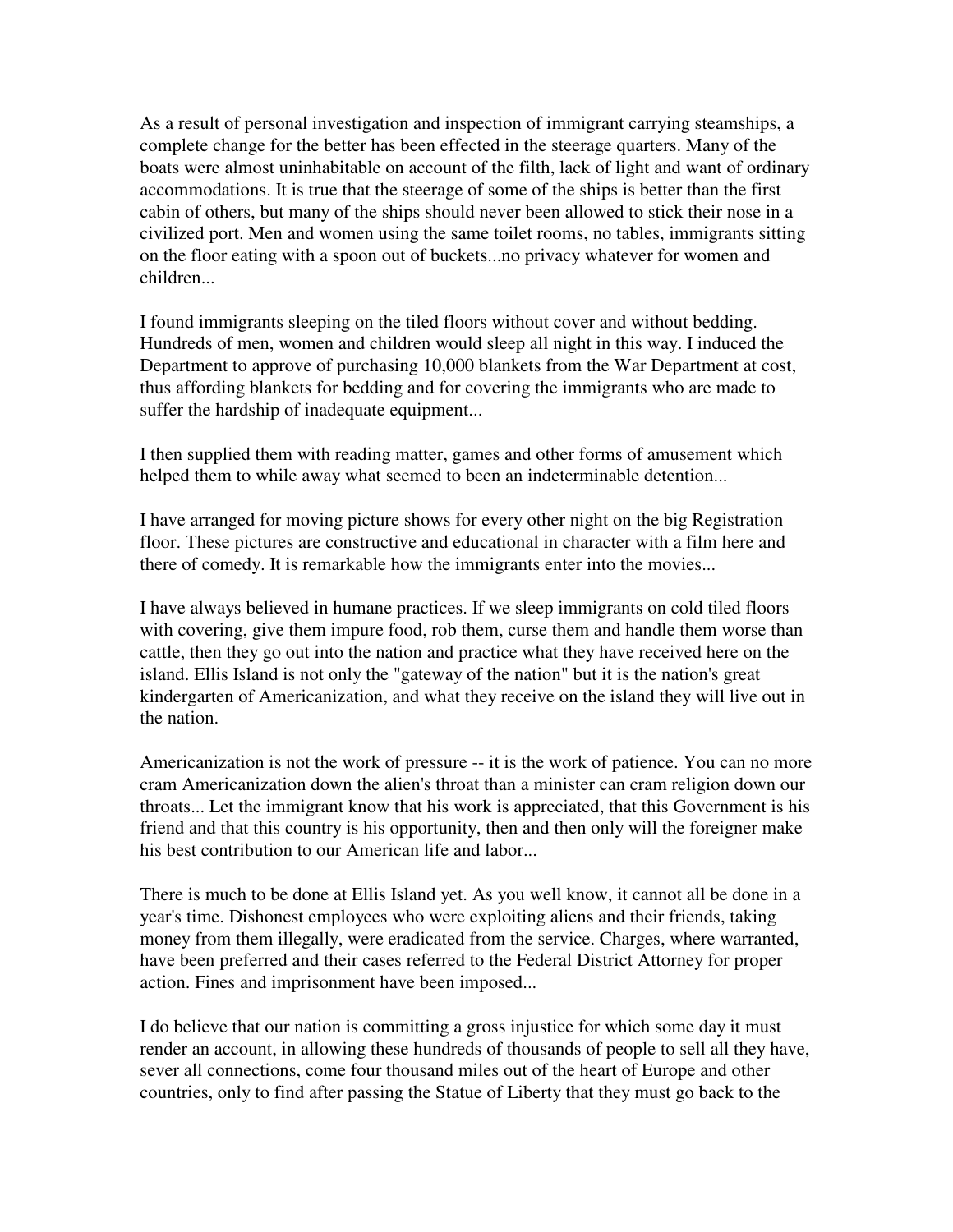As a result of personal investigation and inspection of immigrant carrying steamships, a complete change for the better has been effected in the steerage quarters. Many of the boats were almost uninhabitable on account of the filth, lack of light and want of ordinary accommodations. It is true that the steerage of some of the ships is better than the first cabin of others, but many of the ships should never been allowed to stick their nose in a civilized port. Men and women using the same toilet rooms, no tables, immigrants sitting on the floor eating with a spoon out of buckets...no privacy whatever for women and children...

I found immigrants sleeping on the tiled floors without cover and without bedding. Hundreds of men, women and children would sleep all night in this way. I induced the Department to approve of purchasing 10,000 blankets from the War Department at cost, thus affording blankets for bedding and for covering the immigrants who are made to suffer the hardship of inadequate equipment...

I then supplied them with reading matter, games and other forms of amusement which helped them to while away what seemed to been an indeterminable detention...

I have arranged for moving picture shows for every other night on the big Registration floor. These pictures are constructive and educational in character with a film here and there of comedy. It is remarkable how the immigrants enter into the movies...

I have always believed in humane practices. If we sleep immigrants on cold tiled floors with covering, give them impure food, rob them, curse them and handle them worse than cattle, then they go out into the nation and practice what they have received here on the island. Ellis Island is not only the "gateway of the nation" but it is the nation's great kindergarten of Americanization, and what they receive on the island they will live out in the nation.

Americanization is not the work of pressure -- it is the work of patience. You can no more cram Americanization down the alien's throat than a minister can cram religion down our throats... Let the immigrant know that his work is appreciated, that this Government is his friend and that this country is his opportunity, then and then only will the foreigner make his best contribution to our American life and labor...

There is much to be done at Ellis Island yet. As you well know, it cannot all be done in a year's time. Dishonest employees who were exploiting aliens and their friends, taking money from them illegally, were eradicated from the service. Charges, where warranted, have been preferred and their cases referred to the Federal District Attorney for proper action. Fines and imprisonment have been imposed...

I do believe that our nation is committing a gross injustice for which some day it must render an account, in allowing these hundreds of thousands of people to sell all they have, sever all connections, come four thousand miles out of the heart of Europe and other countries, only to find after passing the Statue of Liberty that they must go back to the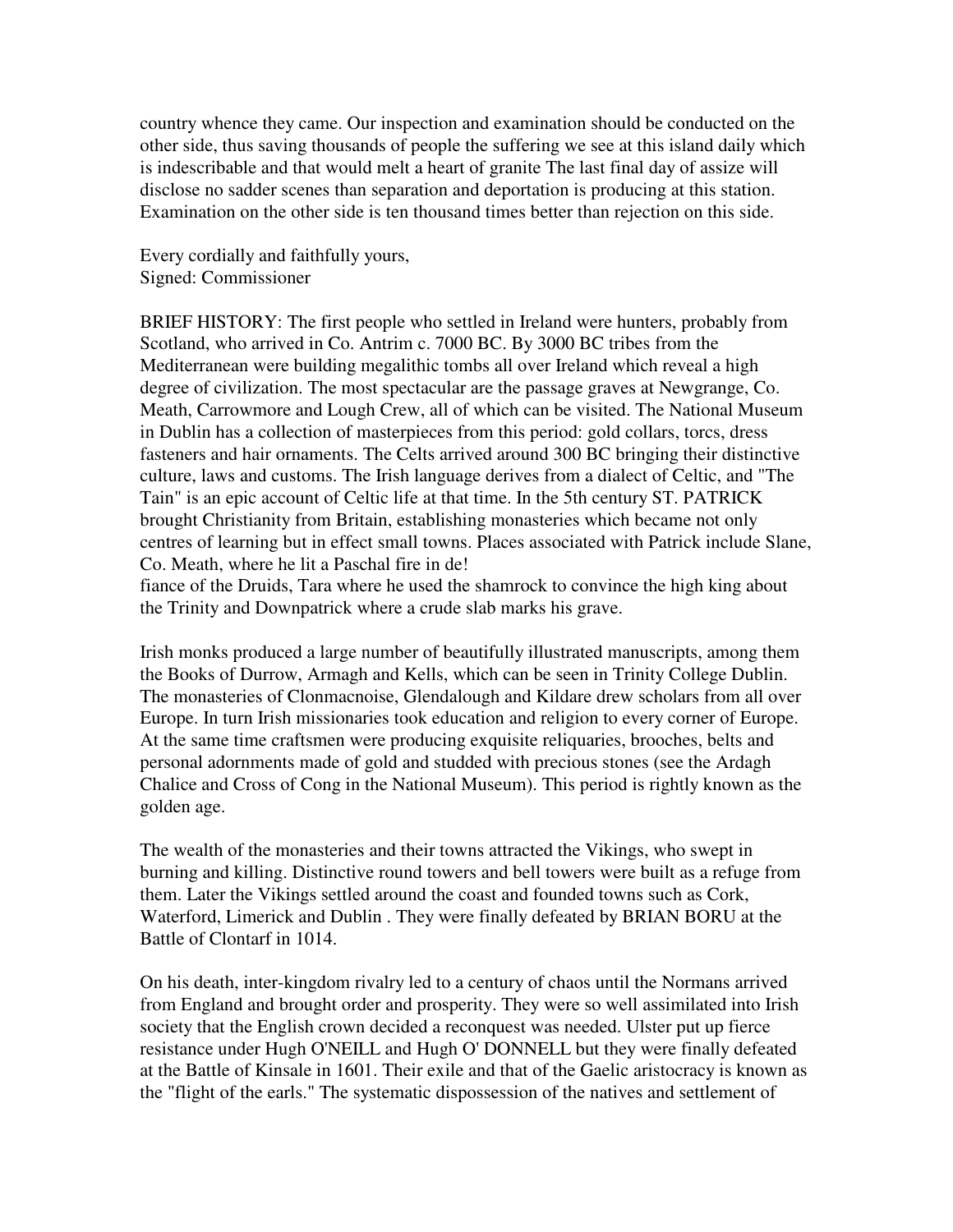country whence they came. Our inspection and examination should be conducted on the other side, thus saving thousands of people the suffering we see at this island daily which is indescribable and that would melt a heart of granite The last final day of assize will disclose no sadder scenes than separation and deportation is producing at this station. Examination on the other side is ten thousand times better than rejection on this side.

Every cordially and faithfully yours, Signed: Commissioner

BRIEF HISTORY: The first people who settled in Ireland were hunters, probably from Scotland, who arrived in Co. Antrim c. 7000 BC. By 3000 BC tribes from the Mediterranean were building megalithic tombs all over Ireland which reveal a high degree of civilization. The most spectacular are the passage graves at Newgrange, Co. Meath, Carrowmore and Lough Crew, all of which can be visited. The National Museum in Dublin has a collection of masterpieces from this period: gold collars, torcs, dress fasteners and hair ornaments. The Celts arrived around 300 BC bringing their distinctive culture, laws and customs. The Irish language derives from a dialect of Celtic, and "The Tain" is an epic account of Celtic life at that time. In the 5th century ST. PATRICK brought Christianity from Britain, establishing monasteries which became not only centres of learning but in effect small towns. Places associated with Patrick include Slane, Co. Meath, where he lit a Paschal fire in de!

fiance of the Druids, Tara where he used the shamrock to convince the high king about the Trinity and Downpatrick where a crude slab marks his grave.

Irish monks produced a large number of beautifully illustrated manuscripts, among them the Books of Durrow, Armagh and Kells, which can be seen in Trinity College Dublin. The monasteries of Clonmacnoise, Glendalough and Kildare drew scholars from all over Europe. In turn Irish missionaries took education and religion to every corner of Europe. At the same time craftsmen were producing exquisite reliquaries, brooches, belts and personal adornments made of gold and studded with precious stones (see the Ardagh Chalice and Cross of Cong in the National Museum). This period is rightly known as the golden age.

The wealth of the monasteries and their towns attracted the Vikings, who swept in burning and killing. Distinctive round towers and bell towers were built as a refuge from them. Later the Vikings settled around the coast and founded towns such as Cork, Waterford, Limerick and Dublin . They were finally defeated by BRIAN BORU at the Battle of Clontarf in 1014.

On his death, inter-kingdom rivalry led to a century of chaos until the Normans arrived from England and brought order and prosperity. They were so well assimilated into Irish society that the English crown decided a reconquest was needed. Ulster put up fierce resistance under Hugh O'NEILL and Hugh O' DONNELL but they were finally defeated at the Battle of Kinsale in 1601. Their exile and that of the Gaelic aristocracy is known as the "flight of the earls." The systematic dispossession of the natives and settlement of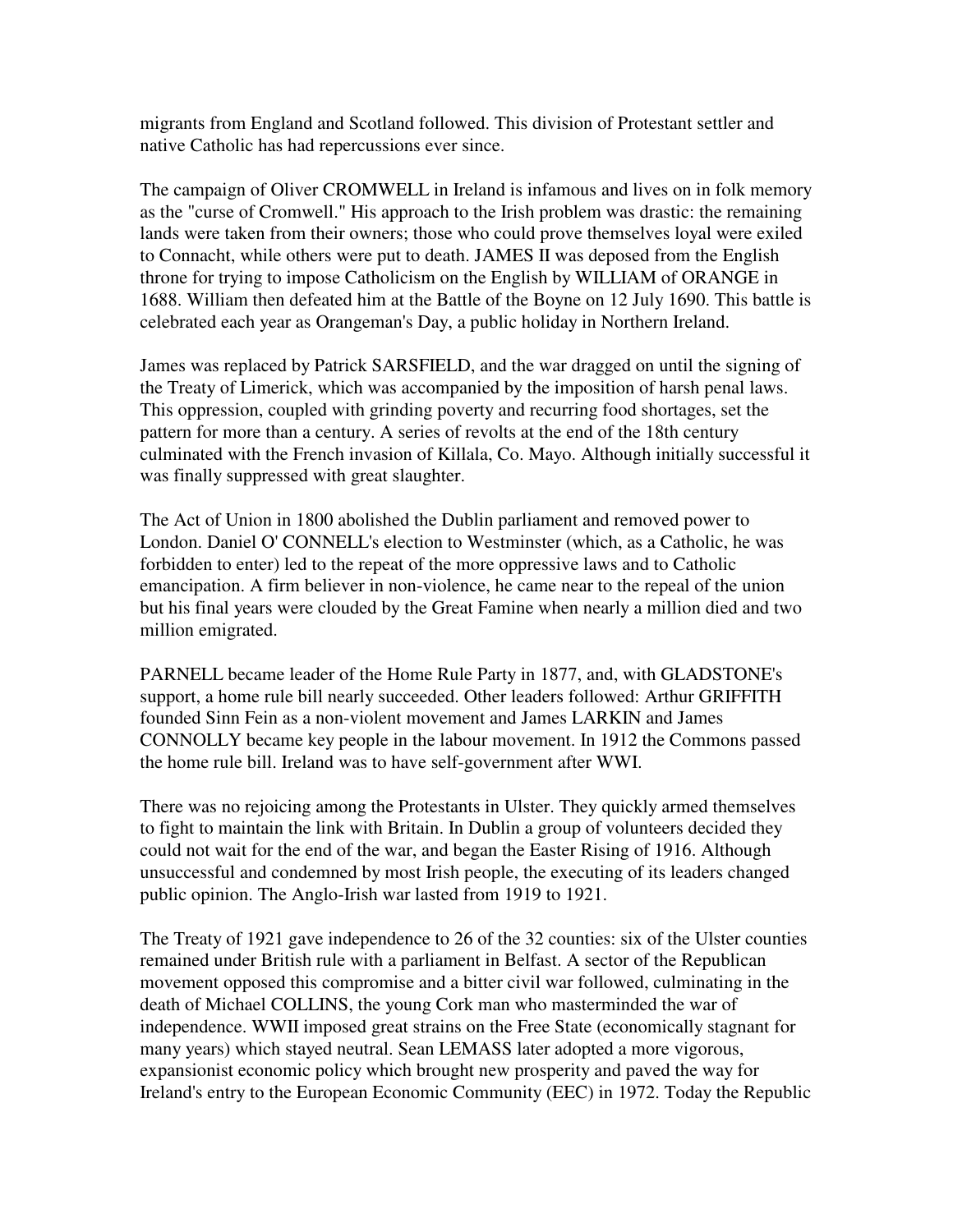migrants from England and Scotland followed. This division of Protestant settler and native Catholic has had repercussions ever since.

The campaign of Oliver CROMWELL in Ireland is infamous and lives on in folk memory as the "curse of Cromwell." His approach to the Irish problem was drastic: the remaining lands were taken from their owners; those who could prove themselves loyal were exiled to Connacht, while others were put to death. JAMES II was deposed from the English throne for trying to impose Catholicism on the English by WILLIAM of ORANGE in 1688. William then defeated him at the Battle of the Boyne on 12 July 1690. This battle is celebrated each year as Orangeman's Day, a public holiday in Northern Ireland.

James was replaced by Patrick SARSFIELD, and the war dragged on until the signing of the Treaty of Limerick, which was accompanied by the imposition of harsh penal laws. This oppression, coupled with grinding poverty and recurring food shortages, set the pattern for more than a century. A series of revolts at the end of the 18th century culminated with the French invasion of Killala, Co. Mayo. Although initially successful it was finally suppressed with great slaughter.

The Act of Union in 1800 abolished the Dublin parliament and removed power to London. Daniel O' CONNELL's election to Westminster (which, as a Catholic, he was forbidden to enter) led to the repeat of the more oppressive laws and to Catholic emancipation. A firm believer in non-violence, he came near to the repeal of the union but his final years were clouded by the Great Famine when nearly a million died and two million emigrated.

PARNELL became leader of the Home Rule Party in 1877, and, with GLADSTONE's support, a home rule bill nearly succeeded. Other leaders followed: Arthur GRIFFITH founded Sinn Fein as a non-violent movement and James LARKIN and James CONNOLLY became key people in the labour movement. In 1912 the Commons passed the home rule bill. Ireland was to have self-government after WWI.

There was no rejoicing among the Protestants in Ulster. They quickly armed themselves to fight to maintain the link with Britain. In Dublin a group of volunteers decided they could not wait for the end of the war, and began the Easter Rising of 1916. Although unsuccessful and condemned by most Irish people, the executing of its leaders changed public opinion. The Anglo-Irish war lasted from 1919 to 1921.

The Treaty of 1921 gave independence to 26 of the 32 counties: six of the Ulster counties remained under British rule with a parliament in Belfast. A sector of the Republican movement opposed this compromise and a bitter civil war followed, culminating in the death of Michael COLLINS, the young Cork man who masterminded the war of independence. WWII imposed great strains on the Free State (economically stagnant for many years) which stayed neutral. Sean LEMASS later adopted a more vigorous, expansionist economic policy which brought new prosperity and paved the way for Ireland's entry to the European Economic Community (EEC) in 1972. Today the Republic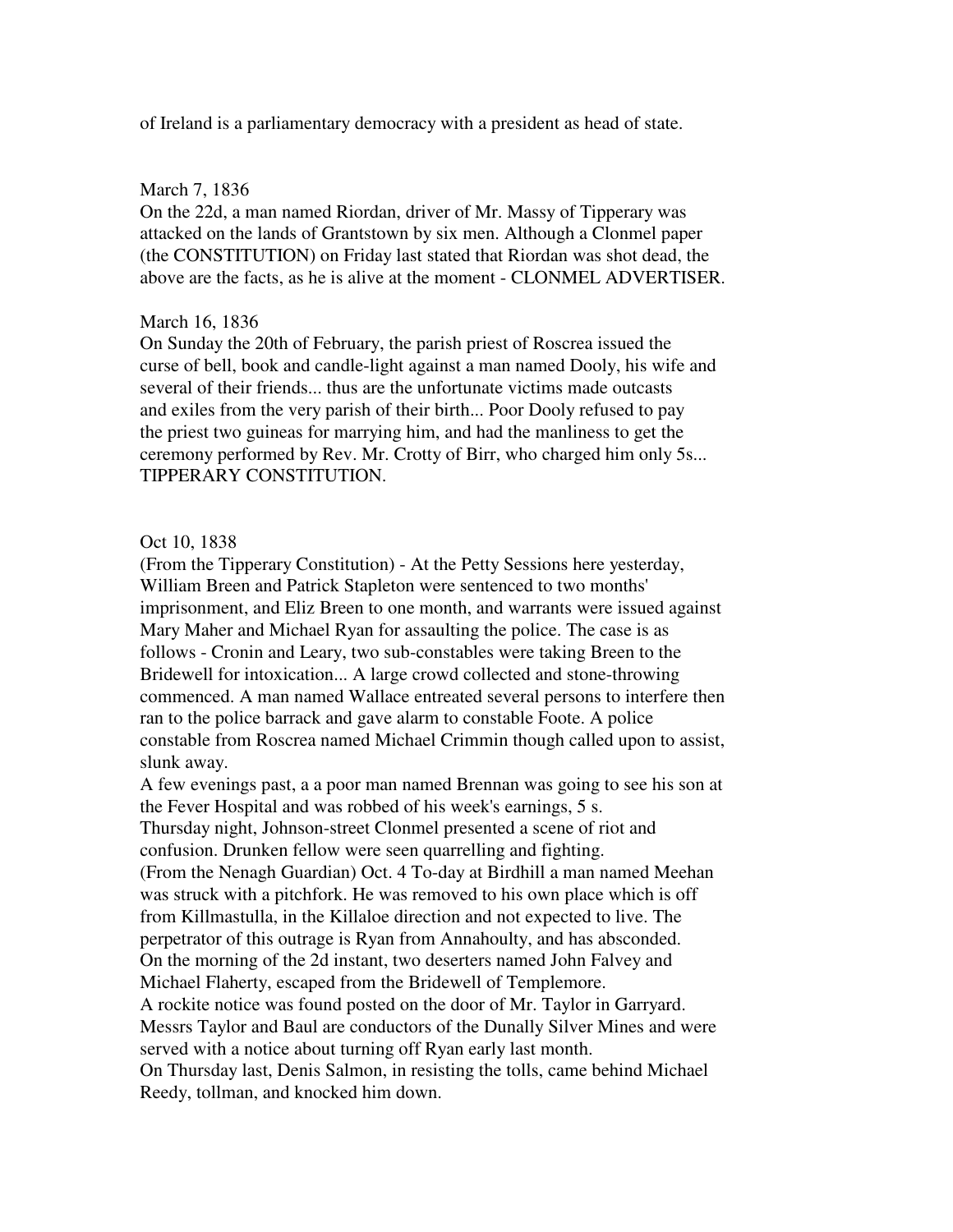of Ireland is a parliamentary democracy with a president as head of state.

#### March 7, 1836

On the 22d, a man named Riordan, driver of Mr. Massy of Tipperary was attacked on the lands of Grantstown by six men. Although a Clonmel paper (the CONSTITUTION) on Friday last stated that Riordan was shot dead, the above are the facts, as he is alive at the moment - CLONMEL ADVERTISER.

#### March 16, 1836

On Sunday the 20th of February, the parish priest of Roscrea issued the curse of bell, book and candle-light against a man named Dooly, his wife and several of their friends... thus are the unfortunate victims made outcasts and exiles from the very parish of their birth... Poor Dooly refused to pay the priest two guineas for marrying him, and had the manliness to get the ceremony performed by Rev. Mr. Crotty of Birr, who charged him only 5s... TIPPERARY CONSTITUTION.

### Oct 10, 1838

(From the Tipperary Constitution) - At the Petty Sessions here yesterday, William Breen and Patrick Stapleton were sentenced to two months' imprisonment, and Eliz Breen to one month, and warrants were issued against Mary Maher and Michael Ryan for assaulting the police. The case is as follows - Cronin and Leary, two sub-constables were taking Breen to the Bridewell for intoxication... A large crowd collected and stone-throwing commenced. A man named Wallace entreated several persons to interfere then ran to the police barrack and gave alarm to constable Foote. A police constable from Roscrea named Michael Crimmin though called upon to assist, slunk away.

A few evenings past, a a poor man named Brennan was going to see his son at the Fever Hospital and was robbed of his week's earnings, 5 s. Thursday night, Johnson-street Clonmel presented a scene of riot and confusion. Drunken fellow were seen quarrelling and fighting. (From the Nenagh Guardian) Oct. 4 To-day at Birdhill a man named Meehan was struck with a pitchfork. He was removed to his own place which is off from Killmastulla, in the Killaloe direction and not expected to live. The perpetrator of this outrage is Ryan from Annahoulty, and has absconded. On the morning of the 2d instant, two deserters named John Falvey and Michael Flaherty, escaped from the Bridewell of Templemore. A rockite notice was found posted on the door of Mr. Taylor in Garryard. Messrs Taylor and Baul are conductors of the Dunally Silver Mines and were served with a notice about turning off Ryan early last month. On Thursday last, Denis Salmon, in resisting the tolls, came behind Michael Reedy, tollman, and knocked him down.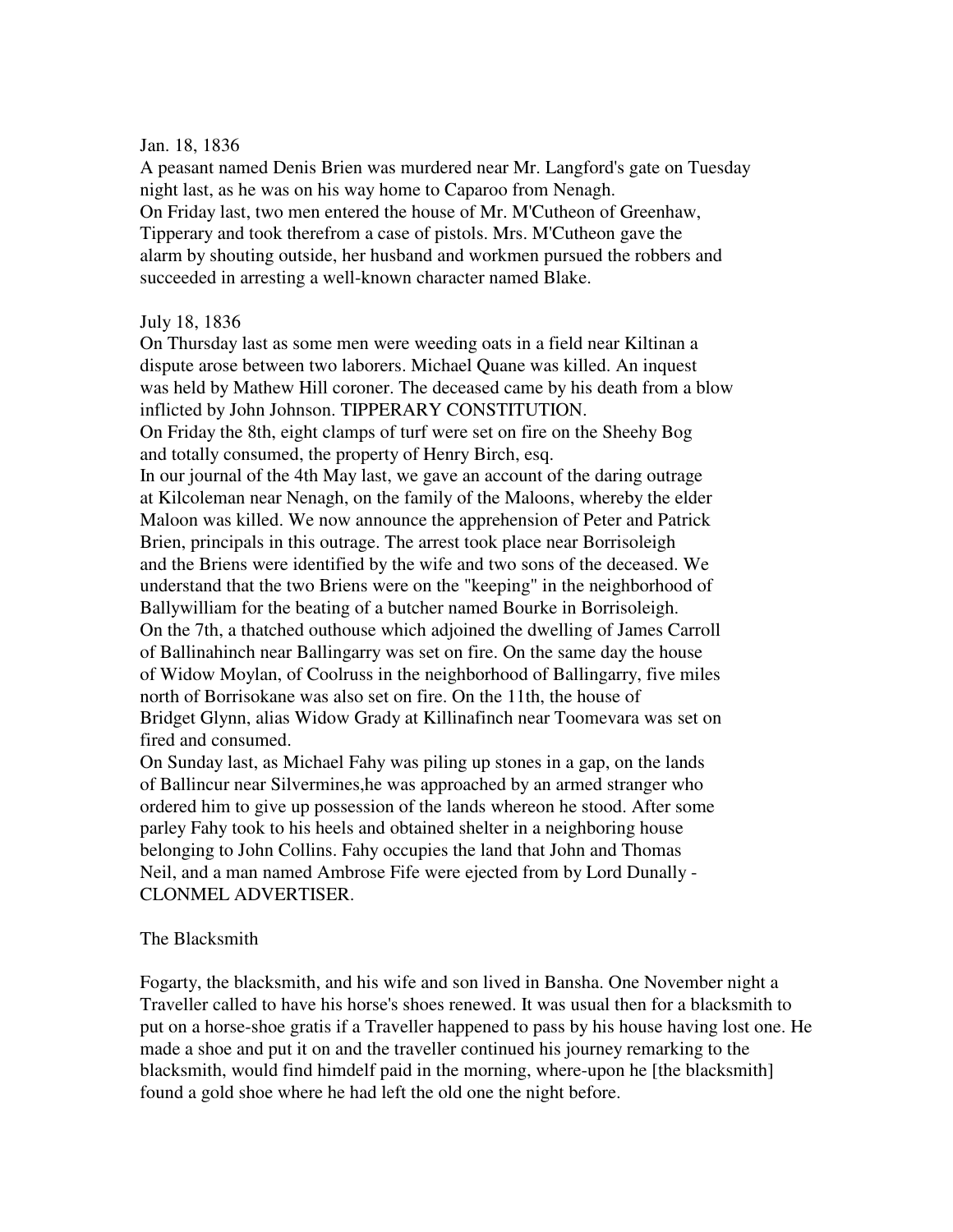## Jan. 18, 1836

A peasant named Denis Brien was murdered near Mr. Langford's gate on Tuesday night last, as he was on his way home to Caparoo from Nenagh. On Friday last, two men entered the house of Mr. M'Cutheon of Greenhaw, Tipperary and took therefrom a case of pistols. Mrs. M'Cutheon gave the alarm by shouting outside, her husband and workmen pursued the robbers and succeeded in arresting a well-known character named Blake.

# July 18, 1836

On Thursday last as some men were weeding oats in a field near Kiltinan a dispute arose between two laborers. Michael Quane was killed. An inquest was held by Mathew Hill coroner. The deceased came by his death from a blow inflicted by John Johnson. TIPPERARY CONSTITUTION. On Friday the 8th, eight clamps of turf were set on fire on the Sheehy Bog and totally consumed, the property of Henry Birch, esq. In our journal of the 4th May last, we gave an account of the daring outrage at Kilcoleman near Nenagh, on the family of the Maloons, whereby the elder Maloon was killed. We now announce the apprehension of Peter and Patrick Brien, principals in this outrage. The arrest took place near Borrisoleigh and the Briens were identified by the wife and two sons of the deceased. We understand that the two Briens were on the "keeping" in the neighborhood of Ballywilliam for the beating of a butcher named Bourke in Borrisoleigh. On the 7th, a thatched outhouse which adjoined the dwelling of James Carroll of Ballinahinch near Ballingarry was set on fire. On the same day the house of Widow Moylan, of Coolruss in the neighborhood of Ballingarry, five miles north of Borrisokane was also set on fire. On the 11th, the house of Bridget Glynn, alias Widow Grady at Killinafinch near Toomevara was set on fired and consumed.

On Sunday last, as Michael Fahy was piling up stones in a gap, on the lands of Ballincur near Silvermines,he was approached by an armed stranger who ordered him to give up possession of the lands whereon he stood. After some parley Fahy took to his heels and obtained shelter in a neighboring house belonging to John Collins. Fahy occupies the land that John and Thomas Neil, and a man named Ambrose Fife were ejected from by Lord Dunally - CLONMEL ADVERTISER.

## The Blacksmith

Fogarty, the blacksmith, and his wife and son lived in Bansha. One November night a Traveller called to have his horse's shoes renewed. It was usual then for a blacksmith to put on a horse-shoe gratis if a Traveller happened to pass by his house having lost one. He made a shoe and put it on and the traveller continued his journey remarking to the blacksmith, would find himdelf paid in the morning, where-upon he [the blacksmith] found a gold shoe where he had left the old one the night before.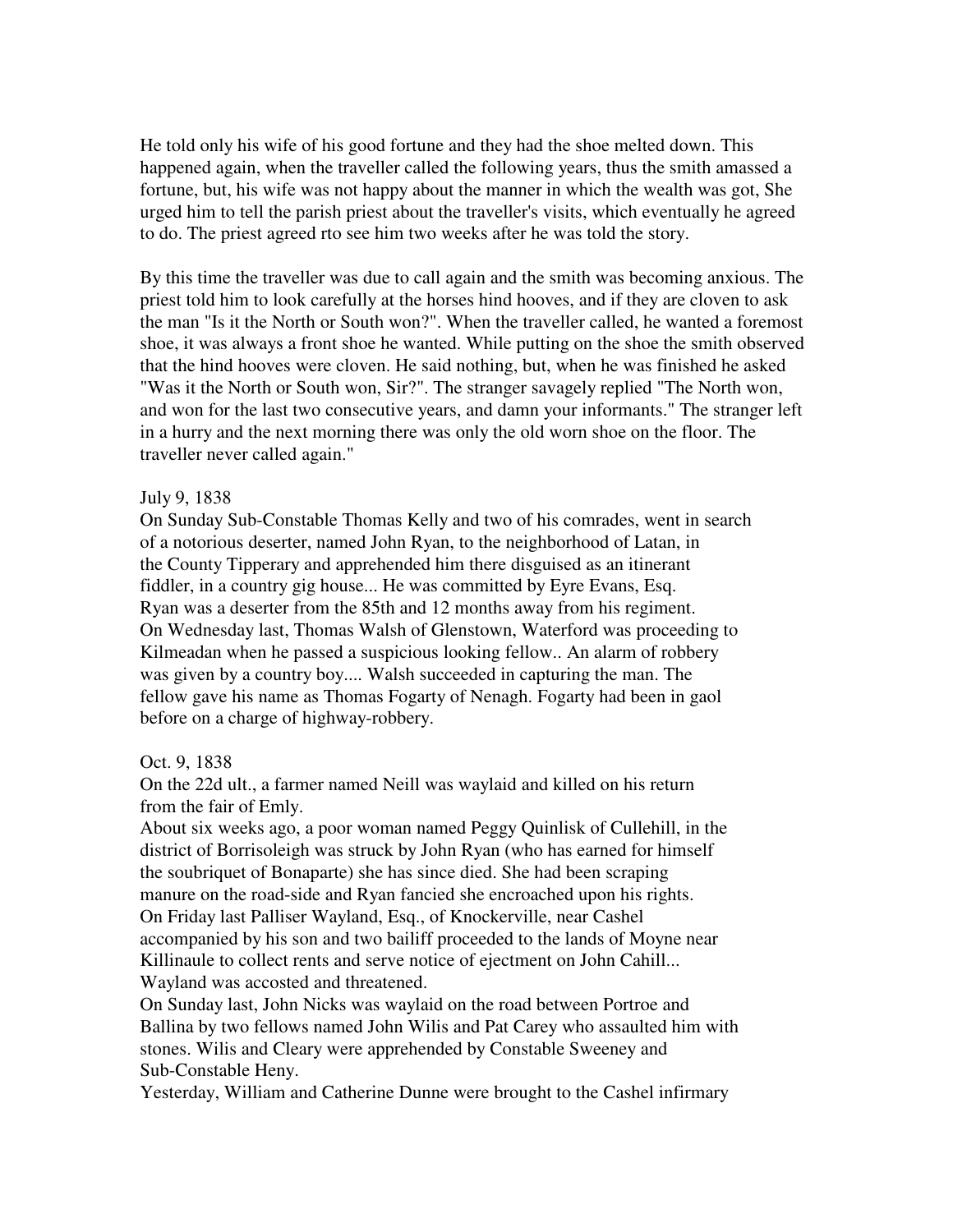He told only his wife of his good fortune and they had the shoe melted down. This happened again, when the traveller called the following years, thus the smith amassed a fortune, but, his wife was not happy about the manner in which the wealth was got, She urged him to tell the parish priest about the traveller's visits, which eventually he agreed to do. The priest agreed rto see him two weeks after he was told the story.

By this time the traveller was due to call again and the smith was becoming anxious. The priest told him to look carefully at the horses hind hooves, and if they are cloven to ask the man "Is it the North or South won?". When the traveller called, he wanted a foremost shoe, it was always a front shoe he wanted. While putting on the shoe the smith observed that the hind hooves were cloven. He said nothing, but, when he was finished he asked "Was it the North or South won, Sir?". The stranger savagely replied "The North won, and won for the last two consecutive years, and damn your informants." The stranger left in a hurry and the next morning there was only the old worn shoe on the floor. The traveller never called again."

## July 9, 1838

On Sunday Sub-Constable Thomas Kelly and two of his comrades, went in search of a notorious deserter, named John Ryan, to the neighborhood of Latan, in the County Tipperary and apprehended him there disguised as an itinerant fiddler, in a country gig house... He was committed by Eyre Evans, Esq. Ryan was a deserter from the 85th and 12 months away from his regiment. On Wednesday last, Thomas Walsh of Glenstown, Waterford was proceeding to Kilmeadan when he passed a suspicious looking fellow.. An alarm of robbery was given by a country boy.... Walsh succeeded in capturing the man. The fellow gave his name as Thomas Fogarty of Nenagh. Fogarty had been in gaol before on a charge of highway-robbery.

### Oct. 9, 1838

On the 22d ult., a farmer named Neill was waylaid and killed on his return from the fair of Emly.

About six weeks ago, a poor woman named Peggy Quinlisk of Cullehill, in the district of Borrisoleigh was struck by John Ryan (who has earned for himself the soubriquet of Bonaparte) she has since died. She had been scraping manure on the road-side and Ryan fancied she encroached upon his rights. On Friday last Palliser Wayland, Esq., of Knockerville, near Cashel accompanied by his son and two bailiff proceeded to the lands of Moyne near Killinaule to collect rents and serve notice of ejectment on John Cahill... Wayland was accosted and threatened.

On Sunday last, John Nicks was waylaid on the road between Portroe and Ballina by two fellows named John Wilis and Pat Carey who assaulted him with stones. Wilis and Cleary were apprehended by Constable Sweeney and Sub-Constable Heny.

Yesterday, William and Catherine Dunne were brought to the Cashel infirmary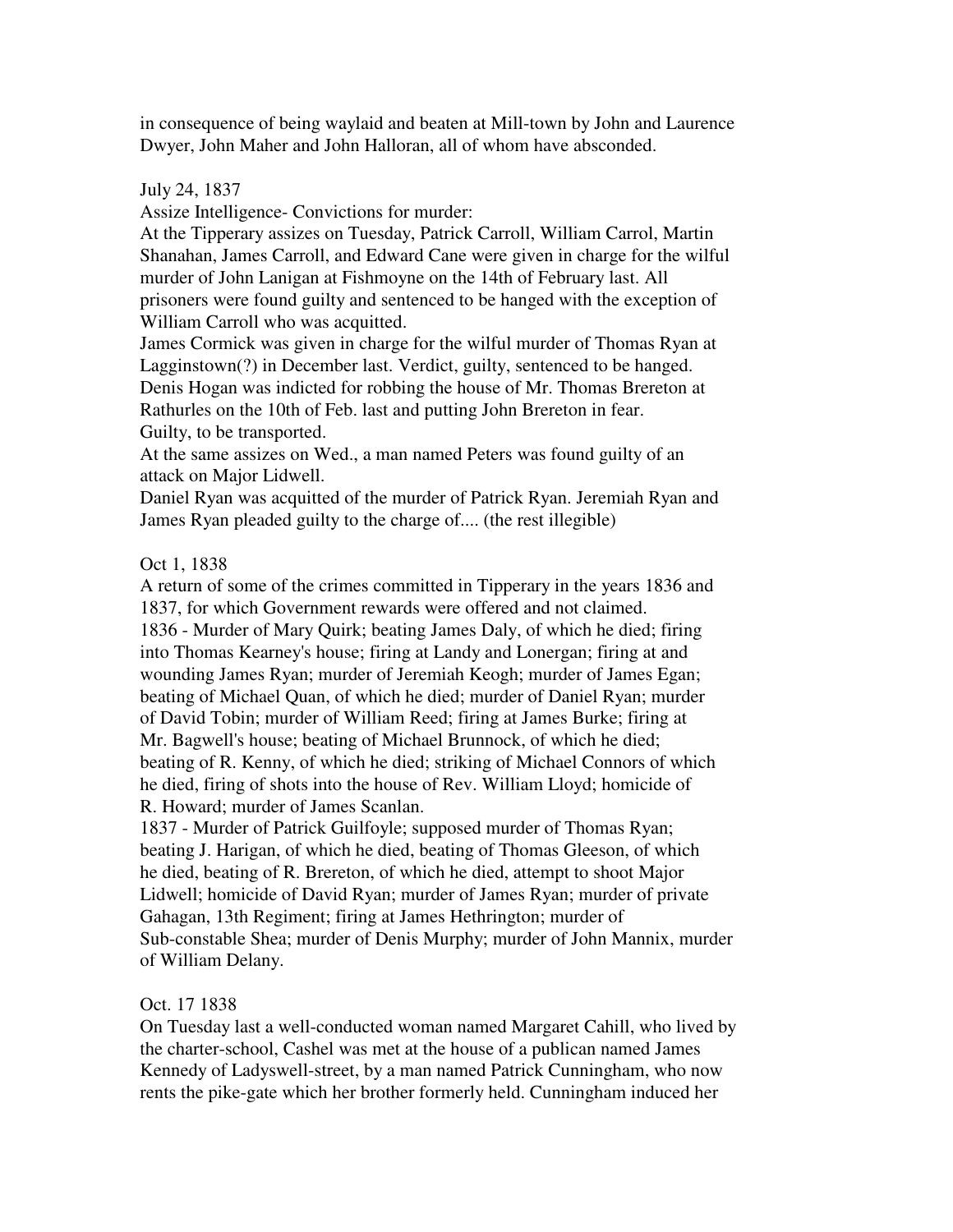in consequence of being waylaid and beaten at Mill-town by John and Laurence Dwyer, John Maher and John Halloran, all of whom have absconded.

July 24, 1837

Assize Intelligence- Convictions for murder:

At the Tipperary assizes on Tuesday, Patrick Carroll, William Carrol, Martin Shanahan, James Carroll, and Edward Cane were given in charge for the wilful murder of John Lanigan at Fishmoyne on the 14th of February last. All prisoners were found guilty and sentenced to be hanged with the exception of William Carroll who was acquitted.

James Cormick was given in charge for the wilful murder of Thomas Ryan at Lagginstown(?) in December last. Verdict, guilty, sentenced to be hanged. Denis Hogan was indicted for robbing the house of Mr. Thomas Brereton at Rathurles on the 10th of Feb. last and putting John Brereton in fear. Guilty, to be transported.

At the same assizes on Wed., a man named Peters was found guilty of an attack on Major Lidwell.

Daniel Ryan was acquitted of the murder of Patrick Ryan. Jeremiah Ryan and James Ryan pleaded guilty to the charge of.... (the rest illegible)

# Oct 1, 1838

A return of some of the crimes committed in Tipperary in the years 1836 and 1837, for which Government rewards were offered and not claimed. 1836 - Murder of Mary Quirk; beating James Daly, of which he died; firing into Thomas Kearney's house; firing at Landy and Lonergan; firing at and wounding James Ryan; murder of Jeremiah Keogh; murder of James Egan; beating of Michael Quan, of which he died; murder of Daniel Ryan; murder of David Tobin; murder of William Reed; firing at James Burke; firing at Mr. Bagwell's house; beating of Michael Brunnock, of which he died; beating of R. Kenny, of which he died; striking of Michael Connors of which he died, firing of shots into the house of Rev. William Lloyd; homicide of R. Howard; murder of James Scanlan.

1837 - Murder of Patrick Guilfoyle; supposed murder of Thomas Ryan; beating J. Harigan, of which he died, beating of Thomas Gleeson, of which he died, beating of R. Brereton, of which he died, attempt to shoot Major Lidwell; homicide of David Ryan; murder of James Ryan; murder of private Gahagan, 13th Regiment; firing at James Hethrington; murder of Sub-constable Shea; murder of Denis Murphy; murder of John Mannix, murder of William Delany.

# Oct. 17 1838

On Tuesday last a well-conducted woman named Margaret Cahill, who lived by the charter-school, Cashel was met at the house of a publican named James Kennedy of Ladyswell-street, by a man named Patrick Cunningham, who now rents the pike-gate which her brother formerly held. Cunningham induced her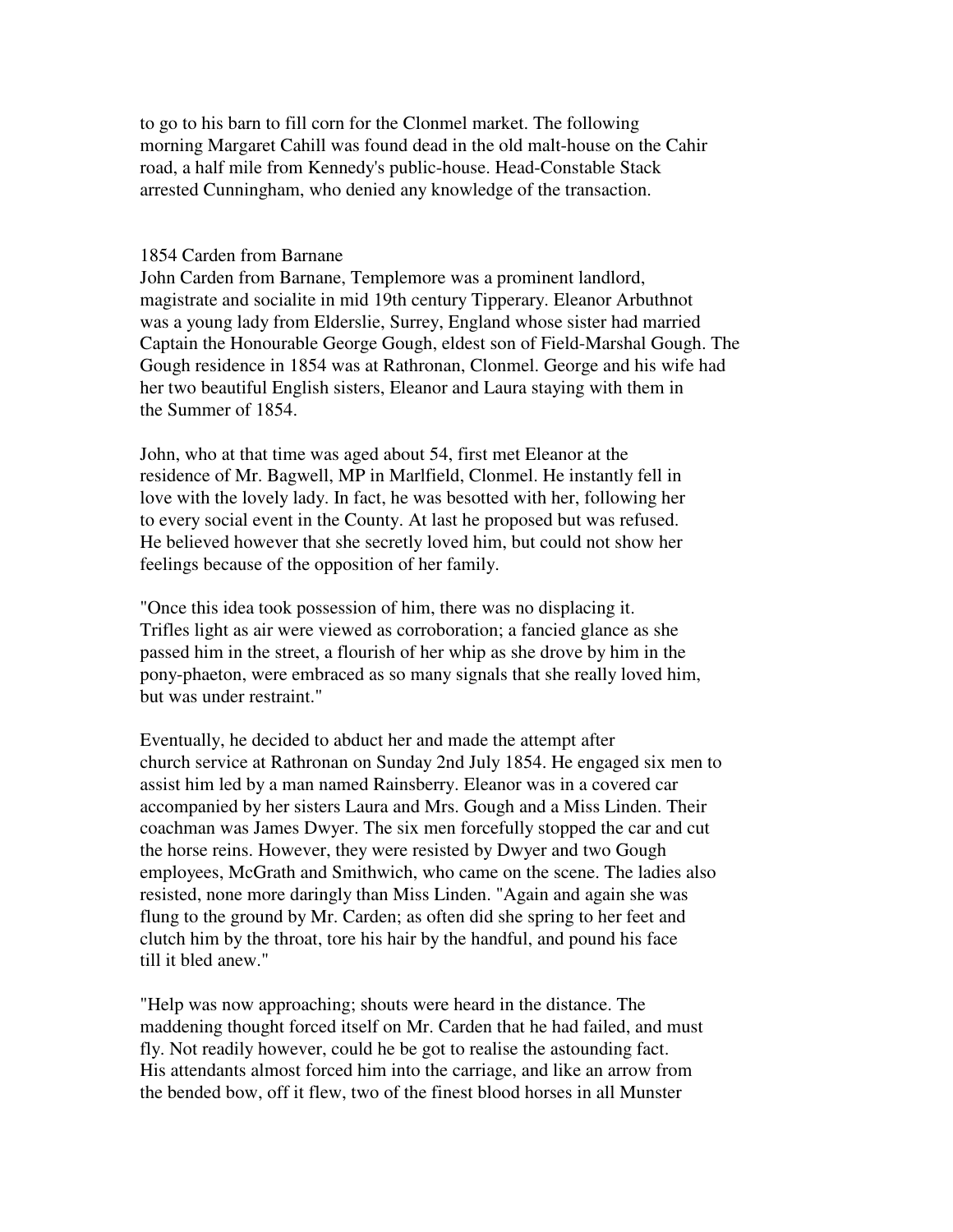to go to his barn to fill corn for the Clonmel market. The following morning Margaret Cahill was found dead in the old malt-house on the Cahir road, a half mile from Kennedy's public-house. Head-Constable Stack arrested Cunningham, who denied any knowledge of the transaction.

### 1854 Carden from Barnane

John Carden from Barnane, Templemore was a prominent landlord, magistrate and socialite in mid 19th century Tipperary. Eleanor Arbuthnot was a young lady from Elderslie, Surrey, England whose sister had married Captain the Honourable George Gough, eldest son of Field-Marshal Gough. The Gough residence in 1854 was at Rathronan, Clonmel. George and his wife had her two beautiful English sisters, Eleanor and Laura staying with them in the Summer of 1854.

John, who at that time was aged about 54, first met Eleanor at the residence of Mr. Bagwell, MP in Marlfield, Clonmel. He instantly fell in love with the lovely lady. In fact, he was besotted with her, following her to every social event in the County. At last he proposed but was refused. He believed however that she secretly loved him, but could not show her feelings because of the opposition of her family.

"Once this idea took possession of him, there was no displacing it. Trifles light as air were viewed as corroboration; a fancied glance as she passed him in the street, a flourish of her whip as she drove by him in the pony-phaeton, were embraced as so many signals that she really loved him, but was under restraint."

Eventually, he decided to abduct her and made the attempt after church service at Rathronan on Sunday 2nd July 1854. He engaged six men to assist him led by a man named Rainsberry. Eleanor was in a covered car accompanied by her sisters Laura and Mrs. Gough and a Miss Linden. Their coachman was James Dwyer. The six men forcefully stopped the car and cut the horse reins. However, they were resisted by Dwyer and two Gough employees, McGrath and Smithwich, who came on the scene. The ladies also resisted, none more daringly than Miss Linden. "Again and again she was flung to the ground by Mr. Carden; as often did she spring to her feet and clutch him by the throat, tore his hair by the handful, and pound his face till it bled anew."

"Help was now approaching; shouts were heard in the distance. The maddening thought forced itself on Mr. Carden that he had failed, and must fly. Not readily however, could he be got to realise the astounding fact. His attendants almost forced him into the carriage, and like an arrow from the bended bow, off it flew, two of the finest blood horses in all Munster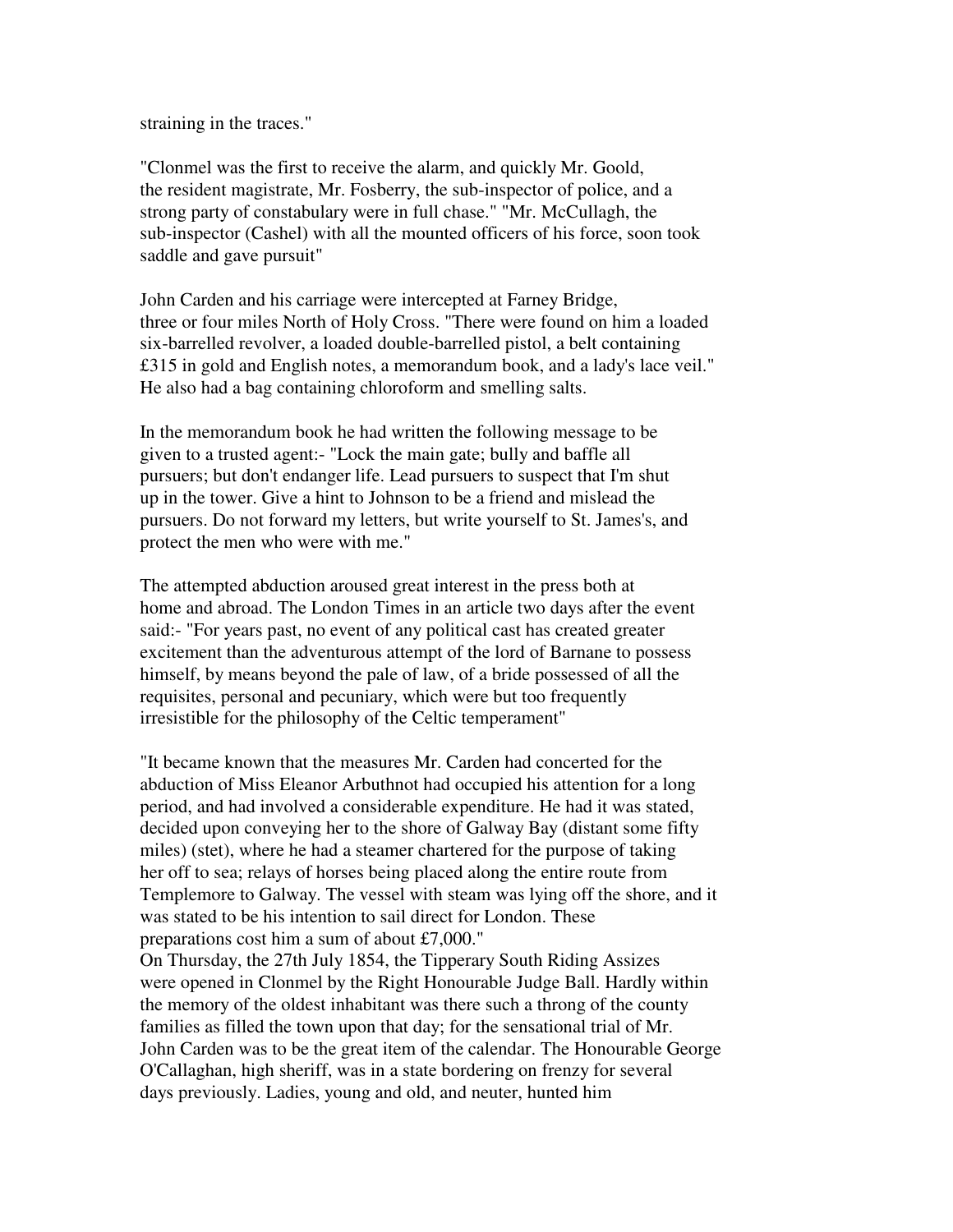straining in the traces."

"Clonmel was the first to receive the alarm, and quickly Mr. Goold, the resident magistrate, Mr. Fosberry, the sub-inspector of police, and a strong party of constabulary were in full chase." "Mr. McCullagh, the sub-inspector (Cashel) with all the mounted officers of his force, soon took saddle and gave pursuit"

John Carden and his carriage were intercepted at Farney Bridge, three or four miles North of Holy Cross. "There were found on him a loaded six-barrelled revolver, a loaded double-barrelled pistol, a belt containing £315 in gold and English notes, a memorandum book, and a lady's lace veil." He also had a bag containing chloroform and smelling salts.

In the memorandum book he had written the following message to be given to a trusted agent:- "Lock the main gate; bully and baffle all pursuers; but don't endanger life. Lead pursuers to suspect that I'm shut up in the tower. Give a hint to Johnson to be a friend and mislead the pursuers. Do not forward my letters, but write yourself to St. James's, and protect the men who were with me."

The attempted abduction aroused great interest in the press both at home and abroad. The London Times in an article two days after the event said:- "For years past, no event of any political cast has created greater excitement than the adventurous attempt of the lord of Barnane to possess himself, by means beyond the pale of law, of a bride possessed of all the requisites, personal and pecuniary, which were but too frequently irresistible for the philosophy of the Celtic temperament"

"It became known that the measures Mr. Carden had concerted for the abduction of Miss Eleanor Arbuthnot had occupied his attention for a long period, and had involved a considerable expenditure. He had it was stated, decided upon conveying her to the shore of Galway Bay (distant some fifty miles) (stet), where he had a steamer chartered for the purpose of taking her off to sea; relays of horses being placed along the entire route from Templemore to Galway. The vessel with steam was lying off the shore, and it was stated to be his intention to sail direct for London. These preparations cost him a sum of about £7,000."

On Thursday, the 27th July 1854, the Tipperary South Riding Assizes were opened in Clonmel by the Right Honourable Judge Ball. Hardly within the memory of the oldest inhabitant was there such a throng of the county families as filled the town upon that day; for the sensational trial of Mr. John Carden was to be the great item of the calendar. The Honourable George O'Callaghan, high sheriff, was in a state bordering on frenzy for several days previously. Ladies, young and old, and neuter, hunted him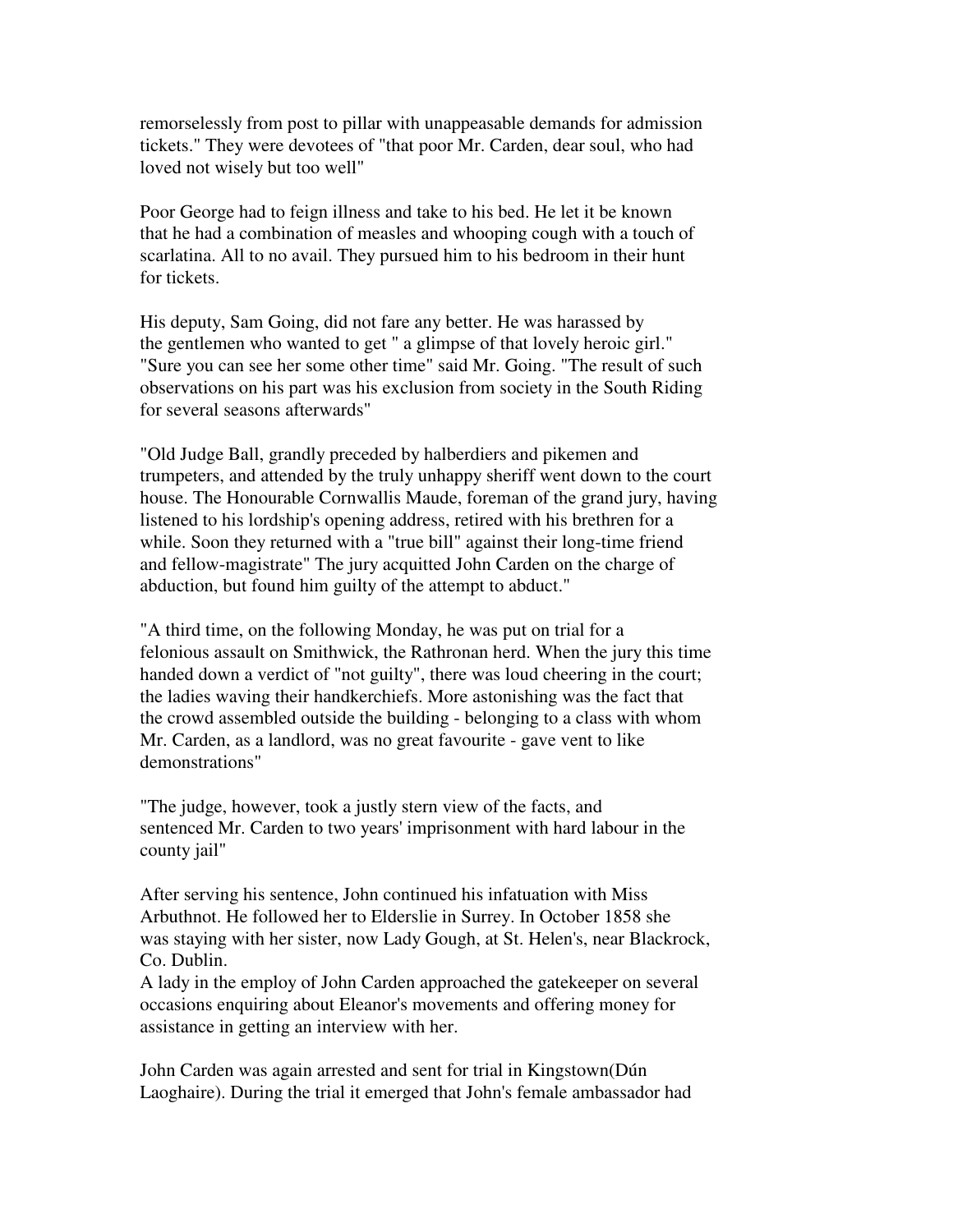remorselessly from post to pillar with unappeasable demands for admission tickets." They were devotees of "that poor Mr. Carden, dear soul, who had loved not wisely but too well"

Poor George had to feign illness and take to his bed. He let it be known that he had a combination of measles and whooping cough with a touch of scarlatina. All to no avail. They pursued him to his bedroom in their hunt for tickets.

His deputy, Sam Going, did not fare any better. He was harassed by the gentlemen who wanted to get " a glimpse of that lovely heroic girl." "Sure you can see her some other time" said Mr. Going. "The result of such observations on his part was his exclusion from society in the South Riding for several seasons afterwards"

"Old Judge Ball, grandly preceded by halberdiers and pikemen and trumpeters, and attended by the truly unhappy sheriff went down to the court house. The Honourable Cornwallis Maude, foreman of the grand jury, having listened to his lordship's opening address, retired with his brethren for a while. Soon they returned with a "true bill" against their long-time friend and fellow-magistrate" The jury acquitted John Carden on the charge of abduction, but found him guilty of the attempt to abduct."

"A third time, on the following Monday, he was put on trial for a felonious assault on Smithwick, the Rathronan herd. When the jury this time handed down a verdict of "not guilty", there was loud cheering in the court; the ladies waving their handkerchiefs. More astonishing was the fact that the crowd assembled outside the building - belonging to a class with whom Mr. Carden, as a landlord, was no great favourite - gave vent to like demonstrations"

"The judge, however, took a justly stern view of the facts, and sentenced Mr. Carden to two years' imprisonment with hard labour in the county jail"

After serving his sentence, John continued his infatuation with Miss Arbuthnot. He followed her to Elderslie in Surrey. In October 1858 she was staying with her sister, now Lady Gough, at St. Helen's, near Blackrock, Co. Dublin.

A lady in the employ of John Carden approached the gatekeeper on several occasions enquiring about Eleanor's movements and offering money for assistance in getting an interview with her.

John Carden was again arrested and sent for trial in Kingstown(Dún Laoghaire). During the trial it emerged that John's female ambassador had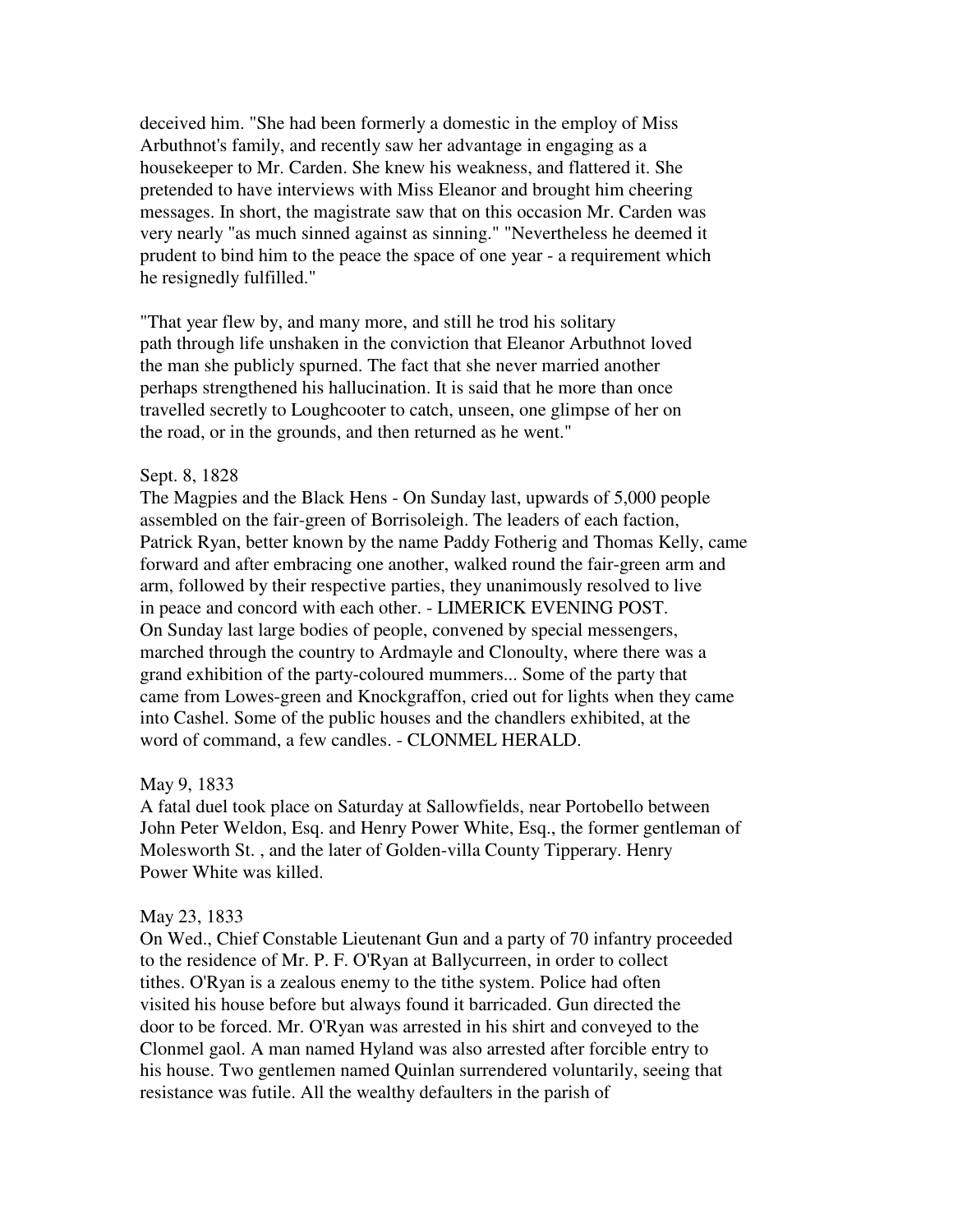deceived him. "She had been formerly a domestic in the employ of Miss Arbuthnot's family, and recently saw her advantage in engaging as a housekeeper to Mr. Carden. She knew his weakness, and flattered it. She pretended to have interviews with Miss Eleanor and brought him cheering messages. In short, the magistrate saw that on this occasion Mr. Carden was very nearly "as much sinned against as sinning." "Nevertheless he deemed it prudent to bind him to the peace the space of one year - a requirement which he resignedly fulfilled."

"That year flew by, and many more, and still he trod his solitary path through life unshaken in the conviction that Eleanor Arbuthnot loved the man she publicly spurned. The fact that she never married another perhaps strengthened his hallucination. It is said that he more than once travelled secretly to Loughcooter to catch, unseen, one glimpse of her on the road, or in the grounds, and then returned as he went."

#### Sept. 8, 1828

The Magpies and the Black Hens - On Sunday last, upwards of 5,000 people assembled on the fair-green of Borrisoleigh. The leaders of each faction, Patrick Ryan, better known by the name Paddy Fotherig and Thomas Kelly, came forward and after embracing one another, walked round the fair-green arm and arm, followed by their respective parties, they unanimously resolved to live in peace and concord with each other. - LIMERICK EVENING POST. On Sunday last large bodies of people, convened by special messengers, marched through the country to Ardmayle and Clonoulty, where there was a grand exhibition of the party-coloured mummers... Some of the party that came from Lowes-green and Knockgraffon, cried out for lights when they came into Cashel. Some of the public houses and the chandlers exhibited, at the word of command, a few candles. - CLONMEL HERALD.

#### May 9, 1833

A fatal duel took place on Saturday at Sallowfields, near Portobello between John Peter Weldon, Esq. and Henry Power White, Esq., the former gentleman of Molesworth St. , and the later of Golden-villa County Tipperary. Henry Power White was killed.

#### May 23, 1833

On Wed., Chief Constable Lieutenant Gun and a party of 70 infantry proceeded to the residence of Mr. P. F. O'Ryan at Ballycurreen, in order to collect tithes. O'Ryan is a zealous enemy to the tithe system. Police had often visited his house before but always found it barricaded. Gun directed the door to be forced. Mr. O'Ryan was arrested in his shirt and conveyed to the Clonmel gaol. A man named Hyland was also arrested after forcible entry to his house. Two gentlemen named Quinlan surrendered voluntarily, seeing that resistance was futile. All the wealthy defaulters in the parish of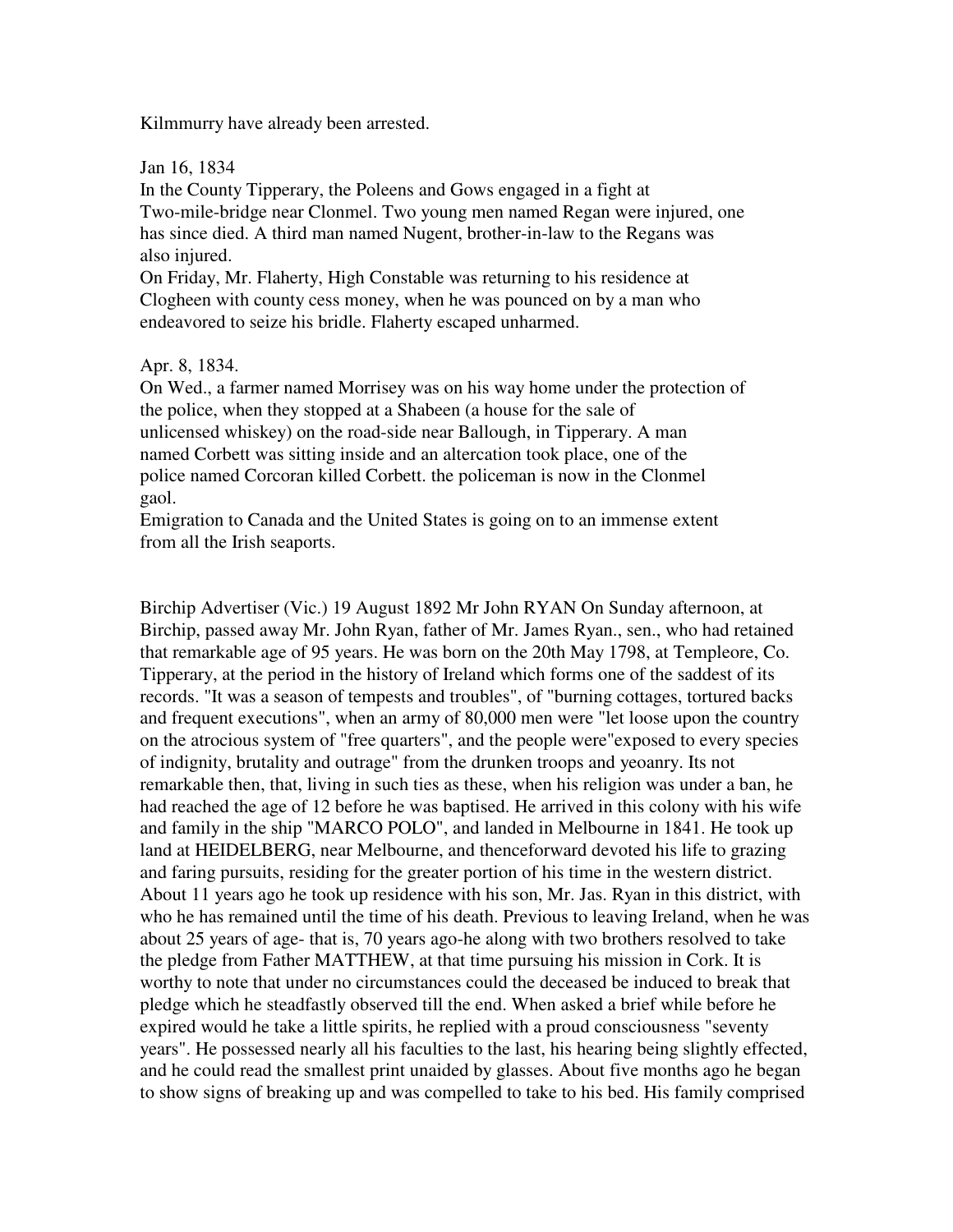Kilmmurry have already been arrested.

## Jan 16, 1834

In the County Tipperary, the Poleens and Gows engaged in a fight at Two-mile-bridge near Clonmel. Two young men named Regan were injured, one has since died. A third man named Nugent, brother-in-law to the Regans was also injured.

On Friday, Mr. Flaherty, High Constable was returning to his residence at Clogheen with county cess money, when he was pounced on by a man who endeavored to seize his bridle. Flaherty escaped unharmed.

## Apr. 8, 1834.

On Wed., a farmer named Morrisey was on his way home under the protection of the police, when they stopped at a Shabeen (a house for the sale of unlicensed whiskey) on the road-side near Ballough, in Tipperary. A man named Corbett was sitting inside and an altercation took place, one of the police named Corcoran killed Corbett. the policeman is now in the Clonmel gaol.

Emigration to Canada and the United States is going on to an immense extent from all the Irish seaports.

Birchip Advertiser (Vic.) 19 August 1892 Mr John RYAN On Sunday afternoon, at Birchip, passed away Mr. John Ryan, father of Mr. James Ryan., sen., who had retained that remarkable age of 95 years. He was born on the 20th May 1798, at Templeore, Co. Tipperary, at the period in the history of Ireland which forms one of the saddest of its records. "It was a season of tempests and troubles", of "burning cottages, tortured backs and frequent executions", when an army of 80,000 men were "let loose upon the country on the atrocious system of "free quarters", and the people were"exposed to every species of indignity, brutality and outrage" from the drunken troops and yeoanry. Its not remarkable then, that, living in such ties as these, when his religion was under a ban, he had reached the age of 12 before he was baptised. He arrived in this colony with his wife and family in the ship "MARCO POLO", and landed in Melbourne in 1841. He took up land at HEIDELBERG, near Melbourne, and thenceforward devoted his life to grazing and faring pursuits, residing for the greater portion of his time in the western district. About 11 years ago he took up residence with his son, Mr. Jas. Ryan in this district, with who he has remained until the time of his death. Previous to leaving Ireland, when he was about 25 years of age- that is, 70 years ago-he along with two brothers resolved to take the pledge from Father MATTHEW, at that time pursuing his mission in Cork. It is worthy to note that under no circumstances could the deceased be induced to break that pledge which he steadfastly observed till the end. When asked a brief while before he expired would he take a little spirits, he replied with a proud consciousness "seventy years". He possessed nearly all his faculties to the last, his hearing being slightly effected, and he could read the smallest print unaided by glasses. About five months ago he began to show signs of breaking up and was compelled to take to his bed. His family comprised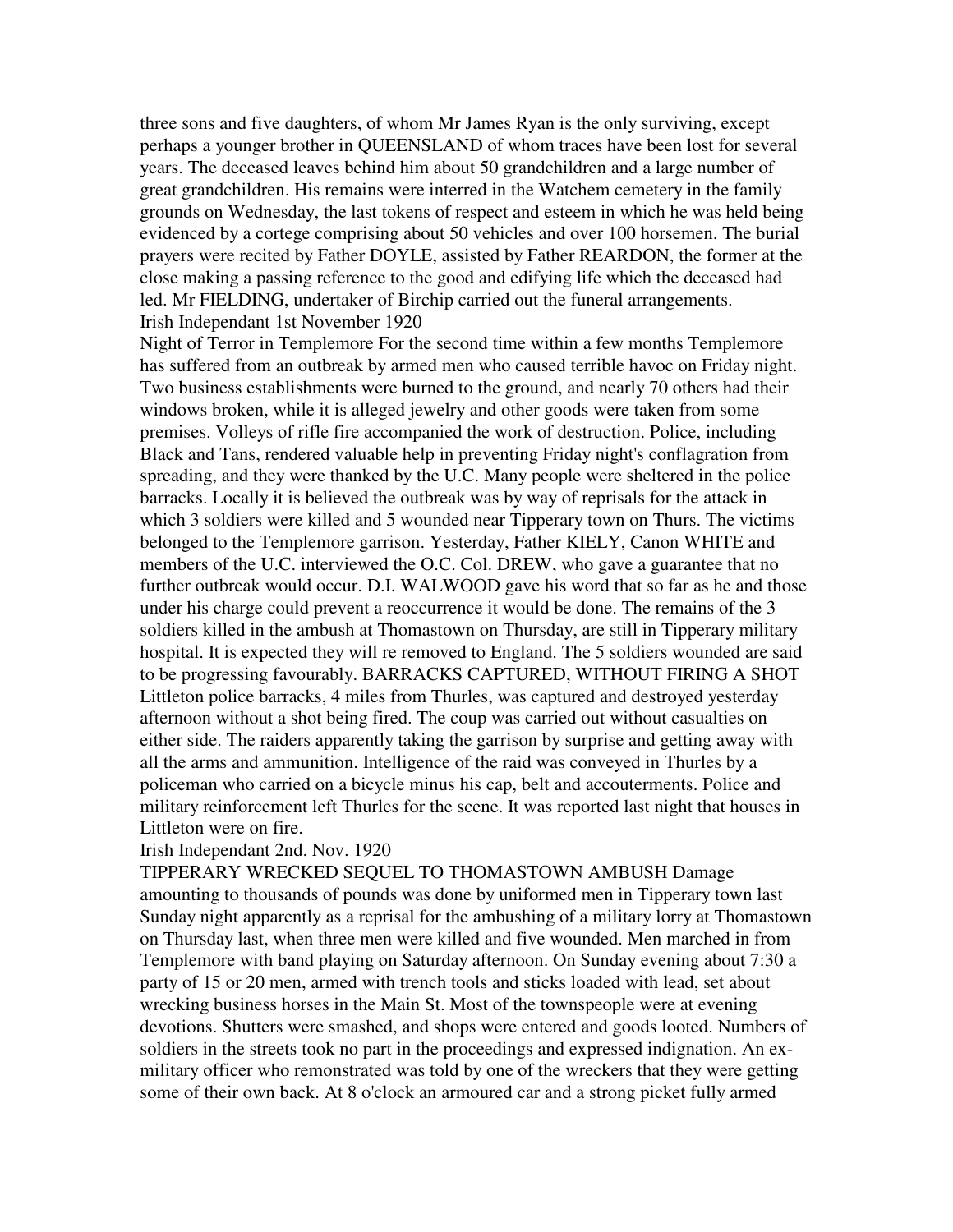three sons and five daughters, of whom Mr James Ryan is the only surviving, except perhaps a younger brother in QUEENSLAND of whom traces have been lost for several years. The deceased leaves behind him about 50 grandchildren and a large number of great grandchildren. His remains were interred in the Watchem cemetery in the family grounds on Wednesday, the last tokens of respect and esteem in which he was held being evidenced by a cortege comprising about 50 vehicles and over 100 horsemen. The burial prayers were recited by Father DOYLE, assisted by Father REARDON, the former at the close making a passing reference to the good and edifying life which the deceased had led. Mr FIELDING, undertaker of Birchip carried out the funeral arrangements. Irish Independant 1st November 1920

Night of Terror in Templemore For the second time within a few months Templemore has suffered from an outbreak by armed men who caused terrible havoc on Friday night. Two business establishments were burned to the ground, and nearly 70 others had their windows broken, while it is alleged jewelry and other goods were taken from some premises. Volleys of rifle fire accompanied the work of destruction. Police, including Black and Tans, rendered valuable help in preventing Friday night's conflagration from spreading, and they were thanked by the U.C. Many people were sheltered in the police barracks. Locally it is believed the outbreak was by way of reprisals for the attack in which 3 soldiers were killed and 5 wounded near Tipperary town on Thurs. The victims belonged to the Templemore garrison. Yesterday, Father KIELY, Canon WHITE and members of the U.C. interviewed the O.C. Col. DREW, who gave a guarantee that no further outbreak would occur. D.I. WALWOOD gave his word that so far as he and those under his charge could prevent a reoccurrence it would be done. The remains of the 3 soldiers killed in the ambush at Thomastown on Thursday, are still in Tipperary military hospital. It is expected they will re removed to England. The 5 soldiers wounded are said to be progressing favourably. BARRACKS CAPTURED, WITHOUT FIRING A SHOT Littleton police barracks, 4 miles from Thurles, was captured and destroyed yesterday afternoon without a shot being fired. The coup was carried out without casualties on either side. The raiders apparently taking the garrison by surprise and getting away with all the arms and ammunition. Intelligence of the raid was conveyed in Thurles by a policeman who carried on a bicycle minus his cap, belt and accouterments. Police and military reinforcement left Thurles for the scene. It was reported last night that houses in Littleton were on fire.

### Irish Independant 2nd. Nov. 1920

TIPPERARY WRECKED SEQUEL TO THOMASTOWN AMBUSH Damage amounting to thousands of pounds was done by uniformed men in Tipperary town last Sunday night apparently as a reprisal for the ambushing of a military lorry at Thomastown on Thursday last, when three men were killed and five wounded. Men marched in from Templemore with band playing on Saturday afternoon. On Sunday evening about 7:30 a party of 15 or 20 men, armed with trench tools and sticks loaded with lead, set about wrecking business horses in the Main St. Most of the townspeople were at evening devotions. Shutters were smashed, and shops were entered and goods looted. Numbers of soldiers in the streets took no part in the proceedings and expressed indignation. An exmilitary officer who remonstrated was told by one of the wreckers that they were getting some of their own back. At 8 o'clock an armoured car and a strong picket fully armed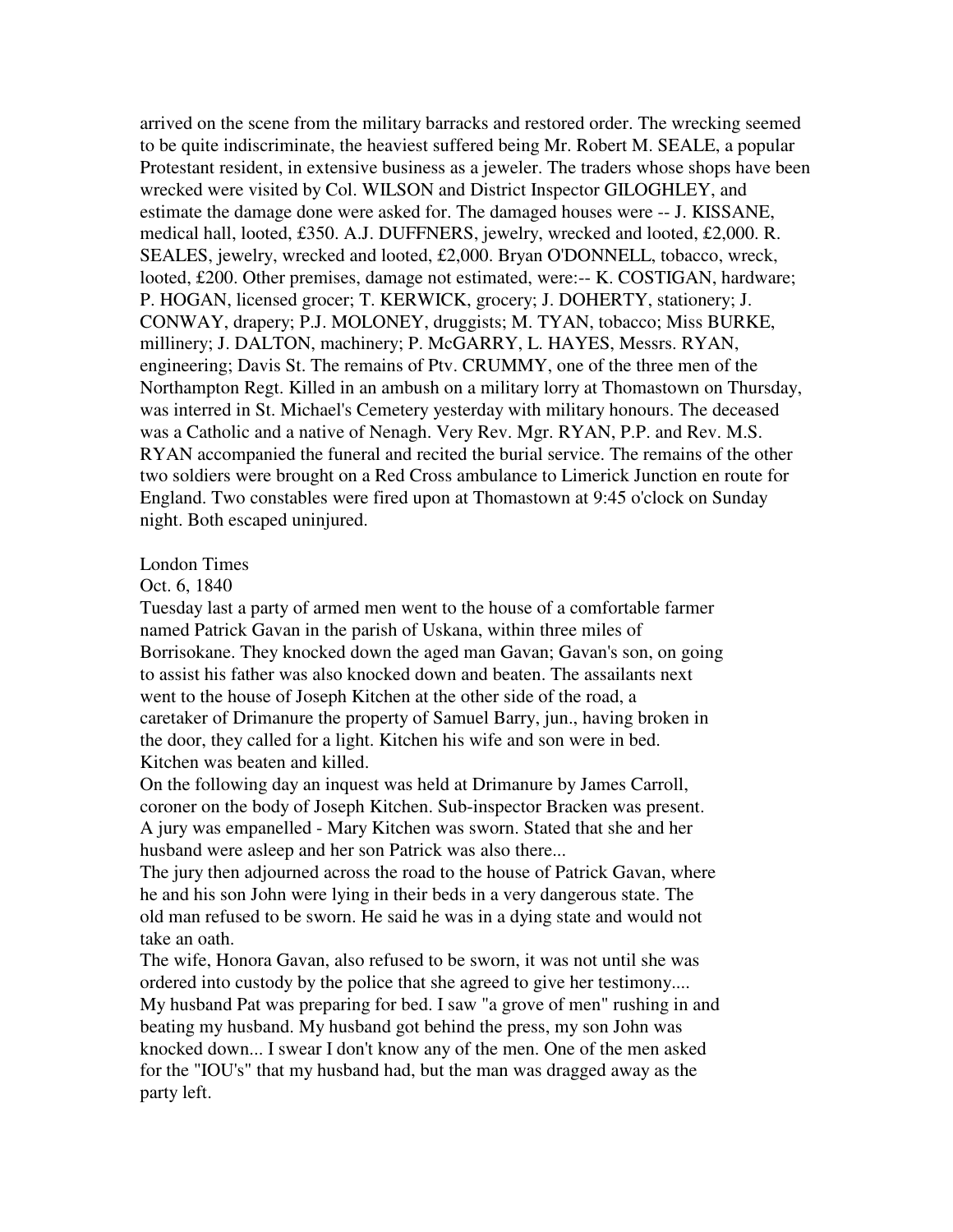arrived on the scene from the military barracks and restored order. The wrecking seemed to be quite indiscriminate, the heaviest suffered being Mr. Robert M. SEALE, a popular Protestant resident, in extensive business as a jeweler. The traders whose shops have been wrecked were visited by Col. WILSON and District Inspector GILOGHLEY, and estimate the damage done were asked for. The damaged houses were -- J. KISSANE, medical hall, looted, £350. A.J. DUFFNERS, jewelry, wrecked and looted, £2,000. R. SEALES, jewelry, wrecked and looted, £2,000. Bryan O'DONNELL, tobacco, wreck, looted, £200. Other premises, damage not estimated, were:-- K. COSTIGAN, hardware; P. HOGAN, licensed grocer; T. KERWICK, grocery; J. DOHERTY, stationery; J. CONWAY, drapery; P.J. MOLONEY, druggists; M. TYAN, tobacco; Miss BURKE, millinery; J. DALTON, machinery; P. McGARRY, L. HAYES, Messrs. RYAN, engineering; Davis St. The remains of Ptv. CRUMMY, one of the three men of the Northampton Regt. Killed in an ambush on a military lorry at Thomastown on Thursday, was interred in St. Michael's Cemetery yesterday with military honours. The deceased was a Catholic and a native of Nenagh. Very Rev. Mgr. RYAN, P.P. and Rev. M.S. RYAN accompanied the funeral and recited the burial service. The remains of the other two soldiers were brought on a Red Cross ambulance to Limerick Junction en route for England. Two constables were fired upon at Thomastown at 9:45 o'clock on Sunday night. Both escaped uninjured.

## London Times

#### Oct. 6, 1840

Tuesday last a party of armed men went to the house of a comfortable farmer named Patrick Gavan in the parish of Uskana, within three miles of Borrisokane. They knocked down the aged man Gavan; Gavan's son, on going to assist his father was also knocked down and beaten. The assailants next went to the house of Joseph Kitchen at the other side of the road, a caretaker of Drimanure the property of Samuel Barry, jun., having broken in the door, they called for a light. Kitchen his wife and son were in bed. Kitchen was beaten and killed.

On the following day an inquest was held at Drimanure by James Carroll, coroner on the body of Joseph Kitchen. Sub-inspector Bracken was present. A jury was empanelled - Mary Kitchen was sworn. Stated that she and her husband were asleep and her son Patrick was also there...

The jury then adjourned across the road to the house of Patrick Gavan, where he and his son John were lying in their beds in a very dangerous state. The old man refused to be sworn. He said he was in a dying state and would not take an oath.

The wife, Honora Gavan, also refused to be sworn, it was not until she was ordered into custody by the police that she agreed to give her testimony.... My husband Pat was preparing for bed. I saw "a grove of men" rushing in and beating my husband. My husband got behind the press, my son John was knocked down... I swear I don't know any of the men. One of the men asked for the "IOU's" that my husband had, but the man was dragged away as the party left.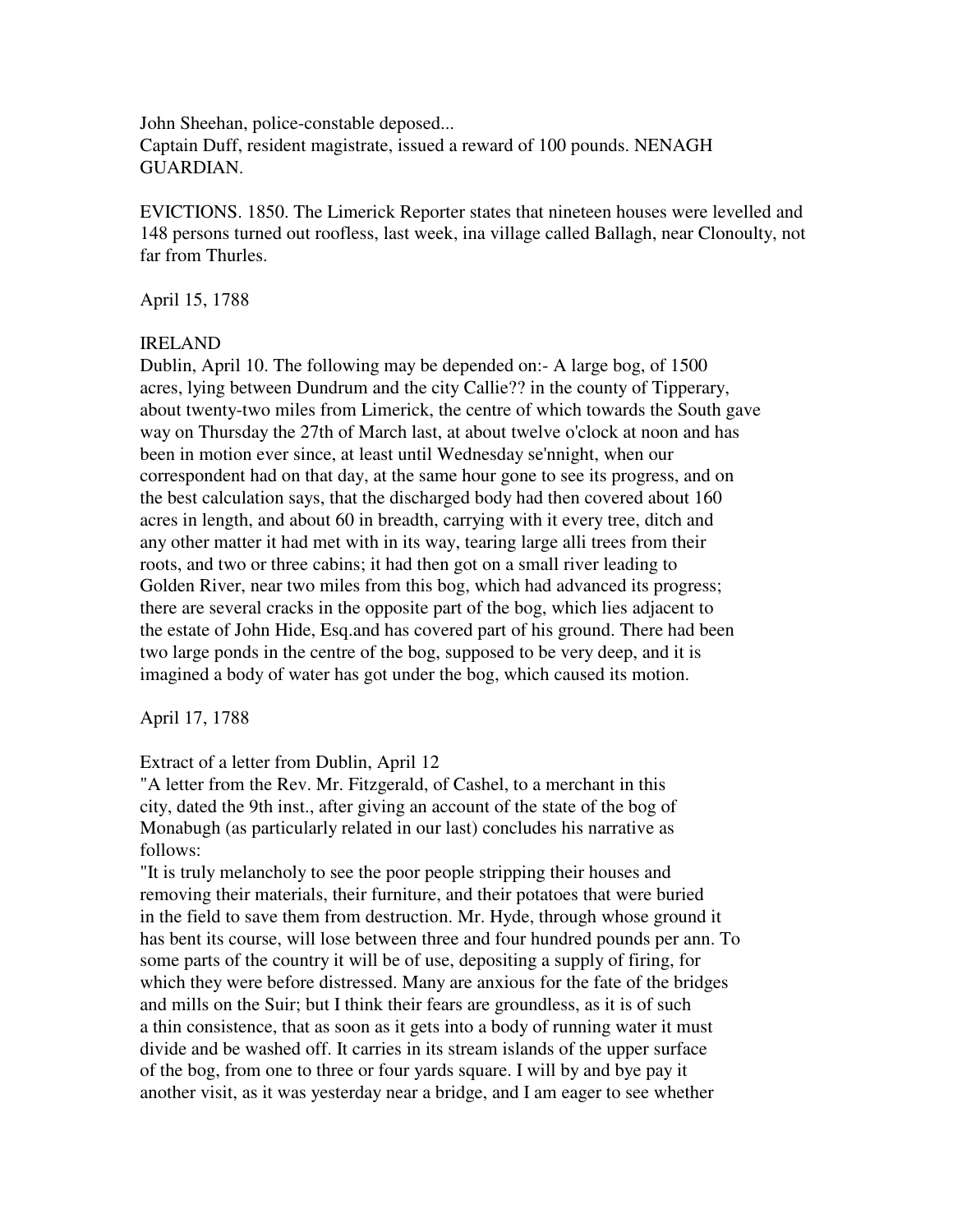John Sheehan, police-constable deposed... Captain Duff, resident magistrate, issued a reward of 100 pounds. NENAGH GUARDIAN.

EVICTIONS. 1850. The Limerick Reporter states that nineteen houses were levelled and 148 persons turned out roofless, last week, ina village called Ballagh, near Clonoulty, not far from Thurles.

April 15, 1788

### IRELAND

Dublin, April 10. The following may be depended on:- A large bog, of 1500 acres, lying between Dundrum and the city Callie?? in the county of Tipperary, about twenty-two miles from Limerick, the centre of which towards the South gave way on Thursday the 27th of March last, at about twelve o'clock at noon and has been in motion ever since, at least until Wednesday se'nnight, when our correspondent had on that day, at the same hour gone to see its progress, and on the best calculation says, that the discharged body had then covered about 160 acres in length, and about 60 in breadth, carrying with it every tree, ditch and any other matter it had met with in its way, tearing large alli trees from their roots, and two or three cabins; it had then got on a small river leading to Golden River, near two miles from this bog, which had advanced its progress; there are several cracks in the opposite part of the bog, which lies adjacent to the estate of John Hide, Esq.and has covered part of his ground. There had been two large ponds in the centre of the bog, supposed to be very deep, and it is imagined a body of water has got under the bog, which caused its motion.

April 17, 1788

Extract of a letter from Dublin, April 12

"A letter from the Rev. Mr. Fitzgerald, of Cashel, to a merchant in this city, dated the 9th inst., after giving an account of the state of the bog of Monabugh (as particularly related in our last) concludes his narrative as follows:

"It is truly melancholy to see the poor people stripping their houses and removing their materials, their furniture, and their potatoes that were buried in the field to save them from destruction. Mr. Hyde, through whose ground it has bent its course, will lose between three and four hundred pounds per ann. To some parts of the country it will be of use, depositing a supply of firing, for which they were before distressed. Many are anxious for the fate of the bridges and mills on the Suir; but I think their fears are groundless, as it is of such a thin consistence, that as soon as it gets into a body of running water it must divide and be washed off. It carries in its stream islands of the upper surface of the bog, from one to three or four yards square. I will by and bye pay it another visit, as it was yesterday near a bridge, and I am eager to see whether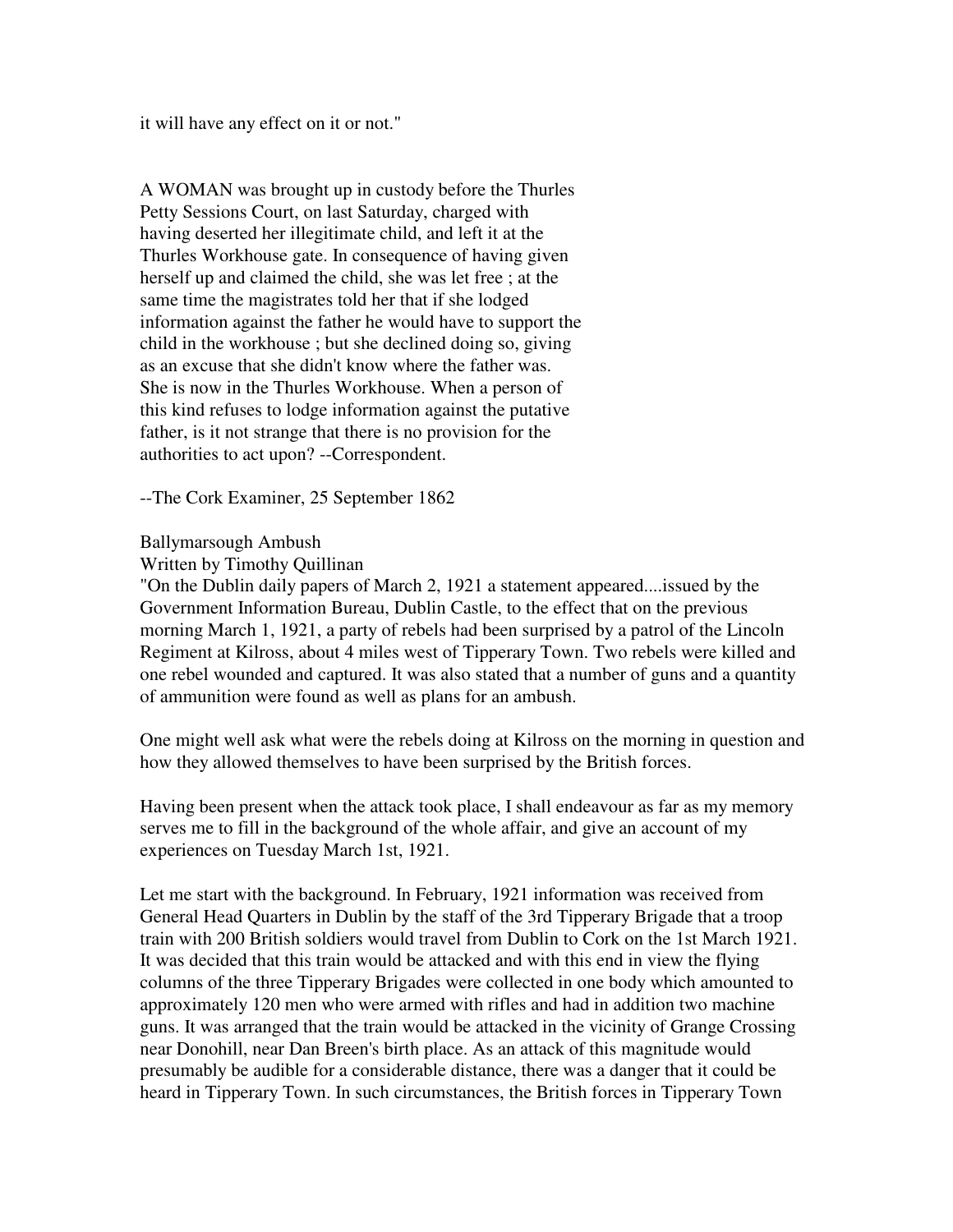it will have any effect on it or not."

A WOMAN was brought up in custody before the Thurles Petty Sessions Court, on last Saturday, charged with having deserted her illegitimate child, and left it at the Thurles Workhouse gate. In consequence of having given herself up and claimed the child, she was let free ; at the same time the magistrates told her that if she lodged information against the father he would have to support the child in the workhouse ; but she declined doing so, giving as an excuse that she didn't know where the father was. She is now in the Thurles Workhouse. When a person of this kind refuses to lodge information against the putative father, is it not strange that there is no provision for the authorities to act upon? --Correspondent.

--The Cork Examiner, 25 September 1862

## Ballymarsough Ambush

Written by Timothy Quillinan

"On the Dublin daily papers of March 2, 1921 a statement appeared....issued by the Government Information Bureau, Dublin Castle, to the effect that on the previous morning March 1, 1921, a party of rebels had been surprised by a patrol of the Lincoln Regiment at Kilross, about 4 miles west of Tipperary Town. Two rebels were killed and one rebel wounded and captured. It was also stated that a number of guns and a quantity of ammunition were found as well as plans for an ambush.

One might well ask what were the rebels doing at Kilross on the morning in question and how they allowed themselves to have been surprised by the British forces.

Having been present when the attack took place, I shall endeavour as far as my memory serves me to fill in the background of the whole affair, and give an account of my experiences on Tuesday March 1st, 1921.

Let me start with the background. In February, 1921 information was received from General Head Quarters in Dublin by the staff of the 3rd Tipperary Brigade that a troop train with 200 British soldiers would travel from Dublin to Cork on the 1st March 1921. It was decided that this train would be attacked and with this end in view the flying columns of the three Tipperary Brigades were collected in one body which amounted to approximately 120 men who were armed with rifles and had in addition two machine guns. It was arranged that the train would be attacked in the vicinity of Grange Crossing near Donohill, near Dan Breen's birth place. As an attack of this magnitude would presumably be audible for a considerable distance, there was a danger that it could be heard in Tipperary Town. In such circumstances, the British forces in Tipperary Town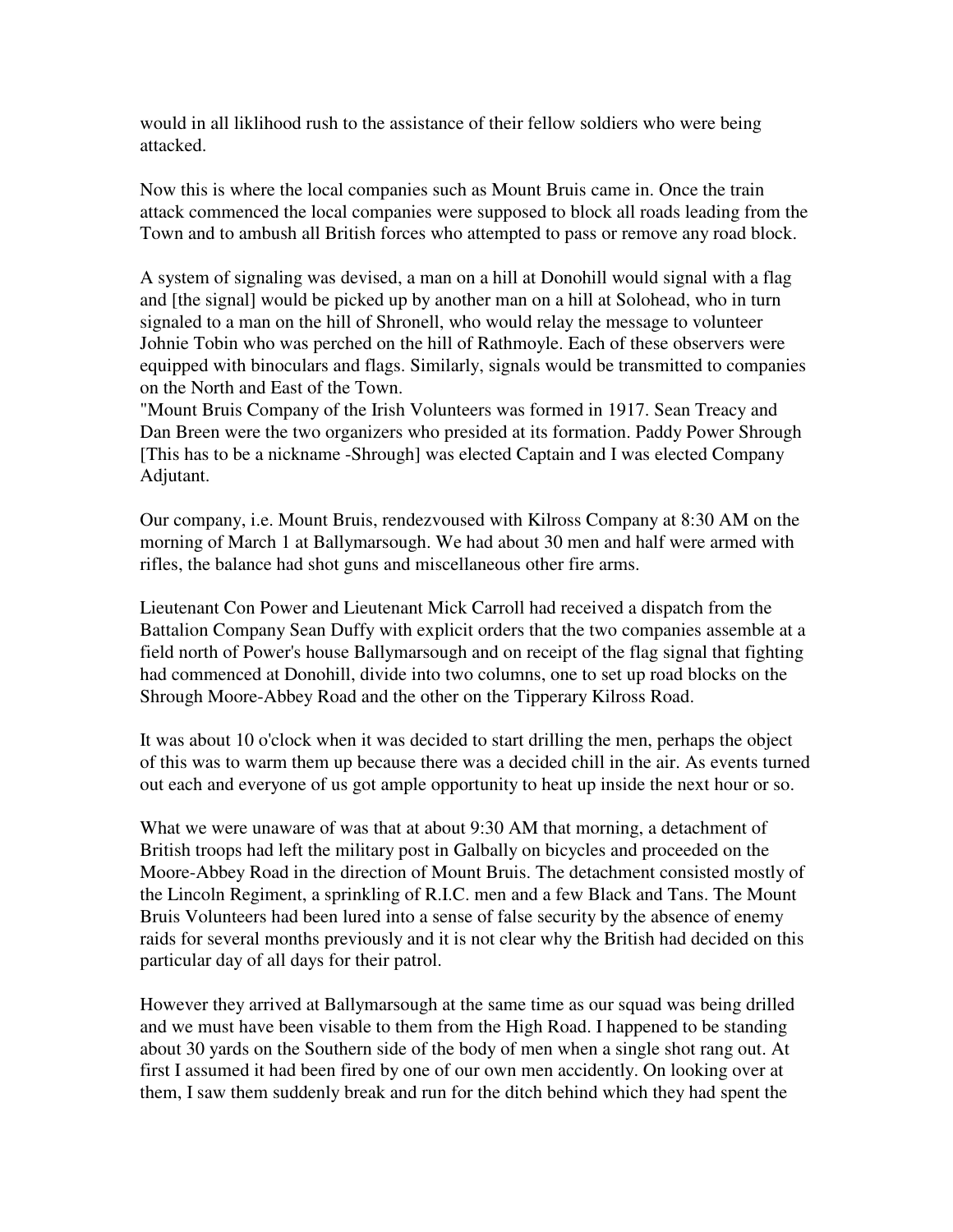would in all liklihood rush to the assistance of their fellow soldiers who were being attacked.

Now this is where the local companies such as Mount Bruis came in. Once the train attack commenced the local companies were supposed to block all roads leading from the Town and to ambush all British forces who attempted to pass or remove any road block.

A system of signaling was devised, a man on a hill at Donohill would signal with a flag and [the signal] would be picked up by another man on a hill at Solohead, who in turn signaled to a man on the hill of Shronell, who would relay the message to volunteer Johnie Tobin who was perched on the hill of Rathmoyle. Each of these observers were equipped with binoculars and flags. Similarly, signals would be transmitted to companies on the North and East of the Town.

"Mount Bruis Company of the Irish Volunteers was formed in 1917. Sean Treacy and Dan Breen were the two organizers who presided at its formation. Paddy Power Shrough [This has to be a nickname -Shrough] was elected Captain and I was elected Company Adjutant.

Our company, i.e. Mount Bruis, rendezvoused with Kilross Company at 8:30 AM on the morning of March 1 at Ballymarsough. We had about 30 men and half were armed with rifles, the balance had shot guns and miscellaneous other fire arms.

Lieutenant Con Power and Lieutenant Mick Carroll had received a dispatch from the Battalion Company Sean Duffy with explicit orders that the two companies assemble at a field north of Power's house Ballymarsough and on receipt of the flag signal that fighting had commenced at Donohill, divide into two columns, one to set up road blocks on the Shrough Moore-Abbey Road and the other on the Tipperary Kilross Road.

It was about 10 o'clock when it was decided to start drilling the men, perhaps the object of this was to warm them up because there was a decided chill in the air. As events turned out each and everyone of us got ample opportunity to heat up inside the next hour or so.

What we were unaware of was that at about 9:30 AM that morning, a detachment of British troops had left the military post in Galbally on bicycles and proceeded on the Moore-Abbey Road in the direction of Mount Bruis. The detachment consisted mostly of the Lincoln Regiment, a sprinkling of R.I.C. men and a few Black and Tans. The Mount Bruis Volunteers had been lured into a sense of false security by the absence of enemy raids for several months previously and it is not clear why the British had decided on this particular day of all days for their patrol.

However they arrived at Ballymarsough at the same time as our squad was being drilled and we must have been visable to them from the High Road. I happened to be standing about 30 yards on the Southern side of the body of men when a single shot rang out. At first I assumed it had been fired by one of our own men accidently. On looking over at them, I saw them suddenly break and run for the ditch behind which they had spent the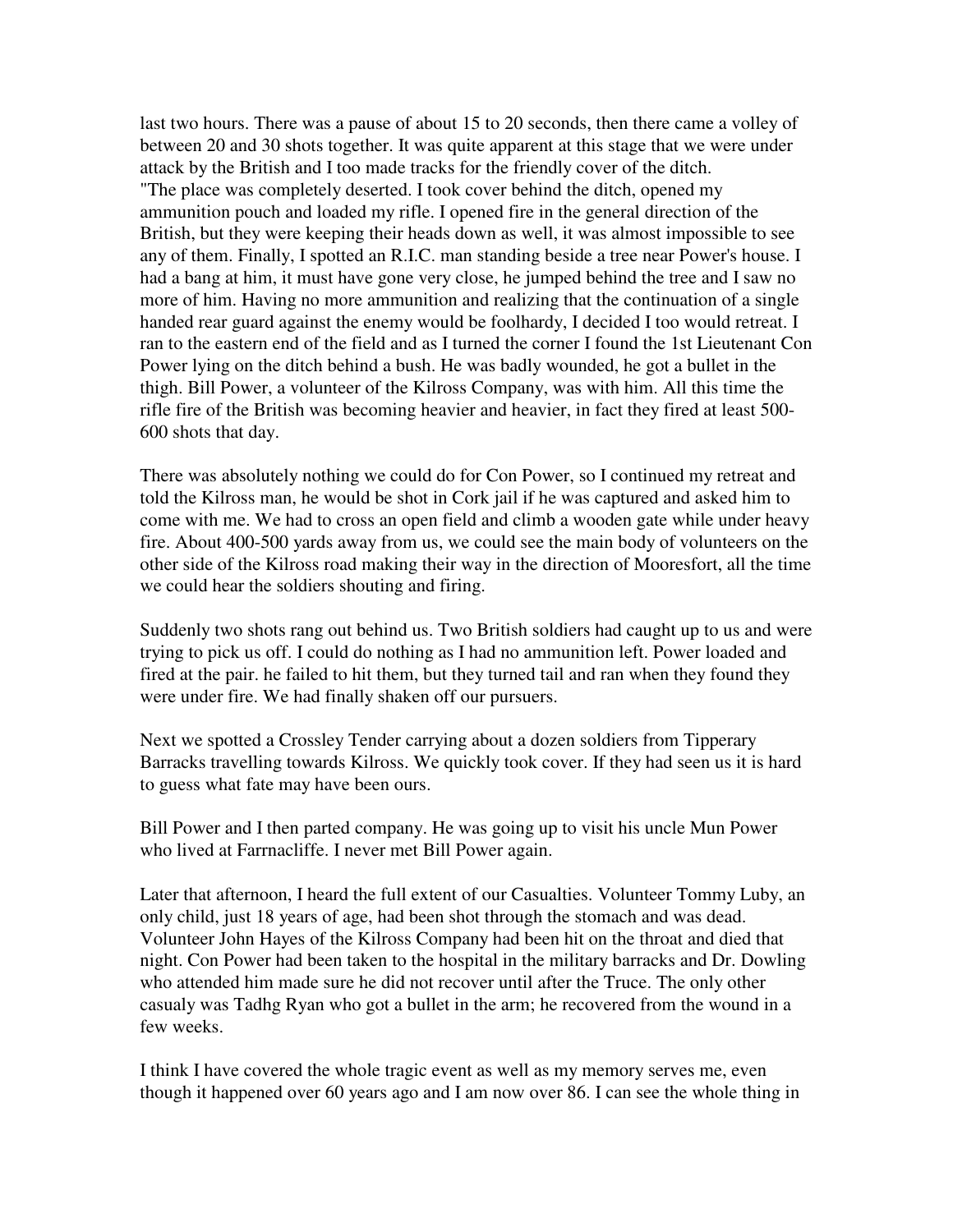last two hours. There was a pause of about 15 to 20 seconds, then there came a volley of between 20 and 30 shots together. It was quite apparent at this stage that we were under attack by the British and I too made tracks for the friendly cover of the ditch. "The place was completely deserted. I took cover behind the ditch, opened my ammunition pouch and loaded my rifle. I opened fire in the general direction of the British, but they were keeping their heads down as well, it was almost impossible to see any of them. Finally, I spotted an R.I.C. man standing beside a tree near Power's house. I had a bang at him, it must have gone very close, he jumped behind the tree and I saw no more of him. Having no more ammunition and realizing that the continuation of a single handed rear guard against the enemy would be foolhardy, I decided I too would retreat. I ran to the eastern end of the field and as I turned the corner I found the 1st Lieutenant Con Power lying on the ditch behind a bush. He was badly wounded, he got a bullet in the thigh. Bill Power, a volunteer of the Kilross Company, was with him. All this time the rifle fire of the British was becoming heavier and heavier, in fact they fired at least 500- 600 shots that day.

There was absolutely nothing we could do for Con Power, so I continued my retreat and told the Kilross man, he would be shot in Cork jail if he was captured and asked him to come with me. We had to cross an open field and climb a wooden gate while under heavy fire. About 400-500 yards away from us, we could see the main body of volunteers on the other side of the Kilross road making their way in the direction of Mooresfort, all the time we could hear the soldiers shouting and firing.

Suddenly two shots rang out behind us. Two British soldiers had caught up to us and were trying to pick us off. I could do nothing as I had no ammunition left. Power loaded and fired at the pair. he failed to hit them, but they turned tail and ran when they found they were under fire. We had finally shaken off our pursuers.

Next we spotted a Crossley Tender carrying about a dozen soldiers from Tipperary Barracks travelling towards Kilross. We quickly took cover. If they had seen us it is hard to guess what fate may have been ours.

Bill Power and I then parted company. He was going up to visit his uncle Mun Power who lived at Farrnacliffe. I never met Bill Power again.

Later that afternoon, I heard the full extent of our Casualties. Volunteer Tommy Luby, an only child, just 18 years of age, had been shot through the stomach and was dead. Volunteer John Hayes of the Kilross Company had been hit on the throat and died that night. Con Power had been taken to the hospital in the military barracks and Dr. Dowling who attended him made sure he did not recover until after the Truce. The only other casualy was Tadhg Ryan who got a bullet in the arm; he recovered from the wound in a few weeks.

I think I have covered the whole tragic event as well as my memory serves me, even though it happened over 60 years ago and I am now over 86. I can see the whole thing in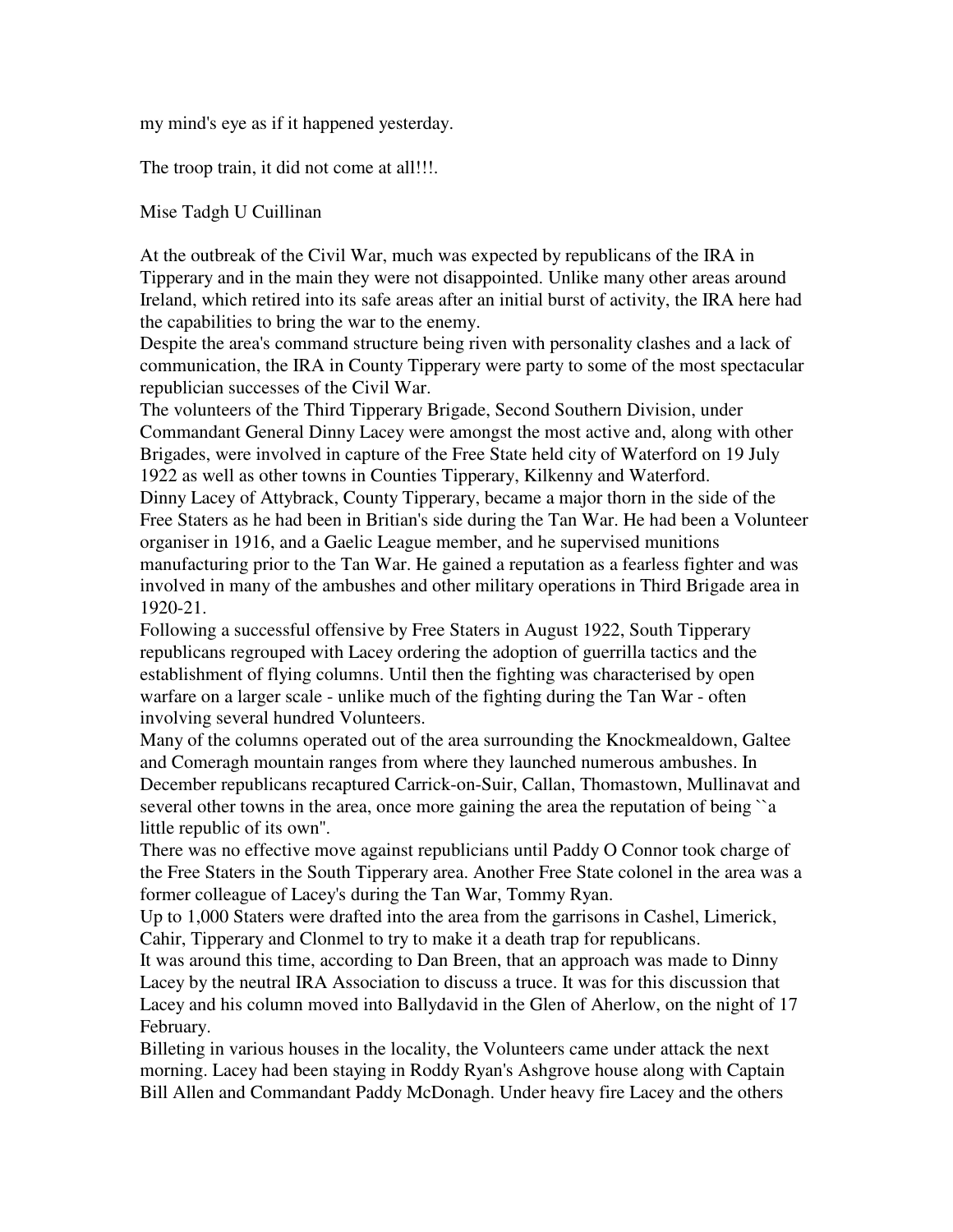my mind's eye as if it happened yesterday.

The troop train, it did not come at all!!!.

# Mise Tadgh U Cuillinan

At the outbreak of the Civil War, much was expected by republicans of the IRA in Tipperary and in the main they were not disappointed. Unlike many other areas around Ireland, which retired into its safe areas after an initial burst of activity, the IRA here had the capabilities to bring the war to the enemy.

Despite the area's command structure being riven with personality clashes and a lack of communication, the IRA in County Tipperary were party to some of the most spectacular republician successes of the Civil War.

The volunteers of the Third Tipperary Brigade, Second Southern Division, under Commandant General Dinny Lacey were amongst the most active and, along with other Brigades, were involved in capture of the Free State held city of Waterford on 19 July 1922 as well as other towns in Counties Tipperary, Kilkenny and Waterford.

Dinny Lacey of Attybrack, County Tipperary, became a major thorn in the side of the Free Staters as he had been in Britian's side during the Tan War. He had been a Volunteer organiser in 1916, and a Gaelic League member, and he supervised munitions manufacturing prior to the Tan War. He gained a reputation as a fearless fighter and was involved in many of the ambushes and other military operations in Third Brigade area in 1920-21.

Following a successful offensive by Free Staters in August 1922, South Tipperary republicans regrouped with Lacey ordering the adoption of guerrilla tactics and the establishment of flying columns. Until then the fighting was characterised by open warfare on a larger scale - unlike much of the fighting during the Tan War - often involving several hundred Volunteers.

Many of the columns operated out of the area surrounding the Knockmealdown, Galtee and Comeragh mountain ranges from where they launched numerous ambushes. In December republicans recaptured Carrick-on-Suir, Callan, Thomastown, Mullinavat and several other towns in the area, once more gaining the area the reputation of being "a little republic of its own''.

There was no effective move against republicians until Paddy O Connor took charge of the Free Staters in the South Tipperary area. Another Free State colonel in the area was a former colleague of Lacey's during the Tan War, Tommy Ryan.

Up to 1,000 Staters were drafted into the area from the garrisons in Cashel, Limerick, Cahir, Tipperary and Clonmel to try to make it a death trap for republicans.

It was around this time, according to Dan Breen, that an approach was made to Dinny Lacey by the neutral IRA Association to discuss a truce. It was for this discussion that Lacey and his column moved into Ballydavid in the Glen of Aherlow, on the night of 17 February.

Billeting in various houses in the locality, the Volunteers came under attack the next morning. Lacey had been staying in Roddy Ryan's Ashgrove house along with Captain Bill Allen and Commandant Paddy McDonagh. Under heavy fire Lacey and the others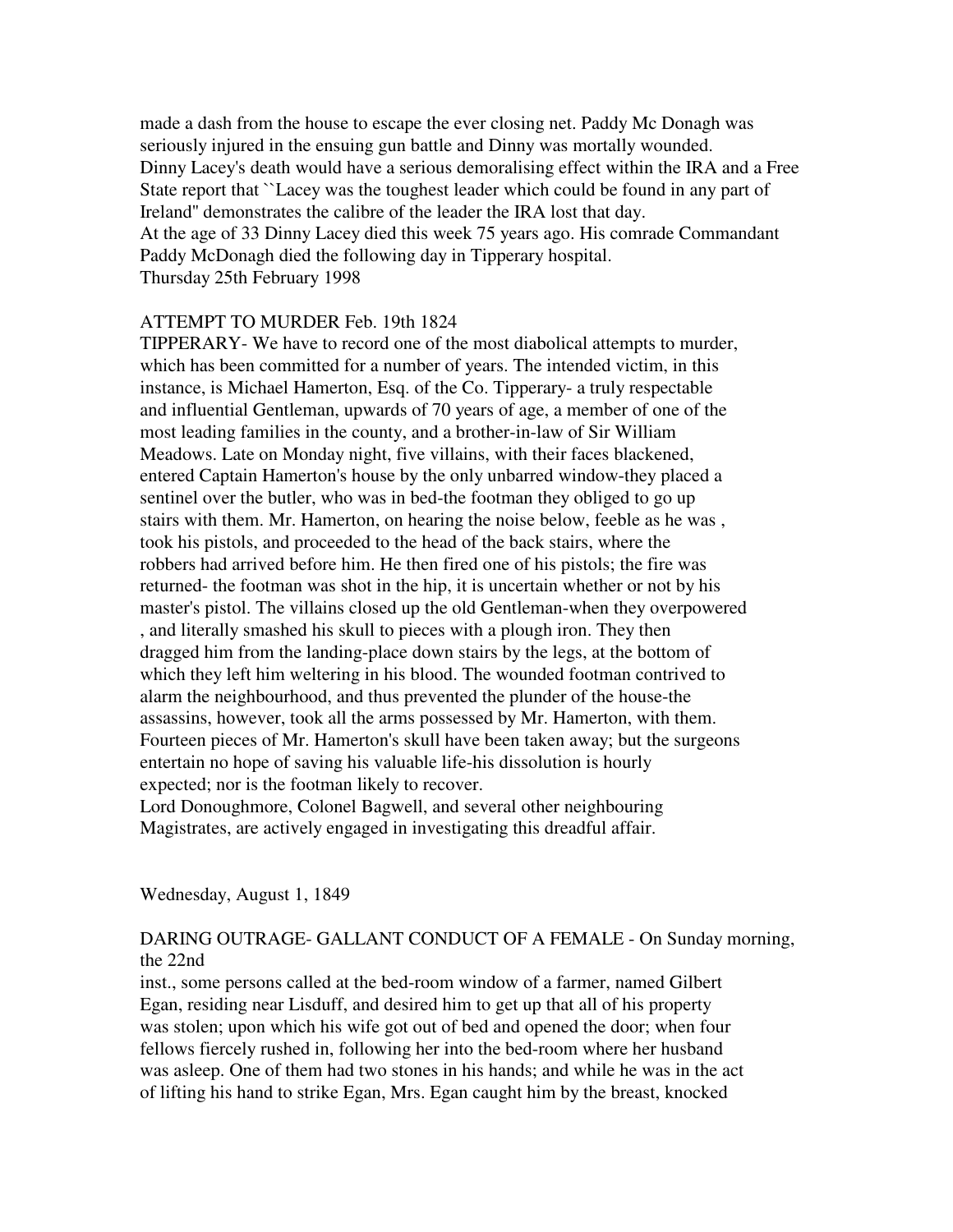made a dash from the house to escape the ever closing net. Paddy Mc Donagh was seriously injured in the ensuing gun battle and Dinny was mortally wounded. Dinny Lacey's death would have a serious demoralising effect within the IRA and a Free State report that ``Lacey was the toughest leader which could be found in any part of Ireland'' demonstrates the calibre of the leader the IRA lost that day. At the age of 33 Dinny Lacey died this week 75 years ago. His comrade Commandant Paddy McDonagh died the following day in Tipperary hospital. Thursday 25th February 1998

### ATTEMPT TO MURDER Feb. 19th 1824

TIPPERARY- We have to record one of the most diabolical attempts to murder, which has been committed for a number of years. The intended victim, in this instance, is Michael Hamerton, Esq. of the Co. Tipperary- a truly respectable and influential Gentleman, upwards of 70 years of age, a member of one of the most leading families in the county, and a brother-in-law of Sir William Meadows. Late on Monday night, five villains, with their faces blackened, entered Captain Hamerton's house by the only unbarred window-they placed a sentinel over the butler, who was in bed-the footman they obliged to go up stairs with them. Mr. Hamerton, on hearing the noise below, feeble as he was , took his pistols, and proceeded to the head of the back stairs, where the robbers had arrived before him. He then fired one of his pistols; the fire was returned- the footman was shot in the hip, it is uncertain whether or not by his master's pistol. The villains closed up the old Gentleman-when they overpowered , and literally smashed his skull to pieces with a plough iron. They then dragged him from the landing-place down stairs by the legs, at the bottom of which they left him weltering in his blood. The wounded footman contrived to alarm the neighbourhood, and thus prevented the plunder of the house-the assassins, however, took all the arms possessed by Mr. Hamerton, with them. Fourteen pieces of Mr. Hamerton's skull have been taken away; but the surgeons entertain no hope of saving his valuable life-his dissolution is hourly expected; nor is the footman likely to recover.

Lord Donoughmore, Colonel Bagwell, and several other neighbouring Magistrates, are actively engaged in investigating this dreadful affair.

Wednesday, August 1, 1849

## DARING OUTRAGE- GALLANT CONDUCT OF A FEMALE - On Sunday morning, the 22nd

inst., some persons called at the bed-room window of a farmer, named Gilbert Egan, residing near Lisduff, and desired him to get up that all of his property was stolen; upon which his wife got out of bed and opened the door; when four fellows fiercely rushed in, following her into the bed-room where her husband was asleep. One of them had two stones in his hands; and while he was in the act of lifting his hand to strike Egan, Mrs. Egan caught him by the breast, knocked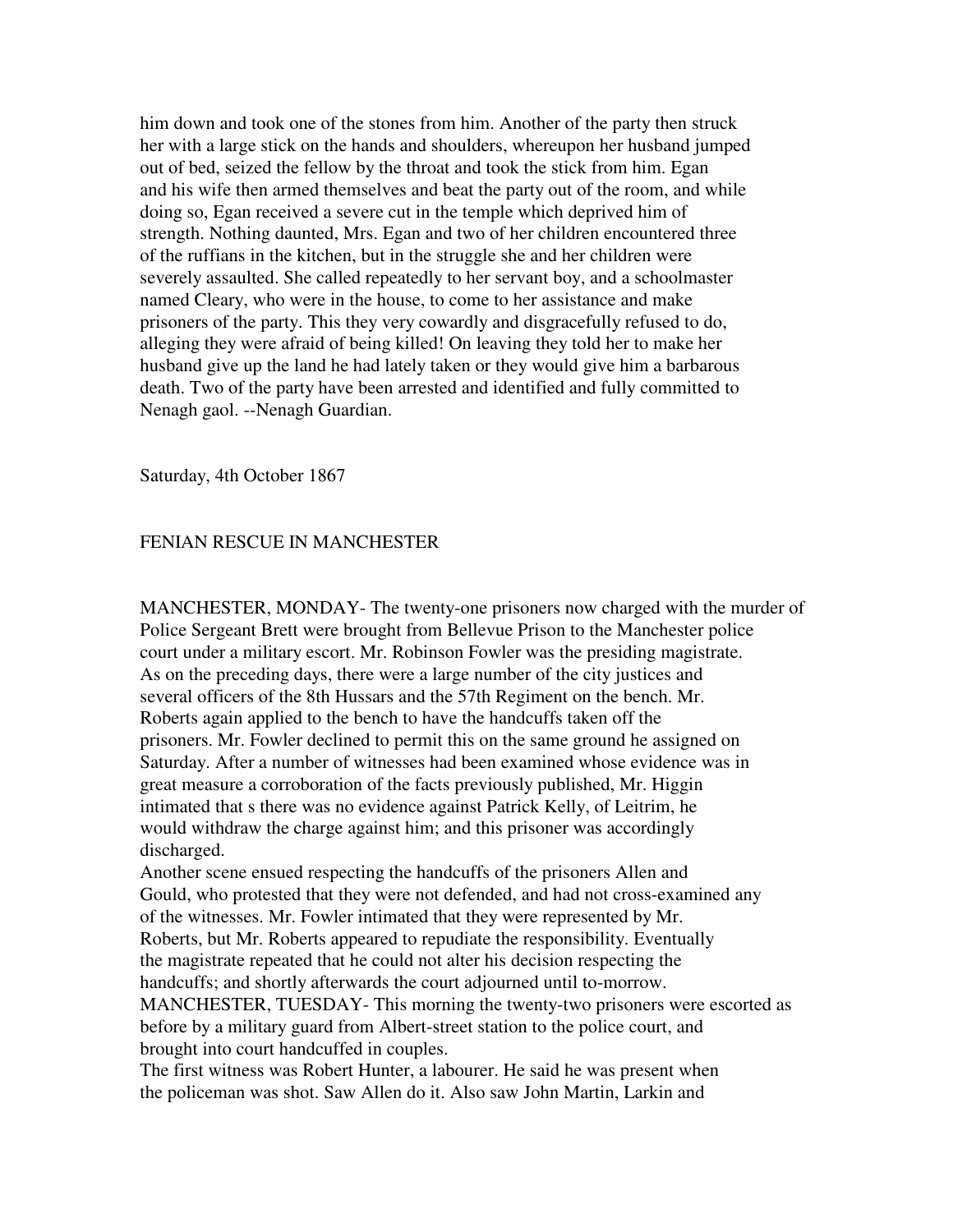him down and took one of the stones from him. Another of the party then struck her with a large stick on the hands and shoulders, whereupon her husband jumped out of bed, seized the fellow by the throat and took the stick from him. Egan and his wife then armed themselves and beat the party out of the room, and while doing so, Egan received a severe cut in the temple which deprived him of strength. Nothing daunted, Mrs. Egan and two of her children encountered three of the ruffians in the kitchen, but in the struggle she and her children were severely assaulted. She called repeatedly to her servant boy, and a schoolmaster named Cleary, who were in the house, to come to her assistance and make prisoners of the party. This they very cowardly and disgracefully refused to do, alleging they were afraid of being killed! On leaving they told her to make her husband give up the land he had lately taken or they would give him a barbarous death. Two of the party have been arrested and identified and fully committed to Nenagh gaol. --Nenagh Guardian.

Saturday, 4th October 1867

## FENIAN RESCUE IN MANCHESTER

MANCHESTER, MONDAY- The twenty-one prisoners now charged with the murder of Police Sergeant Brett were brought from Bellevue Prison to the Manchester police court under a military escort. Mr. Robinson Fowler was the presiding magistrate. As on the preceding days, there were a large number of the city justices and several officers of the 8th Hussars and the 57th Regiment on the bench. Mr. Roberts again applied to the bench to have the handcuffs taken off the prisoners. Mr. Fowler declined to permit this on the same ground he assigned on Saturday. After a number of witnesses had been examined whose evidence was in great measure a corroboration of the facts previously published, Mr. Higgin intimated that s there was no evidence against Patrick Kelly, of Leitrim, he would withdraw the charge against him; and this prisoner was accordingly discharged.

Another scene ensued respecting the handcuffs of the prisoners Allen and Gould, who protested that they were not defended, and had not cross-examined any of the witnesses. Mr. Fowler intimated that they were represented by Mr. Roberts, but Mr. Roberts appeared to repudiate the responsibility. Eventually the magistrate repeated that he could not alter his decision respecting the handcuffs; and shortly afterwards the court adjourned until to-morrow. MANCHESTER, TUESDAY- This morning the twenty-two prisoners were escorted as before by a military guard from Albert-street station to the police court, and brought into court handcuffed in couples.

The first witness was Robert Hunter, a labourer. He said he was present when the policeman was shot. Saw Allen do it. Also saw John Martin, Larkin and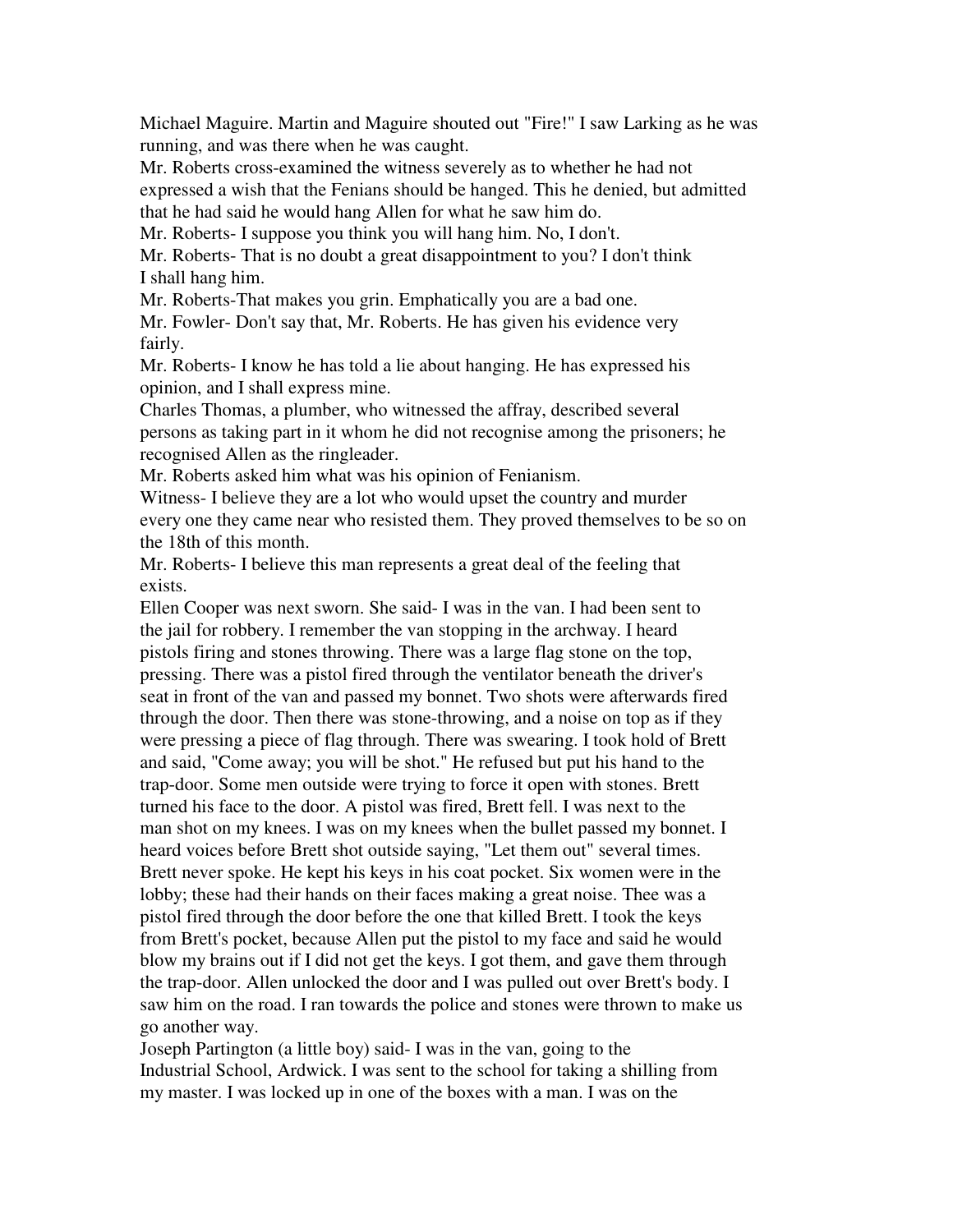Michael Maguire. Martin and Maguire shouted out "Fire!" I saw Larking as he was running, and was there when he was caught.

Mr. Roberts cross-examined the witness severely as to whether he had not expressed a wish that the Fenians should be hanged. This he denied, but admitted that he had said he would hang Allen for what he saw him do.

Mr. Roberts- I suppose you think you will hang him. No, I don't.

Mr. Roberts- That is no doubt a great disappointment to you? I don't think I shall hang him.

Mr. Roberts-That makes you grin. Emphatically you are a bad one.

Mr. Fowler- Don't say that, Mr. Roberts. He has given his evidence very fairly.

Mr. Roberts- I know he has told a lie about hanging. He has expressed his opinion, and I shall express mine.

Charles Thomas, a plumber, who witnessed the affray, described several persons as taking part in it whom he did not recognise among the prisoners; he recognised Allen as the ringleader.

Mr. Roberts asked him what was his opinion of Fenianism.

Witness- I believe they are a lot who would upset the country and murder every one they came near who resisted them. They proved themselves to be so on the 18th of this month.

Mr. Roberts- I believe this man represents a great deal of the feeling that exists.

Ellen Cooper was next sworn. She said- I was in the van. I had been sent to the jail for robbery. I remember the van stopping in the archway. I heard pistols firing and stones throwing. There was a large flag stone on the top, pressing. There was a pistol fired through the ventilator beneath the driver's seat in front of the van and passed my bonnet. Two shots were afterwards fired through the door. Then there was stone-throwing, and a noise on top as if they were pressing a piece of flag through. There was swearing. I took hold of Brett and said, "Come away; you will be shot." He refused but put his hand to the trap-door. Some men outside were trying to force it open with stones. Brett turned his face to the door. A pistol was fired, Brett fell. I was next to the man shot on my knees. I was on my knees when the bullet passed my bonnet. I heard voices before Brett shot outside saying, "Let them out" several times. Brett never spoke. He kept his keys in his coat pocket. Six women were in the lobby; these had their hands on their faces making a great noise. Thee was a pistol fired through the door before the one that killed Brett. I took the keys from Brett's pocket, because Allen put the pistol to my face and said he would blow my brains out if I did not get the keys. I got them, and gave them through the trap-door. Allen unlocked the door and I was pulled out over Brett's body. I saw him on the road. I ran towards the police and stones were thrown to make us go another way.

Joseph Partington (a little boy) said- I was in the van, going to the Industrial School, Ardwick. I was sent to the school for taking a shilling from my master. I was locked up in one of the boxes with a man. I was on the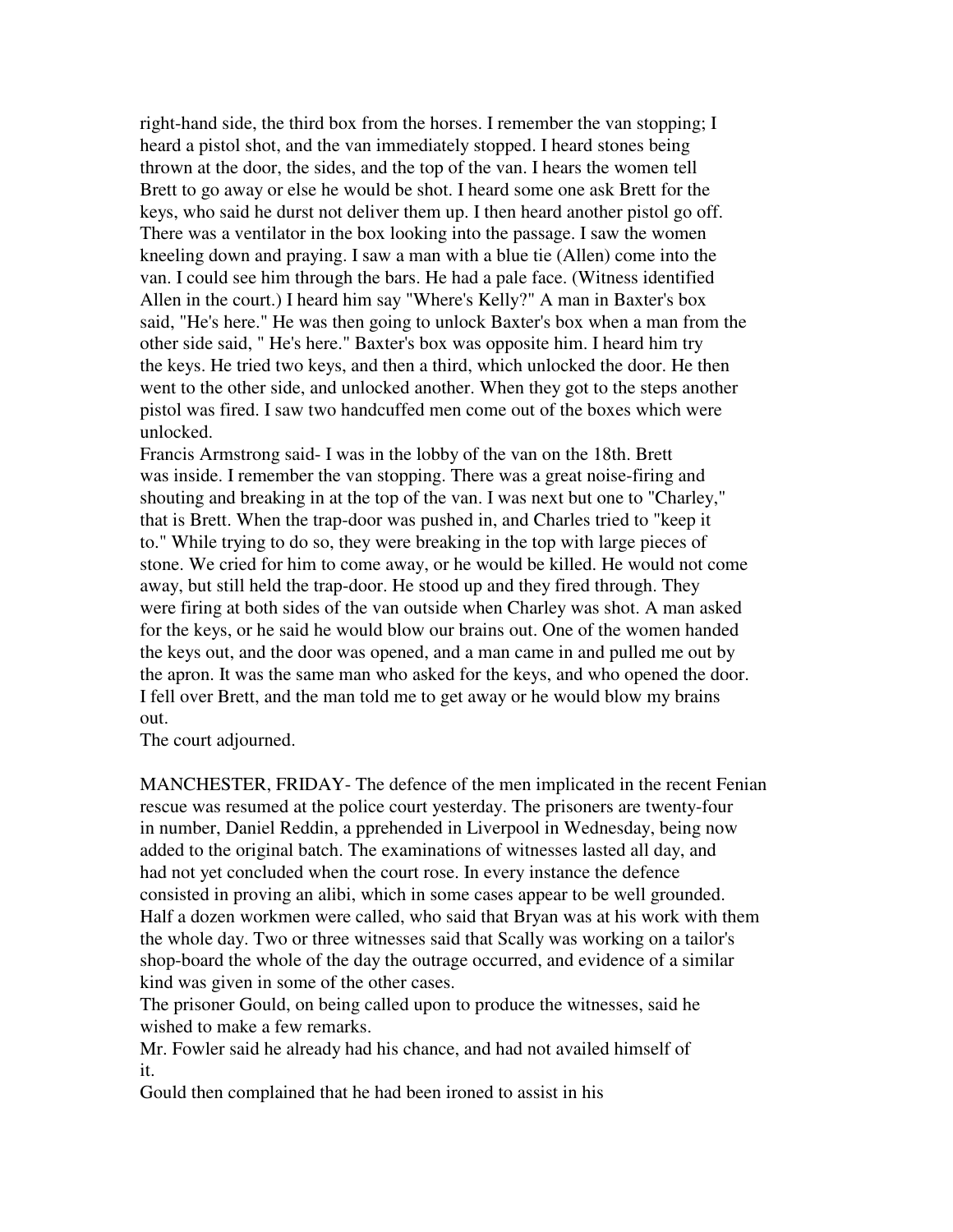right-hand side, the third box from the horses. I remember the van stopping; I heard a pistol shot, and the van immediately stopped. I heard stones being thrown at the door, the sides, and the top of the van. I hears the women tell Brett to go away or else he would be shot. I heard some one ask Brett for the keys, who said he durst not deliver them up. I then heard another pistol go off. There was a ventilator in the box looking into the passage. I saw the women kneeling down and praying. I saw a man with a blue tie (Allen) come into the van. I could see him through the bars. He had a pale face. (Witness identified Allen in the court.) I heard him say "Where's Kelly?" A man in Baxter's box said, "He's here." He was then going to unlock Baxter's box when a man from the other side said, " He's here." Baxter's box was opposite him. I heard him try the keys. He tried two keys, and then a third, which unlocked the door. He then went to the other side, and unlocked another. When they got to the steps another pistol was fired. I saw two handcuffed men come out of the boxes which were unlocked.

Francis Armstrong said- I was in the lobby of the van on the 18th. Brett was inside. I remember the van stopping. There was a great noise-firing and shouting and breaking in at the top of the van. I was next but one to "Charley," that is Brett. When the trap-door was pushed in, and Charles tried to "keep it to." While trying to do so, they were breaking in the top with large pieces of stone. We cried for him to come away, or he would be killed. He would not come away, but still held the trap-door. He stood up and they fired through. They were firing at both sides of the van outside when Charley was shot. A man asked for the keys, or he said he would blow our brains out. One of the women handed the keys out, and the door was opened, and a man came in and pulled me out by the apron. It was the same man who asked for the keys, and who opened the door. I fell over Brett, and the man told me to get away or he would blow my brains out.

The court adjourned.

MANCHESTER, FRIDAY- The defence of the men implicated in the recent Fenian rescue was resumed at the police court yesterday. The prisoners are twenty-four in number, Daniel Reddin, a pprehended in Liverpool in Wednesday, being now added to the original batch. The examinations of witnesses lasted all day, and had not yet concluded when the court rose. In every instance the defence consisted in proving an alibi, which in some cases appear to be well grounded. Half a dozen workmen were called, who said that Bryan was at his work with them the whole day. Two or three witnesses said that Scally was working on a tailor's shop-board the whole of the day the outrage occurred, and evidence of a similar kind was given in some of the other cases.

The prisoner Gould, on being called upon to produce the witnesses, said he wished to make a few remarks.

Mr. Fowler said he already had his chance, and had not availed himself of it.

Gould then complained that he had been ironed to assist in his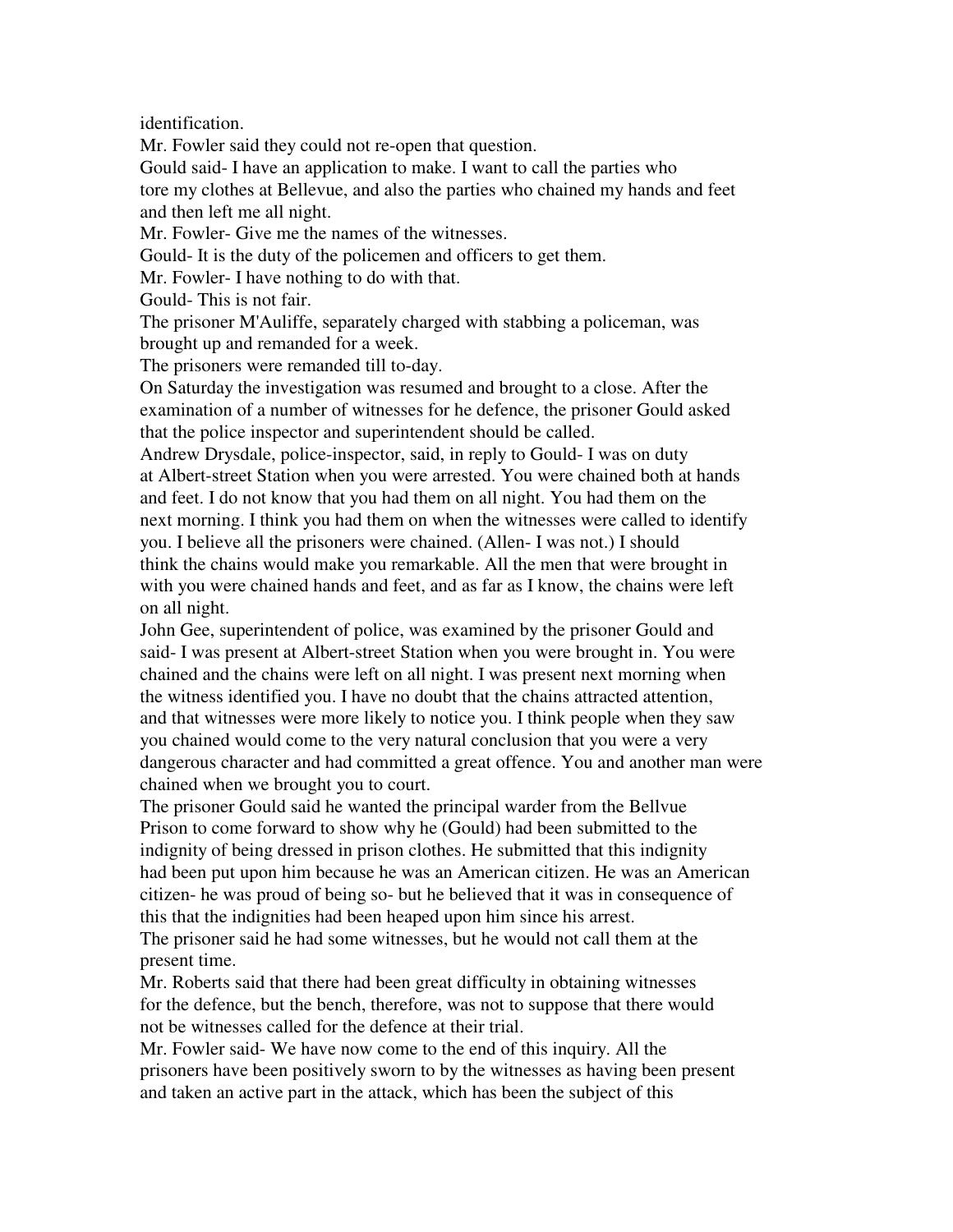identification.

Mr. Fowler said they could not re-open that question.

Gould said- I have an application to make. I want to call the parties who tore my clothes at Bellevue, and also the parties who chained my hands and feet and then left me all night.

Mr. Fowler- Give me the names of the witnesses.

Gould- It is the duty of the policemen and officers to get them.

Mr. Fowler- I have nothing to do with that.

Gould- This is not fair.

The prisoner M'Auliffe, separately charged with stabbing a policeman, was brought up and remanded for a week.

The prisoners were remanded till to-day.

On Saturday the investigation was resumed and brought to a close. After the examination of a number of witnesses for he defence, the prisoner Gould asked that the police inspector and superintendent should be called.

Andrew Drysdale, police-inspector, said, in reply to Gould- I was on duty at Albert-street Station when you were arrested. You were chained both at hands and feet. I do not know that you had them on all night. You had them on the next morning. I think you had them on when the witnesses were called to identify you. I believe all the prisoners were chained. (Allen- I was not.) I should think the chains would make you remarkable. All the men that were brought in with you were chained hands and feet, and as far as I know, the chains were left on all night.

John Gee, superintendent of police, was examined by the prisoner Gould and said- I was present at Albert-street Station when you were brought in. You were chained and the chains were left on all night. I was present next morning when the witness identified you. I have no doubt that the chains attracted attention, and that witnesses were more likely to notice you. I think people when they saw you chained would come to the very natural conclusion that you were a very dangerous character and had committed a great offence. You and another man were chained when we brought you to court.

The prisoner Gould said he wanted the principal warder from the Bellvue Prison to come forward to show why he (Gould) had been submitted to the indignity of being dressed in prison clothes. He submitted that this indignity had been put upon him because he was an American citizen. He was an American citizen- he was proud of being so- but he believed that it was in consequence of this that the indignities had been heaped upon him since his arrest.

The prisoner said he had some witnesses, but he would not call them at the present time.

Mr. Roberts said that there had been great difficulty in obtaining witnesses for the defence, but the bench, therefore, was not to suppose that there would not be witnesses called for the defence at their trial.

Mr. Fowler said- We have now come to the end of this inquiry. All the prisoners have been positively sworn to by the witnesses as having been present and taken an active part in the attack, which has been the subject of this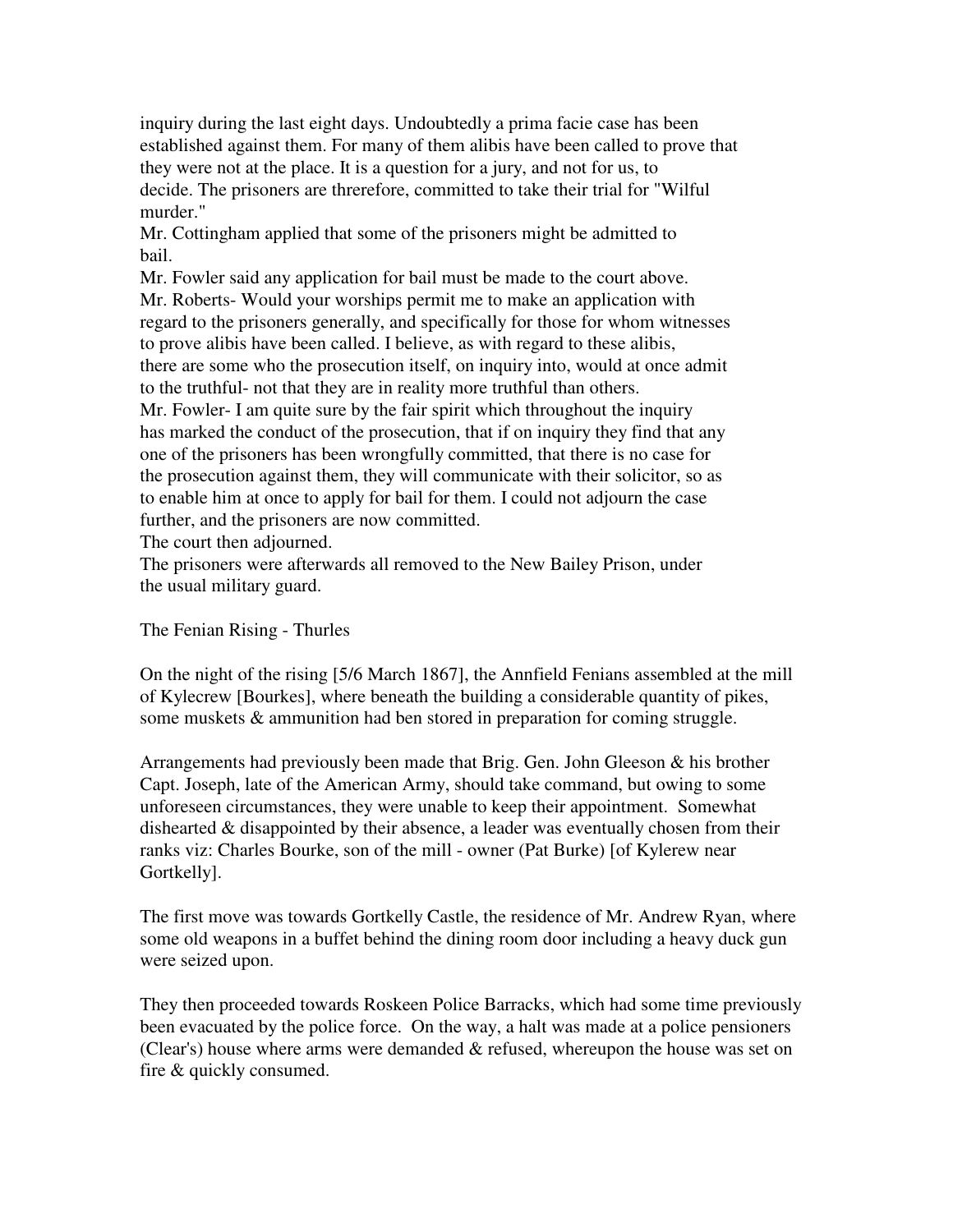inquiry during the last eight days. Undoubtedly a prima facie case has been established against them. For many of them alibis have been called to prove that they were not at the place. It is a question for a jury, and not for us, to decide. The prisoners are threrefore, committed to take their trial for "Wilful murder."

Mr. Cottingham applied that some of the prisoners might be admitted to bail.

Mr. Fowler said any application for bail must be made to the court above. Mr. Roberts- Would your worships permit me to make an application with regard to the prisoners generally, and specifically for those for whom witnesses to prove alibis have been called. I believe, as with regard to these alibis, there are some who the prosecution itself, on inquiry into, would at once admit to the truthful- not that they are in reality more truthful than others. Mr. Fowler- I am quite sure by the fair spirit which throughout the inquiry has marked the conduct of the prosecution, that if on inquiry they find that any one of the prisoners has been wrongfully committed, that there is no case for the prosecution against them, they will communicate with their solicitor, so as to enable him at once to apply for bail for them. I could not adjourn the case further, and the prisoners are now committed.

The court then adjourned.

The prisoners were afterwards all removed to the New Bailey Prison, under the usual military guard.

The Fenian Rising - Thurles

On the night of the rising [5/6 March 1867], the Annfield Fenians assembled at the mill of Kylecrew [Bourkes], where beneath the building a considerable quantity of pikes, some muskets & ammunition had ben stored in preparation for coming struggle.

Arrangements had previously been made that Brig. Gen. John Gleeson & his brother Capt. Joseph, late of the American Army, should take command, but owing to some unforeseen circumstances, they were unable to keep their appointment. Somewhat dishearted & disappointed by their absence, a leader was eventually chosen from their ranks viz: Charles Bourke, son of the mill - owner (Pat Burke) [of Kylerew near Gortkelly].

The first move was towards Gortkelly Castle, the residence of Mr. Andrew Ryan, where some old weapons in a buffet behind the dining room door including a heavy duck gun were seized upon.

They then proceeded towards Roskeen Police Barracks, which had some time previously been evacuated by the police force. On the way, a halt was made at a police pensioners (Clear's) house where arms were demanded & refused, whereupon the house was set on fire & quickly consumed.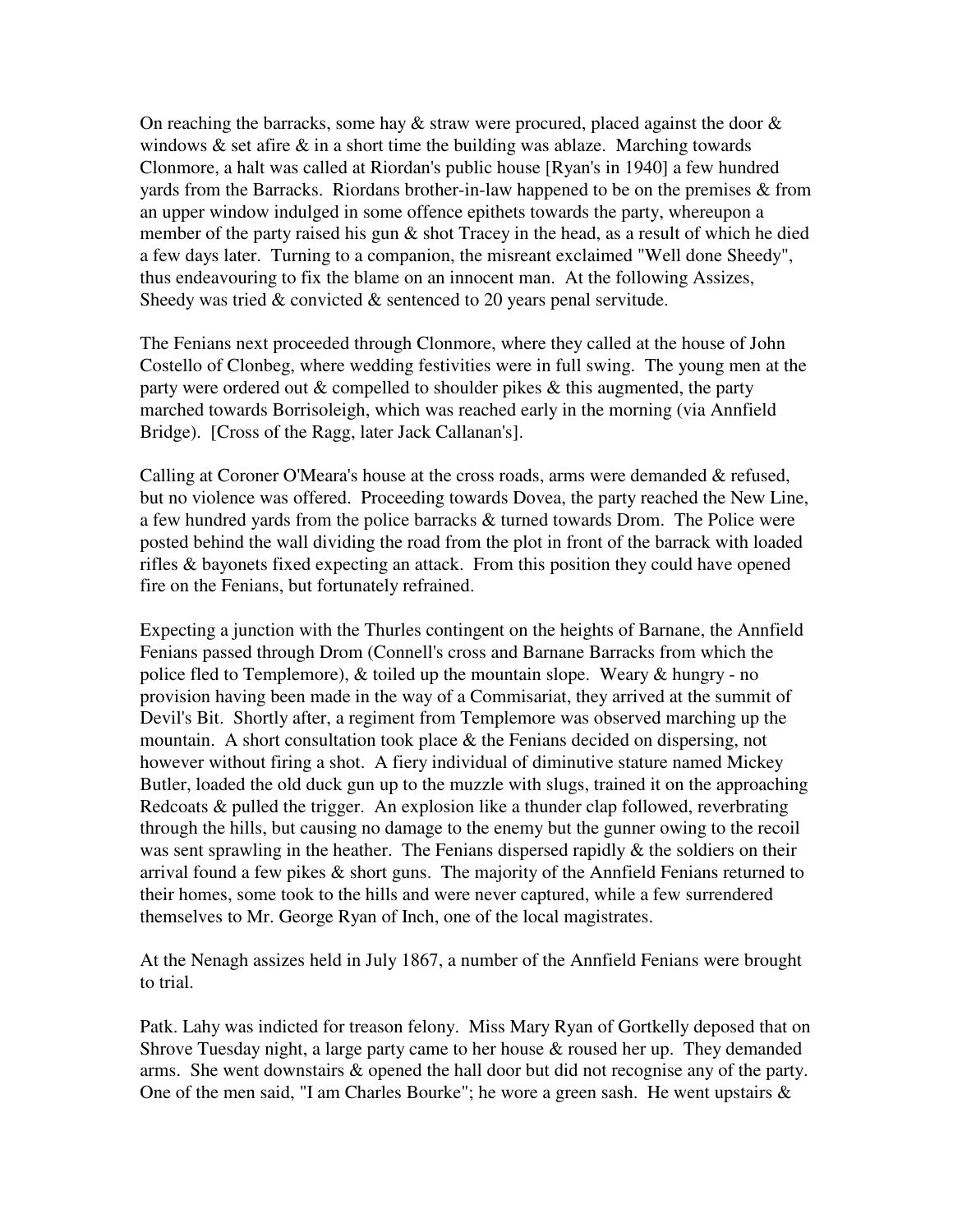On reaching the barracks, some hay  $\&$  straw were procured, placed against the door  $\&$ windows  $\&$  set afire  $\&$  in a short time the building was ablaze. Marching towards Clonmore, a halt was called at Riordan's public house [Ryan's in 1940] a few hundred yards from the Barracks. Riordans brother-in-law happened to be on the premises & from an upper window indulged in some offence epithets towards the party, whereupon a member of the party raised his gun  $\&$  shot Tracey in the head, as a result of which he died a few days later. Turning to a companion, the misreant exclaimed "Well done Sheedy", thus endeavouring to fix the blame on an innocent man. At the following Assizes, Sheedy was tried  $&$  convicted  $&$  sentenced to 20 years penal servitude.

The Fenians next proceeded through Clonmore, where they called at the house of John Costello of Clonbeg, where wedding festivities were in full swing. The young men at the party were ordered out & compelled to shoulder pikes & this augmented, the party marched towards Borrisoleigh, which was reached early in the morning (via Annfield Bridge). [Cross of the Ragg, later Jack Callanan's].

Calling at Coroner O'Meara's house at the cross roads, arms were demanded & refused, but no violence was offered. Proceeding towards Dovea, the party reached the New Line, a few hundred yards from the police barracks & turned towards Drom. The Police were posted behind the wall dividing the road from the plot in front of the barrack with loaded rifles & bayonets fixed expecting an attack. From this position they could have opened fire on the Fenians, but fortunately refrained.

Expecting a junction with the Thurles contingent on the heights of Barnane, the Annfield Fenians passed through Drom (Connell's cross and Barnane Barracks from which the police fled to Templemore), & toiled up the mountain slope. Weary & hungry - no provision having been made in the way of a Commisariat, they arrived at the summit of Devil's Bit. Shortly after, a regiment from Templemore was observed marching up the mountain. A short consultation took place & the Fenians decided on dispersing, not however without firing a shot. A fiery individual of diminutive stature named Mickey Butler, loaded the old duck gun up to the muzzle with slugs, trained it on the approaching Redcoats & pulled the trigger. An explosion like a thunder clap followed, reverbrating through the hills, but causing no damage to the enemy but the gunner owing to the recoil was sent sprawling in the heather. The Fenians dispersed rapidly  $\&$  the soldiers on their arrival found a few pikes & short guns. The majority of the Annfield Fenians returned to their homes, some took to the hills and were never captured, while a few surrendered themselves to Mr. George Ryan of Inch, one of the local magistrates.

At the Nenagh assizes held in July 1867, a number of the Annfield Fenians were brought to trial.

Patk. Lahy was indicted for treason felony. Miss Mary Ryan of Gortkelly deposed that on Shrove Tuesday night, a large party came to her house & roused her up. They demanded arms. She went downstairs & opened the hall door but did not recognise any of the party. One of the men said, "I am Charles Bourke"; he wore a green sash. He went upstairs &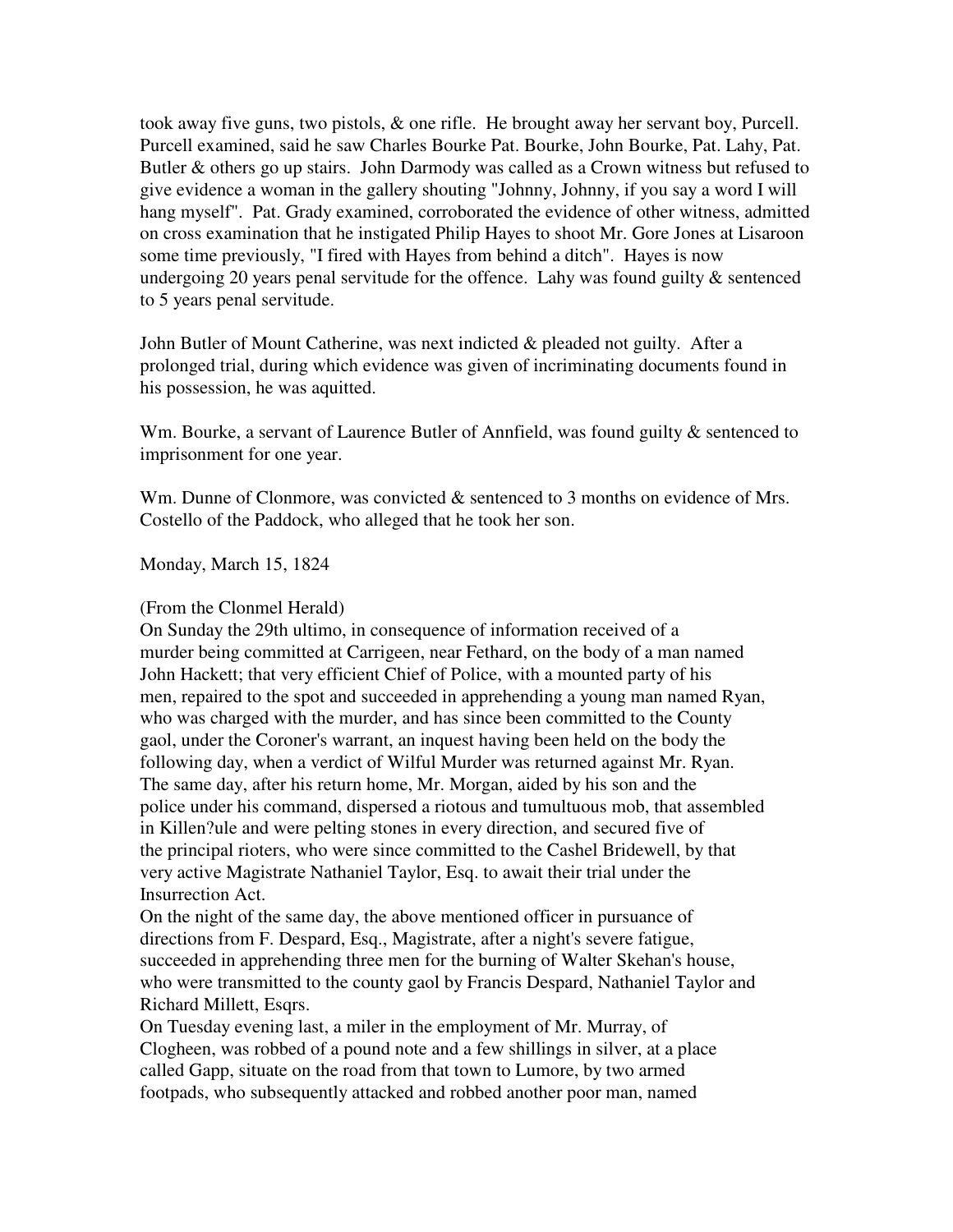took away five guns, two pistols, & one rifle. He brought away her servant boy, Purcell. Purcell examined, said he saw Charles Bourke Pat. Bourke, John Bourke, Pat. Lahy, Pat. Butler & others go up stairs. John Darmody was called as a Crown witness but refused to give evidence a woman in the gallery shouting "Johnny, Johnny, if you say a word I will hang myself". Pat. Grady examined, corroborated the evidence of other witness, admitted on cross examination that he instigated Philip Hayes to shoot Mr. Gore Jones at Lisaroon some time previously, "I fired with Hayes from behind a ditch". Hayes is now undergoing 20 years penal servitude for the offence. Lahy was found guilty  $\&$  sentenced to 5 years penal servitude.

John Butler of Mount Catherine, was next indicted & pleaded not guilty. After a prolonged trial, during which evidence was given of incriminating documents found in his possession, he was aquitted.

Wm. Bourke, a servant of Laurence Butler of Annfield, was found guilty & sentenced to imprisonment for one year.

Wm. Dunne of Clonmore, was convicted & sentenced to 3 months on evidence of Mrs. Costello of the Paddock, who alleged that he took her son.

Monday, March 15, 1824

### (From the Clonmel Herald)

On Sunday the 29th ultimo, in consequence of information received of a murder being committed at Carrigeen, near Fethard, on the body of a man named John Hackett; that very efficient Chief of Police, with a mounted party of his men, repaired to the spot and succeeded in apprehending a young man named Ryan, who was charged with the murder, and has since been committed to the County gaol, under the Coroner's warrant, an inquest having been held on the body the following day, when a verdict of Wilful Murder was returned against Mr. Ryan. The same day, after his return home, Mr. Morgan, aided by his son and the police under his command, dispersed a riotous and tumultuous mob, that assembled in Killen?ule and were pelting stones in every direction, and secured five of the principal rioters, who were since committed to the Cashel Bridewell, by that very active Magistrate Nathaniel Taylor, Esq. to await their trial under the Insurrection Act.

On the night of the same day, the above mentioned officer in pursuance of directions from F. Despard, Esq., Magistrate, after a night's severe fatigue, succeeded in apprehending three men for the burning of Walter Skehan's house, who were transmitted to the county gaol by Francis Despard, Nathaniel Taylor and Richard Millett, Esqrs.

On Tuesday evening last, a miler in the employment of Mr. Murray, of Clogheen, was robbed of a pound note and a few shillings in silver, at a place called Gapp, situate on the road from that town to Lumore, by two armed footpads, who subsequently attacked and robbed another poor man, named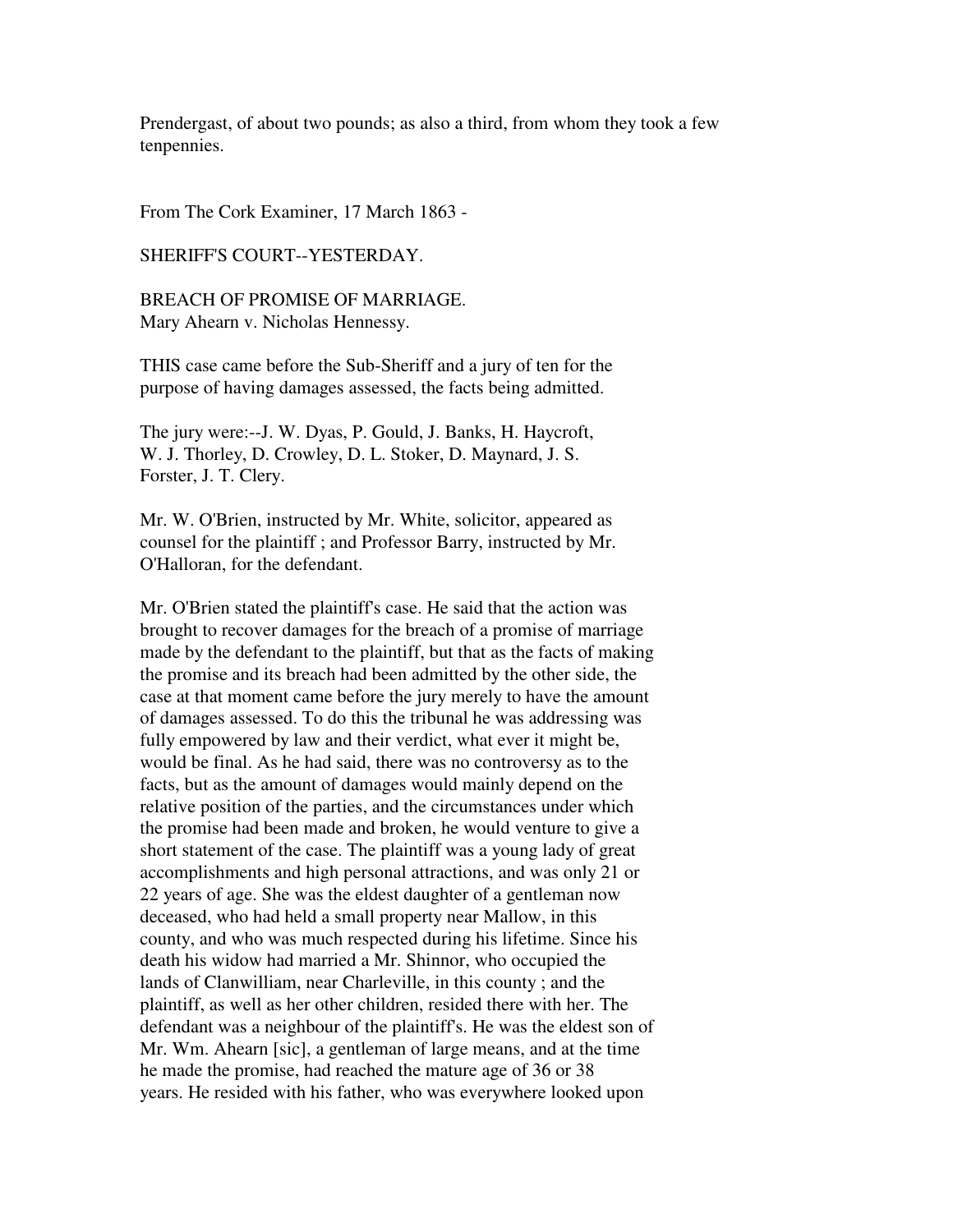Prendergast, of about two pounds; as also a third, from whom they took a few tenpennies.

From The Cork Examiner, 17 March 1863 -

SHERIFF'S COURT--YESTERDAY.

BREACH OF PROMISE OF MARRIAGE. Mary Ahearn v. Nicholas Hennessy.

THIS case came before the Sub-Sheriff and a jury of ten for the purpose of having damages assessed, the facts being admitted.

The jury were:--J. W. Dyas, P. Gould, J. Banks, H. Haycroft, W. J. Thorley, D. Crowley, D. L. Stoker, D. Maynard, J. S. Forster, J. T. Clery.

Mr. W. O'Brien, instructed by Mr. White, solicitor, appeared as counsel for the plaintiff ; and Professor Barry, instructed by Mr. O'Halloran, for the defendant.

Mr. O'Brien stated the plaintiff's case. He said that the action was brought to recover damages for the breach of a promise of marriage made by the defendant to the plaintiff, but that as the facts of making the promise and its breach had been admitted by the other side, the case at that moment came before the jury merely to have the amount of damages assessed. To do this the tribunal he was addressing was fully empowered by law and their verdict, what ever it might be, would be final. As he had said, there was no controversy as to the facts, but as the amount of damages would mainly depend on the relative position of the parties, and the circumstances under which the promise had been made and broken, he would venture to give a short statement of the case. The plaintiff was a young lady of great accomplishments and high personal attractions, and was only 21 or 22 years of age. She was the eldest daughter of a gentleman now deceased, who had held a small property near Mallow, in this county, and who was much respected during his lifetime. Since his death his widow had married a Mr. Shinnor, who occupied the lands of Clanwilliam, near Charleville, in this county ; and the plaintiff, as well as her other children, resided there with her. The defendant was a neighbour of the plaintiff's. He was the eldest son of Mr. Wm. Ahearn [sic], a gentleman of large means, and at the time he made the promise, had reached the mature age of 36 or 38 years. He resided with his father, who was everywhere looked upon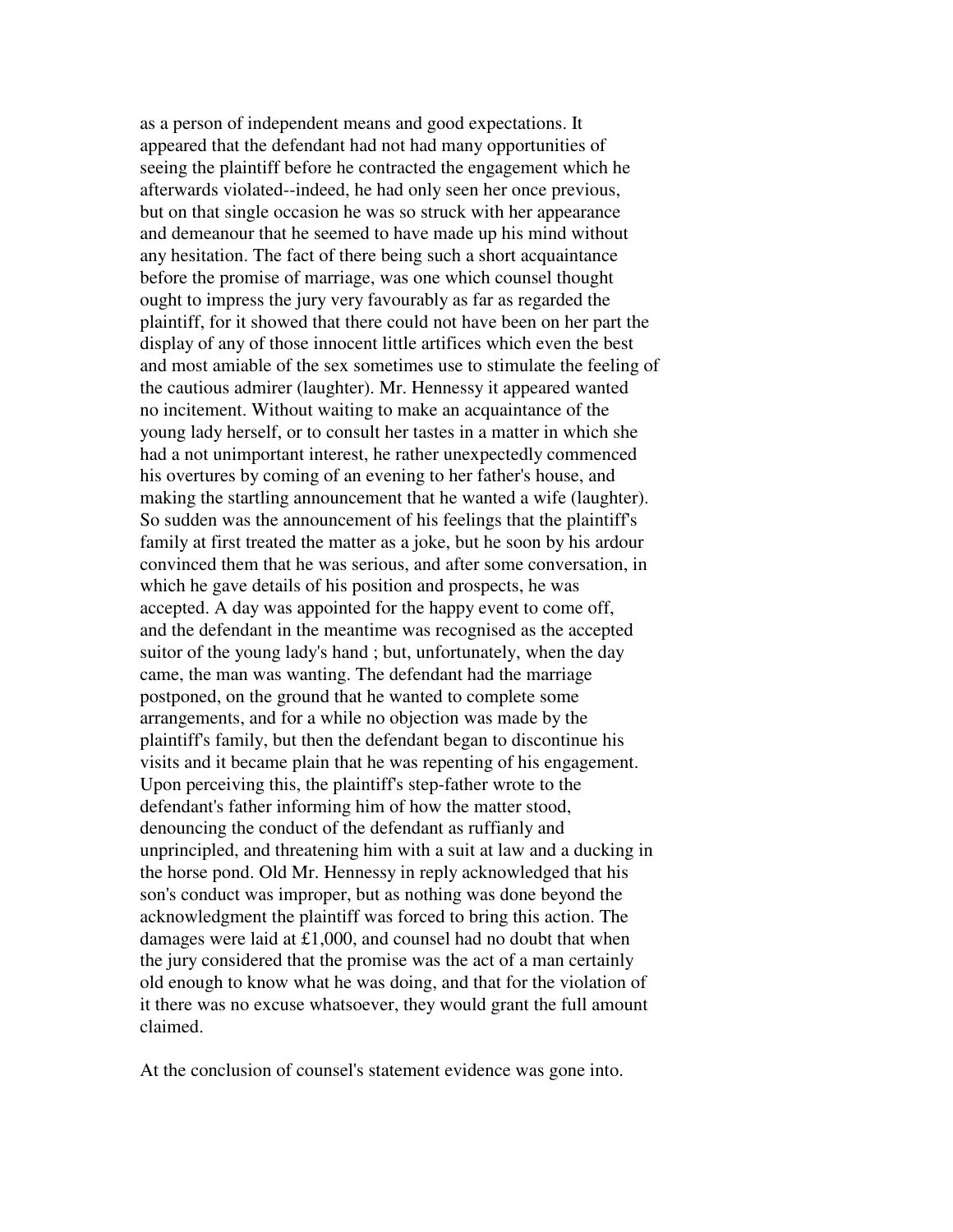as a person of independent means and good expectations. It appeared that the defendant had not had many opportunities of seeing the plaintiff before he contracted the engagement which he afterwards violated--indeed, he had only seen her once previous, but on that single occasion he was so struck with her appearance and demeanour that he seemed to have made up his mind without any hesitation. The fact of there being such a short acquaintance before the promise of marriage, was one which counsel thought ought to impress the jury very favourably as far as regarded the plaintiff, for it showed that there could not have been on her part the display of any of those innocent little artifices which even the best and most amiable of the sex sometimes use to stimulate the feeling of the cautious admirer (laughter). Mr. Hennessy it appeared wanted no incitement. Without waiting to make an acquaintance of the young lady herself, or to consult her tastes in a matter in which she had a not unimportant interest, he rather unexpectedly commenced his overtures by coming of an evening to her father's house, and making the startling announcement that he wanted a wife (laughter). So sudden was the announcement of his feelings that the plaintiff's family at first treated the matter as a joke, but he soon by his ardour convinced them that he was serious, and after some conversation, in which he gave details of his position and prospects, he was accepted. A day was appointed for the happy event to come off, and the defendant in the meantime was recognised as the accepted suitor of the young lady's hand ; but, unfortunately, when the day came, the man was wanting. The defendant had the marriage postponed, on the ground that he wanted to complete some arrangements, and for a while no objection was made by the plaintiff's family, but then the defendant began to discontinue his visits and it became plain that he was repenting of his engagement. Upon perceiving this, the plaintiff's step-father wrote to the defendant's father informing him of how the matter stood, denouncing the conduct of the defendant as ruffianly and unprincipled, and threatening him with a suit at law and a ducking in the horse pond. Old Mr. Hennessy in reply acknowledged that his son's conduct was improper, but as nothing was done beyond the acknowledgment the plaintiff was forced to bring this action. The damages were laid at £1,000, and counsel had no doubt that when the jury considered that the promise was the act of a man certainly old enough to know what he was doing, and that for the violation of it there was no excuse whatsoever, they would grant the full amount claimed.

At the conclusion of counsel's statement evidence was gone into.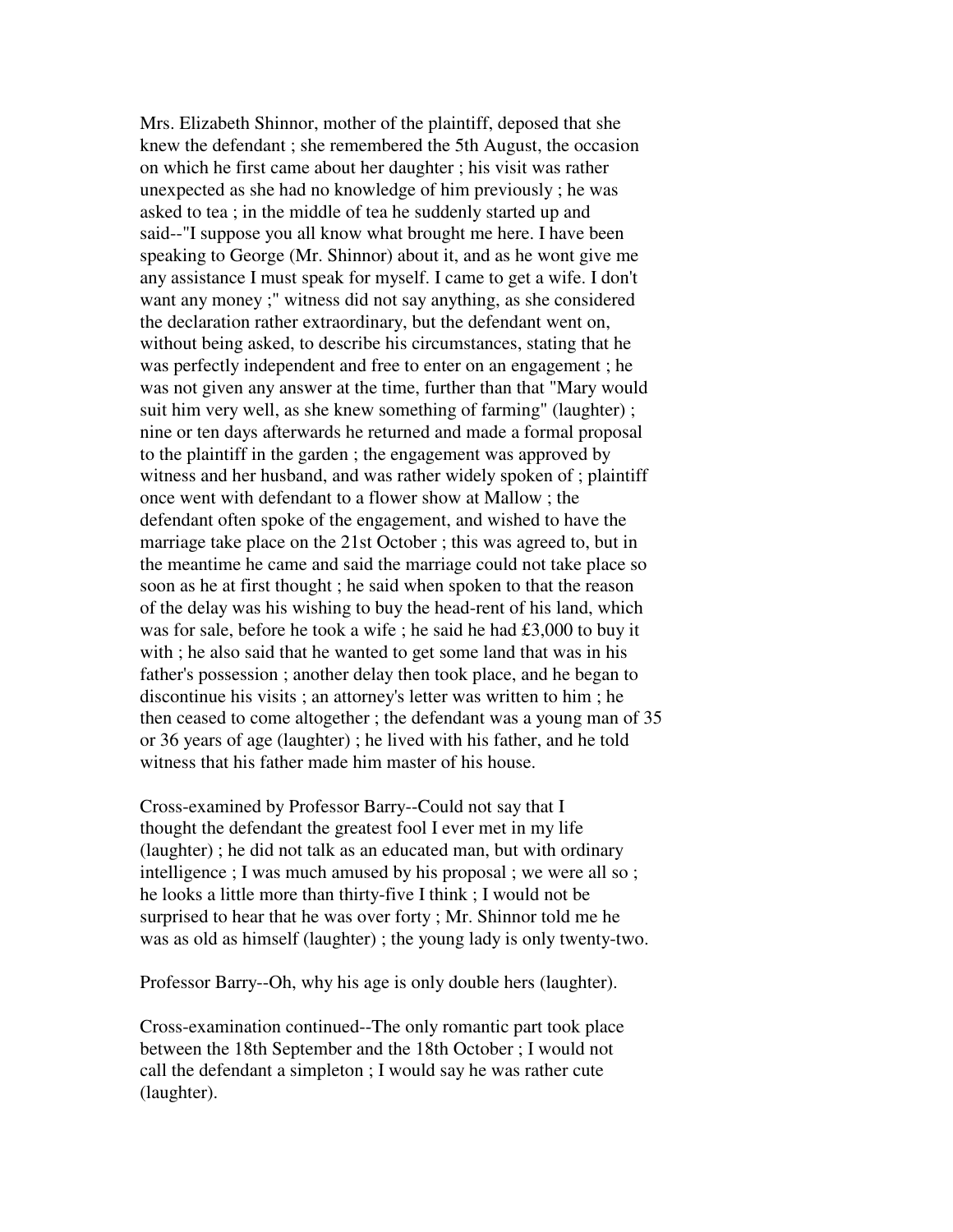Mrs. Elizabeth Shinnor, mother of the plaintiff, deposed that she knew the defendant ; she remembered the 5th August, the occasion on which he first came about her daughter ; his visit was rather unexpected as she had no knowledge of him previously ; he was asked to tea ; in the middle of tea he suddenly started up and said--"I suppose you all know what brought me here. I have been speaking to George (Mr. Shinnor) about it, and as he wont give me any assistance I must speak for myself. I came to get a wife. I don't want any money ;" witness did not say anything, as she considered the declaration rather extraordinary, but the defendant went on, without being asked, to describe his circumstances, stating that he was perfectly independent and free to enter on an engagement ; he was not given any answer at the time, further than that "Mary would suit him very well, as she knew something of farming" (laughter) ; nine or ten days afterwards he returned and made a formal proposal to the plaintiff in the garden ; the engagement was approved by witness and her husband, and was rather widely spoken of ; plaintiff once went with defendant to a flower show at Mallow ; the defendant often spoke of the engagement, and wished to have the marriage take place on the 21st October ; this was agreed to, but in the meantime he came and said the marriage could not take place so soon as he at first thought ; he said when spoken to that the reason of the delay was his wishing to buy the head-rent of his land, which was for sale, before he took a wife ; he said he had £3,000 to buy it with ; he also said that he wanted to get some land that was in his father's possession ; another delay then took place, and he began to discontinue his visits ; an attorney's letter was written to him ; he then ceased to come altogether ; the defendant was a young man of 35 or 36 years of age (laughter) ; he lived with his father, and he told witness that his father made him master of his house.

Cross-examined by Professor Barry--Could not say that I thought the defendant the greatest fool I ever met in my life (laughter) ; he did not talk as an educated man, but with ordinary intelligence ; I was much amused by his proposal ; we were all so ; he looks a little more than thirty-five I think ; I would not be surprised to hear that he was over forty ; Mr. Shinnor told me he was as old as himself (laughter) ; the young lady is only twenty-two.

Professor Barry--Oh, why his age is only double hers (laughter).

Cross-examination continued--The only romantic part took place between the 18th September and the 18th October ; I would not call the defendant a simpleton ; I would say he was rather cute (laughter).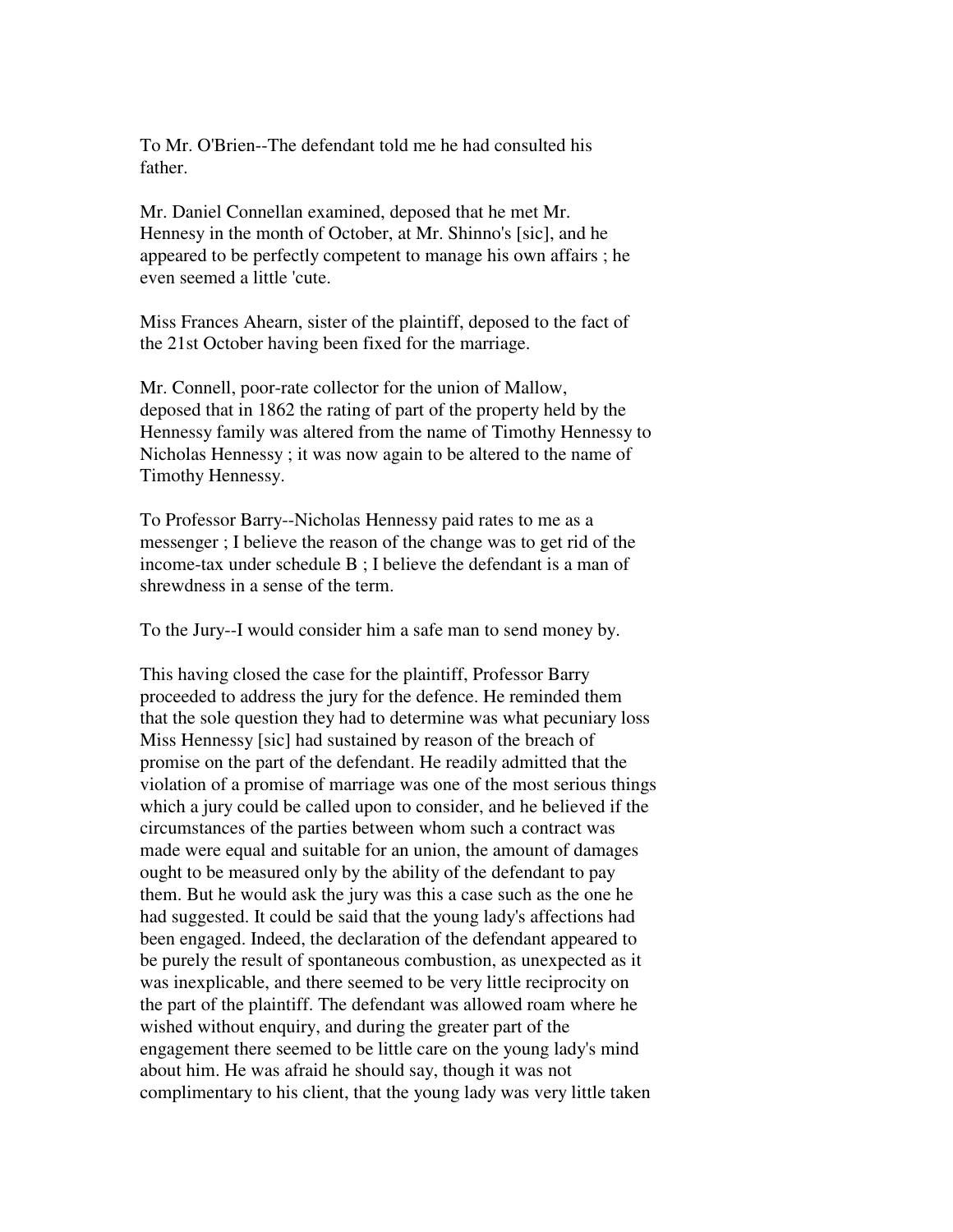To Mr. O'Brien--The defendant told me he had consulted his father.

Mr. Daniel Connellan examined, deposed that he met Mr. Hennesy in the month of October, at Mr. Shinno's [sic], and he appeared to be perfectly competent to manage his own affairs ; he even seemed a little 'cute.

Miss Frances Ahearn, sister of the plaintiff, deposed to the fact of the 21st October having been fixed for the marriage.

Mr. Connell, poor-rate collector for the union of Mallow, deposed that in 1862 the rating of part of the property held by the Hennessy family was altered from the name of Timothy Hennessy to Nicholas Hennessy ; it was now again to be altered to the name of Timothy Hennessy.

To Professor Barry--Nicholas Hennessy paid rates to me as a messenger ; I believe the reason of the change was to get rid of the income-tax under schedule B ; I believe the defendant is a man of shrewdness in a sense of the term.

To the Jury--I would consider him a safe man to send money by.

This having closed the case for the plaintiff, Professor Barry proceeded to address the jury for the defence. He reminded them that the sole question they had to determine was what pecuniary loss Miss Hennessy [sic] had sustained by reason of the breach of promise on the part of the defendant. He readily admitted that the violation of a promise of marriage was one of the most serious things which a jury could be called upon to consider, and he believed if the circumstances of the parties between whom such a contract was made were equal and suitable for an union, the amount of damages ought to be measured only by the ability of the defendant to pay them. But he would ask the jury was this a case such as the one he had suggested. It could be said that the young lady's affections had been engaged. Indeed, the declaration of the defendant appeared to be purely the result of spontaneous combustion, as unexpected as it was inexplicable, and there seemed to be very little reciprocity on the part of the plaintiff. The defendant was allowed roam where he wished without enquiry, and during the greater part of the engagement there seemed to be little care on the young lady's mind about him. He was afraid he should say, though it was not complimentary to his client, that the young lady was very little taken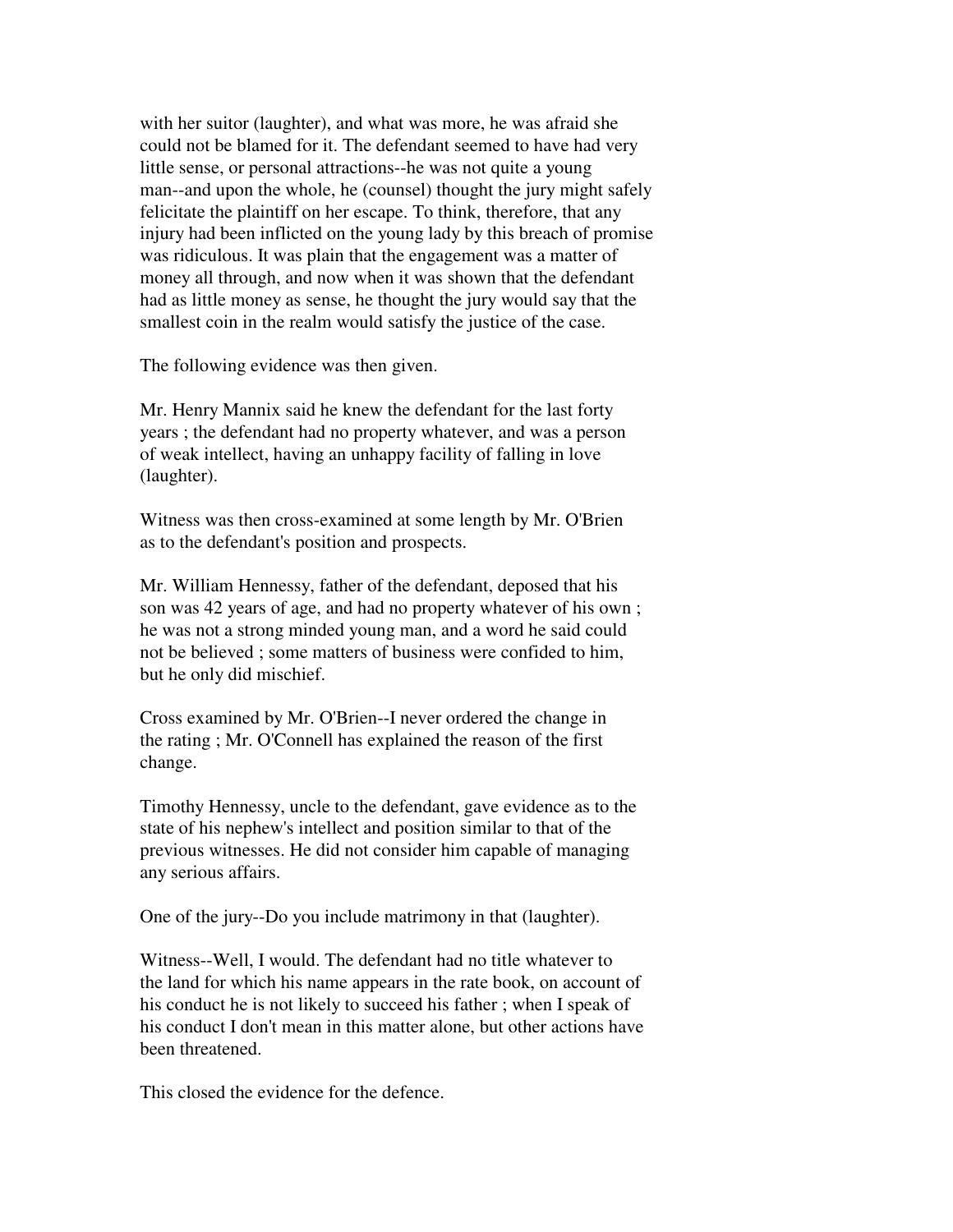with her suitor (laughter), and what was more, he was afraid she could not be blamed for it. The defendant seemed to have had very little sense, or personal attractions--he was not quite a young man--and upon the whole, he (counsel) thought the jury might safely felicitate the plaintiff on her escape. To think, therefore, that any injury had been inflicted on the young lady by this breach of promise was ridiculous. It was plain that the engagement was a matter of money all through, and now when it was shown that the defendant had as little money as sense, he thought the jury would say that the smallest coin in the realm would satisfy the justice of the case.

The following evidence was then given.

Mr. Henry Mannix said he knew the defendant for the last forty years ; the defendant had no property whatever, and was a person of weak intellect, having an unhappy facility of falling in love (laughter).

Witness was then cross-examined at some length by Mr. O'Brien as to the defendant's position and prospects.

Mr. William Hennessy, father of the defendant, deposed that his son was 42 years of age, and had no property whatever of his own ; he was not a strong minded young man, and a word he said could not be believed ; some matters of business were confided to him, but he only did mischief.

Cross examined by Mr. O'Brien--I never ordered the change in the rating ; Mr. O'Connell has explained the reason of the first change.

Timothy Hennessy, uncle to the defendant, gave evidence as to the state of his nephew's intellect and position similar to that of the previous witnesses. He did not consider him capable of managing any serious affairs.

One of the jury--Do you include matrimony in that (laughter).

Witness--Well, I would. The defendant had no title whatever to the land for which his name appears in the rate book, on account of his conduct he is not likely to succeed his father ; when I speak of his conduct I don't mean in this matter alone, but other actions have been threatened.

This closed the evidence for the defence.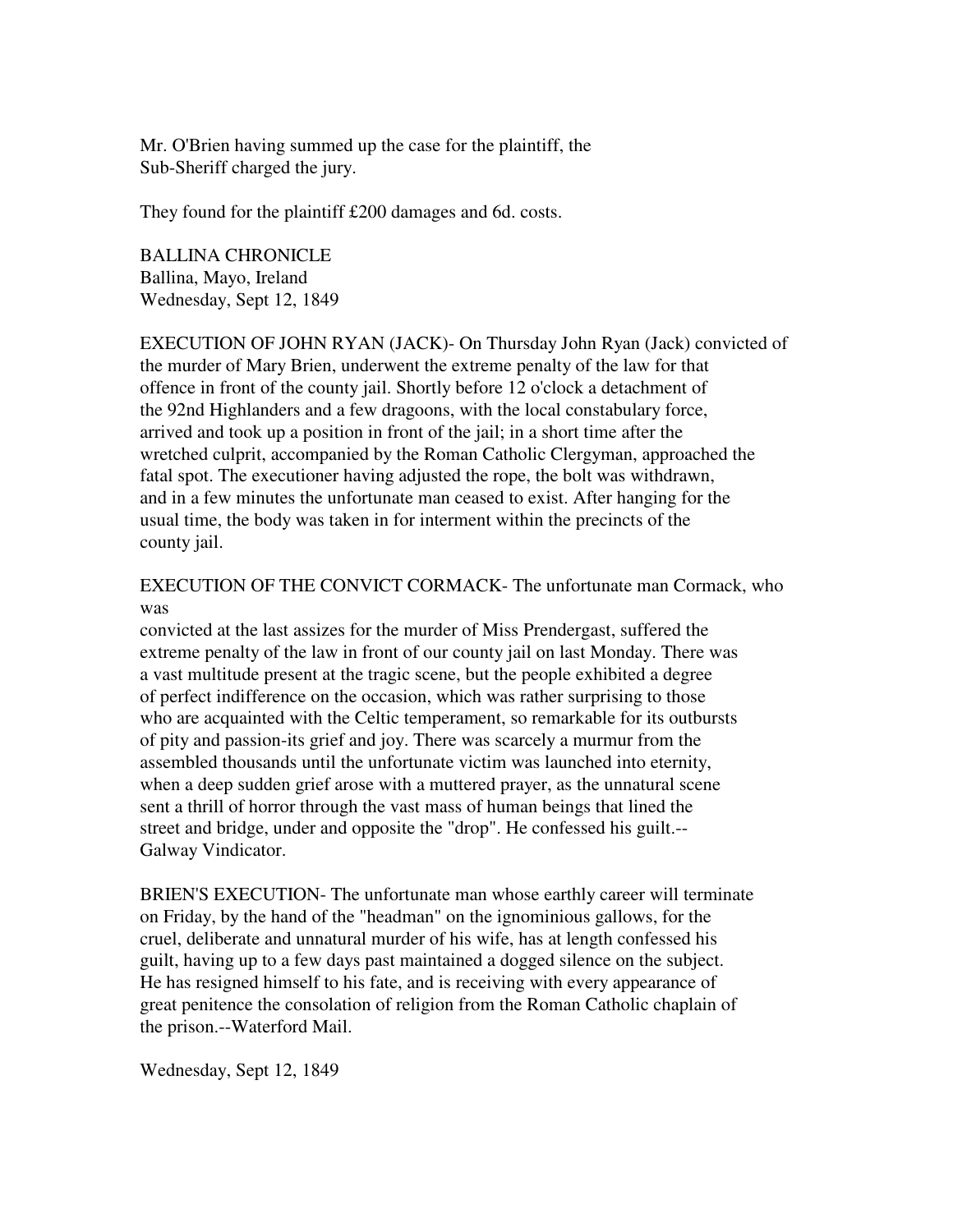Mr. O'Brien having summed up the case for the plaintiff, the Sub-Sheriff charged the jury.

They found for the plaintiff £200 damages and 6d. costs.

BALLINA CHRONICLE Ballina, Mayo, Ireland Wednesday, Sept 12, 1849

EXECUTION OF JOHN RYAN (JACK)- On Thursday John Ryan (Jack) convicted of the murder of Mary Brien, underwent the extreme penalty of the law for that offence in front of the county jail. Shortly before 12 o'clock a detachment of the 92nd Highlanders and a few dragoons, with the local constabulary force, arrived and took up a position in front of the jail; in a short time after the wretched culprit, accompanied by the Roman Catholic Clergyman, approached the fatal spot. The executioner having adjusted the rope, the bolt was withdrawn, and in a few minutes the unfortunate man ceased to exist. After hanging for the usual time, the body was taken in for interment within the precincts of the county jail.

# EXECUTION OF THE CONVICT CORMACK- The unfortunate man Cormack, who was

convicted at the last assizes for the murder of Miss Prendergast, suffered the extreme penalty of the law in front of our county jail on last Monday. There was a vast multitude present at the tragic scene, but the people exhibited a degree of perfect indifference on the occasion, which was rather surprising to those who are acquainted with the Celtic temperament, so remarkable for its outbursts of pity and passion-its grief and joy. There was scarcely a murmur from the assembled thousands until the unfortunate victim was launched into eternity, when a deep sudden grief arose with a muttered prayer, as the unnatural scene sent a thrill of horror through the vast mass of human beings that lined the street and bridge, under and opposite the "drop". He confessed his guilt.-- Galway Vindicator.

BRIEN'S EXECUTION- The unfortunate man whose earthly career will terminate on Friday, by the hand of the "headman" on the ignominious gallows, for the cruel, deliberate and unnatural murder of his wife, has at length confessed his guilt, having up to a few days past maintained a dogged silence on the subject. He has resigned himself to his fate, and is receiving with every appearance of great penitence the consolation of religion from the Roman Catholic chaplain of the prison.--Waterford Mail.

Wednesday, Sept 12, 1849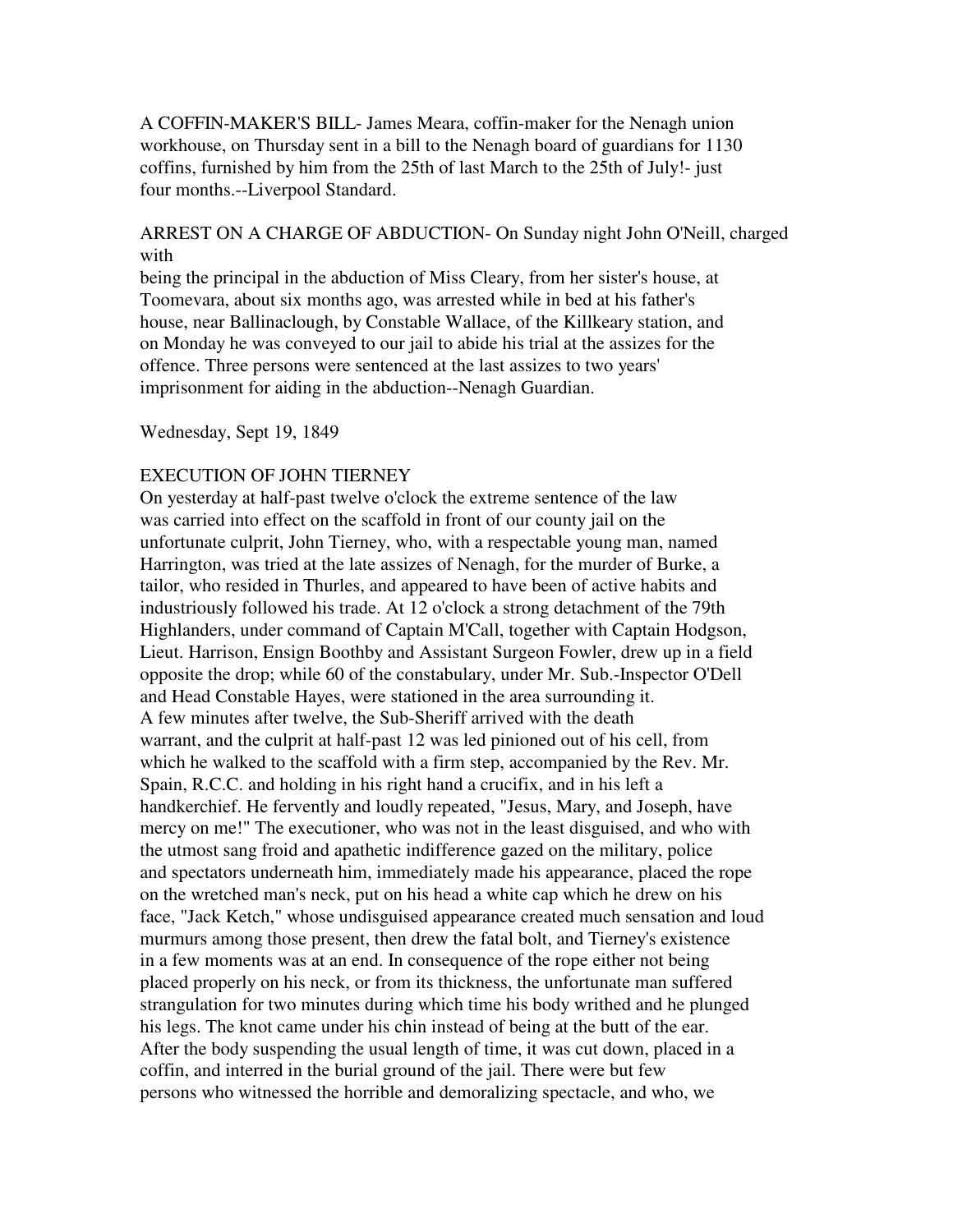A COFFIN-MAKER'S BILL- James Meara, coffin-maker for the Nenagh union workhouse, on Thursday sent in a bill to the Nenagh board of guardians for 1130 coffins, furnished by him from the 25th of last March to the 25th of July!- just four months.--Liverpool Standard.

# ARREST ON A CHARGE OF ABDUCTION- On Sunday night John O'Neill, charged with

being the principal in the abduction of Miss Cleary, from her sister's house, at Toomevara, about six months ago, was arrested while in bed at his father's house, near Ballinaclough, by Constable Wallace, of the Killkeary station, and on Monday he was conveyed to our jail to abide his trial at the assizes for the offence. Three persons were sentenced at the last assizes to two years' imprisonment for aiding in the abduction--Nenagh Guardian.

Wednesday, Sept 19, 1849

## EXECUTION OF JOHN TIERNEY

On yesterday at half-past twelve o'clock the extreme sentence of the law was carried into effect on the scaffold in front of our county jail on the unfortunate culprit, John Tierney, who, with a respectable young man, named Harrington, was tried at the late assizes of Nenagh, for the murder of Burke, a tailor, who resided in Thurles, and appeared to have been of active habits and industriously followed his trade. At 12 o'clock a strong detachment of the 79th Highlanders, under command of Captain M'Call, together with Captain Hodgson, Lieut. Harrison, Ensign Boothby and Assistant Surgeon Fowler, drew up in a field opposite the drop; while 60 of the constabulary, under Mr. Sub.-Inspector O'Dell and Head Constable Hayes, were stationed in the area surrounding it. A few minutes after twelve, the Sub-Sheriff arrived with the death warrant, and the culprit at half-past 12 was led pinioned out of his cell, from which he walked to the scaffold with a firm step, accompanied by the Rev. Mr. Spain, R.C.C. and holding in his right hand a crucifix, and in his left a handkerchief. He fervently and loudly repeated, "Jesus, Mary, and Joseph, have mercy on me!" The executioner, who was not in the least disguised, and who with the utmost sang froid and apathetic indifference gazed on the military, police and spectators underneath him, immediately made his appearance, placed the rope on the wretched man's neck, put on his head a white cap which he drew on his face, "Jack Ketch," whose undisguised appearance created much sensation and loud murmurs among those present, then drew the fatal bolt, and Tierney's existence in a few moments was at an end. In consequence of the rope either not being placed properly on his neck, or from its thickness, the unfortunate man suffered strangulation for two minutes during which time his body writhed and he plunged his legs. The knot came under his chin instead of being at the butt of the ear. After the body suspending the usual length of time, it was cut down, placed in a coffin, and interred in the burial ground of the jail. There were but few persons who witnessed the horrible and demoralizing spectacle, and who, we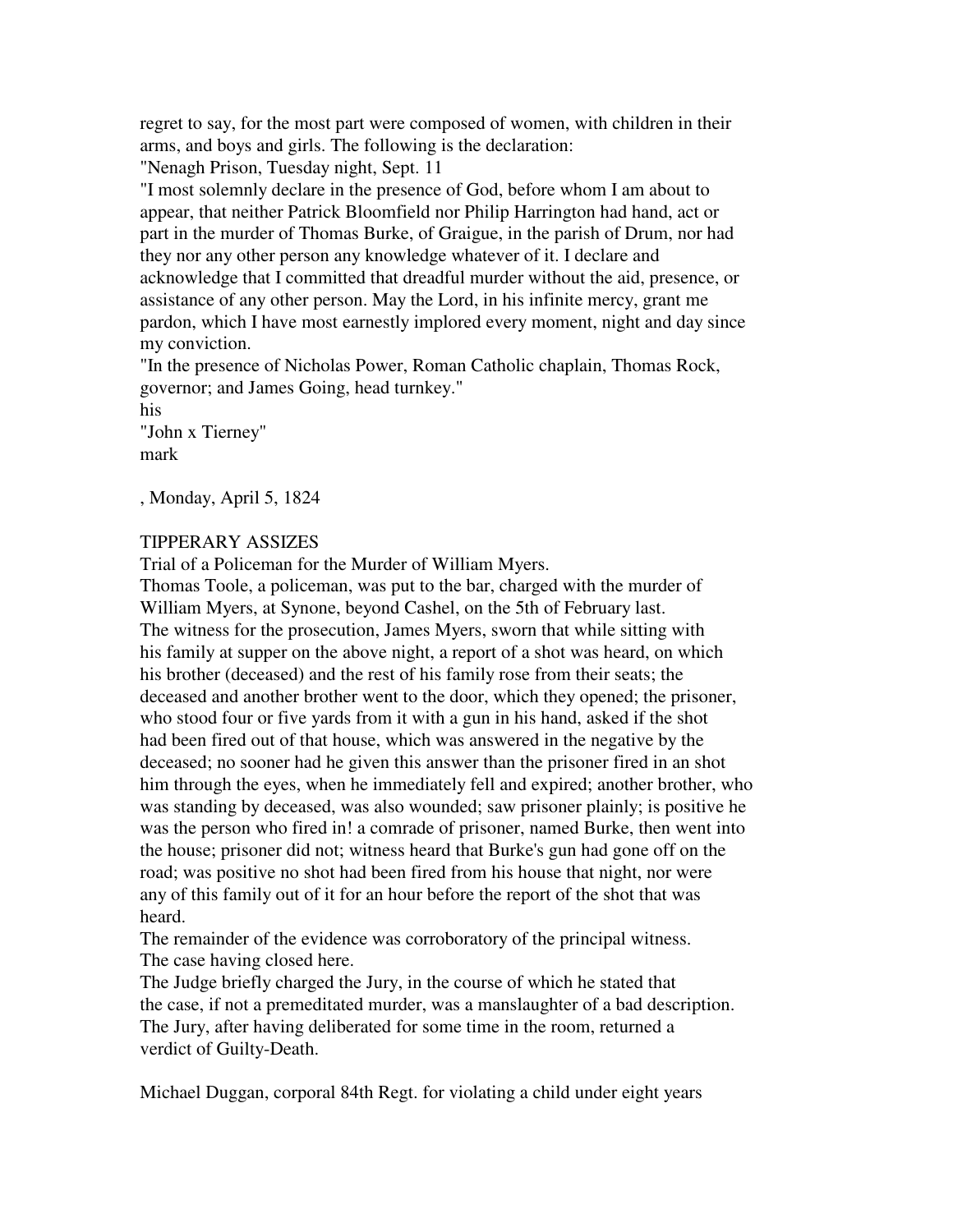regret to say, for the most part were composed of women, with children in their arms, and boys and girls. The following is the declaration:

"Nenagh Prison, Tuesday night, Sept. 11

"I most solemnly declare in the presence of God, before whom I am about to appear, that neither Patrick Bloomfield nor Philip Harrington had hand, act or part in the murder of Thomas Burke, of Graigue, in the parish of Drum, nor had they nor any other person any knowledge whatever of it. I declare and acknowledge that I committed that dreadful murder without the aid, presence, or assistance of any other person. May the Lord, in his infinite mercy, grant me pardon, which I have most earnestly implored every moment, night and day since my conviction.

"In the presence of Nicholas Power, Roman Catholic chaplain, Thomas Rock, governor; and James Going, head turnkey." his

"John x Tierney" mark

, Monday, April 5, 1824

## TIPPERARY ASSIZES

Trial of a Policeman for the Murder of William Myers.

Thomas Toole, a policeman, was put to the bar, charged with the murder of William Myers, at Synone, beyond Cashel, on the 5th of February last. The witness for the prosecution, James Myers, sworn that while sitting with his family at supper on the above night, a report of a shot was heard, on which his brother (deceased) and the rest of his family rose from their seats; the deceased and another brother went to the door, which they opened; the prisoner, who stood four or five yards from it with a gun in his hand, asked if the shot had been fired out of that house, which was answered in the negative by the deceased; no sooner had he given this answer than the prisoner fired in an shot him through the eyes, when he immediately fell and expired; another brother, who was standing by deceased, was also wounded; saw prisoner plainly; is positive he was the person who fired in! a comrade of prisoner, named Burke, then went into the house; prisoner did not; witness heard that Burke's gun had gone off on the road; was positive no shot had been fired from his house that night, nor were any of this family out of it for an hour before the report of the shot that was heard.

The remainder of the evidence was corroboratory of the principal witness. The case having closed here.

The Judge briefly charged the Jury, in the course of which he stated that the case, if not a premeditated murder, was a manslaughter of a bad description. The Jury, after having deliberated for some time in the room, returned a verdict of Guilty-Death.

Michael Duggan, corporal 84th Regt. for violating a child under eight years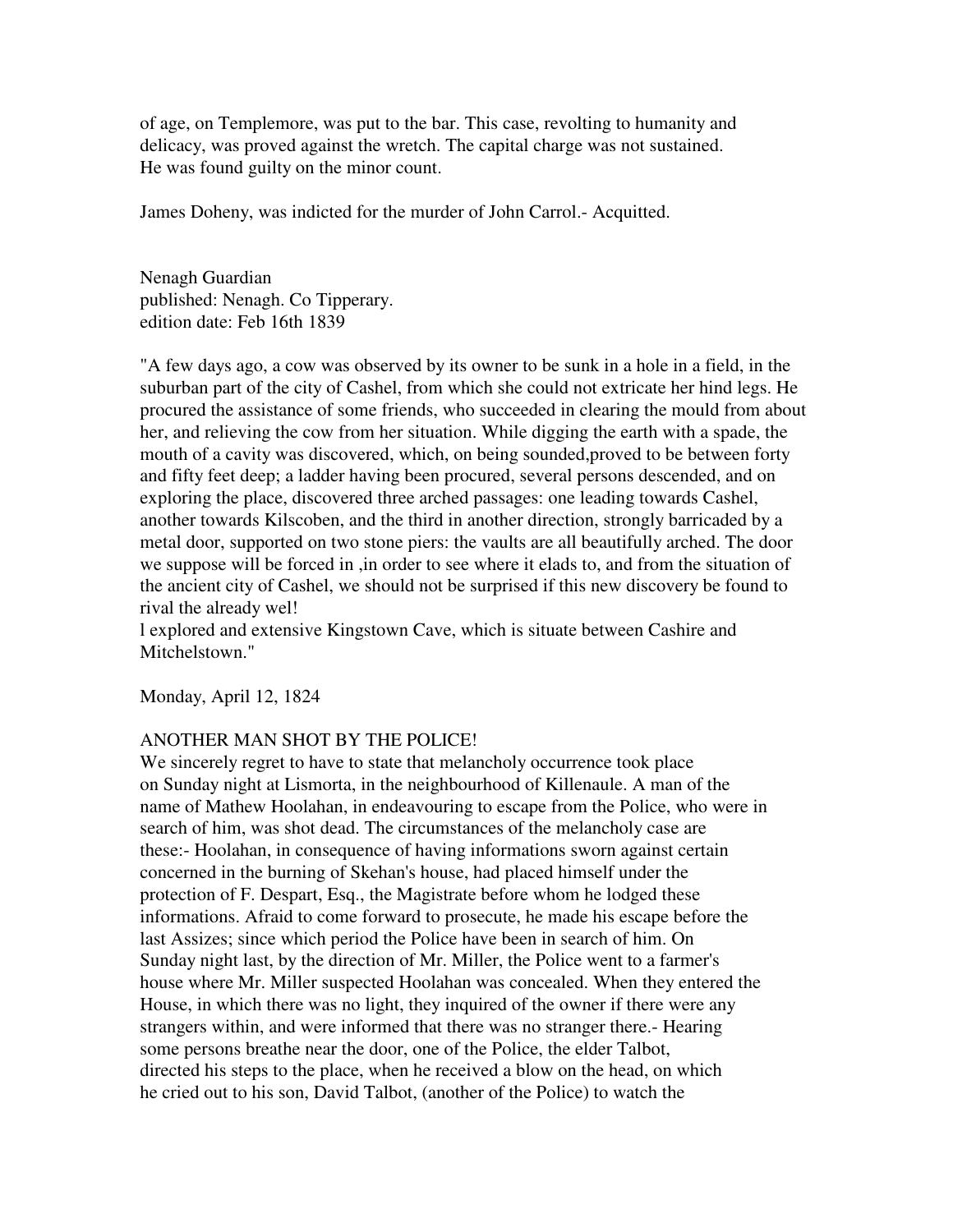of age, on Templemore, was put to the bar. This case, revolting to humanity and delicacy, was proved against the wretch. The capital charge was not sustained. He was found guilty on the minor count.

James Doheny, was indicted for the murder of John Carrol.- Acquitted.

Nenagh Guardian published: Nenagh. Co Tipperary. edition date: Feb 16th 1839

"A few days ago, a cow was observed by its owner to be sunk in a hole in a field, in the suburban part of the city of Cashel, from which she could not extricate her hind legs. He procured the assistance of some friends, who succeeded in clearing the mould from about her, and relieving the cow from her situation. While digging the earth with a spade, the mouth of a cavity was discovered, which, on being sounded,proved to be between forty and fifty feet deep; a ladder having been procured, several persons descended, and on exploring the place, discovered three arched passages: one leading towards Cashel, another towards Kilscoben, and the third in another direction, strongly barricaded by a metal door, supported on two stone piers: the vaults are all beautifully arched. The door we suppose will be forced in ,in order to see where it elads to, and from the situation of the ancient city of Cashel, we should not be surprised if this new discovery be found to rival the already wel!

l explored and extensive Kingstown Cave, which is situate between Cashire and Mitchelstown."

Monday, April 12, 1824

## ANOTHER MAN SHOT BY THE POLICE!

We sincerely regret to have to state that melancholy occurrence took place on Sunday night at Lismorta, in the neighbourhood of Killenaule. A man of the name of Mathew Hoolahan, in endeavouring to escape from the Police, who were in search of him, was shot dead. The circumstances of the melancholy case are these:- Hoolahan, in consequence of having informations sworn against certain concerned in the burning of Skehan's house, had placed himself under the protection of F. Despart, Esq., the Magistrate before whom he lodged these informations. Afraid to come forward to prosecute, he made his escape before the last Assizes; since which period the Police have been in search of him. On Sunday night last, by the direction of Mr. Miller, the Police went to a farmer's house where Mr. Miller suspected Hoolahan was concealed. When they entered the House, in which there was no light, they inquired of the owner if there were any strangers within, and were informed that there was no stranger there.- Hearing some persons breathe near the door, one of the Police, the elder Talbot, directed his steps to the place, when he received a blow on the head, on which he cried out to his son, David Talbot, (another of the Police) to watch the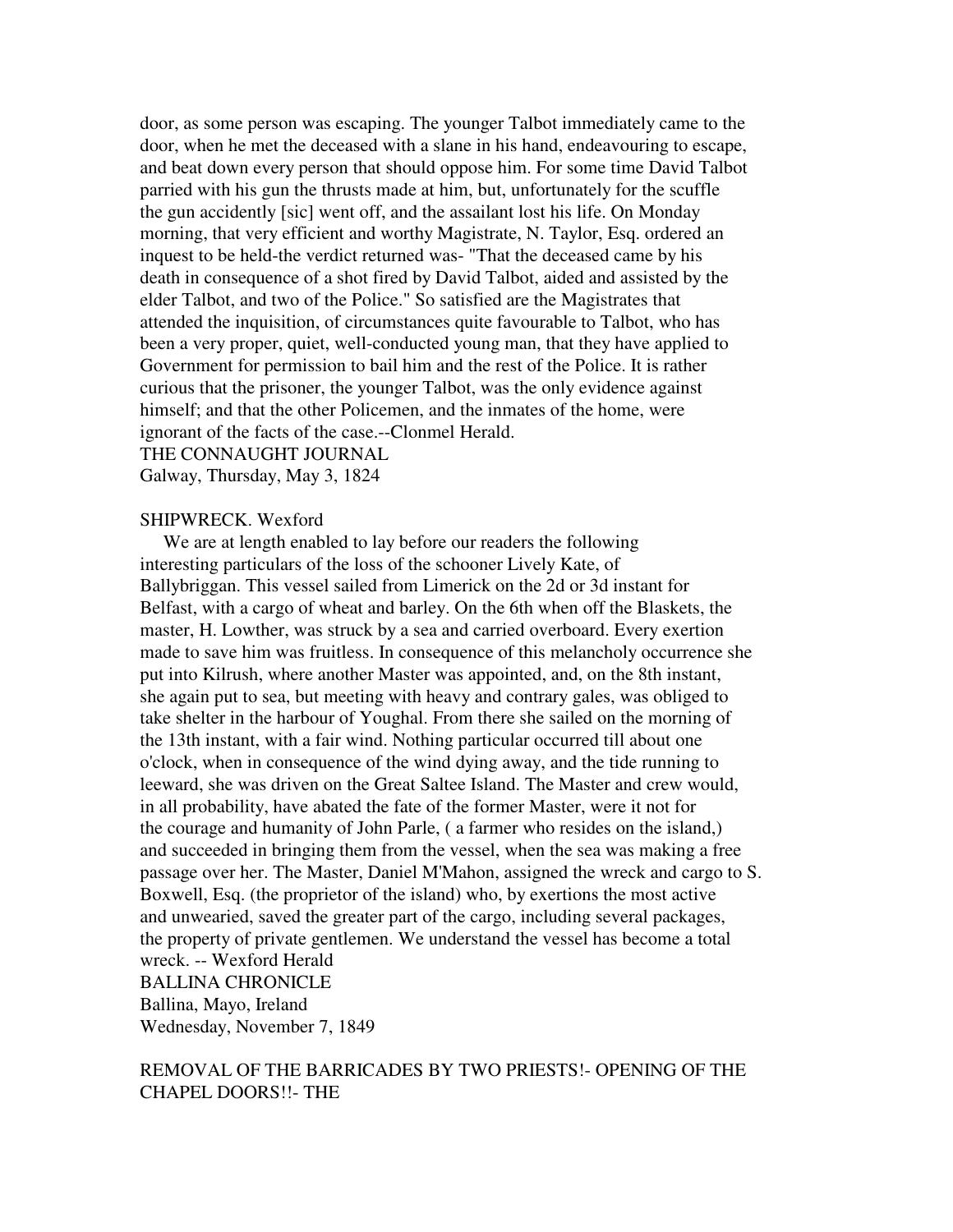door, as some person was escaping. The younger Talbot immediately came to the door, when he met the deceased with a slane in his hand, endeavouring to escape, and beat down every person that should oppose him. For some time David Talbot parried with his gun the thrusts made at him, but, unfortunately for the scuffle the gun accidently [sic] went off, and the assailant lost his life. On Monday morning, that very efficient and worthy Magistrate, N. Taylor, Esq. ordered an inquest to be held-the verdict returned was- "That the deceased came by his death in consequence of a shot fired by David Talbot, aided and assisted by the elder Talbot, and two of the Police." So satisfied are the Magistrates that attended the inquisition, of circumstances quite favourable to Talbot, who has been a very proper, quiet, well-conducted young man, that they have applied to Government for permission to bail him and the rest of the Police. It is rather curious that the prisoner, the younger Talbot, was the only evidence against himself; and that the other Policemen, and the inmates of the home, were ignorant of the facts of the case.--Clonmel Herald.

### THE CONNAUGHT JOURNAL

Galway, Thursday, May 3, 1824

#### SHIPWRECK. Wexford

 We are at length enabled to lay before our readers the following interesting particulars of the loss of the schooner Lively Kate, of Ballybriggan. This vessel sailed from Limerick on the 2d or 3d instant for Belfast, with a cargo of wheat and barley. On the 6th when off the Blaskets, the master, H. Lowther, was struck by a sea and carried overboard. Every exertion made to save him was fruitless. In consequence of this melancholy occurrence she put into Kilrush, where another Master was appointed, and, on the 8th instant, she again put to sea, but meeting with heavy and contrary gales, was obliged to take shelter in the harbour of Youghal. From there she sailed on the morning of the 13th instant, with a fair wind. Nothing particular occurred till about one o'clock, when in consequence of the wind dying away, and the tide running to leeward, she was driven on the Great Saltee Island. The Master and crew would, in all probability, have abated the fate of the former Master, were it not for the courage and humanity of John Parle, ( a farmer who resides on the island,) and succeeded in bringing them from the vessel, when the sea was making a free passage over her. The Master, Daniel M'Mahon, assigned the wreck and cargo to S. Boxwell, Esq. (the proprietor of the island) who, by exertions the most active and unwearied, saved the greater part of the cargo, including several packages, the property of private gentlemen. We understand the vessel has become a total wreck. -- Wexford Herald BALLINA CHRONICLE Ballina, Mayo, Ireland Wednesday, November 7, 1849

# REMOVAL OF THE BARRICADES BY TWO PRIESTS!- OPENING OF THE CHAPEL DOORS!!- THE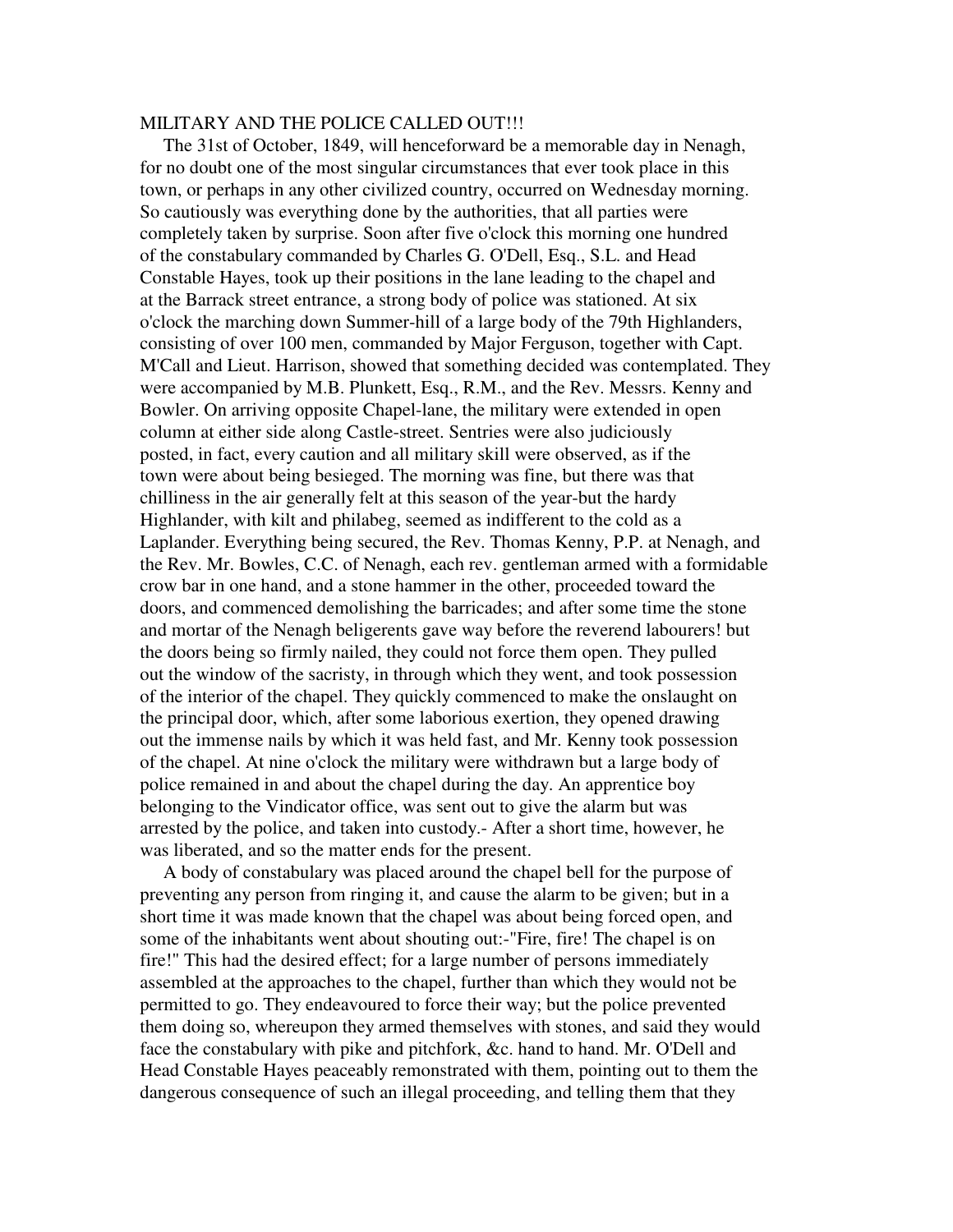#### MILITARY AND THE POLICE CALLED OUT!!!

 The 31st of October, 1849, will henceforward be a memorable day in Nenagh, for no doubt one of the most singular circumstances that ever took place in this town, or perhaps in any other civilized country, occurred on Wednesday morning. So cautiously was everything done by the authorities, that all parties were completely taken by surprise. Soon after five o'clock this morning one hundred of the constabulary commanded by Charles G. O'Dell, Esq., S.L. and Head Constable Hayes, took up their positions in the lane leading to the chapel and at the Barrack street entrance, a strong body of police was stationed. At six o'clock the marching down Summer-hill of a large body of the 79th Highlanders, consisting of over 100 men, commanded by Major Ferguson, together with Capt. M'Call and Lieut. Harrison, showed that something decided was contemplated. They were accompanied by M.B. Plunkett, Esq., R.M., and the Rev. Messrs. Kenny and Bowler. On arriving opposite Chapel-lane, the military were extended in open column at either side along Castle-street. Sentries were also judiciously posted, in fact, every caution and all military skill were observed, as if the town were about being besieged. The morning was fine, but there was that chilliness in the air generally felt at this season of the year-but the hardy Highlander, with kilt and philabeg, seemed as indifferent to the cold as a Laplander. Everything being secured, the Rev. Thomas Kenny, P.P. at Nenagh, and the Rev. Mr. Bowles, C.C. of Nenagh, each rev. gentleman armed with a formidable crow bar in one hand, and a stone hammer in the other, proceeded toward the doors, and commenced demolishing the barricades; and after some time the stone and mortar of the Nenagh beligerents gave way before the reverend labourers! but the doors being so firmly nailed, they could not force them open. They pulled out the window of the sacristy, in through which they went, and took possession of the interior of the chapel. They quickly commenced to make the onslaught on the principal door, which, after some laborious exertion, they opened drawing out the immense nails by which it was held fast, and Mr. Kenny took possession of the chapel. At nine o'clock the military were withdrawn but a large body of police remained in and about the chapel during the day. An apprentice boy belonging to the Vindicator office, was sent out to give the alarm but was arrested by the police, and taken into custody.- After a short time, however, he was liberated, and so the matter ends for the present.

 A body of constabulary was placed around the chapel bell for the purpose of preventing any person from ringing it, and cause the alarm to be given; but in a short time it was made known that the chapel was about being forced open, and some of the inhabitants went about shouting out:-"Fire, fire! The chapel is on fire!" This had the desired effect; for a large number of persons immediately assembled at the approaches to the chapel, further than which they would not be permitted to go. They endeavoured to force their way; but the police prevented them doing so, whereupon they armed themselves with stones, and said they would face the constabulary with pike and pitchfork, &c. hand to hand. Mr. O'Dell and Head Constable Hayes peaceably remonstrated with them, pointing out to them the dangerous consequence of such an illegal proceeding, and telling them that they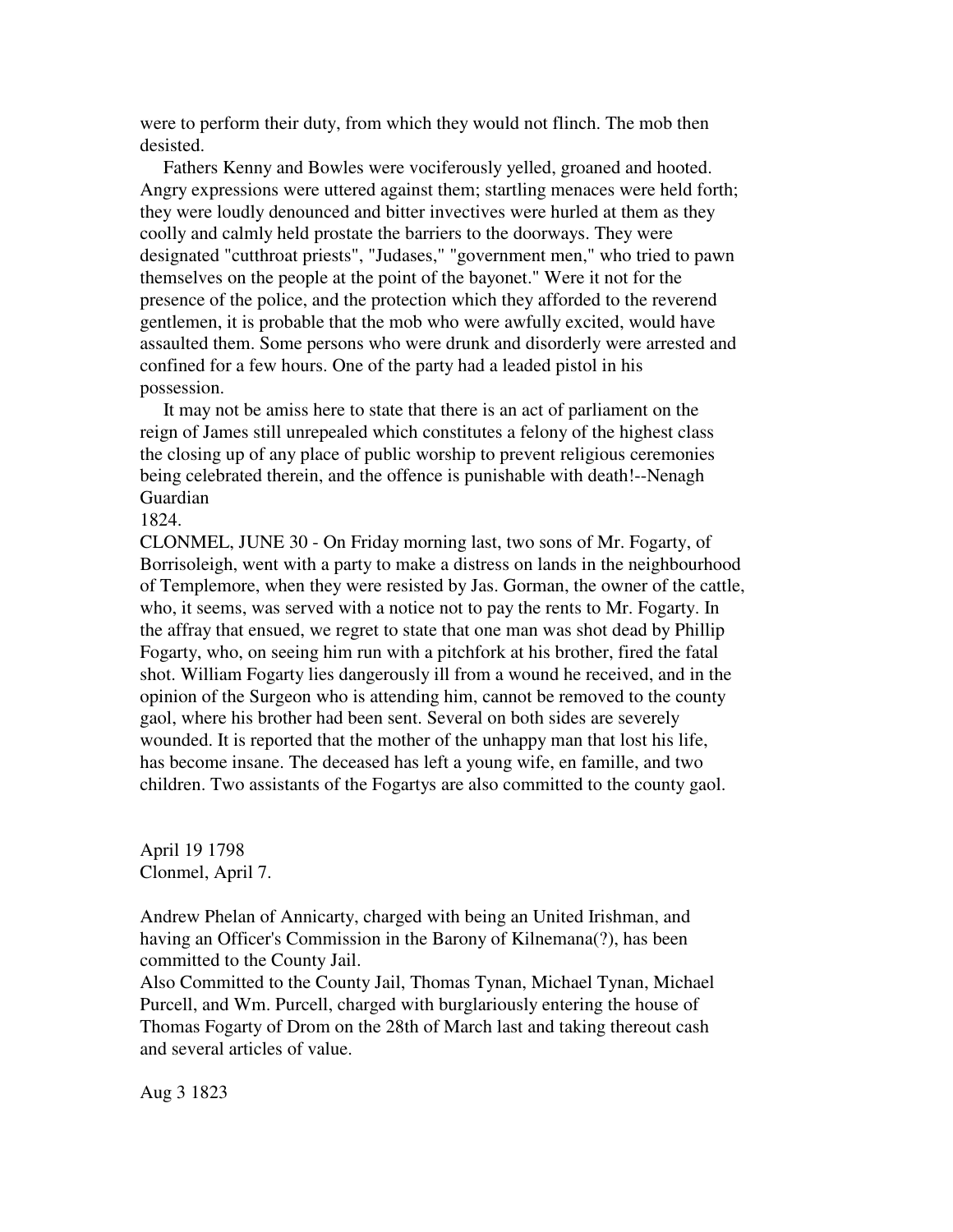were to perform their duty, from which they would not flinch. The mob then desisted.

 Fathers Kenny and Bowles were vociferously yelled, groaned and hooted. Angry expressions were uttered against them; startling menaces were held forth; they were loudly denounced and bitter invectives were hurled at them as they coolly and calmly held prostate the barriers to the doorways. They were designated "cutthroat priests", "Judases," "government men," who tried to pawn themselves on the people at the point of the bayonet." Were it not for the presence of the police, and the protection which they afforded to the reverend gentlemen, it is probable that the mob who were awfully excited, would have assaulted them. Some persons who were drunk and disorderly were arrested and confined for a few hours. One of the party had a leaded pistol in his possession.

 It may not be amiss here to state that there is an act of parliament on the reign of James still unrepealed which constitutes a felony of the highest class the closing up of any place of public worship to prevent religious ceremonies being celebrated therein, and the offence is punishable with death!--Nenagh Guardian

1824.

CLONMEL, JUNE 30 - On Friday morning last, two sons of Mr. Fogarty, of Borrisoleigh, went with a party to make a distress on lands in the neighbourhood of Templemore, when they were resisted by Jas. Gorman, the owner of the cattle, who, it seems, was served with a notice not to pay the rents to Mr. Fogarty. In the affray that ensued, we regret to state that one man was shot dead by Phillip Fogarty, who, on seeing him run with a pitchfork at his brother, fired the fatal shot. William Fogarty lies dangerously ill from a wound he received, and in the opinion of the Surgeon who is attending him, cannot be removed to the county gaol, where his brother had been sent. Several on both sides are severely wounded. It is reported that the mother of the unhappy man that lost his life, has become insane. The deceased has left a young wife, en famille, and two children. Two assistants of the Fogartys are also committed to the county gaol.

April 19 1798 Clonmel, April 7.

Andrew Phelan of Annicarty, charged with being an United Irishman, and having an Officer's Commission in the Barony of Kilnemana(?), has been committed to the County Jail.

Also Committed to the County Jail, Thomas Tynan, Michael Tynan, Michael Purcell, and Wm. Purcell, charged with burglariously entering the house of Thomas Fogarty of Drom on the 28th of March last and taking thereout cash and several articles of value.

Aug 3 1823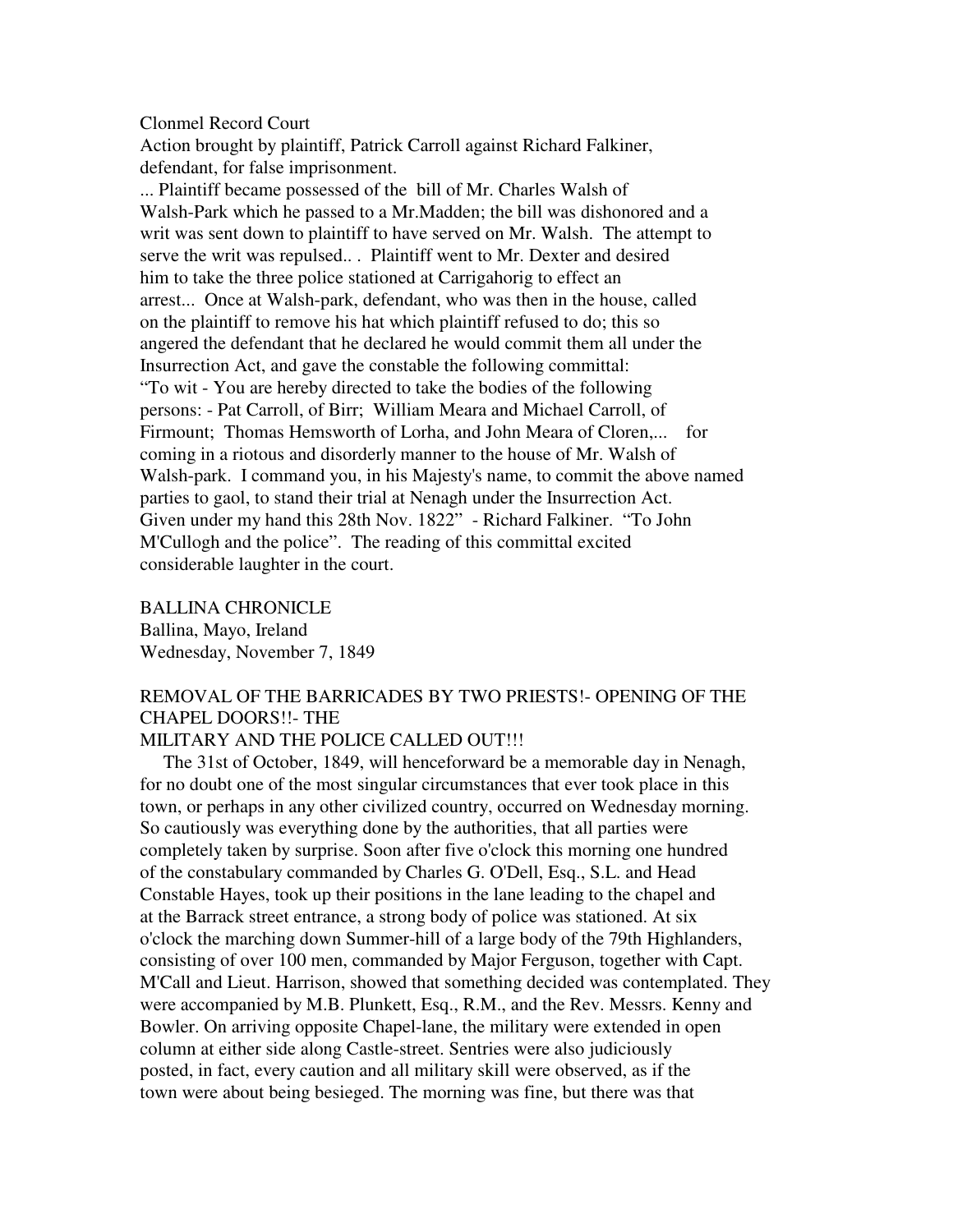#### Clonmel Record Court

Action brought by plaintiff, Patrick Carroll against Richard Falkiner, defendant, for false imprisonment.

... Plaintiff became possessed of the bill of Mr. Charles Walsh of Walsh-Park which he passed to a Mr.Madden; the bill was dishonored and a writ was sent down to plaintiff to have served on Mr. Walsh. The attempt to serve the writ was repulsed.. . Plaintiff went to Mr. Dexter and desired him to take the three police stationed at Carrigahorig to effect an arrest... Once at Walsh-park, defendant, who was then in the house, called on the plaintiff to remove his hat which plaintiff refused to do; this so angered the defendant that he declared he would commit them all under the Insurrection Act, and gave the constable the following committal: "To wit - You are hereby directed to take the bodies of the following persons: - Pat Carroll, of Birr; William Meara and Michael Carroll, of Firmount; Thomas Hemsworth of Lorha, and John Meara of Cloren,... for coming in a riotous and disorderly manner to the house of Mr. Walsh of Walsh-park. I command you, in his Majesty's name, to commit the above named parties to gaol, to stand their trial at Nenagh under the Insurrection Act. Given under my hand this 28th Nov. 1822" - Richard Falkiner. "To John M'Cullogh and the police". The reading of this committal excited considerable laughter in the court.

BALLINA CHRONICLE Ballina, Mayo, Ireland Wednesday, November 7, 1849

# REMOVAL OF THE BARRICADES BY TWO PRIESTS!- OPENING OF THE CHAPEL DOORS!!- THE

## MILITARY AND THE POLICE CALLED OUT!!!

 The 31st of October, 1849, will henceforward be a memorable day in Nenagh, for no doubt one of the most singular circumstances that ever took place in this town, or perhaps in any other civilized country, occurred on Wednesday morning. So cautiously was everything done by the authorities, that all parties were completely taken by surprise. Soon after five o'clock this morning one hundred of the constabulary commanded by Charles G. O'Dell, Esq., S.L. and Head Constable Hayes, took up their positions in the lane leading to the chapel and at the Barrack street entrance, a strong body of police was stationed. At six o'clock the marching down Summer-hill of a large body of the 79th Highlanders, consisting of over 100 men, commanded by Major Ferguson, together with Capt. M'Call and Lieut. Harrison, showed that something decided was contemplated. They were accompanied by M.B. Plunkett, Esq., R.M., and the Rev. Messrs. Kenny and Bowler. On arriving opposite Chapel-lane, the military were extended in open column at either side along Castle-street. Sentries were also judiciously posted, in fact, every caution and all military skill were observed, as if the town were about being besieged. The morning was fine, but there was that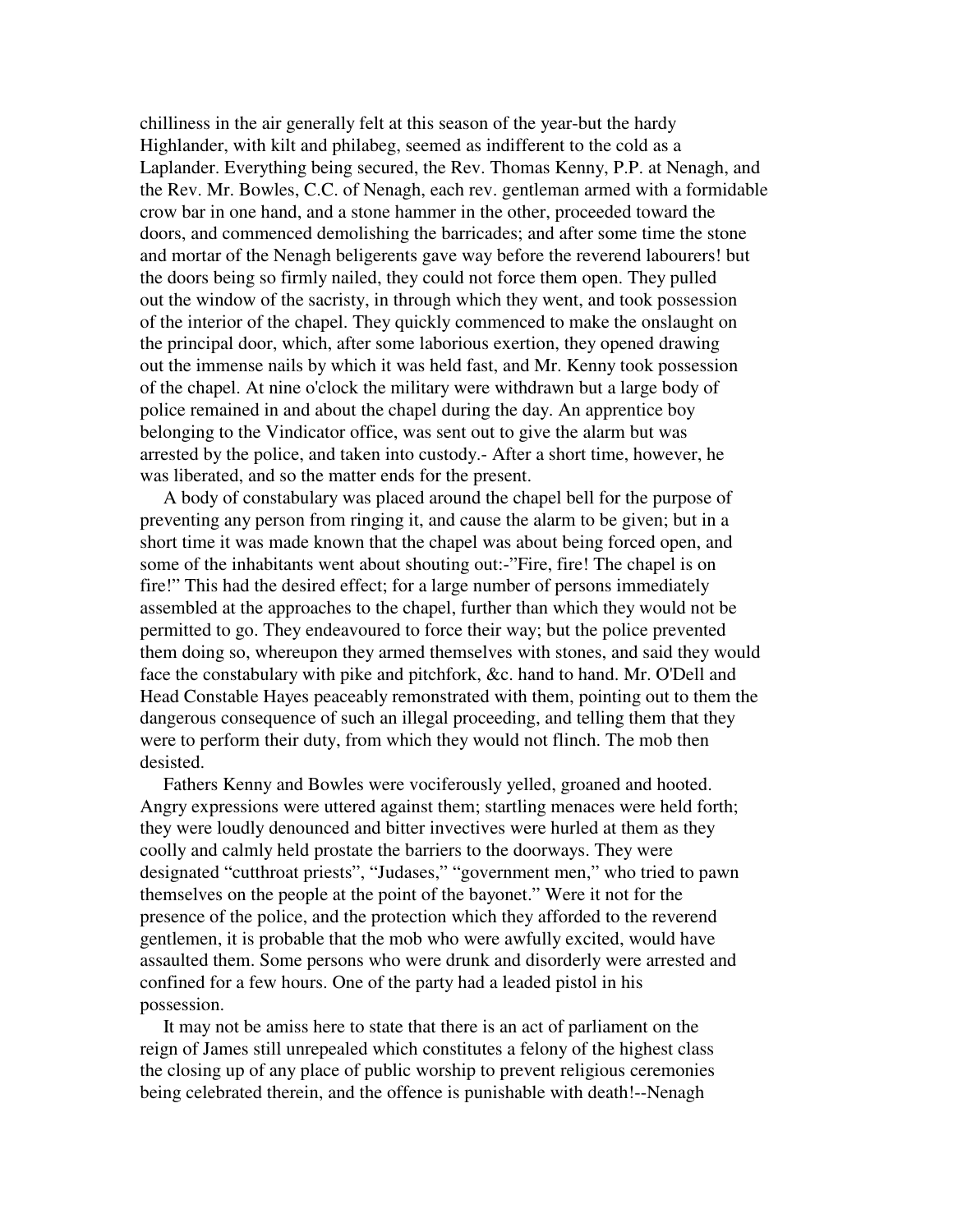chilliness in the air generally felt at this season of the year-but the hardy Highlander, with kilt and philabeg, seemed as indifferent to the cold as a Laplander. Everything being secured, the Rev. Thomas Kenny, P.P. at Nenagh, and the Rev. Mr. Bowles, C.C. of Nenagh, each rev. gentleman armed with a formidable crow bar in one hand, and a stone hammer in the other, proceeded toward the doors, and commenced demolishing the barricades; and after some time the stone and mortar of the Nenagh beligerents gave way before the reverend labourers! but the doors being so firmly nailed, they could not force them open. They pulled out the window of the sacristy, in through which they went, and took possession of the interior of the chapel. They quickly commenced to make the onslaught on the principal door, which, after some laborious exertion, they opened drawing out the immense nails by which it was held fast, and Mr. Kenny took possession of the chapel. At nine o'clock the military were withdrawn but a large body of police remained in and about the chapel during the day. An apprentice boy belonging to the Vindicator office, was sent out to give the alarm but was arrested by the police, and taken into custody.- After a short time, however, he was liberated, and so the matter ends for the present.

 A body of constabulary was placed around the chapel bell for the purpose of preventing any person from ringing it, and cause the alarm to be given; but in a short time it was made known that the chapel was about being forced open, and some of the inhabitants went about shouting out:-"Fire, fire! The chapel is on fire!" This had the desired effect; for a large number of persons immediately assembled at the approaches to the chapel, further than which they would not be permitted to go. They endeavoured to force their way; but the police prevented them doing so, whereupon they armed themselves with stones, and said they would face the constabulary with pike and pitchfork, &c. hand to hand. Mr. O'Dell and Head Constable Hayes peaceably remonstrated with them, pointing out to them the dangerous consequence of such an illegal proceeding, and telling them that they were to perform their duty, from which they would not flinch. The mob then desisted.

 Fathers Kenny and Bowles were vociferously yelled, groaned and hooted. Angry expressions were uttered against them; startling menaces were held forth; they were loudly denounced and bitter invectives were hurled at them as they coolly and calmly held prostate the barriers to the doorways. They were designated "cutthroat priests", "Judases," "government men," who tried to pawn themselves on the people at the point of the bayonet." Were it not for the presence of the police, and the protection which they afforded to the reverend gentlemen, it is probable that the mob who were awfully excited, would have assaulted them. Some persons who were drunk and disorderly were arrested and confined for a few hours. One of the party had a leaded pistol in his possession.

 It may not be amiss here to state that there is an act of parliament on the reign of James still unrepealed which constitutes a felony of the highest class the closing up of any place of public worship to prevent religious ceremonies being celebrated therein, and the offence is punishable with death!--Nenagh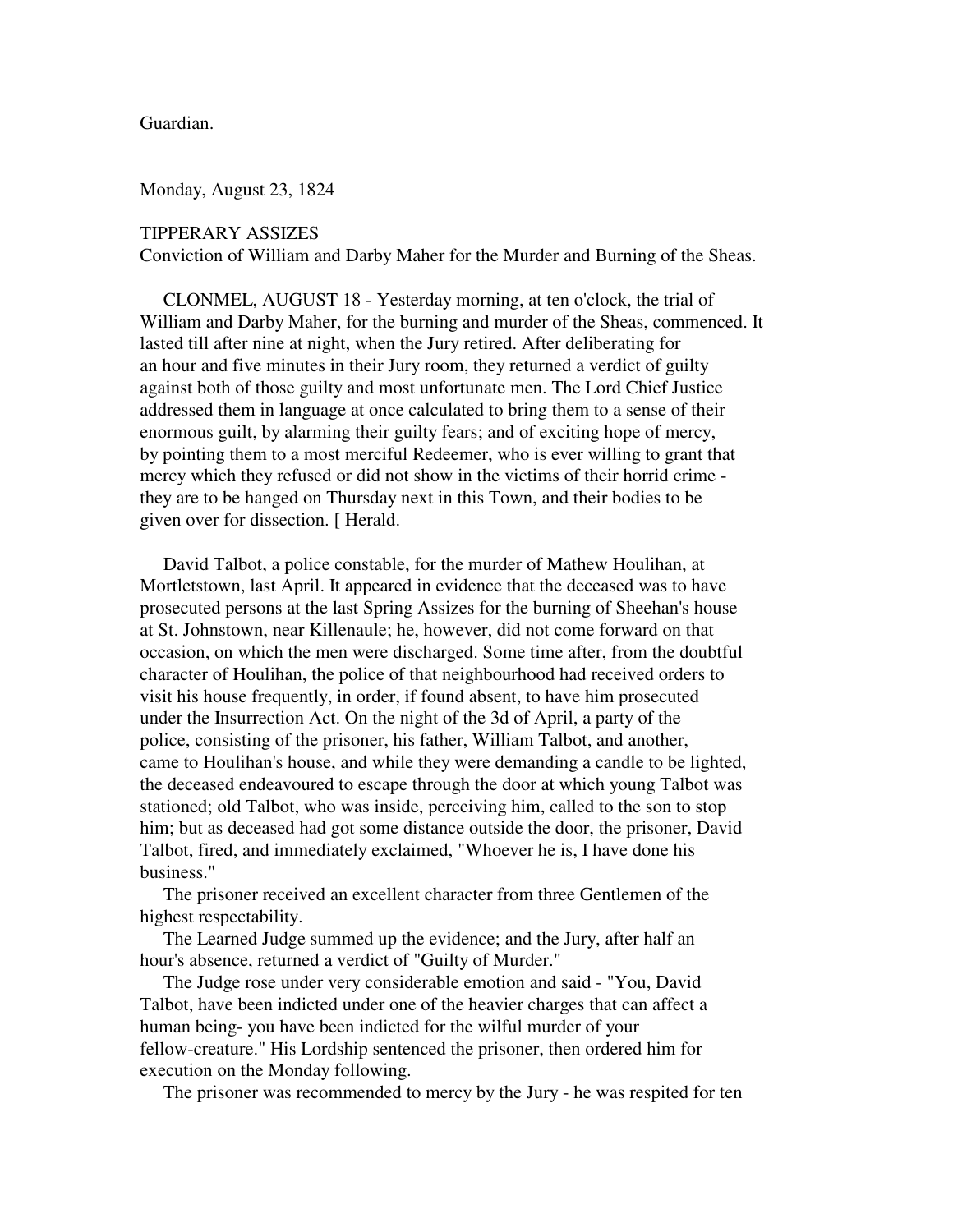Guardian.

Monday, August 23, 1824

## TIPPERARY ASSIZES

Conviction of William and Darby Maher for the Murder and Burning of the Sheas.

 CLONMEL, AUGUST 18 - Yesterday morning, at ten o'clock, the trial of William and Darby Maher, for the burning and murder of the Sheas, commenced. It lasted till after nine at night, when the Jury retired. After deliberating for an hour and five minutes in their Jury room, they returned a verdict of guilty against both of those guilty and most unfortunate men. The Lord Chief Justice addressed them in language at once calculated to bring them to a sense of their enormous guilt, by alarming their guilty fears; and of exciting hope of mercy, by pointing them to a most merciful Redeemer, who is ever willing to grant that mercy which they refused or did not show in the victims of their horrid crime they are to be hanged on Thursday next in this Town, and their bodies to be given over for dissection. [ Herald.

 David Talbot, a police constable, for the murder of Mathew Houlihan, at Mortletstown, last April. It appeared in evidence that the deceased was to have prosecuted persons at the last Spring Assizes for the burning of Sheehan's house at St. Johnstown, near Killenaule; he, however, did not come forward on that occasion, on which the men were discharged. Some time after, from the doubtful character of Houlihan, the police of that neighbourhood had received orders to visit his house frequently, in order, if found absent, to have him prosecuted under the Insurrection Act. On the night of the 3d of April, a party of the police, consisting of the prisoner, his father, William Talbot, and another, came to Houlihan's house, and while they were demanding a candle to be lighted, the deceased endeavoured to escape through the door at which young Talbot was stationed; old Talbot, who was inside, perceiving him, called to the son to stop him; but as deceased had got some distance outside the door, the prisoner, David Talbot, fired, and immediately exclaimed, "Whoever he is, I have done his business."

 The prisoner received an excellent character from three Gentlemen of the highest respectability.

 The Learned Judge summed up the evidence; and the Jury, after half an hour's absence, returned a verdict of "Guilty of Murder."

 The Judge rose under very considerable emotion and said - "You, David Talbot, have been indicted under one of the heavier charges that can affect a human being- you have been indicted for the wilful murder of your fellow-creature." His Lordship sentenced the prisoner, then ordered him for execution on the Monday following.

The prisoner was recommended to mercy by the Jury - he was respited for ten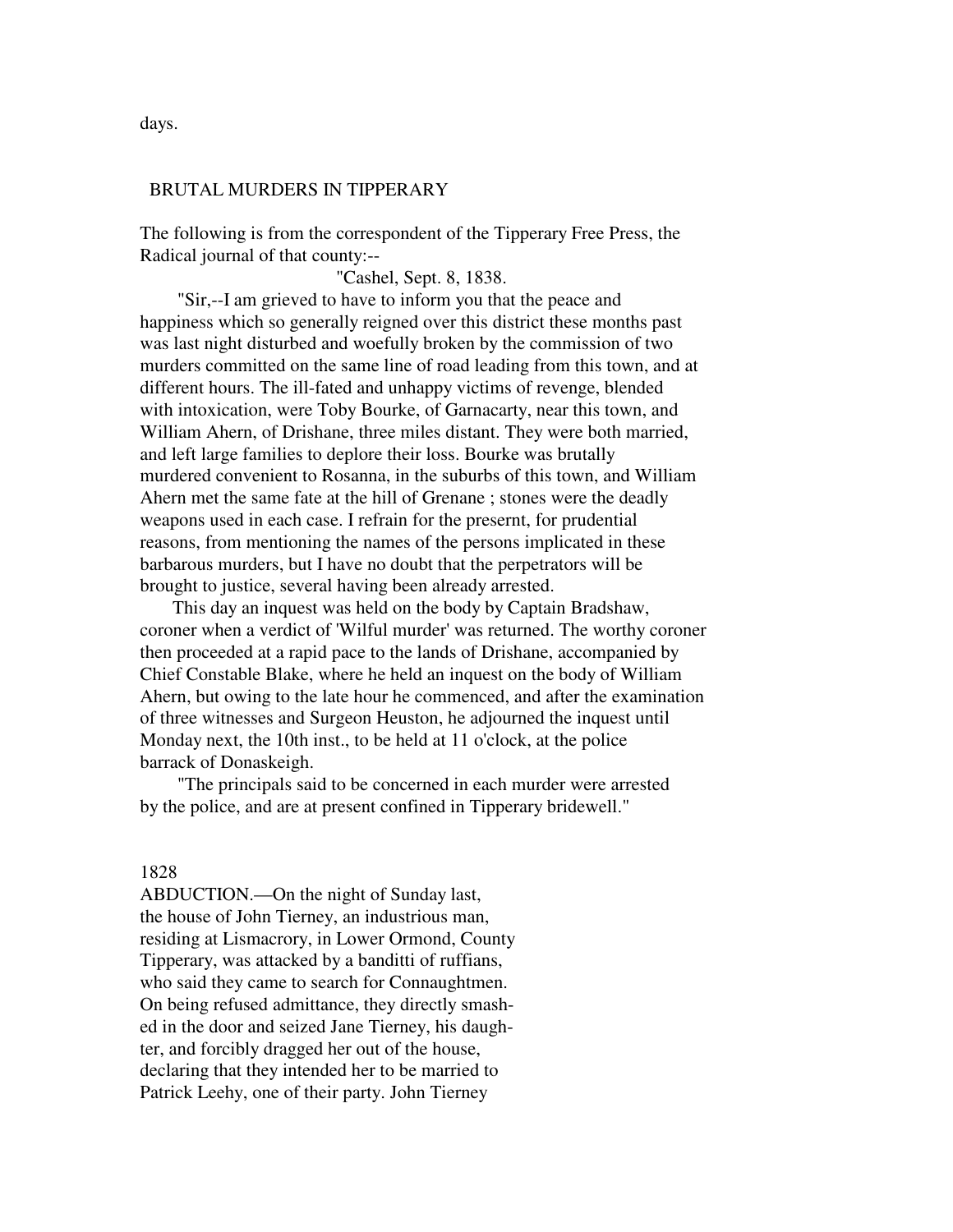days.

#### BRUTAL MURDERS IN TIPPERARY

The following is from the correspondent of the Tipperary Free Press, the Radical journal of that county:--

"Cashel, Sept. 8, 1838.

 "Sir,--I am grieved to have to inform you that the peace and happiness which so generally reigned over this district these months past was last night disturbed and woefully broken by the commission of two murders committed on the same line of road leading from this town, and at different hours. The ill-fated and unhappy victims of revenge, blended with intoxication, were Toby Bourke, of Garnacarty, near this town, and William Ahern, of Drishane, three miles distant. They were both married, and left large families to deplore their loss. Bourke was brutally murdered convenient to Rosanna, in the suburbs of this town, and William Ahern met the same fate at the hill of Grenane ; stones were the deadly weapons used in each case. I refrain for the presernt, for prudential reasons, from mentioning the names of the persons implicated in these barbarous murders, but I have no doubt that the perpetrators will be brought to justice, several having been already arrested.

 This day an inquest was held on the body by Captain Bradshaw, coroner when a verdict of 'Wilful murder' was returned. The worthy coroner then proceeded at a rapid pace to the lands of Drishane, accompanied by Chief Constable Blake, where he held an inquest on the body of William Ahern, but owing to the late hour he commenced, and after the examination of three witnesses and Surgeon Heuston, he adjourned the inquest until Monday next, the 10th inst., to be held at 11 o'clock, at the police barrack of Donaskeigh.

 "The principals said to be concerned in each murder were arrested by the police, and are at present confined in Tipperary bridewell."

## 1828

ABDUCTION.—On the night of Sunday last, the house of John Tierney, an industrious man, residing at Lismacrory, in Lower Ormond, County Tipperary, was attacked by a banditti of ruffians, who said they came to search for Connaughtmen. On being refused admittance, they directly smashed in the door and seized Jane Tierney, his daughter, and forcibly dragged her out of the house, declaring that they intended her to be married to Patrick Leehy, one of their party. John Tierney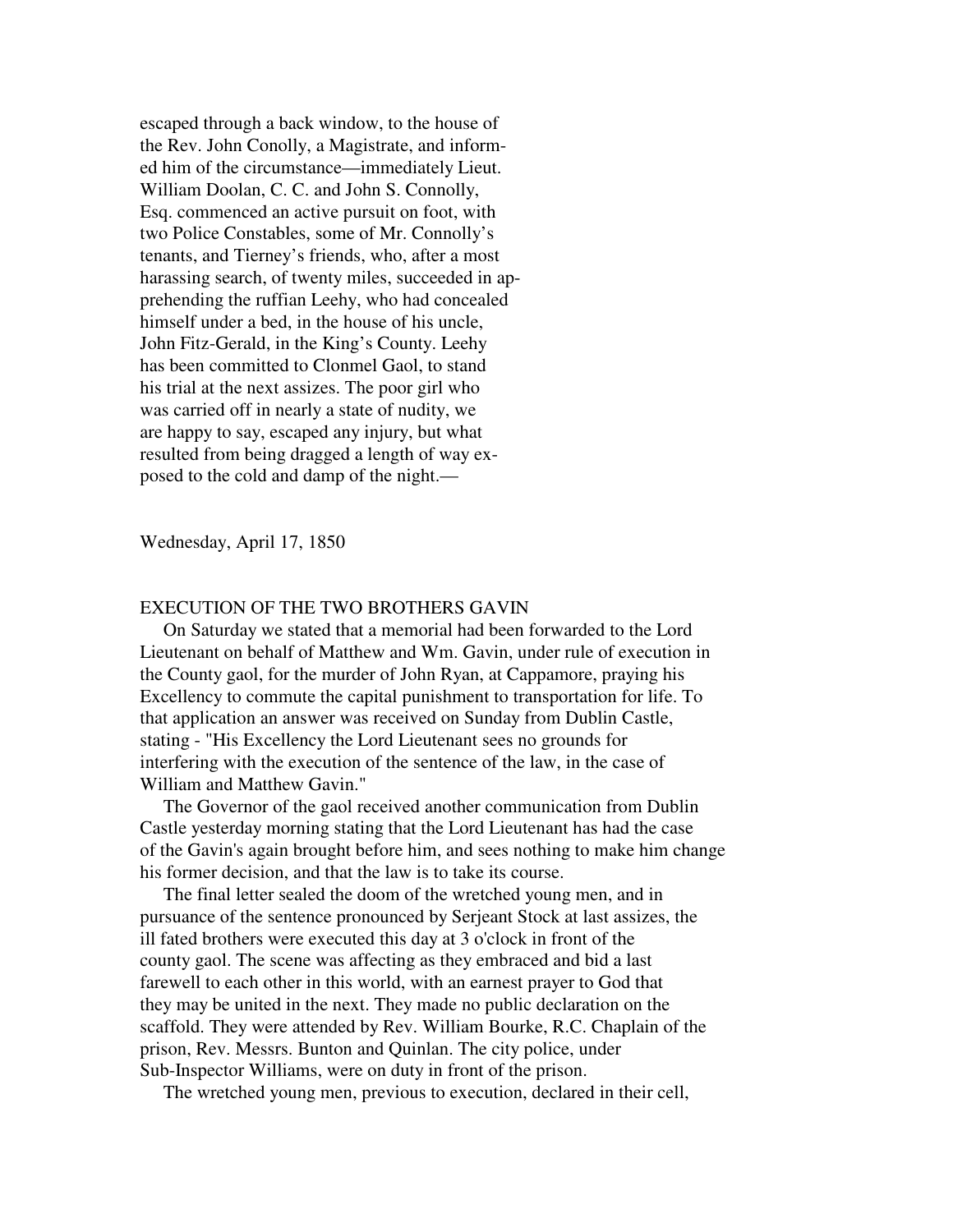escaped through a back window, to the house of the Rev. John Conolly, a Magistrate, and informed him of the circumstance—immediately Lieut. William Doolan, C. C. and John S. Connolly, Esq. commenced an active pursuit on foot, with two Police Constables, some of Mr. Connolly's tenants, and Tierney's friends, who, after a most harassing search, of twenty miles, succeeded in apprehending the ruffian Leehy, who had concealed himself under a bed, in the house of his uncle, John Fitz-Gerald, in the King's County. Leehy has been committed to Clonmel Gaol, to stand his trial at the next assizes. The poor girl who was carried off in nearly a state of nudity, we are happy to say, escaped any injury, but what resulted from being dragged a length of way exposed to the cold and damp of the night.—

Wednesday, April 17, 1850

# EXECUTION OF THE TWO BROTHERS GAVIN

 On Saturday we stated that a memorial had been forwarded to the Lord Lieutenant on behalf of Matthew and Wm. Gavin, under rule of execution in the County gaol, for the murder of John Ryan, at Cappamore, praying his Excellency to commute the capital punishment to transportation for life. To that application an answer was received on Sunday from Dublin Castle, stating - "His Excellency the Lord Lieutenant sees no grounds for interfering with the execution of the sentence of the law, in the case of William and Matthew Gavin."

 The Governor of the gaol received another communication from Dublin Castle yesterday morning stating that the Lord Lieutenant has had the case of the Gavin's again brought before him, and sees nothing to make him change his former decision, and that the law is to take its course.

 The final letter sealed the doom of the wretched young men, and in pursuance of the sentence pronounced by Serjeant Stock at last assizes, the ill fated brothers were executed this day at 3 o'clock in front of the county gaol. The scene was affecting as they embraced and bid a last farewell to each other in this world, with an earnest prayer to God that they may be united in the next. They made no public declaration on the scaffold. They were attended by Rev. William Bourke, R.C. Chaplain of the prison, Rev. Messrs. Bunton and Quinlan. The city police, under Sub-Inspector Williams, were on duty in front of the prison.

The wretched young men, previous to execution, declared in their cell,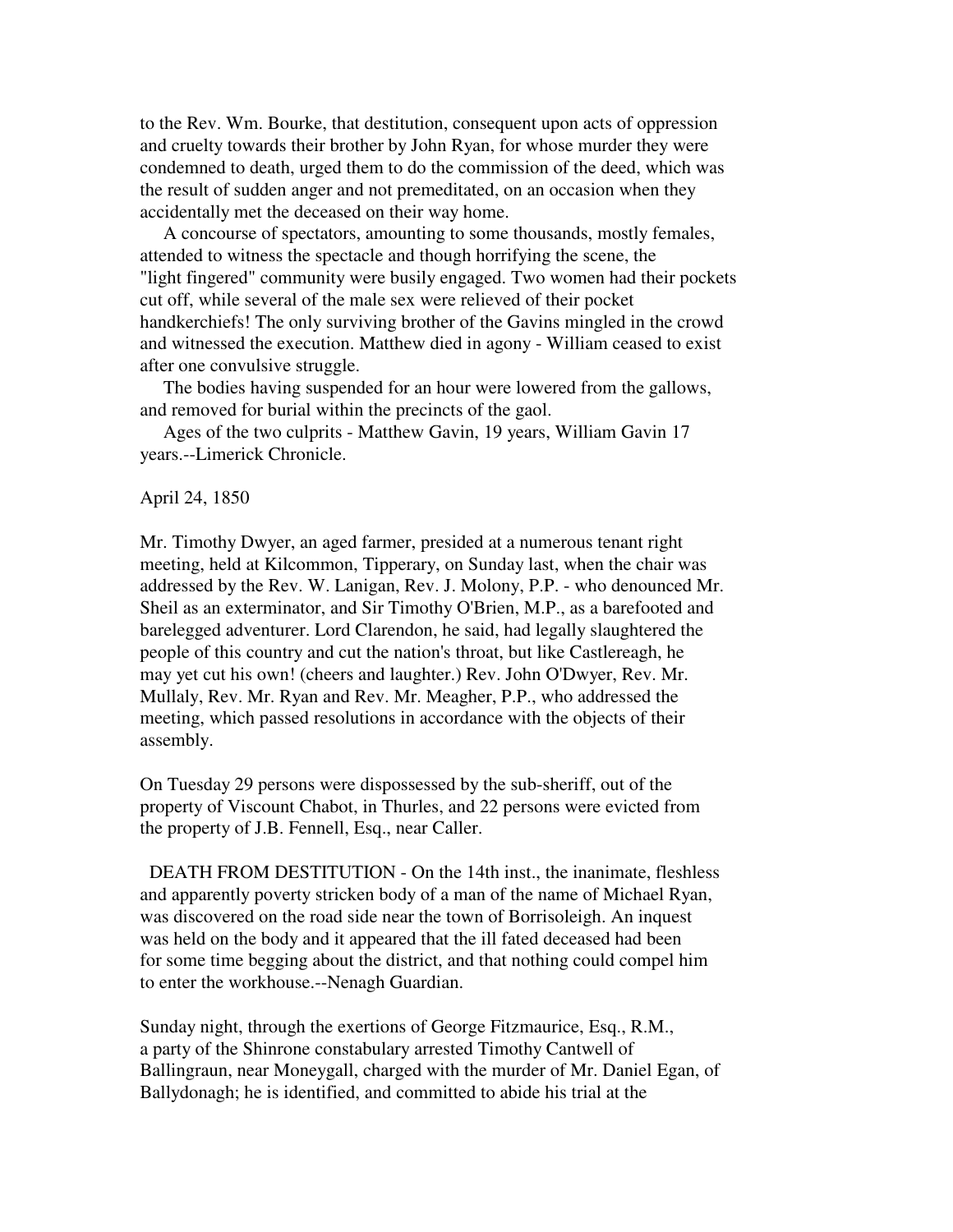to the Rev. Wm. Bourke, that destitution, consequent upon acts of oppression and cruelty towards their brother by John Ryan, for whose murder they were condemned to death, urged them to do the commission of the deed, which was the result of sudden anger and not premeditated, on an occasion when they accidentally met the deceased on their way home.

 A concourse of spectators, amounting to some thousands, mostly females, attended to witness the spectacle and though horrifying the scene, the "light fingered" community were busily engaged. Two women had their pockets cut off, while several of the male sex were relieved of their pocket handkerchiefs! The only surviving brother of the Gavins mingled in the crowd and witnessed the execution. Matthew died in agony - William ceased to exist after one convulsive struggle.

 The bodies having suspended for an hour were lowered from the gallows, and removed for burial within the precincts of the gaol.

 Ages of the two culprits - Matthew Gavin, 19 years, William Gavin 17 years.--Limerick Chronicle.

April 24, 1850

Mr. Timothy Dwyer, an aged farmer, presided at a numerous tenant right meeting, held at Kilcommon, Tipperary, on Sunday last, when the chair was addressed by the Rev. W. Lanigan, Rev. J. Molony, P.P. - who denounced Mr. Sheil as an exterminator, and Sir Timothy O'Brien, M.P., as a barefooted and barelegged adventurer. Lord Clarendon, he said, had legally slaughtered the people of this country and cut the nation's throat, but like Castlereagh, he may yet cut his own! (cheers and laughter.) Rev. John O'Dwyer, Rev. Mr. Mullaly, Rev. Mr. Ryan and Rev. Mr. Meagher, P.P., who addressed the meeting, which passed resolutions in accordance with the objects of their assembly.

On Tuesday 29 persons were dispossessed by the sub-sheriff, out of the property of Viscount Chabot, in Thurles, and 22 persons were evicted from the property of J.B. Fennell, Esq., near Caller.

 DEATH FROM DESTITUTION - On the 14th inst., the inanimate, fleshless and apparently poverty stricken body of a man of the name of Michael Ryan, was discovered on the road side near the town of Borrisoleigh. An inquest was held on the body and it appeared that the ill fated deceased had been for some time begging about the district, and that nothing could compel him to enter the workhouse.--Nenagh Guardian.

Sunday night, through the exertions of George Fitzmaurice, Esq., R.M., a party of the Shinrone constabulary arrested Timothy Cantwell of Ballingraun, near Moneygall, charged with the murder of Mr. Daniel Egan, of Ballydonagh; he is identified, and committed to abide his trial at the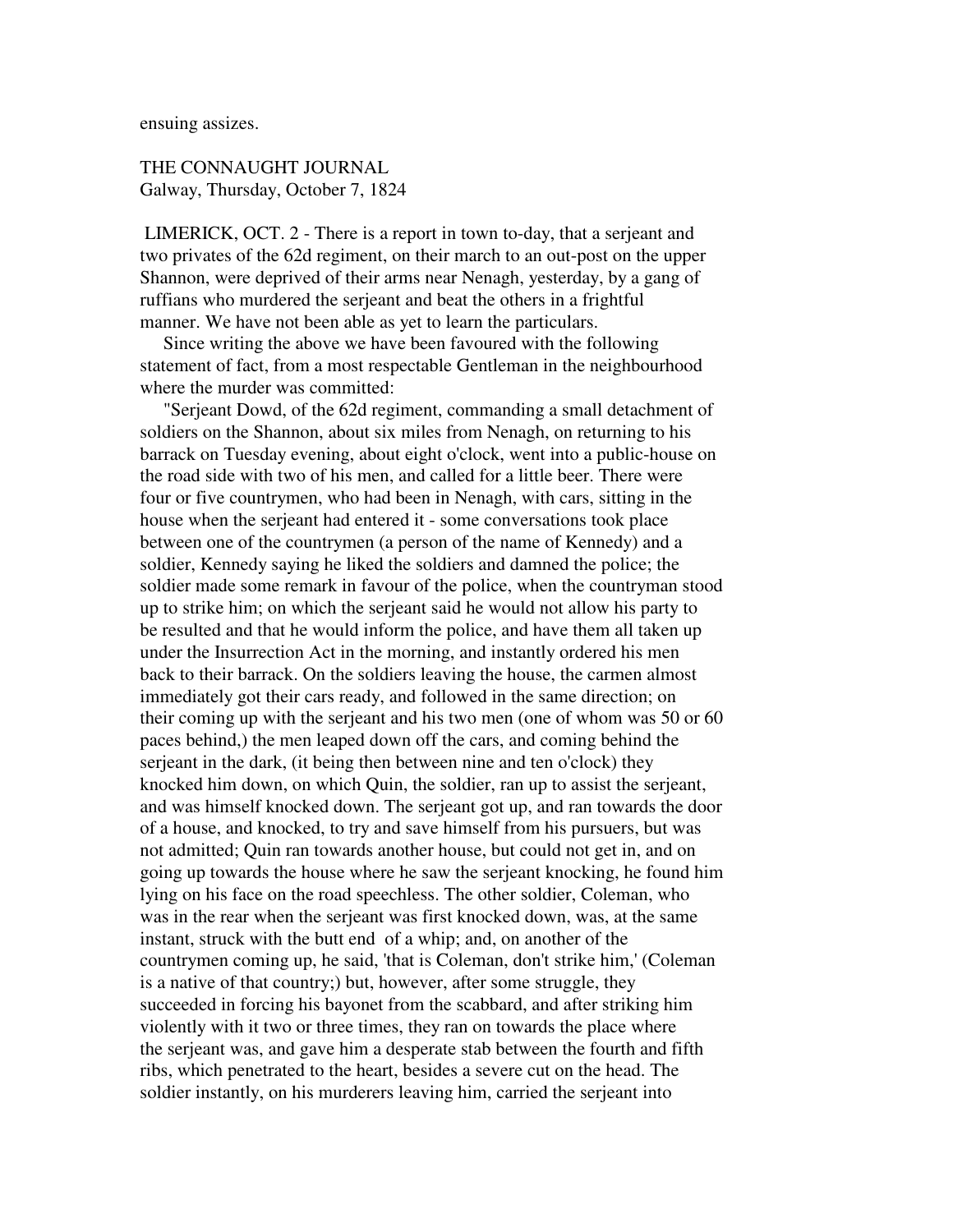ensuing assizes.

## THE CONNAUGHT JOURNAL Galway, Thursday, October 7, 1824

 LIMERICK, OCT. 2 - There is a report in town to-day, that a serjeant and two privates of the 62d regiment, on their march to an out-post on the upper Shannon, were deprived of their arms near Nenagh, yesterday, by a gang of ruffians who murdered the serjeant and beat the others in a frightful manner. We have not been able as yet to learn the particulars.

 Since writing the above we have been favoured with the following statement of fact, from a most respectable Gentleman in the neighbourhood where the murder was committed:

 "Serjeant Dowd, of the 62d regiment, commanding a small detachment of soldiers on the Shannon, about six miles from Nenagh, on returning to his barrack on Tuesday evening, about eight o'clock, went into a public-house on the road side with two of his men, and called for a little beer. There were four or five countrymen, who had been in Nenagh, with cars, sitting in the house when the serjeant had entered it - some conversations took place between one of the countrymen (a person of the name of Kennedy) and a soldier, Kennedy saying he liked the soldiers and damned the police; the soldier made some remark in favour of the police, when the countryman stood up to strike him; on which the serjeant said he would not allow his party to be resulted and that he would inform the police, and have them all taken up under the Insurrection Act in the morning, and instantly ordered his men back to their barrack. On the soldiers leaving the house, the carmen almost immediately got their cars ready, and followed in the same direction; on their coming up with the serjeant and his two men (one of whom was 50 or 60 paces behind,) the men leaped down off the cars, and coming behind the serjeant in the dark, (it being then between nine and ten o'clock) they knocked him down, on which Quin, the soldier, ran up to assist the serjeant, and was himself knocked down. The serjeant got up, and ran towards the door of a house, and knocked, to try and save himself from his pursuers, but was not admitted; Quin ran towards another house, but could not get in, and on going up towards the house where he saw the serjeant knocking, he found him lying on his face on the road speechless. The other soldier, Coleman, who was in the rear when the serjeant was first knocked down, was, at the same instant, struck with the butt end of a whip; and, on another of the countrymen coming up, he said, 'that is Coleman, don't strike him,' (Coleman is a native of that country;) but, however, after some struggle, they succeeded in forcing his bayonet from the scabbard, and after striking him violently with it two or three times, they ran on towards the place where the serjeant was, and gave him a desperate stab between the fourth and fifth ribs, which penetrated to the heart, besides a severe cut on the head. The soldier instantly, on his murderers leaving him, carried the serjeant into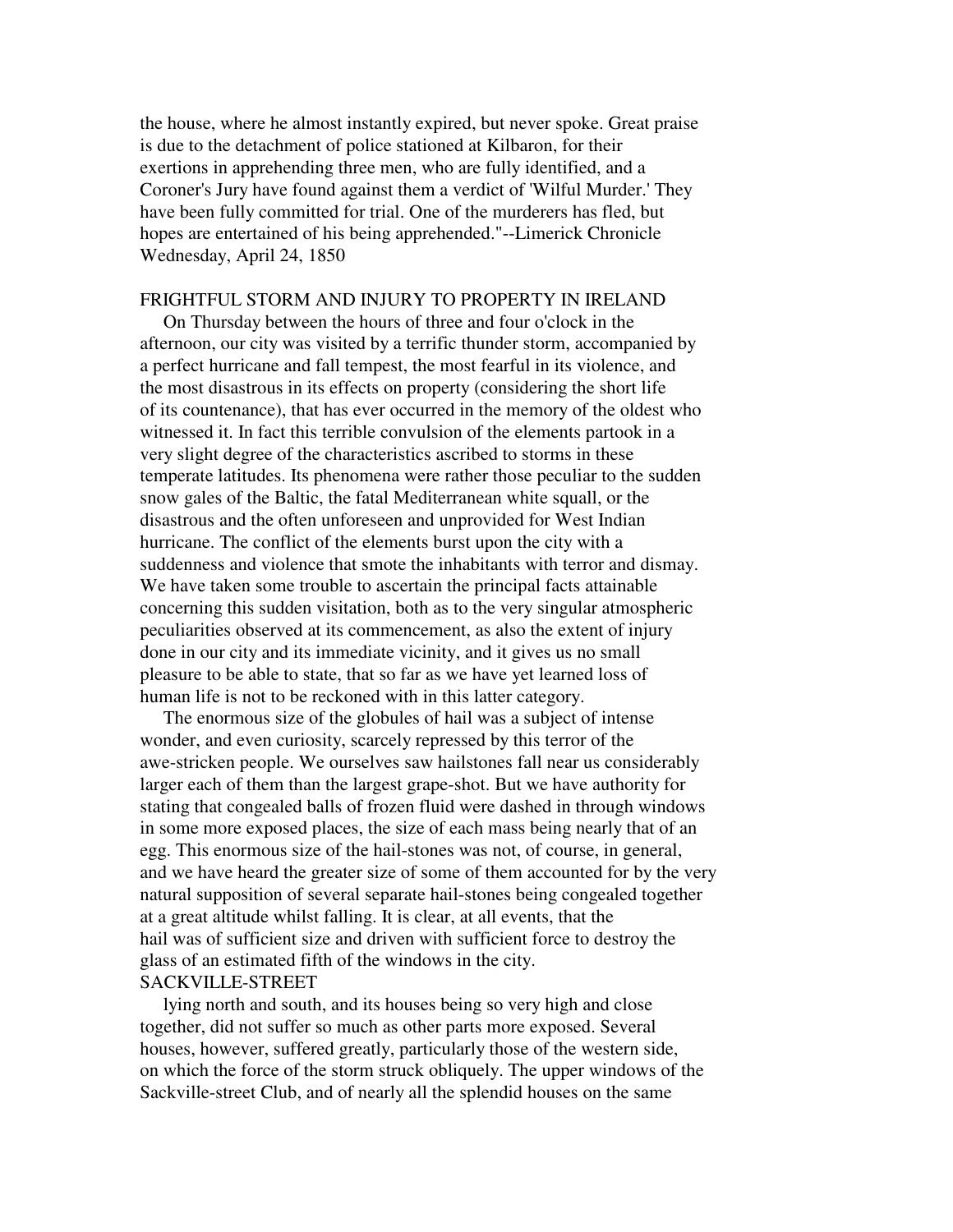the house, where he almost instantly expired, but never spoke. Great praise is due to the detachment of police stationed at Kilbaron, for their exertions in apprehending three men, who are fully identified, and a Coroner's Jury have found against them a verdict of 'Wilful Murder.' They have been fully committed for trial. One of the murderers has fled, but hopes are entertained of his being apprehended."--Limerick Chronicle Wednesday, April 24, 1850

## FRIGHTFUL STORM AND INJURY TO PROPERTY IN IRELAND

 On Thursday between the hours of three and four o'clock in the afternoon, our city was visited by a terrific thunder storm, accompanied by a perfect hurricane and fall tempest, the most fearful in its violence, and the most disastrous in its effects on property (considering the short life of its countenance), that has ever occurred in the memory of the oldest who witnessed it. In fact this terrible convulsion of the elements partook in a very slight degree of the characteristics ascribed to storms in these temperate latitudes. Its phenomena were rather those peculiar to the sudden snow gales of the Baltic, the fatal Mediterranean white squall, or the disastrous and the often unforeseen and unprovided for West Indian hurricane. The conflict of the elements burst upon the city with a suddenness and violence that smote the inhabitants with terror and dismay. We have taken some trouble to ascertain the principal facts attainable concerning this sudden visitation, both as to the very singular atmospheric peculiarities observed at its commencement, as also the extent of injury done in our city and its immediate vicinity, and it gives us no small pleasure to be able to state, that so far as we have yet learned loss of human life is not to be reckoned with in this latter category.

 The enormous size of the globules of hail was a subject of intense wonder, and even curiosity, scarcely repressed by this terror of the awe-stricken people. We ourselves saw hailstones fall near us considerably larger each of them than the largest grape-shot. But we have authority for stating that congealed balls of frozen fluid were dashed in through windows in some more exposed places, the size of each mass being nearly that of an egg. This enormous size of the hail-stones was not, of course, in general, and we have heard the greater size of some of them accounted for by the very natural supposition of several separate hail-stones being congealed together at a great altitude whilst falling. It is clear, at all events, that the hail was of sufficient size and driven with sufficient force to destroy the glass of an estimated fifth of the windows in the city. SACKVILLE-STREET

 lying north and south, and its houses being so very high and close together, did not suffer so much as other parts more exposed. Several houses, however, suffered greatly, particularly those of the western side, on which the force of the storm struck obliquely. The upper windows of the Sackville-street Club, and of nearly all the splendid houses on the same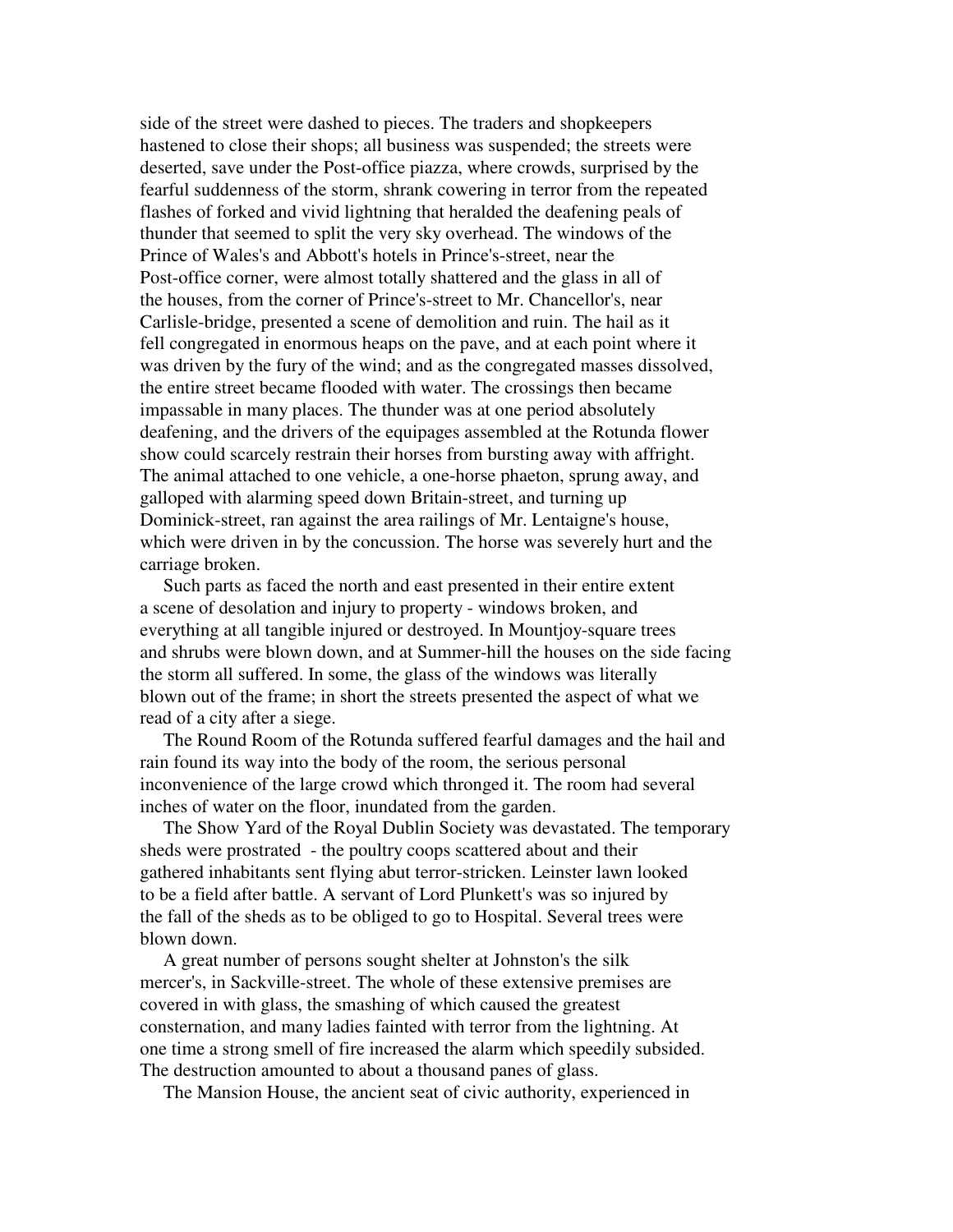side of the street were dashed to pieces. The traders and shopkeepers hastened to close their shops; all business was suspended; the streets were deserted, save under the Post-office piazza, where crowds, surprised by the fearful suddenness of the storm, shrank cowering in terror from the repeated flashes of forked and vivid lightning that heralded the deafening peals of thunder that seemed to split the very sky overhead. The windows of the Prince of Wales's and Abbott's hotels in Prince's-street, near the Post-office corner, were almost totally shattered and the glass in all of the houses, from the corner of Prince's-street to Mr. Chancellor's, near Carlisle-bridge, presented a scene of demolition and ruin. The hail as it fell congregated in enormous heaps on the pave, and at each point where it was driven by the fury of the wind; and as the congregated masses dissolved, the entire street became flooded with water. The crossings then became impassable in many places. The thunder was at one period absolutely deafening, and the drivers of the equipages assembled at the Rotunda flower show could scarcely restrain their horses from bursting away with affright. The animal attached to one vehicle, a one-horse phaeton, sprung away, and galloped with alarming speed down Britain-street, and turning up Dominick-street, ran against the area railings of Mr. Lentaigne's house, which were driven in by the concussion. The horse was severely hurt and the carriage broken.

 Such parts as faced the north and east presented in their entire extent a scene of desolation and injury to property - windows broken, and everything at all tangible injured or destroyed. In Mountjoy-square trees and shrubs were blown down, and at Summer-hill the houses on the side facing the storm all suffered. In some, the glass of the windows was literally blown out of the frame; in short the streets presented the aspect of what we read of a city after a siege.

 The Round Room of the Rotunda suffered fearful damages and the hail and rain found its way into the body of the room, the serious personal inconvenience of the large crowd which thronged it. The room had several inches of water on the floor, inundated from the garden.

 The Show Yard of the Royal Dublin Society was devastated. The temporary sheds were prostrated - the poultry coops scattered about and their gathered inhabitants sent flying abut terror-stricken. Leinster lawn looked to be a field after battle. A servant of Lord Plunkett's was so injured by the fall of the sheds as to be obliged to go to Hospital. Several trees were blown down.

 A great number of persons sought shelter at Johnston's the silk mercer's, in Sackville-street. The whole of these extensive premises are covered in with glass, the smashing of which caused the greatest consternation, and many ladies fainted with terror from the lightning. At one time a strong smell of fire increased the alarm which speedily subsided. The destruction amounted to about a thousand panes of glass.

The Mansion House, the ancient seat of civic authority, experienced in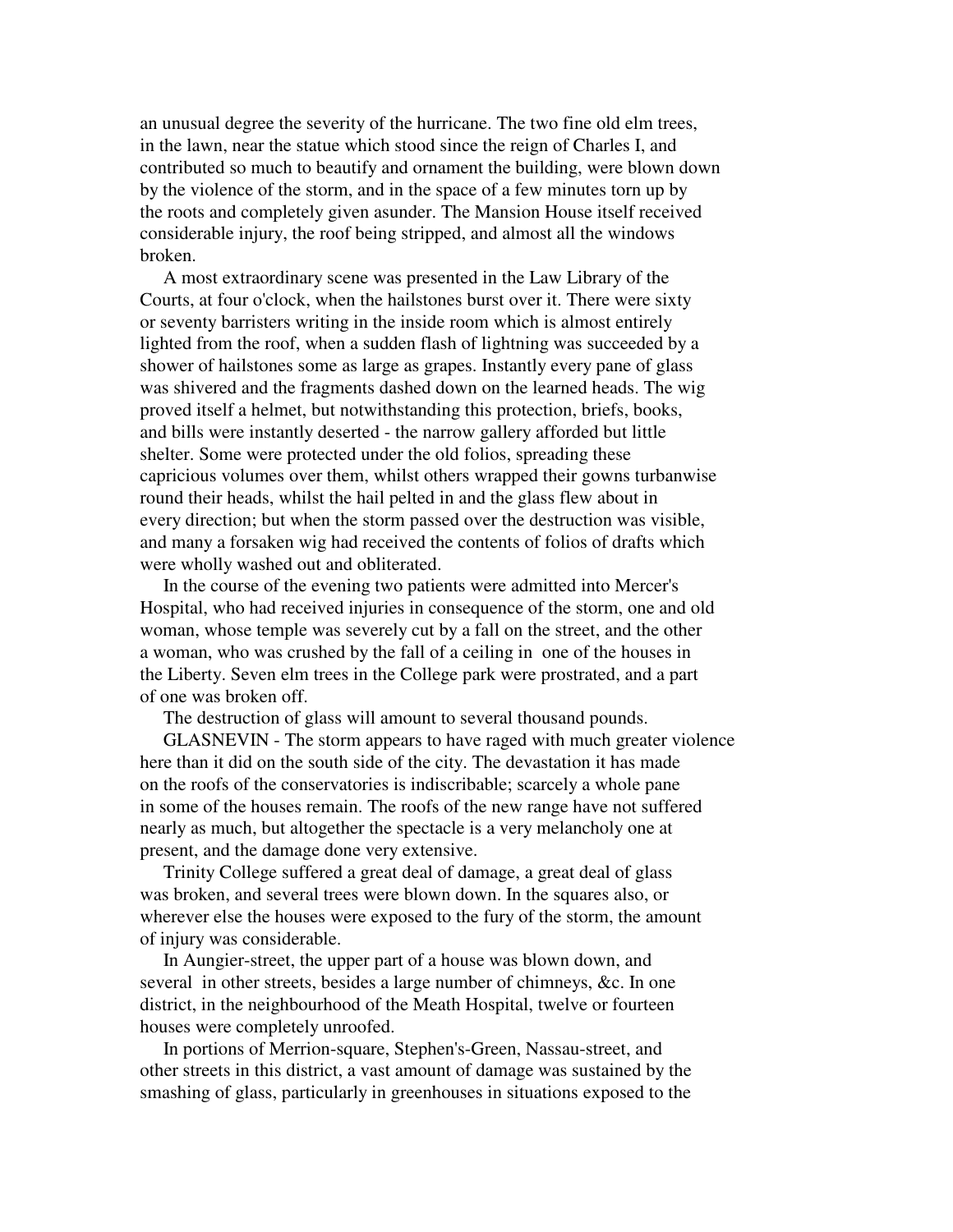an unusual degree the severity of the hurricane. The two fine old elm trees, in the lawn, near the statue which stood since the reign of Charles I, and contributed so much to beautify and ornament the building, were blown down by the violence of the storm, and in the space of a few minutes torn up by the roots and completely given asunder. The Mansion House itself received considerable injury, the roof being stripped, and almost all the windows broken.

 A most extraordinary scene was presented in the Law Library of the Courts, at four o'clock, when the hailstones burst over it. There were sixty or seventy barristers writing in the inside room which is almost entirely lighted from the roof, when a sudden flash of lightning was succeeded by a shower of hailstones some as large as grapes. Instantly every pane of glass was shivered and the fragments dashed down on the learned heads. The wig proved itself a helmet, but notwithstanding this protection, briefs, books, and bills were instantly deserted - the narrow gallery afforded but little shelter. Some were protected under the old folios, spreading these capricious volumes over them, whilst others wrapped their gowns turbanwise round their heads, whilst the hail pelted in and the glass flew about in every direction; but when the storm passed over the destruction was visible, and many a forsaken wig had received the contents of folios of drafts which were wholly washed out and obliterated.

 In the course of the evening two patients were admitted into Mercer's Hospital, who had received injuries in consequence of the storm, one and old woman, whose temple was severely cut by a fall on the street, and the other a woman, who was crushed by the fall of a ceiling in one of the houses in the Liberty. Seven elm trees in the College park were prostrated, and a part of one was broken off.

The destruction of glass will amount to several thousand pounds.

 GLASNEVIN - The storm appears to have raged with much greater violence here than it did on the south side of the city. The devastation it has made on the roofs of the conservatories is indiscribable; scarcely a whole pane in some of the houses remain. The roofs of the new range have not suffered nearly as much, but altogether the spectacle is a very melancholy one at present, and the damage done very extensive.

 Trinity College suffered a great deal of damage, a great deal of glass was broken, and several trees were blown down. In the squares also, or wherever else the houses were exposed to the fury of the storm, the amount of injury was considerable.

 In Aungier-street, the upper part of a house was blown down, and several in other streets, besides a large number of chimneys, &c. In one district, in the neighbourhood of the Meath Hospital, twelve or fourteen houses were completely unroofed.

 In portions of Merrion-square, Stephen's-Green, Nassau-street, and other streets in this district, a vast amount of damage was sustained by the smashing of glass, particularly in greenhouses in situations exposed to the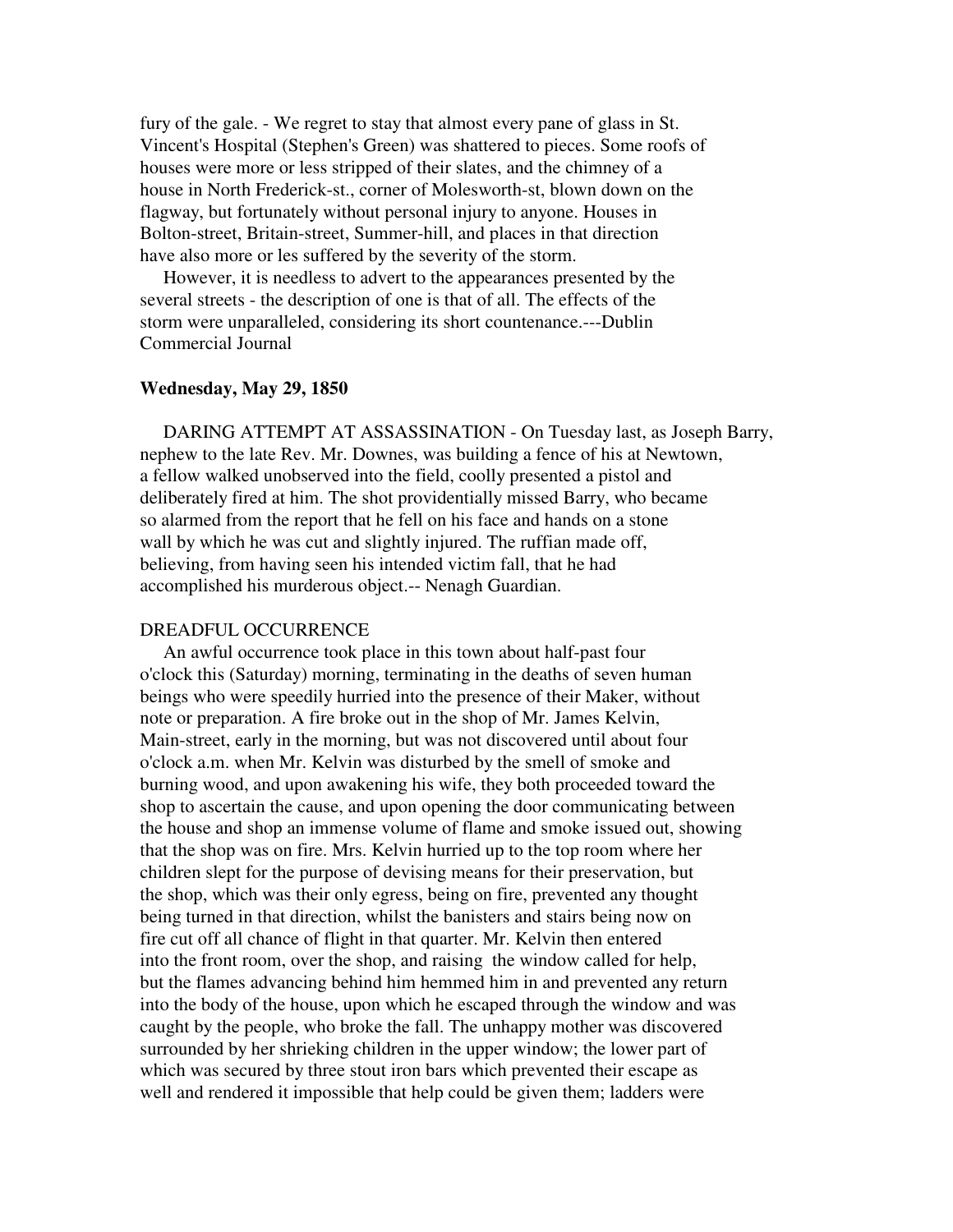fury of the gale. - We regret to stay that almost every pane of glass in St. Vincent's Hospital (Stephen's Green) was shattered to pieces. Some roofs of houses were more or less stripped of their slates, and the chimney of a house in North Frederick-st., corner of Molesworth-st, blown down on the flagway, but fortunately without personal injury to anyone. Houses in Bolton-street, Britain-street, Summer-hill, and places in that direction have also more or les suffered by the severity of the storm.

 However, it is needless to advert to the appearances presented by the several streets - the description of one is that of all. The effects of the storm were unparalleled, considering its short countenance.---Dublin Commercial Journal

## **Wednesday, May 29, 1850**

 DARING ATTEMPT AT ASSASSINATION - On Tuesday last, as Joseph Barry, nephew to the late Rev. Mr. Downes, was building a fence of his at Newtown, a fellow walked unobserved into the field, coolly presented a pistol and deliberately fired at him. The shot providentially missed Barry, who became so alarmed from the report that he fell on his face and hands on a stone wall by which he was cut and slightly injured. The ruffian made off, believing, from having seen his intended victim fall, that he had accomplished his murderous object.-- Nenagh Guardian.

#### DREADFUL OCCURRENCE

 An awful occurrence took place in this town about half-past four o'clock this (Saturday) morning, terminating in the deaths of seven human beings who were speedily hurried into the presence of their Maker, without note or preparation. A fire broke out in the shop of Mr. James Kelvin, Main-street, early in the morning, but was not discovered until about four o'clock a.m. when Mr. Kelvin was disturbed by the smell of smoke and burning wood, and upon awakening his wife, they both proceeded toward the shop to ascertain the cause, and upon opening the door communicating between the house and shop an immense volume of flame and smoke issued out, showing that the shop was on fire. Mrs. Kelvin hurried up to the top room where her children slept for the purpose of devising means for their preservation, but the shop, which was their only egress, being on fire, prevented any thought being turned in that direction, whilst the banisters and stairs being now on fire cut off all chance of flight in that quarter. Mr. Kelvin then entered into the front room, over the shop, and raising the window called for help, but the flames advancing behind him hemmed him in and prevented any return into the body of the house, upon which he escaped through the window and was caught by the people, who broke the fall. The unhappy mother was discovered surrounded by her shrieking children in the upper window; the lower part of which was secured by three stout iron bars which prevented their escape as well and rendered it impossible that help could be given them; ladders were